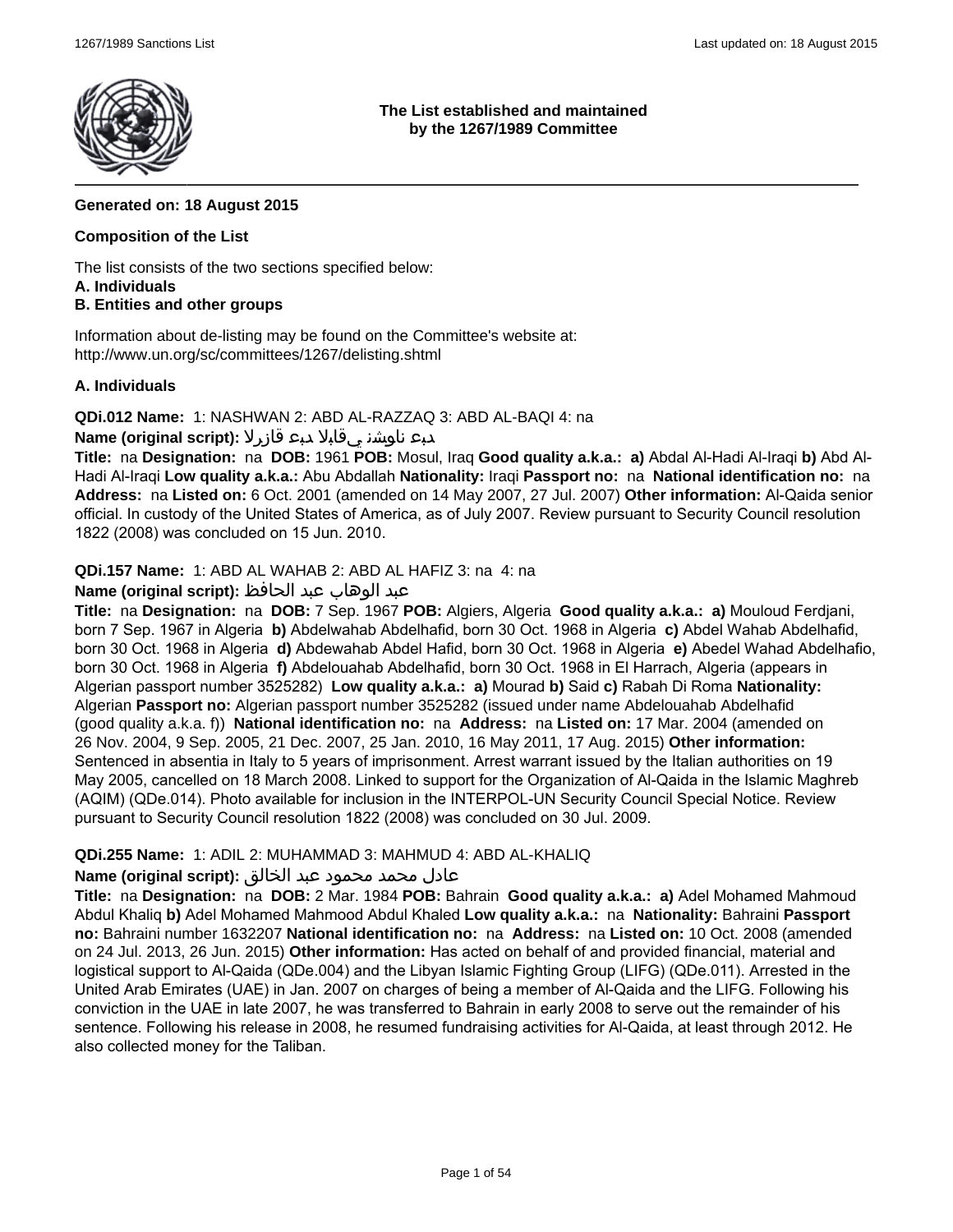

**The List established and maintained by the 1267/1989 Committee**

## **Generated on: 18 August 2015**

### **Composition of the List**

The list consists of the two sections specified below: **A. Individuals**

## **B. Entities and other groups**

Information about de-listing may be found on the Committee's website at: http://www.un.org/sc/committees/1267/delisting.shtml

#### **A. Individuals**

**QDi.012 Name:** 1: NASHWAN 2: ABD AL-RAZZAQ 3: ABD AL-BAQI 4: na

## دبع ناوشن يقابلا دبع قازرلا **:(script original (Name**

**Title:** na **Designation:** na **DOB:** 1961 **POB:** Mosul, Iraq **Good quality a.k.a.: a)** Abdal Al-Hadi Al-Iraqi **b)** Abd Al-Hadi Al-Iraqi **Low quality a.k.a.:** Abu Abdallah **Nationality:** Iraqi **Passport no:** na **National identification no:** na **Address:** na **Listed on:** 6 Oct. 2001 (amended on 14 May 2007, 27 Jul. 2007) **Other information:** Al-Qaida senior official. In custody of the United States of America, as of July 2007. Review pursuant to Security Council resolution 1822 (2008) was concluded on 15 Jun. 2010.

**QDi.157 Name:** 1: ABD AL WAHAB 2: ABD AL HAFIZ 3: na 4: na

## عبد الوهاب عبد الحافظ **:(script original (Name**

**Title:** na **Designation:** na **DOB:** 7 Sep. 1967 **POB:** Algiers, Algeria **Good quality a.k.a.: a)** Mouloud Ferdjani, born 7 Sep. 1967 in Algeria **b)** Abdelwahab Abdelhafid, born 30 Oct. 1968 in Algeria **c)** Abdel Wahab Abdelhafid, born 30 Oct. 1968 in Algeria **d)** Abdewahab Abdel Hafid, born 30 Oct. 1968 in Algeria **e)** Abedel Wahad Abdelhafio, born 30 Oct. 1968 in Algeria **f)** Abdelouahab Abdelhafid, born 30 Oct. 1968 in El Harrach, Algeria (appears in Algerian passport number 3525282) **Low quality a.k.a.: a)** Mourad **b)** Said **c)** Rabah Di Roma **Nationality:** Algerian **Passport no:** Algerian passport number 3525282 (issued under name Abdelouahab Abdelhafid (good quality a.k.a. f)) **National identification no:** na **Address:** na **Listed on:** 17 Mar. 2004 (amended on 26 Nov. 2004, 9 Sep. 2005, 21 Dec. 2007, 25 Jan. 2010, 16 May 2011, 17 Aug. 2015) **Other information:** Sentenced in absentia in Italy to 5 years of imprisonment. Arrest warrant issued by the Italian authorities on 19 May 2005, cancelled on 18 March 2008. Linked to support for the Organization of Al-Qaida in the Islamic Maghreb (AQIM) (QDe.014). Photo available for inclusion in the INTERPOL-UN Security Council Special Notice. Review pursuant to Security Council resolution 1822 (2008) was concluded on 30 Jul. 2009.

## **QDi.255 Name:** 1: ADIL 2: MUHAMMAD 3: MAHMUD 4: ABD AL-KHALIQ

## عادل محمد محمود عبد الخالق **:(script original (Name**

**Title:** na **Designation:** na **DOB:** 2 Mar. 1984 **POB:** Bahrain **Good quality a.k.a.: a)** Adel Mohamed Mahmoud Abdul Khaliq **b)** Adel Mohamed Mahmood Abdul Khaled **Low quality a.k.a.:** na **Nationality:** Bahraini **Passport no:** Bahraini number 1632207 **National identification no:** na **Address:** na **Listed on:** 10 Oct. 2008 (amended on 24 Jul. 2013, 26 Jun. 2015) **Other information:** Has acted on behalf of and provided financial, material and logistical support to Al-Qaida (QDe.004) and the Libyan Islamic Fighting Group (LIFG) (QDe.011). Arrested in the United Arab Emirates (UAE) in Jan. 2007 on charges of being a member of Al-Qaida and the LIFG. Following his conviction in the UAE in late 2007, he was transferred to Bahrain in early 2008 to serve out the remainder of his sentence. Following his release in 2008, he resumed fundraising activities for Al-Qaida, at least through 2012. He also collected money for the Taliban.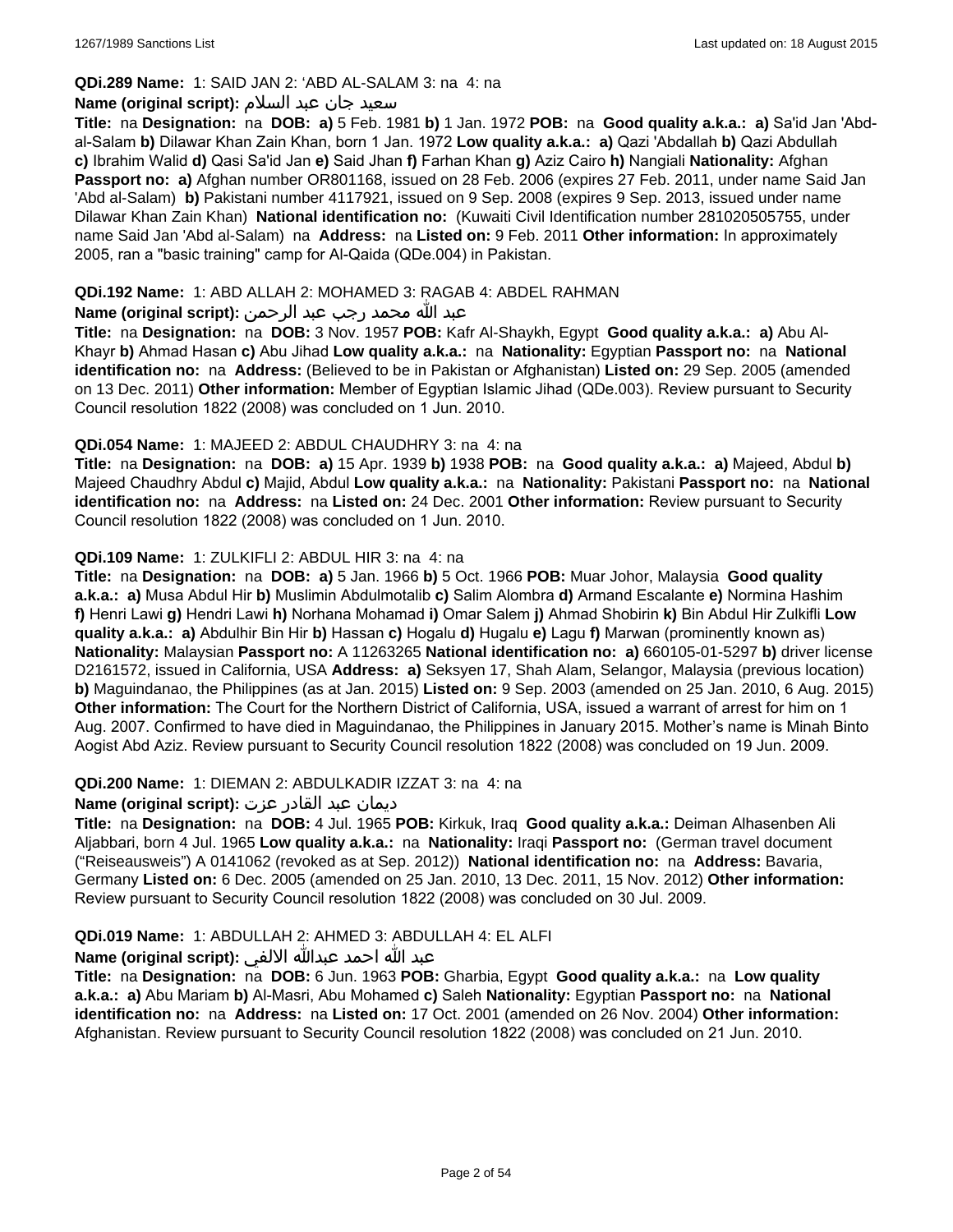## **QDi.289 Name:** 1: SAID JAN 2: 'ABD AL-SALAM 3: na 4: na

#### سعید جان عبد السلام **:(script original (Name**

**Title:** na **Designation:** na **DOB: a)** 5 Feb. 1981 **b)** 1 Jan. 1972 **POB:** na **Good quality a.k.a.: a)** Sa'id Jan 'Abdal-Salam **b)** Dilawar Khan Zain Khan, born 1 Jan. 1972 **Low quality a.k.a.: a)** Qazi 'Abdallah **b)** Qazi Abdullah **c)** Ibrahim Walid **d)** Qasi Sa'id Jan **e)** Said Jhan **f)** Farhan Khan **g)** Aziz Cairo **h)** Nangiali **Nationality:** Afghan **Passport no: a)** Afghan number OR801168, issued on 28 Feb. 2006 (expires 27 Feb. 2011, under name Said Jan 'Abd al-Salam) **b)** Pakistani number 4117921, issued on 9 Sep. 2008 (expires 9 Sep. 2013, issued under name Dilawar Khan Zain Khan) **National identification no:** (Kuwaiti Civil Identification number 281020505755, under name Said Jan 'Abd al-Salam) na **Address:** na **Listed on:** 9 Feb. 2011 **Other information:** In approximately 2005, ran a "basic training" camp for Al-Qaida (QDe.004) in Pakistan.

### **QDi.192 Name:** 1: ABD ALLAH 2: MOHAMED 3: RAGAB 4: ABDEL RAHMAN

## عبد الله محمد رجب عبد الرحمن **:(script original (Name**

**Title:** na **Designation:** na **DOB:** 3 Nov. 1957 **POB:** Kafr Al-Shaykh, Egypt **Good quality a.k.a.: a)** Abu Al-Khayr **b)** Ahmad Hasan **c)** Abu Jihad **Low quality a.k.a.:** na **Nationality:** Egyptian **Passport no:** na **National identification no:** na **Address:** (Believed to be in Pakistan or Afghanistan) **Listed on:** 29 Sep. 2005 (amended on 13 Dec. 2011) **Other information:** Member of Egyptian Islamic Jihad (QDe.003). Review pursuant to Security Council resolution 1822 (2008) was concluded on 1 Jun. 2010.

#### **QDi.054 Name:** 1: MAJEED 2: ABDUL CHAUDHRY 3: na 4: na

**Title:** na **Designation:** na **DOB: a)** 15 Apr. 1939 **b)** 1938 **POB:** na **Good quality a.k.a.: a)** Majeed, Abdul **b)** Majeed Chaudhry Abdul **c)** Majid, Abdul **Low quality a.k.a.:** na **Nationality:** Pakistani **Passport no:** na **National identification no:** na **Address:** na **Listed on:** 24 Dec. 2001 **Other information:** Review pursuant to Security Council resolution 1822 (2008) was concluded on 1 Jun. 2010.

#### **QDi.109 Name:** 1: ZULKIFLI 2: ABDUL HIR 3: na 4: na

**Title:** na **Designation:** na **DOB: a)** 5 Jan. 1966 **b)** 5 Oct. 1966 **POB:** Muar Johor, Malaysia **Good quality a.k.a.: a)** Musa Abdul Hir **b)** Muslimin Abdulmotalib **c)** Salim Alombra **d)** Armand Escalante **e)** Normina Hashim **f)** Henri Lawi **g)** Hendri Lawi **h)** Norhana Mohamad **i)** Omar Salem **j)** Ahmad Shobirin **k)** Bin Abdul Hir Zulkifli **Low quality a.k.a.: a)** Abdulhir Bin Hir **b)** Hassan **c)** Hogalu **d)** Hugalu **e)** Lagu **f)** Marwan (prominently known as) **Nationality:** Malaysian **Passport no:** A 11263265 **National identification no: a)** 660105-01-5297 **b)** driver license D2161572, issued in California, USA **Address: a)** Seksyen 17, Shah Alam, Selangor, Malaysia (previous location) **b)** Maguindanao, the Philippines (as at Jan. 2015) **Listed on:** 9 Sep. 2003 (amended on 25 Jan. 2010, 6 Aug. 2015) **Other information:** The Court for the Northern District of California, USA, issued a warrant of arrest for him on 1 Aug. 2007. Confirmed to have died in Maguindanao, the Philippines in January 2015. Mother's name is Minah Binto Aogist Abd Aziz. Review pursuant to Security Council resolution 1822 (2008) was concluded on 19 Jun. 2009.

## **QDi.200 Name:** 1: DIEMAN 2: ABDULKADIR IZZAT 3: na 4: na

## ديمان عبد القادر عزت **:(script original (Name**

**Title:** na **Designation:** na **DOB:** 4 Jul. 1965 **POB:** Kirkuk, Iraq **Good quality a.k.a.:** Deiman Alhasenben Ali Aljabbari, born 4 Jul. 1965 **Low quality a.k.a.:** na **Nationality:** Iraqi **Passport no:** (German travel document ("Reiseausweis") A 0141062 (revoked as at Sep. 2012)) **National identification no:** na **Address:** Bavaria, Germany **Listed on:** 6 Dec. 2005 (amended on 25 Jan. 2010, 13 Dec. 2011, 15 Nov. 2012) **Other information:** Review pursuant to Security Council resolution 1822 (2008) was concluded on 30 Jul. 2009.

## **QDi.019 Name:** 1: ABDULLAH 2: AHMED 3: ABDULLAH 4: EL ALFI

## عبد الله احمد عبدالله الالفي **:(script original (Name**

**Title:** na **Designation:** na **DOB:** 6 Jun. 1963 **POB:** Gharbia, Egypt **Good quality a.k.a.:** na **Low quality a.k.a.: a)** Abu Mariam **b)** Al-Masri, Abu Mohamed **c)** Saleh **Nationality:** Egyptian **Passport no:** na **National identification no:** na **Address:** na **Listed on:** 17 Oct. 2001 (amended on 26 Nov. 2004) **Other information:** Afghanistan. Review pursuant to Security Council resolution 1822 (2008) was concluded on 21 Jun. 2010.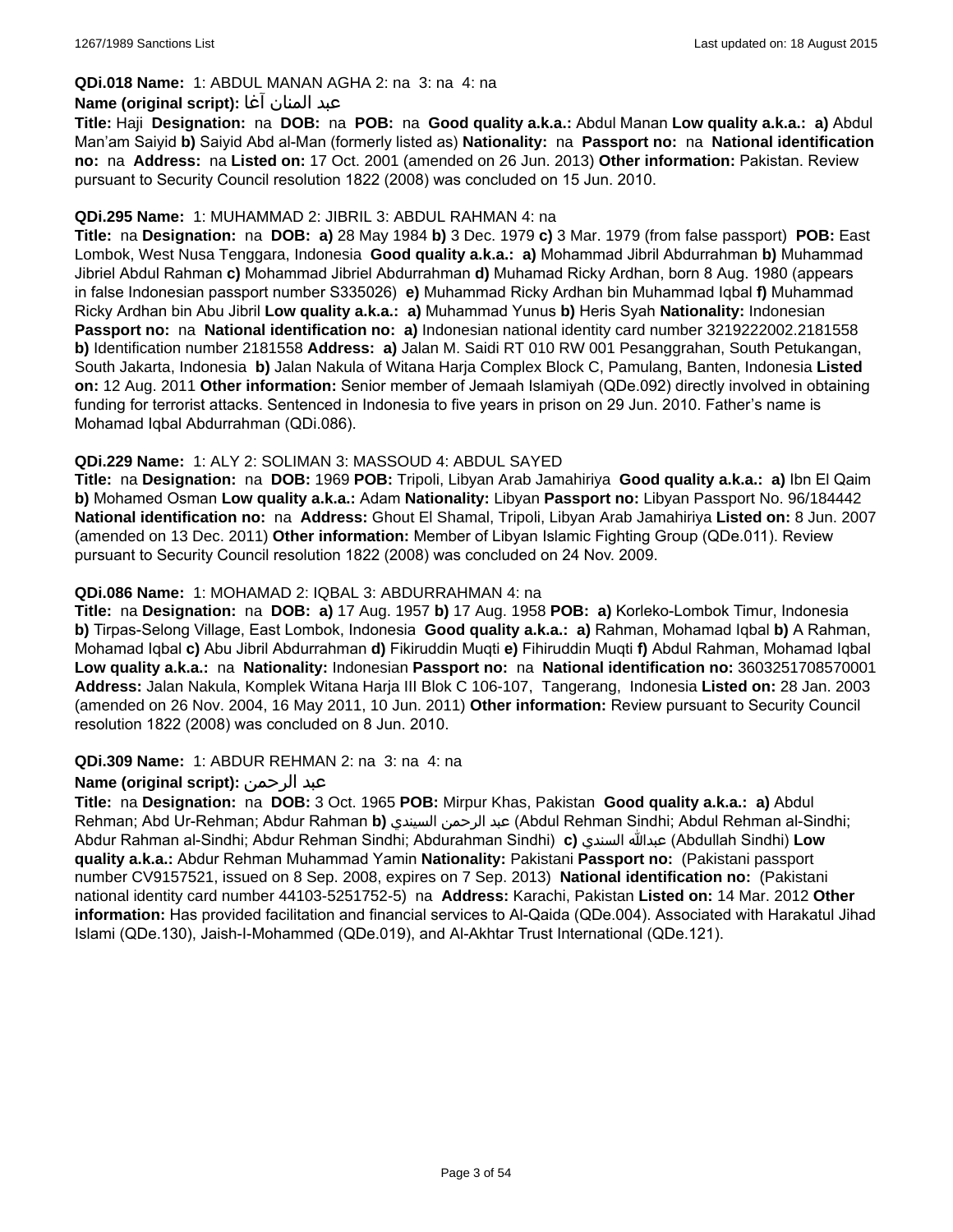## **QDi.018 Name:** 1: ABDUL MANAN AGHA 2: na 3: na 4: na

#### عبد المنان آغا **:(script original (Name**

**Title:** Haji **Designation:** na **DOB:** na **POB:** na **Good quality a.k.a.:** Abdul Manan **Low quality a.k.a.: a)** Abdul Man'am Saiyid **b)** Saiyid Abd al-Man (formerly listed as) **Nationality:** na **Passport no:** na **National identification no:** na **Address:** na **Listed on:** 17 Oct. 2001 (amended on 26 Jun. 2013) **Other information:** Pakistan. Review pursuant to Security Council resolution 1822 (2008) was concluded on 15 Jun. 2010.

#### **QDi.295 Name:** 1: MUHAMMAD 2: JIBRIL 3: ABDUL RAHMAN 4: na

**Title:** na **Designation:** na **DOB: a)** 28 May 1984 **b)** 3 Dec. 1979 **c)** 3 Mar. 1979 (from false passport) **POB:** East Lombok, West Nusa Tenggara, Indonesia **Good quality a.k.a.: a)** Mohammad Jibril Abdurrahman **b)** Muhammad Jibriel Abdul Rahman **c)** Mohammad Jibriel Abdurrahman **d)** Muhamad Ricky Ardhan, born 8 Aug. 1980 (appears in false Indonesian passport number S335026) **e)** Muhammad Ricky Ardhan bin Muhammad Iqbal **f)** Muhammad Ricky Ardhan bin Abu Jibril **Low quality a.k.a.: a)** Muhammad Yunus **b)** Heris Syah **Nationality:** Indonesian **Passport no:** na **National identification no: a)** Indonesian national identity card number 3219222002.2181558 **b)** Identification number 2181558 **Address: a)** Jalan M. Saidi RT 010 RW 001 Pesanggrahan, South Petukangan, South Jakarta, Indonesia **b)** Jalan Nakula of Witana Harja Complex Block C, Pamulang, Banten, Indonesia **Listed on:** 12 Aug. 2011 **Other information:** Senior member of Jemaah Islamiyah (QDe.092) directly involved in obtaining funding for terrorist attacks. Sentenced in Indonesia to five years in prison on 29 Jun. 2010. Father's name is Mohamad Iqbal Abdurrahman (QDi.086).

#### **QDi.229 Name:** 1: ALY 2: SOLIMAN 3: MASSOUD 4: ABDUL SAYED

**Title:** na **Designation:** na **DOB:** 1969 **POB:** Tripoli, Libyan Arab Jamahiriya **Good quality a.k.a.: a)** Ibn El Qaim **b)** Mohamed Osman **Low quality a.k.a.:** Adam **Nationality:** Libyan **Passport no:** Libyan Passport No. 96/184442 **National identification no:** na **Address:** Ghout El Shamal, Tripoli, Libyan Arab Jamahiriya **Listed on:** 8 Jun. 2007 (amended on 13 Dec. 2011) **Other information:** Member of Libyan Islamic Fighting Group (QDe.011). Review pursuant to Security Council resolution 1822 (2008) was concluded on 24 Nov. 2009.

#### **QDi.086 Name:** 1: MOHAMAD 2: IQBAL 3: ABDURRAHMAN 4: na

**Title:** na **Designation:** na **DOB: a)** 17 Aug. 1957 **b)** 17 Aug. 1958 **POB: a)** Korleko-Lombok Timur, Indonesia **b)** Tirpas-Selong Village, East Lombok, Indonesia **Good quality a.k.a.: a)** Rahman, Mohamad Iqbal **b)** A Rahman, Mohamad Iqbal **c)** Abu Jibril Abdurrahman **d)** Fikiruddin Muqti **e)** Fihiruddin Muqti **f)** Abdul Rahman, Mohamad Iqbal **Low quality a.k.a.:** na **Nationality:** Indonesian **Passport no:** na **National identification no:** 3603251708570001 **Address:** Jalan Nakula, Komplek Witana Harja III Blok C 106-107, Tangerang, Indonesia **Listed on:** 28 Jan. 2003 (amended on 26 Nov. 2004, 16 May 2011, 10 Jun. 2011) **Other information:** Review pursuant to Security Council resolution 1822 (2008) was concluded on 8 Jun. 2010.

#### **QDi.309 Name:** 1: ABDUR REHMAN 2: na 3: na 4: na

## **Name (original script):** الرحمن عبد

**Title:** na **Designation:** na **DOB:** 3 Oct. 1965 **POB:** Mirpur Khas, Pakistan **Good quality a.k.a.: a)** Abdul Rehman; Abd Ur-Rehman; Abdur Rahman **b)** السيندي الرحمن عبد) Abdul Rehman Sindhi; Abdul Rehman al-Sindhi; Abdur Rahman al-Sindhi; Abdur Rehman Sindhi; Abdurahman Sindhi) **c)** السندي عبدالله) Abdullah Sindhi) **Low quality a.k.a.:** Abdur Rehman Muhammad Yamin **Nationality:** Pakistani **Passport no:** (Pakistani passport number CV9157521, issued on 8 Sep. 2008, expires on 7 Sep. 2013) **National identification no:** (Pakistani national identity card number 44103-5251752-5) na **Address:** Karachi, Pakistan **Listed on:** 14 Mar. 2012 **Other information:** Has provided facilitation and financial services to Al-Qaida (QDe.004). Associated with Harakatul Jihad Islami (QDe.130), Jaish-I-Mohammed (QDe.019), and Al-Akhtar Trust International (QDe.121).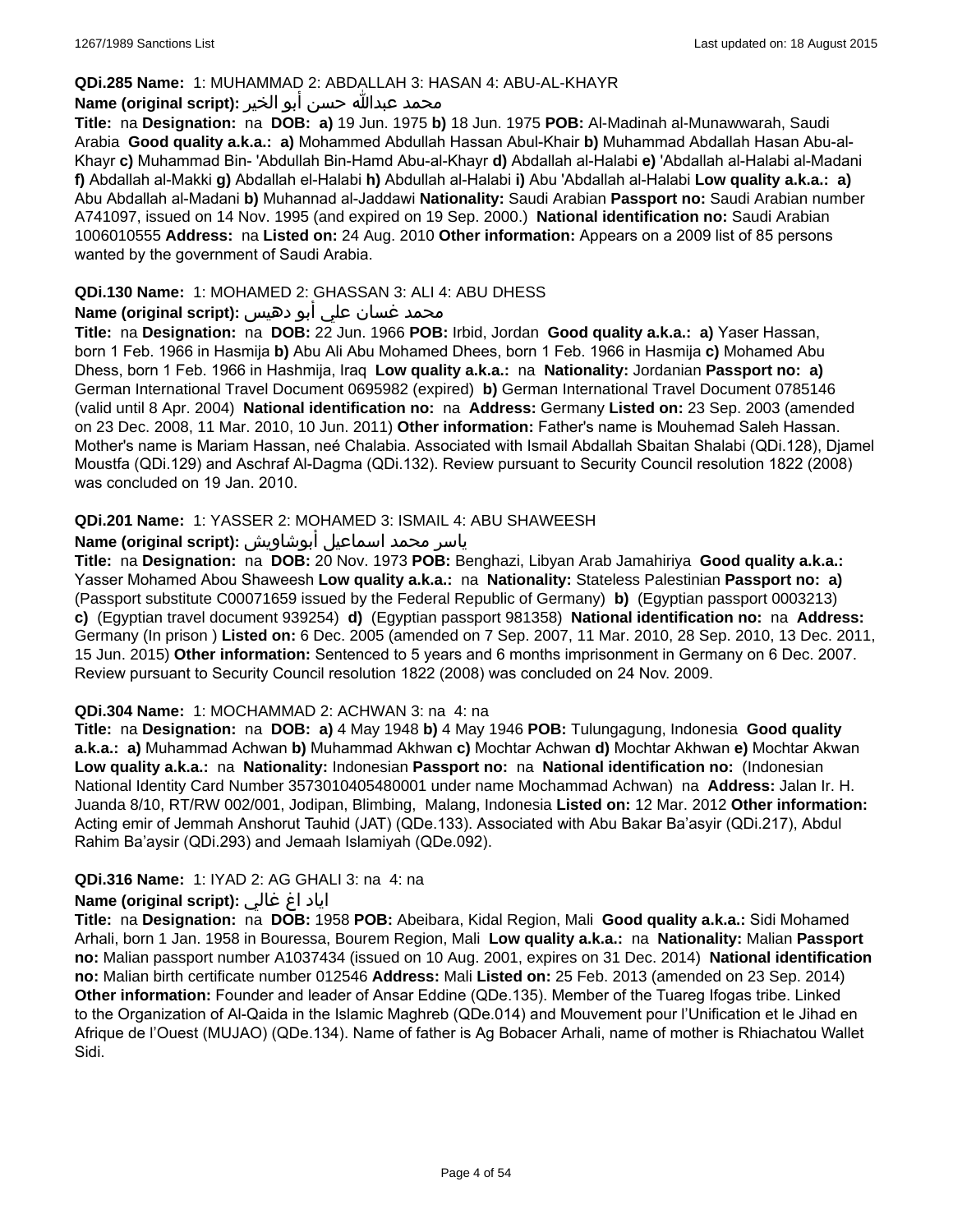#### **QDi.285 Name:** 1: MUHAMMAD 2: ABDALLAH 3: HASAN 4: ABU-AL-KHAYR

#### محمد عبدالله حسن أبو الخير **:Name (original script**)

**Title:** na **Designation:** na **DOB: a)** 19 Jun. 1975 **b)** 18 Jun. 1975 **POB:** Al-Madinah al-Munawwarah, Saudi Arabia **Good quality a.k.a.: a)** Mohammed Abdullah Hassan Abul-Khair **b)** Muhammad Abdallah Hasan Abu-al-Khayr **c)** Muhammad Bin- 'Abdullah Bin-Hamd Abu-al-Khayr **d)** Abdallah al-Halabi **e)** 'Abdallah al-Halabi al-Madani **f)** Abdallah al-Makki **g)** Abdallah el-Halabi **h)** Abdullah al-Halabi **i)** Abu 'Abdallah al-Halabi **Low quality a.k.a.: a)** Abu Abdallah al-Madani **b)** Muhannad al-Jaddawi **Nationality:** Saudi Arabian **Passport no:** Saudi Arabian number A741097, issued on 14 Nov. 1995 (and expired on 19 Sep. 2000.) **National identification no:** Saudi Arabian 1006010555 **Address:** na **Listed on:** 24 Aug. 2010 **Other information:** Appears on a 2009 list of 85 persons wanted by the government of Saudi Arabia.

### **QDi.130 Name:** 1: MOHAMED 2: GHASSAN 3: ALI 4: ABU DHESS

## محمد غسان علي أبو دهيس **:Name (original script**)

**Title:** na **Designation:** na **DOB:** 22 Jun. 1966 **POB:** Irbid, Jordan **Good quality a.k.a.: a)** Yaser Hassan, born 1 Feb. 1966 in Hasmija **b)** Abu Ali Abu Mohamed Dhees, born 1 Feb. 1966 in Hasmija **c)** Mohamed Abu Dhess, born 1 Feb. 1966 in Hashmija, Iraq **Low quality a.k.a.:** na **Nationality:** Jordanian **Passport no: a)** German International Travel Document 0695982 (expired) **b)** German International Travel Document 0785146 (valid until 8 Apr. 2004) **National identification no:** na **Address:** Germany **Listed on:** 23 Sep. 2003 (amended on 23 Dec. 2008, 11 Mar. 2010, 10 Jun. 2011) **Other information:** Father's name is Mouhemad Saleh Hassan. Mother's name is Mariam Hassan, neé Chalabia. Associated with Ismail Abdallah Sbaitan Shalabi (QDi.128), Djamel Moustfa (QDi.129) and Aschraf Al-Dagma (QDi.132). Review pursuant to Security Council resolution 1822 (2008) was concluded on 19 Jan. 2010.

## **QDi.201 Name:** 1: YASSER 2: MOHAMED 3: ISMAIL 4: ABU SHAWEESH

# ياسر محمد اسماعيل أبوشاويش :Name (original script)

**Title:** na **Designation:** na **DOB:** 20 Nov. 1973 **POB:** Benghazi, Libyan Arab Jamahiriya **Good quality a.k.a.:** Yasser Mohamed Abou Shaweesh **Low quality a.k.a.:** na **Nationality:** Stateless Palestinian **Passport no: a)**  (Passport substitute C00071659 issued by the Federal Republic of Germany) **b)** (Egyptian passport 0003213) **c)** (Egyptian travel document 939254) **d)** (Egyptian passport 981358) **National identification no:** na **Address:** Germany (In prison ) **Listed on:** 6 Dec. 2005 (amended on 7 Sep. 2007, 11 Mar. 2010, 28 Sep. 2010, 13 Dec. 2011, 15 Jun. 2015) **Other information:** Sentenced to 5 years and 6 months imprisonment in Germany on 6 Dec. 2007. Review pursuant to Security Council resolution 1822 (2008) was concluded on 24 Nov. 2009.

#### **QDi.304 Name:** 1: MOCHAMMAD 2: ACHWAN 3: na 4: na

**Title:** na **Designation:** na **DOB: a)** 4 May 1948 **b)** 4 May 1946 **POB:** Tulungagung, Indonesia **Good quality a.k.a.: a)** Muhammad Achwan **b)** Muhammad Akhwan **c)** Mochtar Achwan **d)** Mochtar Akhwan **e)** Mochtar Akwan **Low quality a.k.a.:** na **Nationality:** Indonesian **Passport no:** na **National identification no:** (Indonesian National Identity Card Number 3573010405480001 under name Mochammad Achwan) na **Address:** Jalan Ir. H. Juanda 8/10, RT/RW 002/001, Jodipan, Blimbing, Malang, Indonesia **Listed on:** 12 Mar. 2012 **Other information:** Acting emir of Jemmah Anshorut Tauhid (JAT) (QDe.133). Associated with Abu Bakar Ba'asyir (QDi.217), Abdul Rahim Ba'aysir (QDi.293) and Jemaah Islamiyah (QDe.092).

#### **QDi.316 Name:** 1: IYAD 2: AG GHALI 3: na 4: na

#### اياد اغ غالي **:(script original (Name**

**Title:** na **Designation:** na **DOB:** 1958 **POB:** Abeibara, Kidal Region, Mali **Good quality a.k.a.:** Sidi Mohamed Arhali, born 1 Jan. 1958 in Bouressa, Bourem Region, Mali **Low quality a.k.a.:** na **Nationality:** Malian **Passport no:** Malian passport number A1037434 (issued on 10 Aug. 2001, expires on 31 Dec. 2014) **National identification no:** Malian birth certificate number 012546 **Address:** Mali **Listed on:** 25 Feb. 2013 (amended on 23 Sep. 2014) **Other information:** Founder and leader of Ansar Eddine (QDe.135). Member of the Tuareg Ifogas tribe. Linked to the Organization of Al-Qaida in the Islamic Maghreb (QDe.014) and Mouvement pour l'Unification et le Jihad en Afrique de l'Ouest (MUJAO) (QDe.134). Name of father is Ag Bobacer Arhali, name of mother is Rhiachatou Wallet Sidi.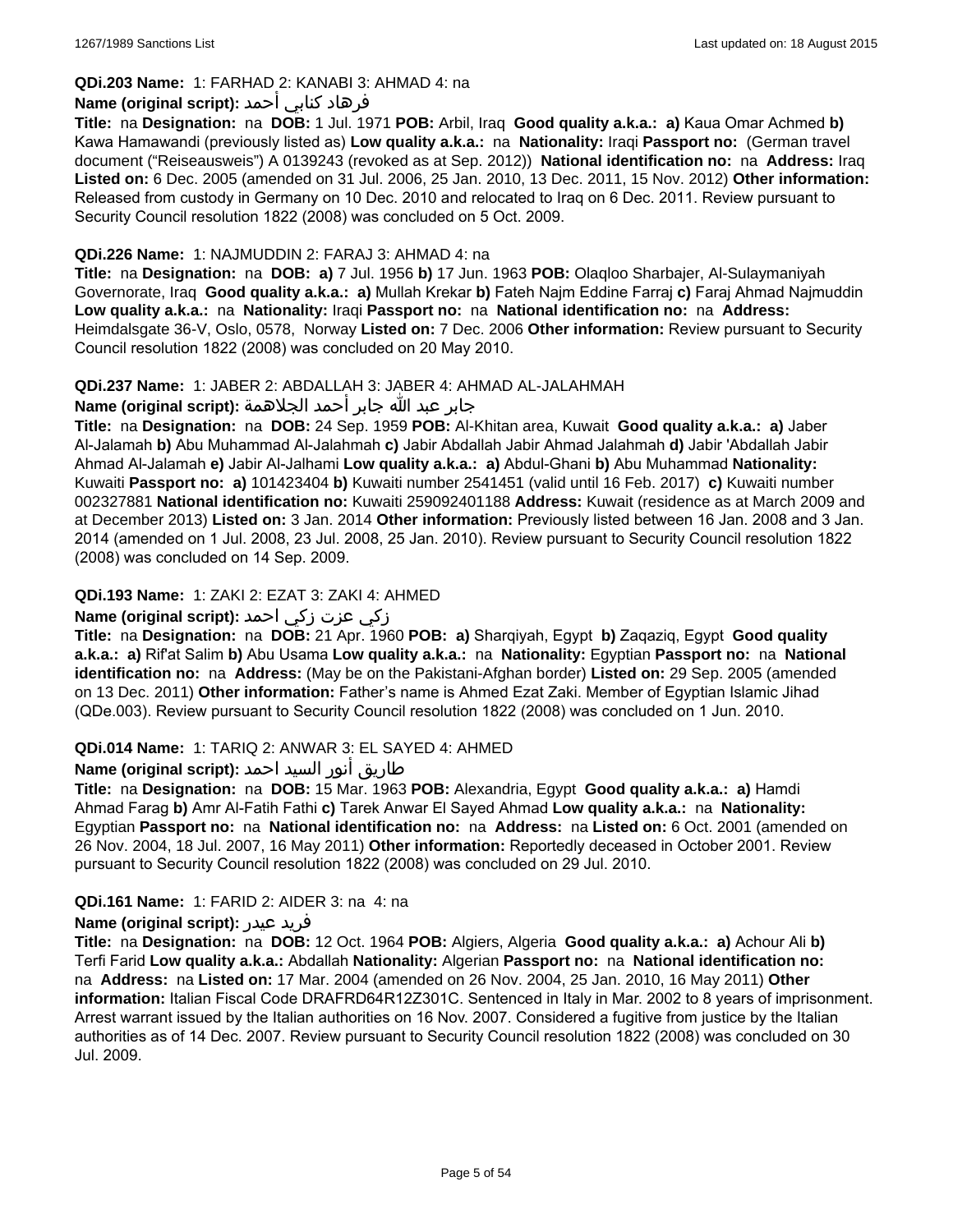## **QDi.203 Name:** 1: FARHAD 2: KANABI 3: AHMAD 4: na

## فرهاد كنابي أحمد **:Name (original script)**

**Title:** na **Designation:** na **DOB:** 1 Jul. 1971 **POB:** Arbil, Iraq **Good quality a.k.a.: a)** Kaua Omar Achmed **b)** Kawa Hamawandi (previously listed as) **Low quality a.k.a.:** na **Nationality:** Iraqi **Passport no:** (German travel document ("Reiseausweis") A 0139243 (revoked as at Sep. 2012)) **National identification no:** na **Address:** Iraq **Listed on:** 6 Dec. 2005 (amended on 31 Jul. 2006, 25 Jan. 2010, 13 Dec. 2011, 15 Nov. 2012) **Other information:** Released from custody in Germany on 10 Dec. 2010 and relocated to Iraq on 6 Dec. 2011. Review pursuant to Security Council resolution 1822 (2008) was concluded on 5 Oct. 2009.

#### **QDi.226 Name:** 1: NAJMUDDIN 2: FARAJ 3: AHMAD 4: na

**Title:** na **Designation:** na **DOB: a)** 7 Jul. 1956 **b)** 17 Jun. 1963 **POB:** Olaqloo Sharbajer, Al-Sulaymaniyah Governorate, Iraq **Good quality a.k.a.: a)** Mullah Krekar **b)** Fateh Najm Eddine Farraj **c)** Faraj Ahmad Najmuddin **Low quality a.k.a.:** na **Nationality:** Iraqi **Passport no:** na **National identification no:** na **Address:** Heimdalsgate 36-V, Oslo, 0578, Norway **Listed on:** 7 Dec. 2006 **Other information:** Review pursuant to Security Council resolution 1822 (2008) was concluded on 20 May 2010.

#### **QDi.237 Name:** 1: JABER 2: ABDALLAH 3: JABER 4: AHMAD AL-JALAHMAH

جابر عبد الله جابر أحمد الجلاهمة **:(script original (Name**

**Title:** na **Designation:** na **DOB:** 24 Sep. 1959 **POB:** Al-Khitan area, Kuwait **Good quality a.k.a.: a)** Jaber Al-Jalamah **b)** Abu Muhammad Al-Jalahmah **c)** Jabir Abdallah Jabir Ahmad Jalahmah **d)** Jabir 'Abdallah Jabir Ahmad Al-Jalamah **e)** Jabir Al-Jalhami **Low quality a.k.a.: a)** Abdul-Ghani **b)** Abu Muhammad **Nationality:** Kuwaiti **Passport no: a)** 101423404 **b)** Kuwaiti number 2541451 (valid until 16 Feb. 2017) **c)** Kuwaiti number 002327881 **National identification no:** Kuwaiti 259092401188 **Address:** Kuwait (residence as at March 2009 and at December 2013) **Listed on:** 3 Jan. 2014 **Other information:** Previously listed between 16 Jan. 2008 and 3 Jan. 2014 (amended on 1 Jul. 2008, 23 Jul. 2008, 25 Jan. 2010). Review pursuant to Security Council resolution 1822 (2008) was concluded on 14 Sep. 2009.

## **QDi.193 Name:** 1: ZAKI 2: EZAT 3: ZAKI 4: AHMED

## زكي عزت زكي احمد **:(script original (Name**

**Title:** na **Designation:** na **DOB:** 21 Apr. 1960 **POB: a)** Sharqiyah, Egypt **b)** Zaqaziq, Egypt **Good quality a.k.a.: a)** Rif'at Salim **b)** Abu Usama **Low quality a.k.a.:** na **Nationality:** Egyptian **Passport no:** na **National identification no:** na **Address:** (May be on the Pakistani-Afghan border) **Listed on:** 29 Sep. 2005 (amended on 13 Dec. 2011) **Other information:** Father's name is Ahmed Ezat Zaki. Member of Egyptian Islamic Jihad (QDe.003). Review pursuant to Security Council resolution 1822 (2008) was concluded on 1 Jun. 2010.

## **QDi.014 Name:** 1: TARIQ 2: ANWAR 3: EL SAYED 4: AHMED

## طاريق أنور السيد احمد **:Name (original script**)

**Title:** na **Designation:** na **DOB:** 15 Mar. 1963 **POB:** Alexandria, Egypt **Good quality a.k.a.: a)** Hamdi Ahmad Farag **b)** Amr Al-Fatih Fathi **c)** Tarek Anwar El Sayed Ahmad **Low quality a.k.a.:** na **Nationality:** Egyptian **Passport no:** na **National identification no:** na **Address:** na **Listed on:** 6 Oct. 2001 (amended on 26 Nov. 2004, 18 Jul. 2007, 16 May 2011) **Other information:** Reportedly deceased in October 2001. Review pursuant to Security Council resolution 1822 (2008) was concluded on 29 Jul. 2010.

## **QDi.161 Name:** 1: FARID 2: AIDER 3: na 4: na

#### **Name (original script):** عيدر فريد

**Title:** na **Designation:** na **DOB:** 12 Oct. 1964 **POB:** Algiers, Algeria **Good quality a.k.a.: a)** Achour Ali **b)** Terfi Farid **Low quality a.k.a.:** Abdallah **Nationality:** Algerian **Passport no:** na **National identification no:**  na **Address:** na **Listed on:** 17 Mar. 2004 (amended on 26 Nov. 2004, 25 Jan. 2010, 16 May 2011) **Other information:** Italian Fiscal Code DRAFRD64R12Z301C. Sentenced in Italy in Mar. 2002 to 8 years of imprisonment. Arrest warrant issued by the Italian authorities on 16 Nov. 2007. Considered a fugitive from justice by the Italian authorities as of 14 Dec. 2007. Review pursuant to Security Council resolution 1822 (2008) was concluded on 30 Jul. 2009.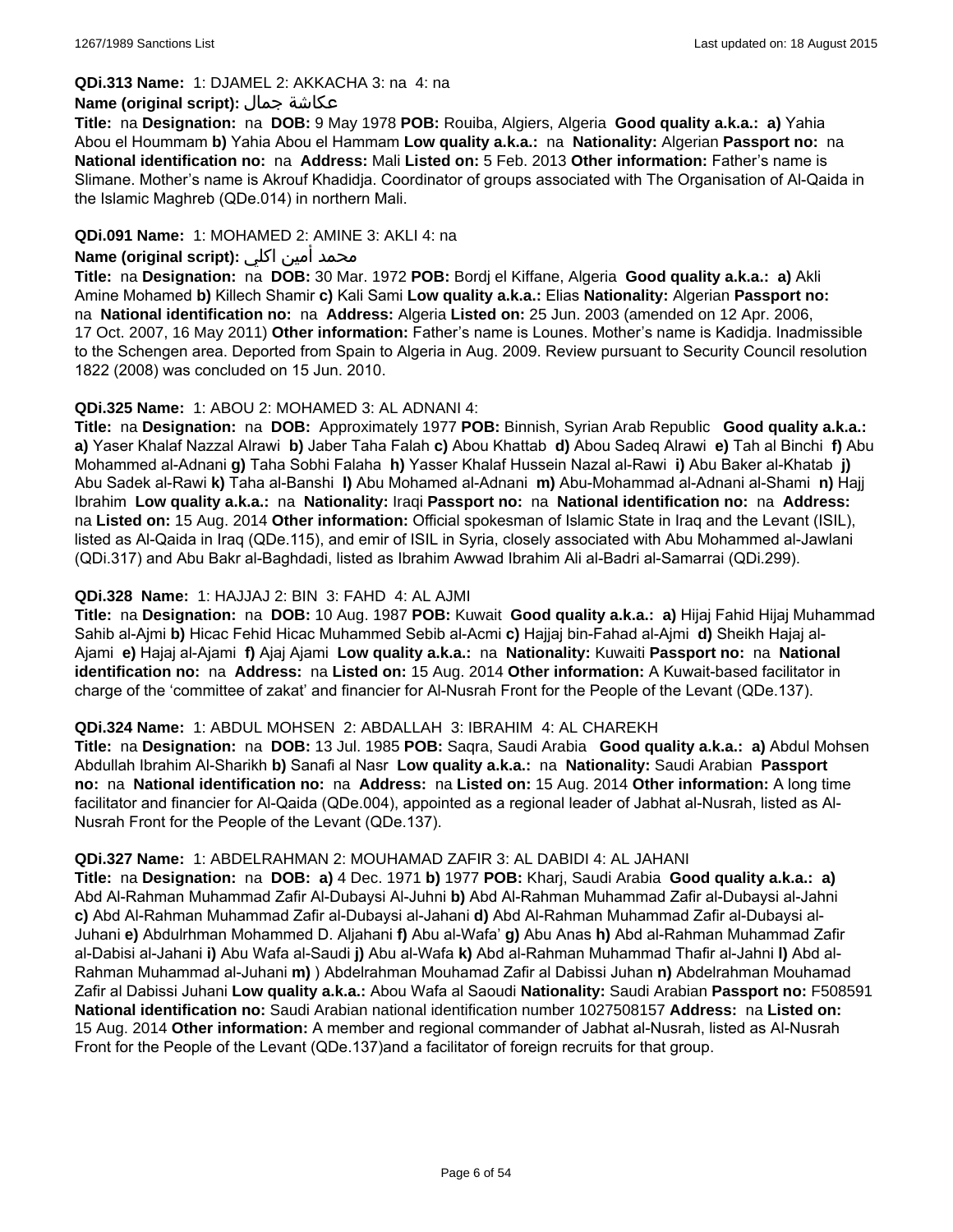#### **QDi.313 Name:** 1: DJAMEL 2: AKKACHA 3: na 4: na

#### **Name (original script):** جمال عكاشة

**Title:** na **Designation:** na **DOB:** 9 May 1978 **POB:** Rouiba, Algiers, Algeria **Good quality a.k.a.: a)** Yahia Abou el Hoummam **b)** Yahia Abou el Hammam **Low quality a.k.a.:** na **Nationality:** Algerian **Passport no:** na **National identification no:** na **Address:** Mali **Listed on:** 5 Feb. 2013 **Other information:** Father's name is Slimane. Mother's name is Akrouf Khadidja. Coordinator of groups associated with The Organisation of Al-Qaida in the Islamic Maghreb (QDe.014) in northern Mali.

### **QDi.091 Name:** 1: MOHAMED 2: AMINE 3: AKLI 4: na

## محمد أمين اكلي **:Name (original script)**

**Title:** na **Designation:** na **DOB:** 30 Mar. 1972 **POB:** Bordj el Kiffane, Algeria **Good quality a.k.a.: a)** Akli Amine Mohamed **b)** Killech Shamir **c)** Kali Sami **Low quality a.k.a.:** Elias **Nationality:** Algerian **Passport no:**  na **National identification no:** na **Address:** Algeria **Listed on:** 25 Jun. 2003 (amended on 12 Apr. 2006, 17 Oct. 2007, 16 May 2011) **Other information:** Father's name is Lounes. Mother's name is Kadidja. Inadmissible to the Schengen area. Deported from Spain to Algeria in Aug. 2009. Review pursuant to Security Council resolution 1822 (2008) was concluded on 15 Jun. 2010.

#### **QDi.325 Name:** 1: ABOU 2: MOHAMED 3: AL ADNANI 4:

**Title:** na **Designation:** na **DOB:** Approximately 1977 **POB:** Binnish, Syrian Arab Republic **Good quality a.k.a.: a)** Yaser Khalaf Nazzal Alrawi **b)** Jaber Taha Falah **c)** Abou Khattab **d)** Abou Sadeq Alrawi **e)** Tah al Binchi **f)** Abu Mohammed al-Adnani **g)** Taha Sobhi Falaha **h)** Yasser Khalaf Hussein Nazal al-Rawi **i)** Abu Baker al-Khatab **j)** Abu Sadek al-Rawi **k)** Taha al-Banshi **l)** Abu Mohamed al-Adnani **m)** Abu-Mohammad al-Adnani al-Shami **n)** Hajj Ibrahim **Low quality a.k.a.:** na **Nationality:** Iraqi **Passport no:** na **National identification no:** na **Address:**  na **Listed on:** 15 Aug. 2014 **Other information:** Official spokesman of Islamic State in Iraq and the Levant (ISIL), listed as Al-Qaida in Iraq (QDe.115), and emir of ISIL in Syria, closely associated with Abu Mohammed al-Jawlani (QDi.317) and Abu Bakr al-Baghdadi, listed as Ibrahim Awwad Ibrahim Ali al-Badri al-Samarrai (QDi.299).

#### **QDi.328 Name:** 1: HAJJAJ 2: BIN 3: FAHD 4: AL AJMI

**Title:** na **Designation:** na **DOB:** 10 Aug. 1987 **POB:** Kuwait **Good quality a.k.a.: a)** Hijaj Fahid Hijaj Muhammad Sahib al-Ajmi **b)** Hicac Fehid Hicac Muhammed Sebib al-Acmi **c)** Hajjaj bin-Fahad al-Ajmi **d)** Sheikh Hajaj al-Ajami **e)** Hajaj al-Ajami **f)** Ajaj Ajami **Low quality a.k.a.:** na **Nationality:** Kuwaiti **Passport no:** na **National identification no:** na **Address:** na **Listed on:** 15 Aug. 2014 **Other information:** A Kuwait-based facilitator in charge of the 'committee of zakat' and financier for Al-Nusrah Front for the People of the Levant (QDe.137).

#### **QDi.324 Name:** 1: ABDUL MOHSEN 2: ABDALLAH 3: IBRAHIM 4: AL CHAREKH

**Title:** na **Designation:** na **DOB:** 13 Jul. 1985 **POB:** Saqra, Saudi Arabia **Good quality a.k.a.: a)** Abdul Mohsen Abdullah Ibrahim Al-Sharikh **b)** Sanafi al Nasr **Low quality a.k.a.:** na **Nationality:** Saudi Arabian **Passport no:** na **National identification no:** na **Address:** na **Listed on:** 15 Aug. 2014 **Other information:** A long time facilitator and financier for Al-Qaida (QDe.004), appointed as a regional leader of Jabhat al-Nusrah, listed as Al-Nusrah Front for the People of the Levant (QDe.137).

#### **QDi.327 Name:** 1: ABDELRAHMAN 2: MOUHAMAD ZAFIR 3: AL DABIDI 4: AL JAHANI

**Title:** na **Designation:** na **DOB: a)** 4 Dec. 1971 **b)** 1977 **POB:** Kharj, Saudi Arabia **Good quality a.k.a.: a)** Abd Al-Rahman Muhammad Zafir Al-Dubaysi Al-Juhni **b)** Abd Al-Rahman Muhammad Zafir al-Dubaysi al-Jahni **c)** Abd Al-Rahman Muhammad Zafir al-Dubaysi al-Jahani **d)** Abd Al-Rahman Muhammad Zafir al-Dubaysi al-Juhani **e)** Abdulrhman Mohammed D. Aljahani **f)** Abu al-Wafa' **g)** Abu Anas **h)** Abd al-Rahman Muhammad Zafir al-Dabisi al-Jahani **i)** Abu Wafa al-Saudi **j)** Abu al-Wafa **k)** Abd al-Rahman Muhammad Thafir al-Jahni **l)** Abd al-Rahman Muhammad al-Juhani **m)** ) Abdelrahman Mouhamad Zafir al Dabissi Juhan **n)** Abdelrahman Mouhamad Zafir al Dabissi Juhani **Low quality a.k.a.:** Abou Wafa al Saoudi **Nationality:** Saudi Arabian **Passport no:** F508591 **National identification no:** Saudi Arabian national identification number 1027508157 **Address:** na **Listed on:** 15 Aug. 2014 **Other information:** A member and regional commander of Jabhat al-Nusrah, listed as Al-Nusrah Front for the People of the Levant (QDe.137)and a facilitator of foreign recruits for that group.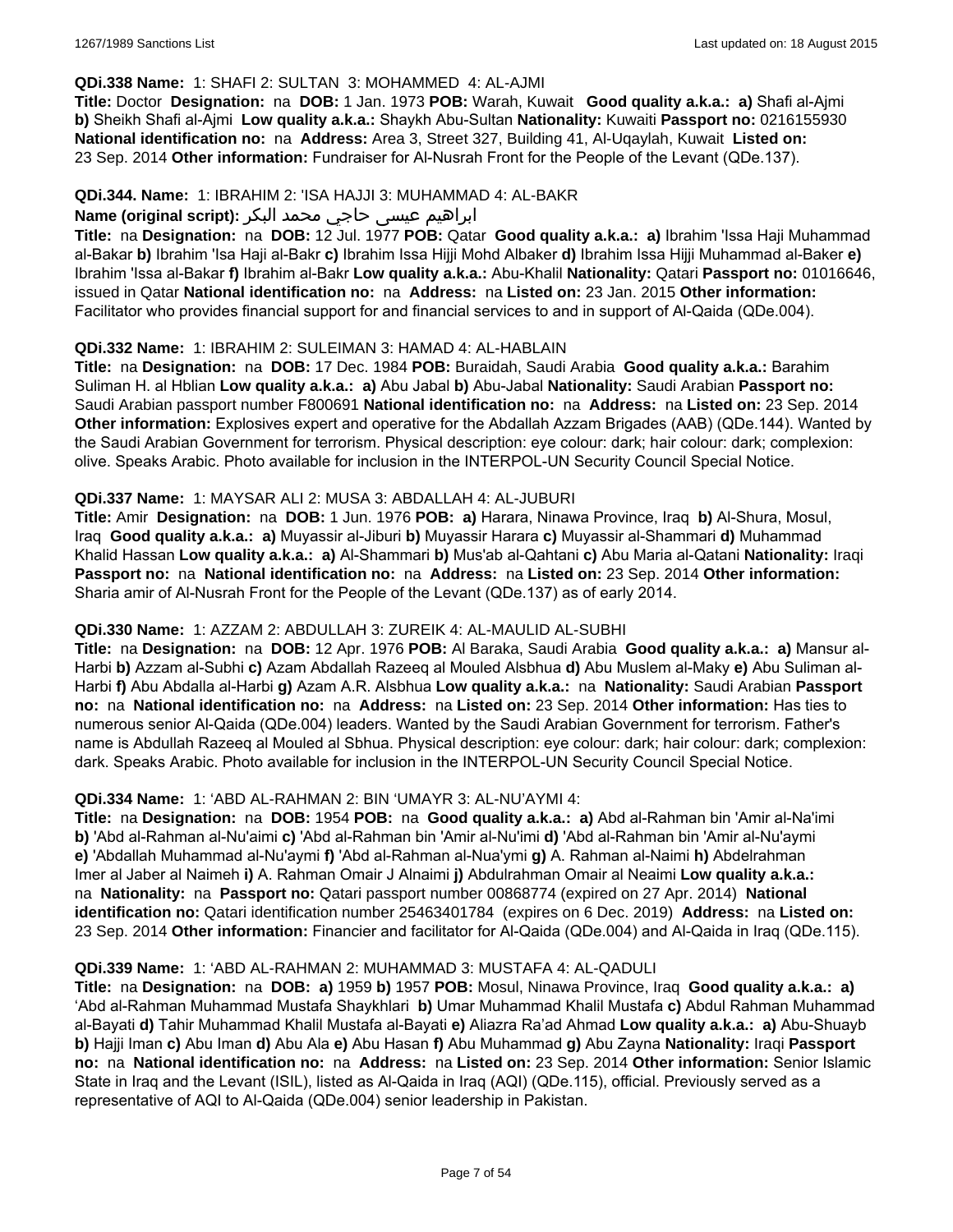#### **QDi.338 Name:** 1: SHAFI 2: SULTAN 3: MOHAMMED 4: AL-AJMI

**Title:** Doctor **Designation:** na **DOB:** 1 Jan. 1973 **POB:** Warah, Kuwait **Good quality a.k.a.: a)** Shafi al-Ajmi **b)** Sheikh Shafi al-Ajmi **Low quality a.k.a.:** Shaykh Abu-Sultan **Nationality:** Kuwaiti **Passport no:** 0216155930 **National identification no:** na **Address:** Area 3, Street 327, Building 41, Al-Uqaylah, Kuwait **Listed on:** 23 Sep. 2014 **Other information:** Fundraiser for Al-Nusrah Front for the People of the Levant (QDe.137).

#### **QDi.344. Name:** 1: IBRAHIM 2: 'ISA HAJJI 3: MUHAMMAD 4: AL-BAKR

## ابراهیم عیسی حاجي محمد البکر **:(script original (Name**

**Title:** na **Designation:** na **DOB:** 12 Jul. 1977 **POB:** Qatar **Good quality a.k.a.: a)** Ibrahim 'Issa Haji Muhammad al-Bakar **b)** Ibrahim 'Isa Haji al-Bakr **c)** Ibrahim Issa Hijji Mohd Albaker **d)** Ibrahim Issa Hijji Muhammad al-Baker **e)** Ibrahim 'Issa al-Bakar **f)** Ibrahim al-Bakr **Low quality a.k.a.:** Abu-Khalil **Nationality:** Qatari **Passport no:** 01016646, issued in Qatar **National identification no:** na **Address:** na **Listed on:** 23 Jan. 2015 **Other information:** Facilitator who provides financial support for and financial services to and in support of Al-Qaida (QDe.004).

#### **QDi.332 Name:** 1: IBRAHIM 2: SULEIMAN 3: HAMAD 4: AL-HABLAIN

**Title:** na **Designation:** na **DOB:** 17 Dec. 1984 **POB:** Buraidah, Saudi Arabia **Good quality a.k.a.:** Barahim Suliman H. al Hblian **Low quality a.k.a.: a)** Abu Jabal **b)** Abu-Jabal **Nationality:** Saudi Arabian **Passport no:** Saudi Arabian passport number F800691 **National identification no:** na **Address:** na **Listed on:** 23 Sep. 2014 **Other information:** Explosives expert and operative for the Abdallah Azzam Brigades (AAB) (QDe.144). Wanted by the Saudi Arabian Government for terrorism. Physical description: eye colour: dark; hair colour: dark; complexion: olive. Speaks Arabic. Photo available for inclusion in the INTERPOL-UN Security Council Special Notice.

#### **QDi.337 Name:** 1: MAYSAR ALI 2: MUSA 3: ABDALLAH 4: AL-JUBURI

**Title:** Amir **Designation:** na **DOB:** 1 Jun. 1976 **POB: a)** Harara, Ninawa Province, Iraq **b)** Al-Shura, Mosul, Iraq **Good quality a.k.a.: a)** Muyassir al-Jiburi **b)** Muyassir Harara **c)** Muyassir al-Shammari **d)** Muhammad Khalid Hassan **Low quality a.k.a.: a)** Al-Shammari **b)** Mus'ab al-Qahtani **c)** Abu Maria al-Qatani **Nationality:** Iraqi **Passport no:** na **National identification no:** na **Address:** na **Listed on:** 23 Sep. 2014 **Other information:** Sharia amir of Al-Nusrah Front for the People of the Levant (QDe.137) as of early 2014.

## **QDi.330 Name:** 1: AZZAM 2: ABDULLAH 3: ZUREIK 4: AL-MAULID AL-SUBHI

**Title:** na **Designation:** na **DOB:** 12 Apr. 1976 **POB:** Al Baraka, Saudi Arabia **Good quality a.k.a.: a)** Mansur al-Harbi **b)** Azzam al-Subhi **c)** Azam Abdallah Razeeq al Mouled Alsbhua **d)** Abu Muslem al-Maky **e)** Abu Suliman al-Harbi **f)** Abu Abdalla al-Harbi **g)** Azam A.R. Alsbhua **Low quality a.k.a.:** na **Nationality:** Saudi Arabian **Passport no:** na **National identification no:** na **Address:** na **Listed on:** 23 Sep. 2014 **Other information:** Has ties to numerous senior Al-Qaida (QDe.004) leaders. Wanted by the Saudi Arabian Government for terrorism. Father's name is Abdullah Razeeq al Mouled al Sbhua. Physical description: eye colour: dark; hair colour: dark; complexion: dark. Speaks Arabic. Photo available for inclusion in the INTERPOL-UN Security Council Special Notice.

## **QDi.334 Name:** 1: 'ABD AL-RAHMAN 2: BIN 'UMAYR 3: AL-NU'AYMI 4:

**Title:** na **Designation:** na **DOB:** 1954 **POB:** na **Good quality a.k.a.: a)** Abd al-Rahman bin 'Amir al-Na'imi **b)** 'Abd al-Rahman al-Nu'aimi **c)** 'Abd al-Rahman bin 'Amir al-Nu'imi **d)** 'Abd al-Rahman bin 'Amir al-Nu'aymi **e)** 'Abdallah Muhammad al-Nu'aymi **f)** 'Abd al-Rahman al-Nua'ymi **g)** A. Rahman al-Naimi **h)** Abdelrahman Imer al Jaber al Naimeh **i)** A. Rahman Omair J Alnaimi **j)** Abdulrahman Omair al Neaimi **Low quality a.k.a.:**  na **Nationality:** na **Passport no:** Qatari passport number 00868774 (expired on 27 Apr. 2014) **National identification no:** Qatari identification number 25463401784 (expires on 6 Dec. 2019) **Address:** na **Listed on:** 23 Sep. 2014 **Other information:** Financier and facilitator for Al-Qaida (QDe.004) and Al-Qaida in Iraq (QDe.115).

#### **QDi.339 Name:** 1: 'ABD AL-RAHMAN 2: MUHAMMAD 3: MUSTAFA 4: AL-QADULI

**Title:** na **Designation:** na **DOB: a)** 1959 **b)** 1957 **POB:** Mosul, Ninawa Province, Iraq **Good quality a.k.a.: a)** 'Abd al-Rahman Muhammad Mustafa Shaykhlari **b)** Umar Muhammad Khalil Mustafa **c)** Abdul Rahman Muhammad al-Bayati **d)** Tahir Muhammad Khalil Mustafa al-Bayati **e)** Aliazra Ra'ad Ahmad **Low quality a.k.a.: a)** Abu-Shuayb **b)** Hajji Iman **c)** Abu Iman **d)** Abu Ala **e)** Abu Hasan **f)** Abu Muhammad **g)** Abu Zayna **Nationality:** Iraqi **Passport no:** na **National identification no:** na **Address:** na **Listed on:** 23 Sep. 2014 **Other information:** Senior Islamic State in Iraq and the Levant (ISIL), listed as Al-Qaida in Iraq (AQI) (QDe.115), official. Previously served as a representative of AQI to Al-Qaida (QDe.004) senior leadership in Pakistan.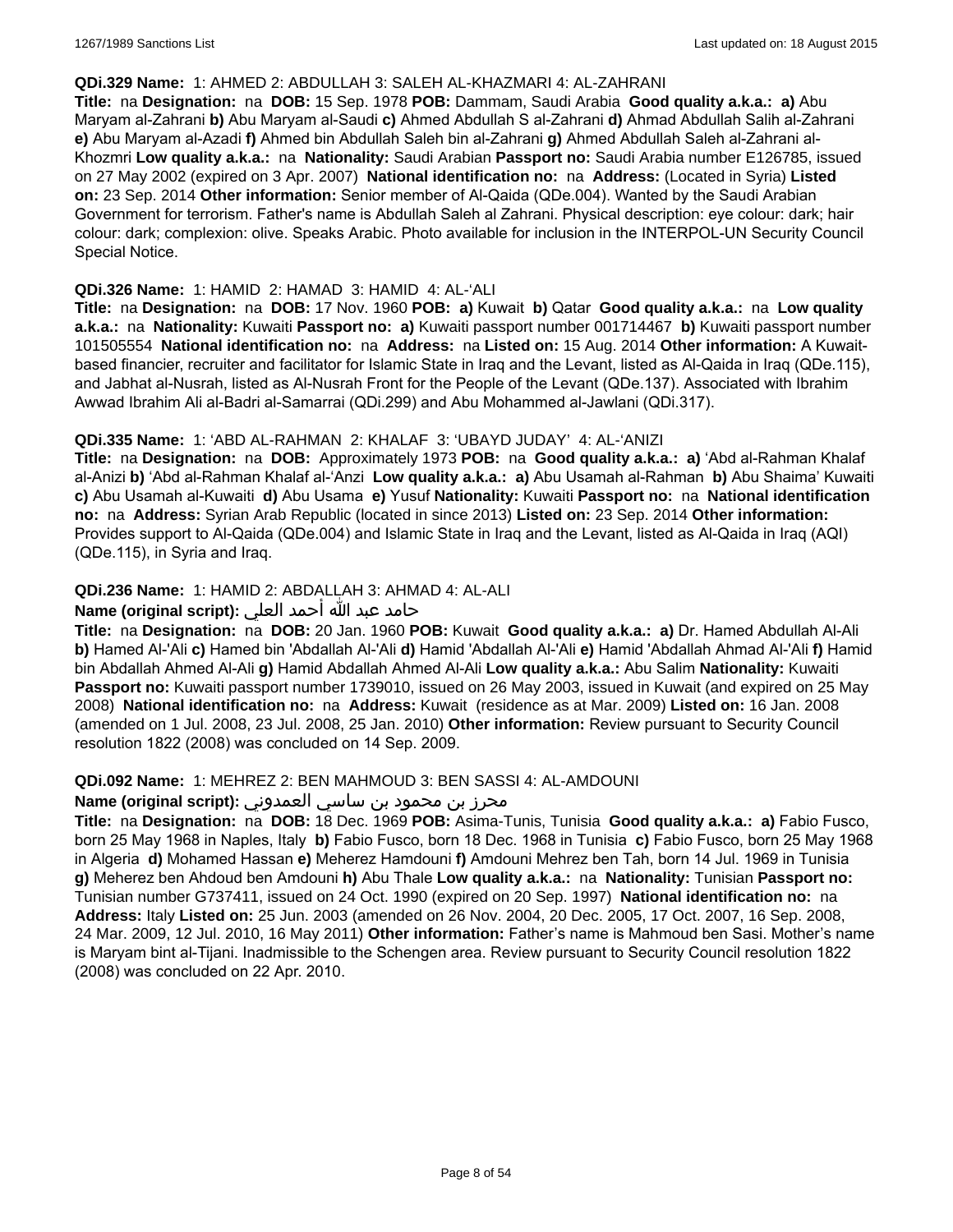#### **QDi.329 Name:** 1: AHMED 2: ABDULLAH 3: SALEH AL-KHAZMARI 4: AL-ZAHRANI

**Title:** na **Designation:** na **DOB:** 15 Sep. 1978 **POB:** Dammam, Saudi Arabia **Good quality a.k.a.: a)** Abu Maryam al-Zahrani **b)** Abu Maryam al-Saudi **c)** Ahmed Abdullah S al-Zahrani **d)** Ahmad Abdullah Salih al-Zahrani **e)** Abu Maryam al-Azadi **f)** Ahmed bin Abdullah Saleh bin al-Zahrani **g)** Ahmed Abdullah Saleh al-Zahrani al-Khozmri **Low quality a.k.a.:** na **Nationality:** Saudi Arabian **Passport no:** Saudi Arabia number E126785, issued on 27 May 2002 (expired on 3 Apr. 2007) **National identification no:** na **Address:** (Located in Syria) **Listed on:** 23 Sep. 2014 **Other information:** Senior member of Al-Qaida (QDe.004). Wanted by the Saudi Arabian Government for terrorism. Father's name is Abdullah Saleh al Zahrani. Physical description: eye colour: dark; hair colour: dark; complexion: olive. Speaks Arabic. Photo available for inclusion in the INTERPOL-UN Security Council Special Notice.

#### **QDi.326 Name:** 1: HAMID 2: HAMAD 3: HAMID 4: AL-'ALI

**Title:** na **Designation:** na **DOB:** 17 Nov. 1960 **POB: a)** Kuwait **b)** Qatar **Good quality a.k.a.:** na **Low quality a.k.a.:** na **Nationality:** Kuwaiti **Passport no: a)** Kuwaiti passport number 001714467 **b)** Kuwaiti passport number 101505554 **National identification no:** na **Address:** na **Listed on:** 15 Aug. 2014 **Other information:** A Kuwaitbased financier, recruiter and facilitator for Islamic State in Iraq and the Levant, listed as Al-Qaida in Iraq (QDe.115), and Jabhat al-Nusrah, listed as Al-Nusrah Front for the People of the Levant (QDe.137). Associated with Ibrahim Awwad Ibrahim Ali al-Badri al-Samarrai (QDi.299) and Abu Mohammed al-Jawlani (QDi.317).

## **QDi.335 Name:** 1: 'ABD AL-RAHMAN 2: KHALAF 3: 'UBAYD JUDAY' 4: AL-'ANIZI

**Title:** na **Designation:** na **DOB:** Approximately 1973 **POB:** na **Good quality a.k.a.: a)** 'Abd al-Rahman Khalaf al-Anizi **b)** 'Abd al-Rahman Khalaf al-'Anzi **Low quality a.k.a.: a)** Abu Usamah al-Rahman **b)** Abu Shaima' Kuwaiti **c)** Abu Usamah al-Kuwaiti **d)** Abu Usama **e)** Yusuf **Nationality:** Kuwaiti **Passport no:** na **National identification no:** na **Address:** Syrian Arab Republic (located in since 2013) **Listed on:** 23 Sep. 2014 **Other information:** Provides support to Al-Qaida (QDe.004) and Islamic State in Iraq and the Levant, listed as Al-Qaida in Iraq (AQI) (QDe.115), in Syria and Iraq.

## **QDi.236 Name:** 1: HAMID 2: ABDALLAH 3: AHMAD 4: AL-ALI

## حامد عبد الله أحمد العلي **:(script original (Name**

**Title:** na **Designation:** na **DOB:** 20 Jan. 1960 **POB:** Kuwait **Good quality a.k.a.: a)** Dr. Hamed Abdullah Al-Ali **b)** Hamed Al-'Ali **c)** Hamed bin 'Abdallah Al-'Ali **d)** Hamid 'Abdallah Al-'Ali **e)** Hamid 'Abdallah Ahmad Al-'Ali **f)** Hamid bin Abdallah Ahmed Al-Ali **g)** Hamid Abdallah Ahmed Al-Ali **Low quality a.k.a.:** Abu Salim **Nationality:** Kuwaiti **Passport no:** Kuwaiti passport number 1739010, issued on 26 May 2003, issued in Kuwait (and expired on 25 May 2008) **National identification no:** na **Address:** Kuwait (residence as at Mar. 2009) **Listed on:** 16 Jan. 2008 (amended on 1 Jul. 2008, 23 Jul. 2008, 25 Jan. 2010) **Other information:** Review pursuant to Security Council resolution 1822 (2008) was concluded on 14 Sep. 2009.

#### **QDi.092 Name:** 1: MEHREZ 2: BEN MAHMOUD 3: BEN SASSI 4: AL-AMDOUNI

### محرز بن محمود بن ساسي العمدوني **:Name (original script**)

**Title:** na **Designation:** na **DOB:** 18 Dec. 1969 **POB:** Asima-Tunis, Tunisia **Good quality a.k.a.: a)** Fabio Fusco, born 25 May 1968 in Naples, Italy **b)** Fabio Fusco, born 18 Dec. 1968 in Tunisia **c)** Fabio Fusco, born 25 May 1968 in Algeria **d)** Mohamed Hassan **e)** Meherez Hamdouni **f)** Amdouni Mehrez ben Tah, born 14 Jul. 1969 in Tunisia **g)** Meherez ben Ahdoud ben Amdouni **h)** Abu Thale **Low quality a.k.a.:** na **Nationality:** Tunisian **Passport no:** Tunisian number G737411, issued on 24 Oct. 1990 (expired on 20 Sep. 1997) **National identification no:** na **Address:** Italy **Listed on:** 25 Jun. 2003 (amended on 26 Nov. 2004, 20 Dec. 2005, 17 Oct. 2007, 16 Sep. 2008, 24 Mar. 2009, 12 Jul. 2010, 16 May 2011) **Other information:** Father's name is Mahmoud ben Sasi. Mother's name is Maryam bint al-Tijani. Inadmissible to the Schengen area. Review pursuant to Security Council resolution 1822 (2008) was concluded on 22 Apr. 2010.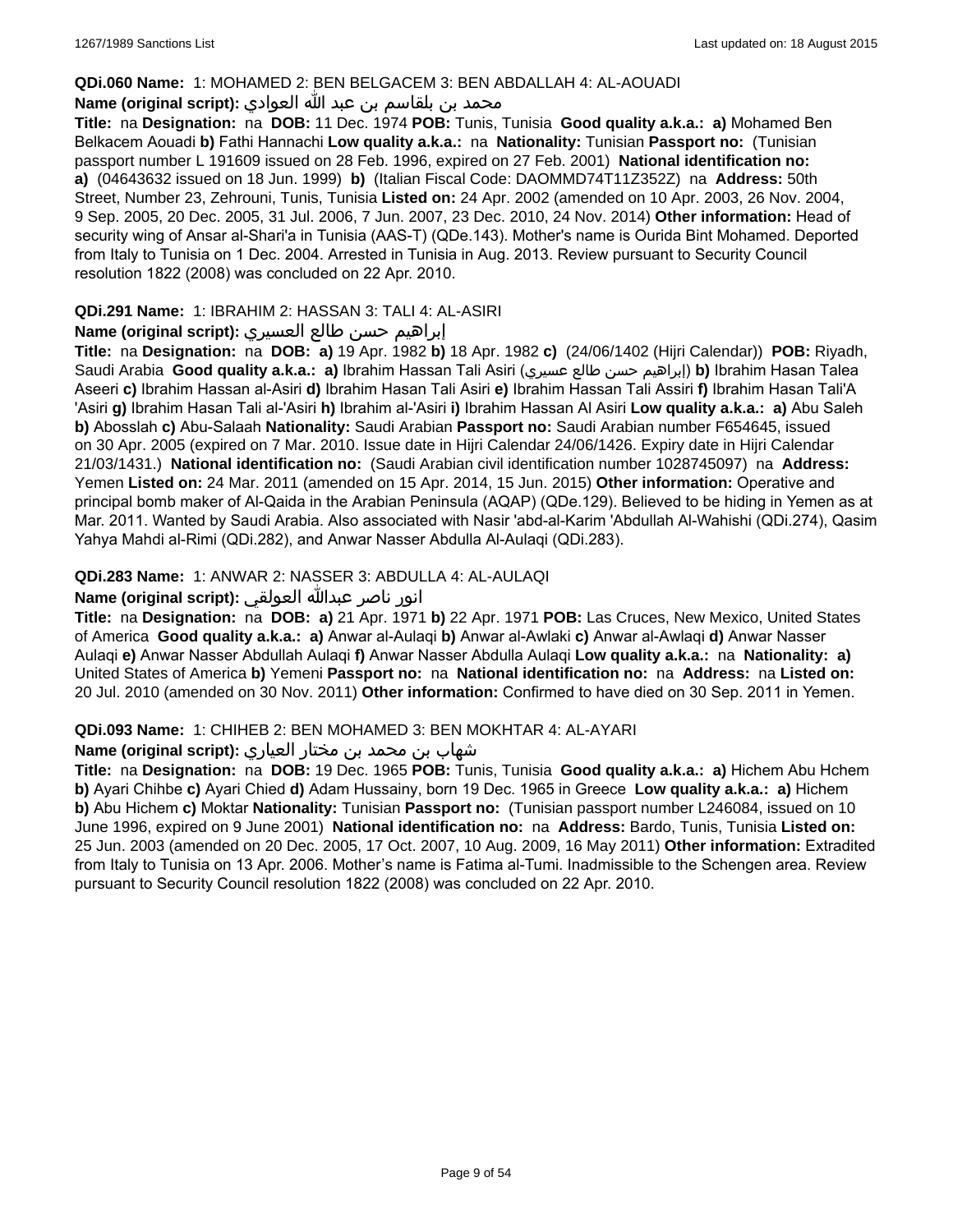#### **QDi.060 Name:** 1: MOHAMED 2: BEN BELGACEM 3: BEN ABDALLAH 4: AL-AOUADI

## محمد بن بلقاسم بن عبد الله العوادي **:**Name (original script)

**Title:** na **Designation:** na **DOB:** 11 Dec. 1974 **POB:** Tunis, Tunisia **Good quality a.k.a.: a)** Mohamed Ben Belkacem Aouadi **b)** Fathi Hannachi **Low quality a.k.a.:** na **Nationality:** Tunisian **Passport no:** (Tunisian passport number L 191609 issued on 28 Feb. 1996, expired on 27 Feb. 2001) **National identification no: a)** (04643632 issued on 18 Jun. 1999) **b)** (Italian Fiscal Code: DAOMMD74T11Z352Z) na **Address:** 50th Street, Number 23, Zehrouni, Tunis, Tunisia **Listed on:** 24 Apr. 2002 (amended on 10 Apr. 2003, 26 Nov. 2004, 9 Sep. 2005, 20 Dec. 2005, 31 Jul. 2006, 7 Jun. 2007, 23 Dec. 2010, 24 Nov. 2014) **Other information:** Head of security wing of Ansar al-Shari'a in Tunisia (AAS-T) (QDe.143). Mother's name is Ourida Bint Mohamed. Deported from Italy to Tunisia on 1 Dec. 2004. Arrested in Tunisia in Aug. 2013. Review pursuant to Security Council resolution 1822 (2008) was concluded on 22 Apr. 2010.

### **QDi.291 Name:** 1: IBRAHIM 2: HASSAN 3: TALI 4: AL-ASIRI

#### إبراهيم حسن طالع العسيري **:(script original (Name**

**Title:** na **Designation:** na **DOB: a)** 19 Apr. 1982 **b)** 18 Apr. 1982 **c)** (24/06/1402 (Hijri Calendar)) **POB:** Riyadh, Saudi Arabia **Good quality a.k.a.: a)** Ibrahim Hassan Tali Asiri (عسيري طالع حسن إبراهيم(**b)** Ibrahim Hasan Talea Aseeri **c)** Ibrahim Hassan al-Asiri **d)** Ibrahim Hasan Tali Asiri **e)** Ibrahim Hassan Tali Assiri **f)** Ibrahim Hasan Tali'A 'Asiri **g)** Ibrahim Hasan Tali al-'Asiri **h)** Ibrahim al-'Asiri **i)** Ibrahim Hassan Al Asiri **Low quality a.k.a.: a)** Abu Saleh **b)** Abosslah **c)** Abu-Salaah **Nationality:** Saudi Arabian **Passport no:** Saudi Arabian number F654645, issued on 30 Apr. 2005 (expired on 7 Mar. 2010. Issue date in Hijri Calendar 24/06/1426. Expiry date in Hijri Calendar 21/03/1431.) **National identification no:** (Saudi Arabian civil identification number 1028745097) na **Address:** Yemen **Listed on:** 24 Mar. 2011 (amended on 15 Apr. 2014, 15 Jun. 2015) **Other information:** Operative and principal bomb maker of Al-Qaida in the Arabian Peninsula (AQAP) (QDe.129). Believed to be hiding in Yemen as at Mar. 2011. Wanted by Saudi Arabia. Also associated with Nasir 'abd-al-Karim 'Abdullah Al-Wahishi (QDi.274), Qasim Yahya Mahdi al-Rimi (QDi.282), and Anwar Nasser Abdulla Al-Aulaqi (QDi.283).

## **QDi.283 Name:** 1: ANWAR 2: NASSER 3: ABDULLA 4: AL-AULAQI

## انور ناصر عبدالله العولقي **:(script original (Name**

**Title:** na **Designation:** na **DOB: a)** 21 Apr. 1971 **b)** 22 Apr. 1971 **POB:** Las Cruces, New Mexico, United States of America **Good quality a.k.a.: a)** Anwar al-Aulaqi **b)** Anwar al-Awlaki **c)** Anwar al-Awlaqi **d)** Anwar Nasser Aulaqi **e)** Anwar Nasser Abdullah Aulaqi **f)** Anwar Nasser Abdulla Aulaqi **Low quality a.k.a.:** na **Nationality: a)** United States of America **b)** Yemeni **Passport no:** na **National identification no:** na **Address:** na **Listed on:** 20 Jul. 2010 (amended on 30 Nov. 2011) **Other information:** Confirmed to have died on 30 Sep. 2011 in Yemen.

#### **QDi.093 Name:** 1: CHIHEB 2: BEN MOHAMED 3: BEN MOKHTAR 4: AL-AYARI

#### شهاب بن محمد بن مختار العياري **:(script original (Name**

**Title:** na **Designation:** na **DOB:** 19 Dec. 1965 **POB:** Tunis, Tunisia **Good quality a.k.a.: a)** Hichem Abu Hchem **b)** Ayari Chihbe **c)** Ayari Chied **d)** Adam Hussainy, born 19 Dec. 1965 in Greece **Low quality a.k.a.: a)** Hichem **b)** Abu Hichem **c)** Moktar **Nationality:** Tunisian **Passport no:** (Tunisian passport number L246084, issued on 10 June 1996, expired on 9 June 2001) **National identification no:** na **Address:** Bardo, Tunis, Tunisia **Listed on:** 25 Jun. 2003 (amended on 20 Dec. 2005, 17 Oct. 2007, 10 Aug. 2009, 16 May 2011) **Other information:** Extradited from Italy to Tunisia on 13 Apr. 2006. Mother's name is Fatima al-Tumi. Inadmissible to the Schengen area. Review pursuant to Security Council resolution 1822 (2008) was concluded on 22 Apr. 2010.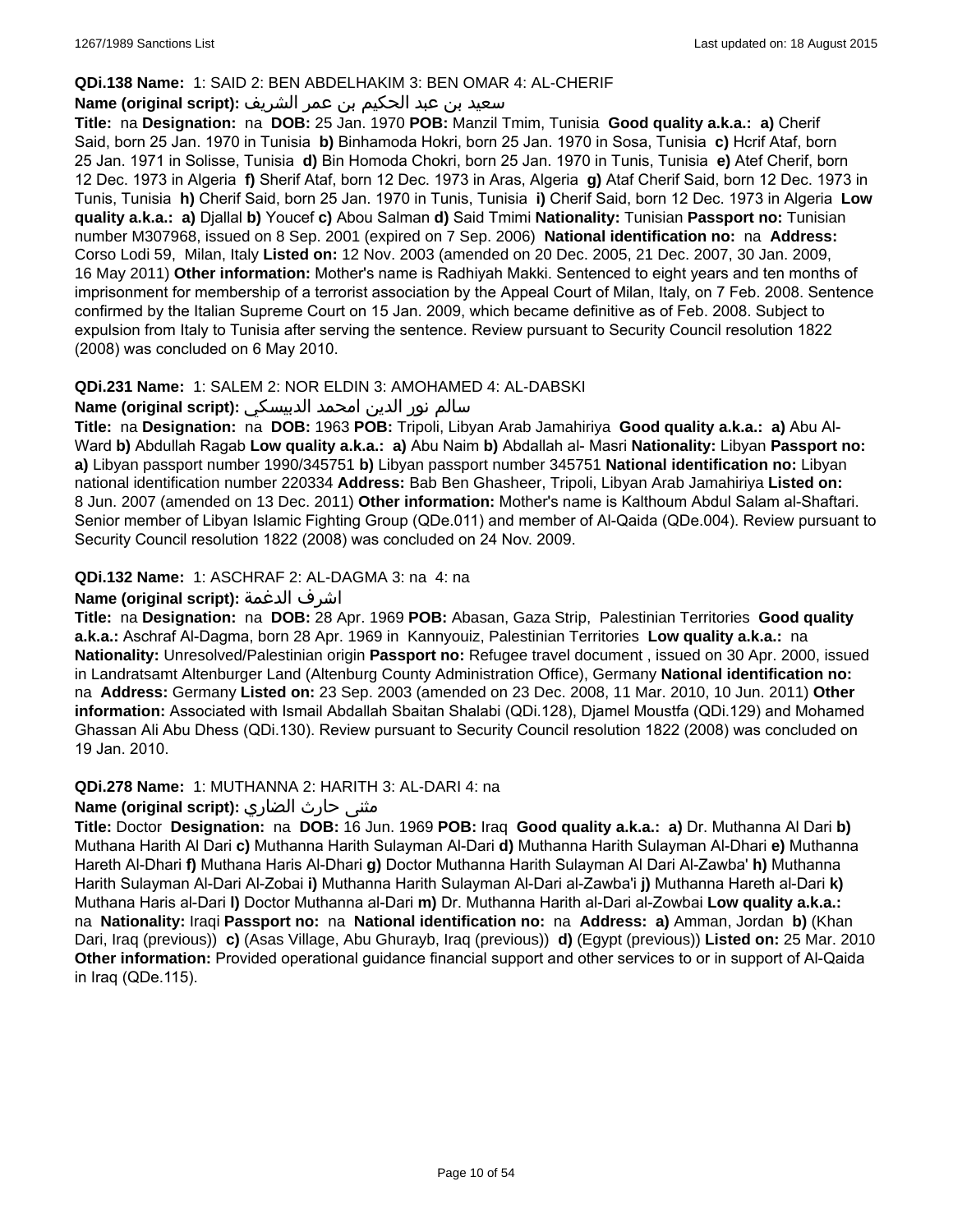#### **QDi.138 Name:** 1: SAID 2: BEN ABDELHAKIM 3: BEN OMAR 4: AL-CHERIF

## سعيد بن عبد الحكيم بن عمر الشريف **:(script original (Name**

**Title:** na **Designation:** na **DOB:** 25 Jan. 1970 **POB:** Manzil Tmim, Tunisia **Good quality a.k.a.: a)** Cherif Said, born 25 Jan. 1970 in Tunisia **b)** Binhamoda Hokri, born 25 Jan. 1970 in Sosa, Tunisia **c)** Hcrif Ataf, born 25 Jan. 1971 in Solisse, Tunisia **d)** Bin Homoda Chokri, born 25 Jan. 1970 in Tunis, Tunisia **e)** Atef Cherif, born 12 Dec. 1973 in Algeria **f)** Sherif Ataf, born 12 Dec. 1973 in Aras, Algeria **g)** Ataf Cherif Said, born 12 Dec. 1973 in Tunis, Tunisia **h)** Cherif Said, born 25 Jan. 1970 in Tunis, Tunisia **i)** Cherif Said, born 12 Dec. 1973 in Algeria **Low quality a.k.a.: a)** Djallal **b)** Youcef **c)** Abou Salman **d)** Said Tmimi **Nationality:** Tunisian **Passport no:** Tunisian number M307968, issued on 8 Sep. 2001 (expired on 7 Sep. 2006) **National identification no:** na **Address:** Corso Lodi 59, Milan, Italy **Listed on:** 12 Nov. 2003 (amended on 20 Dec. 2005, 21 Dec. 2007, 30 Jan. 2009, 16 May 2011) **Other information:** Mother's name is Radhiyah Makki. Sentenced to eight years and ten months of imprisonment for membership of a terrorist association by the Appeal Court of Milan, Italy, on 7 Feb. 2008. Sentence confirmed by the Italian Supreme Court on 15 Jan. 2009, which became definitive as of Feb. 2008. Subject to expulsion from Italy to Tunisia after serving the sentence. Review pursuant to Security Council resolution 1822 (2008) was concluded on 6 May 2010.

## **QDi.231 Name:** 1: SALEM 2: NOR ELDIN 3: AMOHAMED 4: AL-DABSKI

#### سالم نور الدين امحمد الدبيسكي **:(script original (Name**

**Title:** na **Designation:** na **DOB:** 1963 **POB:** Tripoli, Libyan Arab Jamahiriya **Good quality a.k.a.: a)** Abu Al-Ward **b)** Abdullah Ragab **Low quality a.k.a.: a)** Abu Naim **b)** Abdallah al- Masri **Nationality:** Libyan **Passport no: a)** Libyan passport number 1990/345751 **b)** Libyan passport number 345751 **National identification no:** Libyan national identification number 220334 **Address:** Bab Ben Ghasheer, Tripoli, Libyan Arab Jamahiriya **Listed on:** 8 Jun. 2007 (amended on 13 Dec. 2011) **Other information:** Mother's name is Kalthoum Abdul Salam al-Shaftari. Senior member of Libyan Islamic Fighting Group (QDe.011) and member of Al-Qaida (QDe.004). Review pursuant to Security Council resolution 1822 (2008) was concluded on 24 Nov. 2009.

## **QDi.132 Name:** 1: ASCHRAF 2: AL-DAGMA 3: na 4: na

## **Name (original script):** الدغمة اشرف

**Title:** na **Designation:** na **DOB:** 28 Apr. 1969 **POB:** Abasan, Gaza Strip, Palestinian Territories **Good quality a.k.a.:** Aschraf Al-Dagma, born 28 Apr. 1969 in Kannyouiz, Palestinian Territories **Low quality a.k.a.:** na **Nationality:** Unresolved/Palestinian origin **Passport no:** Refugee travel document , issued on 30 Apr. 2000, issued in Landratsamt Altenburger Land (Altenburg County Administration Office), Germany **National identification no:**  na **Address:** Germany **Listed on:** 23 Sep. 2003 (amended on 23 Dec. 2008, 11 Mar. 2010, 10 Jun. 2011) **Other information:** Associated with Ismail Abdallah Sbaitan Shalabi (QDi.128), Djamel Moustfa (QDi.129) and Mohamed Ghassan Ali Abu Dhess (QDi.130). Review pursuant to Security Council resolution 1822 (2008) was concluded on 19 Jan. 2010.

#### **QDi.278 Name:** 1: MUTHANNA 2: HARITH 3: AL-DARI 4: na

## مثنى حارث الضاري :Name (original script)

**Title:** Doctor **Designation:** na **DOB:** 16 Jun. 1969 **POB:** Iraq **Good quality a.k.a.: a)** Dr. Muthanna Al Dari **b)** Muthana Harith Al Dari **c)** Muthanna Harith Sulayman Al-Dari **d)** Muthanna Harith Sulayman Al-Dhari **e)** Muthanna Hareth Al-Dhari **f)** Muthana Haris Al-Dhari **g)** Doctor Muthanna Harith Sulayman Al Dari Al-Zawba' **h)** Muthanna Harith Sulayman Al-Dari Al-Zobai **i)** Muthanna Harith Sulayman Al-Dari al-Zawba'i **j)** Muthanna Hareth al-Dari **k)** Muthana Haris al-Dari **l)** Doctor Muthanna al-Dari **m)** Dr. Muthanna Harith al-Dari al-Zowbai **Low quality a.k.a.:**  na **Nationality:** Iraqi **Passport no:** na **National identification no:** na **Address: a)** Amman, Jordan **b)** (Khan Dari, Iraq (previous)) **c)** (Asas Village, Abu Ghurayb, Iraq (previous)) **d)** (Egypt (previous)) **Listed on:** 25 Mar. 2010 **Other information:** Provided operational guidance financial support and other services to or in support of Al-Qaida in Iraq (QDe.115).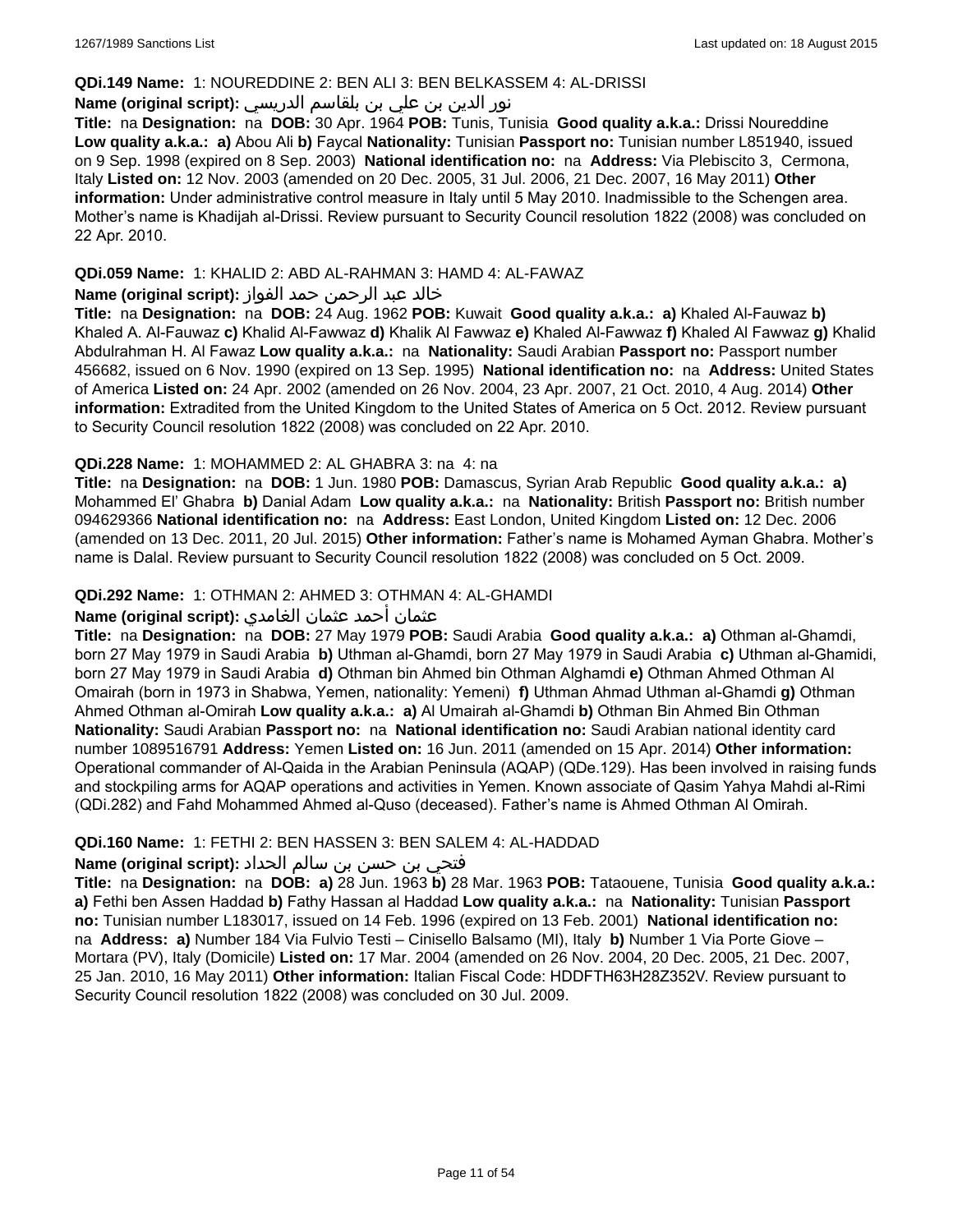#### **QDi.149 Name:** 1: NOUREDDINE 2: BEN ALI 3: BEN BELKASSEM 4: AL-DRISSI

## نور الدين بن علي بن بلقاسم الدريسي **:(script original (Name**

**Title:** na **Designation:** na **DOB:** 30 Apr. 1964 **POB:** Tunis, Tunisia **Good quality a.k.a.:** Drissi Noureddine **Low quality a.k.a.: a)** Abou Ali **b)** Faycal **Nationality:** Tunisian **Passport no:** Tunisian number L851940, issued on 9 Sep. 1998 (expired on 8 Sep. 2003) **National identification no:** na **Address:** Via Plebiscito 3, Cermona, Italy **Listed on:** 12 Nov. 2003 (amended on 20 Dec. 2005, 31 Jul. 2006, 21 Dec. 2007, 16 May 2011) **Other information:** Under administrative control measure in Italy until 5 May 2010. Inadmissible to the Schengen area. Mother's name is Khadijah al-Drissi. Review pursuant to Security Council resolution 1822 (2008) was concluded on 22 Apr. 2010.

## **QDi.059 Name:** 1: KHALID 2: ABD AL-RAHMAN 3: HAMD 4: AL-FAWAZ

### خالد عبد الرحمن حمد الفواز **:(script original (Name**

**Title:** na **Designation:** na **DOB:** 24 Aug. 1962 **POB:** Kuwait **Good quality a.k.a.: a)** Khaled Al-Fauwaz **b)** Khaled A. Al-Fauwaz **c)** Khalid Al-Fawwaz **d)** Khalik Al Fawwaz **e)** Khaled Al-Fawwaz **f)** Khaled Al Fawwaz **g)** Khalid Abdulrahman H. Al Fawaz **Low quality a.k.a.:** na **Nationality:** Saudi Arabian **Passport no:** Passport number 456682, issued on 6 Nov. 1990 (expired on 13 Sep. 1995) **National identification no:** na **Address:** United States of America **Listed on:** 24 Apr. 2002 (amended on 26 Nov. 2004, 23 Apr. 2007, 21 Oct. 2010, 4 Aug. 2014) **Other information:** Extradited from the United Kingdom to the United States of America on 5 Oct. 2012. Review pursuant to Security Council resolution 1822 (2008) was concluded on 22 Apr. 2010.

## **QDi.228 Name:** 1: MOHAMMED 2: AL GHABRA 3: na 4: na

**Title:** na **Designation:** na **DOB:** 1 Jun. 1980 **POB:** Damascus, Syrian Arab Republic **Good quality a.k.a.: a)** Mohammed El' Ghabra **b)** Danial Adam **Low quality a.k.a.:** na **Nationality:** British **Passport no:** British number 094629366 **National identification no:** na **Address:** East London, United Kingdom **Listed on:** 12 Dec. 2006 (amended on 13 Dec. 2011, 20 Jul. 2015) **Other information:** Father's name is Mohamed Ayman Ghabra. Mother's name is Dalal. Review pursuant to Security Council resolution 1822 (2008) was concluded on 5 Oct. 2009.

## **QDi.292 Name:** 1: OTHMAN 2: AHMED 3: OTHMAN 4: AL-GHAMDI

## عثمان أحمد عثمان الغامدي **:(script original (Name**

**Title:** na **Designation:** na **DOB:** 27 May 1979 **POB:** Saudi Arabia **Good quality a.k.a.: a)** Othman al-Ghamdi, born 27 May 1979 in Saudi Arabia **b)** Uthman al-Ghamdi, born 27 May 1979 in Saudi Arabia **c)** Uthman al-Ghamidi, born 27 May 1979 in Saudi Arabia **d)** Othman bin Ahmed bin Othman Alghamdi **e)** Othman Ahmed Othman Al Omairah (born in 1973 in Shabwa, Yemen, nationality: Yemeni) **f)** Uthman Ahmad Uthman al-Ghamdi **g)** Othman Ahmed Othman al-Omirah **Low quality a.k.a.: a)** Al Umairah al-Ghamdi **b)** Othman Bin Ahmed Bin Othman **Nationality:** Saudi Arabian **Passport no:** na **National identification no:** Saudi Arabian national identity card number 1089516791 **Address:** Yemen **Listed on:** 16 Jun. 2011 (amended on 15 Apr. 2014) **Other information:** Operational commander of Al-Qaida in the Arabian Peninsula (AQAP) (QDe.129). Has been involved in raising funds and stockpiling arms for AQAP operations and activities in Yemen. Known associate of Qasim Yahya Mahdi al-Rimi (QDi.282) and Fahd Mohammed Ahmed al-Quso (deceased). Father's name is Ahmed Othman Al Omirah.

### **QDi.160 Name:** 1: FETHI 2: BEN HASSEN 3: BEN SALEM 4: AL-HADDAD

## فتحي بن حسن بن سالم الحداد **:(script original (Name**

**Title:** na **Designation:** na **DOB: a)** 28 Jun. 1963 **b)** 28 Mar. 1963 **POB:** Tataouene, Tunisia **Good quality a.k.a.: a)** Fethi ben Assen Haddad **b)** Fathy Hassan al Haddad **Low quality a.k.a.:** na **Nationality:** Tunisian **Passport no:** Tunisian number L183017, issued on 14 Feb. 1996 (expired on 13 Feb. 2001) **National identification no:**  na **Address: a)** Number 184 Via Fulvio Testi – Cinisello Balsamo (MI), Italy **b)** Number 1 Via Porte Giove – Mortara (PV), Italy (Domicile) **Listed on:** 17 Mar. 2004 (amended on 26 Nov. 2004, 20 Dec. 2005, 21 Dec. 2007, 25 Jan. 2010, 16 May 2011) **Other information:** Italian Fiscal Code: HDDFTH63H28Z352V. Review pursuant to Security Council resolution 1822 (2008) was concluded on 30 Jul. 2009.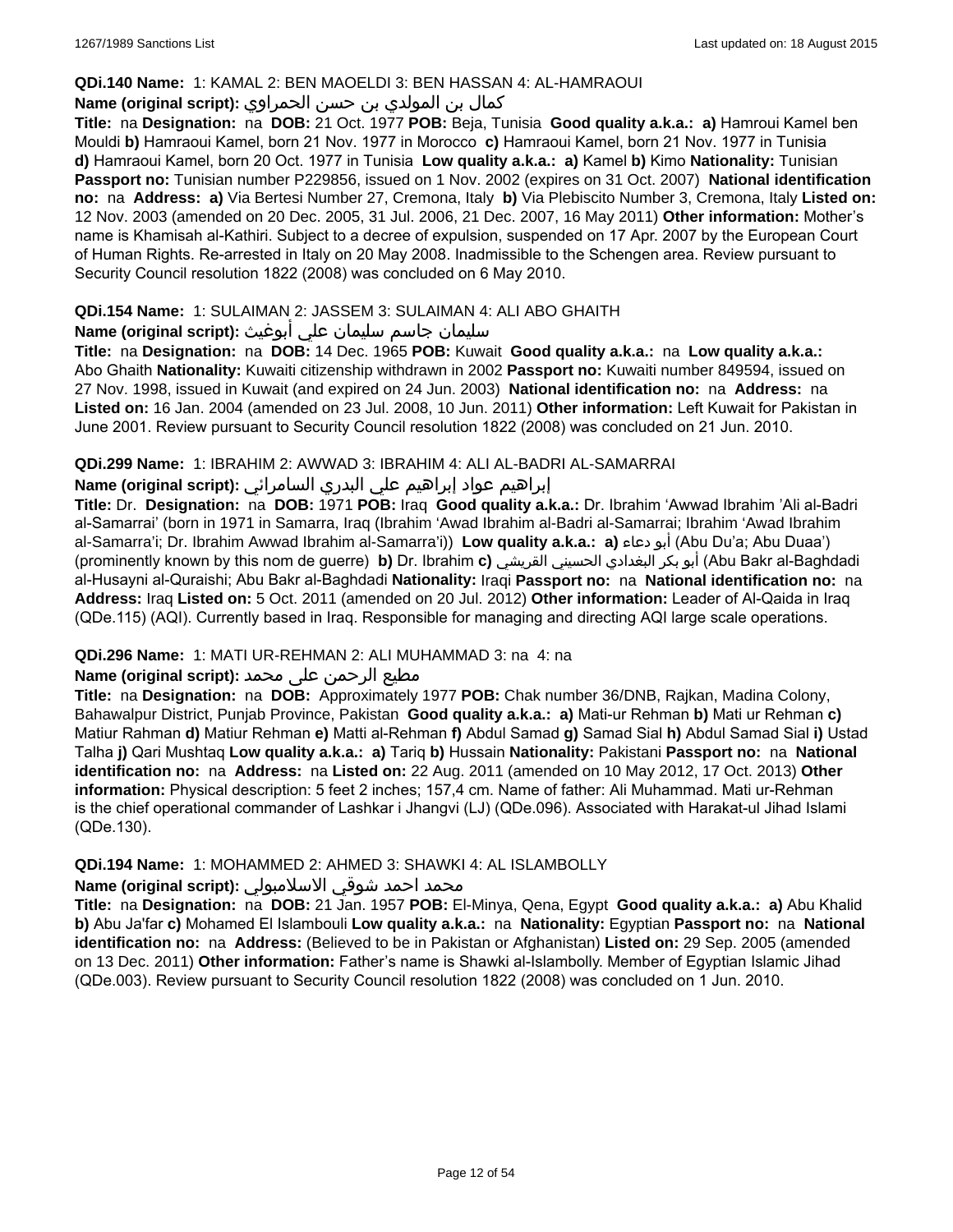#### **QDi.140 Name:** 1: KAMAL 2: BEN MAOELDI 3: BEN HASSAN 4: AL-HAMRAOUI

## كمال بن المولدي بن حسن الحمراوي **:(script original (Name**

**Title:** na **Designation:** na **DOB:** 21 Oct. 1977 **POB:** Beja, Tunisia **Good quality a.k.a.: a)** Hamroui Kamel ben Mouldi **b)** Hamraoui Kamel, born 21 Nov. 1977 in Morocco **c)** Hamraoui Kamel, born 21 Nov. 1977 in Tunisia **d)** Hamraoui Kamel, born 20 Oct. 1977 in Tunisia **Low quality a.k.a.: a)** Kamel **b)** Kimo **Nationality:** Tunisian **Passport no:** Tunisian number P229856, issued on 1 Nov. 2002 (expires on 31 Oct. 2007) **National identification no:** na **Address: a)** Via Bertesi Number 27, Cremona, Italy **b)** Via Plebiscito Number 3, Cremona, Italy **Listed on:** 12 Nov. 2003 (amended on 20 Dec. 2005, 31 Jul. 2006, 21 Dec. 2007, 16 May 2011) **Other information:** Mother's name is Khamisah al-Kathiri. Subject to a decree of expulsion, suspended on 17 Apr. 2007 by the European Court of Human Rights. Re-arrested in Italy on 20 May 2008. Inadmissible to the Schengen area. Review pursuant to Security Council resolution 1822 (2008) was concluded on 6 May 2010.

## **QDi.154 Name:** 1: SULAIMAN 2: JASSEM 3: SULAIMAN 4: ALI ABO GHAITH

## سليمان جاسم سليمان علي أبوغيث **:(script original (Name**

**Title:** na **Designation:** na **DOB:** 14 Dec. 1965 **POB:** Kuwait **Good quality a.k.a.:** na **Low quality a.k.a.:** Abo Ghaith **Nationality:** Kuwaiti citizenship withdrawn in 2002 **Passport no:** Kuwaiti number 849594, issued on 27 Nov. 1998, issued in Kuwait (and expired on 24 Jun. 2003) **National identification no:** na **Address:** na **Listed on:** 16 Jan. 2004 (amended on 23 Jul. 2008, 10 Jun. 2011) **Other information:** Left Kuwait for Pakistan in June 2001. Review pursuant to Security Council resolution 1822 (2008) was concluded on 21 Jun. 2010.

## **QDi.299 Name:** 1: IBRAHIM 2: AWWAD 3: IBRAHIM 4: ALI AL-BADRI AL-SAMARRAI

## إبراهيم عواد إبراهيم علي البدري السامرائي **:(script original (Name**

**Title:** Dr. **Designation:** na **DOB:** 1971 **POB:** Iraq **Good quality a.k.a.:** Dr. Ibrahim 'Awwad Ibrahim 'Ali al-Badri al-Samarrai' (born in 1971 in Samarra, Iraq (Ibrahim 'Awad Ibrahim al-Badri al-Samarrai; Ibrahim 'Awad Ibrahim al-Samarra'i; Dr. Ibrahim Awwad Ibrahim al-Samarra'i)) **Low quality a.k.a.: a)** دعاء أبو) Abu Du'a; Abu Duaa') (prominently known by this nom de guerre) **b)** Dr. Ibrahim **c)** القريشي الحسيني البغدادي بكر أبو) Abu Bakr al-Baghdadi al-Husayni al-Quraishi; Abu Bakr al-Baghdadi **Nationality:** Iraqi **Passport no:** na **National identification no:** na **Address:** Iraq **Listed on:** 5 Oct. 2011 (amended on 20 Jul. 2012) **Other information:** Leader of Al-Qaida in Iraq (QDe.115) (AQI). Currently based in Iraq. Responsible for managing and directing AQI large scale operations.

## **QDi.296 Name:** 1: MATI UR-REHMAN 2: ALI MUHAMMAD 3: na 4: na

## مطیع الرحمن علی محمد **:Name (original script)**

**Title:** na **Designation:** na **DOB:** Approximately 1977 **POB:** Chak number 36/DNB, Rajkan, Madina Colony, Bahawalpur District, Punjab Province, Pakistan **Good quality a.k.a.: a)** Mati-ur Rehman **b)** Mati ur Rehman **c)** Matiur Rahman **d)** Matiur Rehman **e)** Matti al-Rehman **f)** Abdul Samad **g)** Samad Sial **h)** Abdul Samad Sial **i)** Ustad Talha **j)** Qari Mushtaq **Low quality a.k.a.: a)** Tariq **b)** Hussain **Nationality:** Pakistani **Passport no:** na **National identification no:** na **Address:** na **Listed on:** 22 Aug. 2011 (amended on 10 May 2012, 17 Oct. 2013) **Other information:** Physical description: 5 feet 2 inches; 157,4 cm. Name of father: Ali Muhammad. Mati ur-Rehman is the chief operational commander of Lashkar i Jhangvi (LJ) (QDe.096). Associated with Harakat-ul Jihad Islami (QDe.130).

## **QDi.194 Name:** 1: MOHAMMED 2: AHMED 3: SHAWKI 4: AL ISLAMBOLLY

## محمد احمد شوقي الاسلامبولي **:Name (original script**)

**Title:** na **Designation:** na **DOB:** 21 Jan. 1957 **POB:** El-Minya, Qena, Egypt **Good quality a.k.a.: a)** Abu Khalid **b)** Abu Ja'far **c)** Mohamed El Islambouli **Low quality a.k.a.:** na **Nationality:** Egyptian **Passport no:** na **National identification no:** na **Address:** (Believed to be in Pakistan or Afghanistan) **Listed on:** 29 Sep. 2005 (amended on 13 Dec. 2011) **Other information:** Father's name is Shawki al-Islambolly. Member of Egyptian Islamic Jihad (QDe.003). Review pursuant to Security Council resolution 1822 (2008) was concluded on 1 Jun. 2010.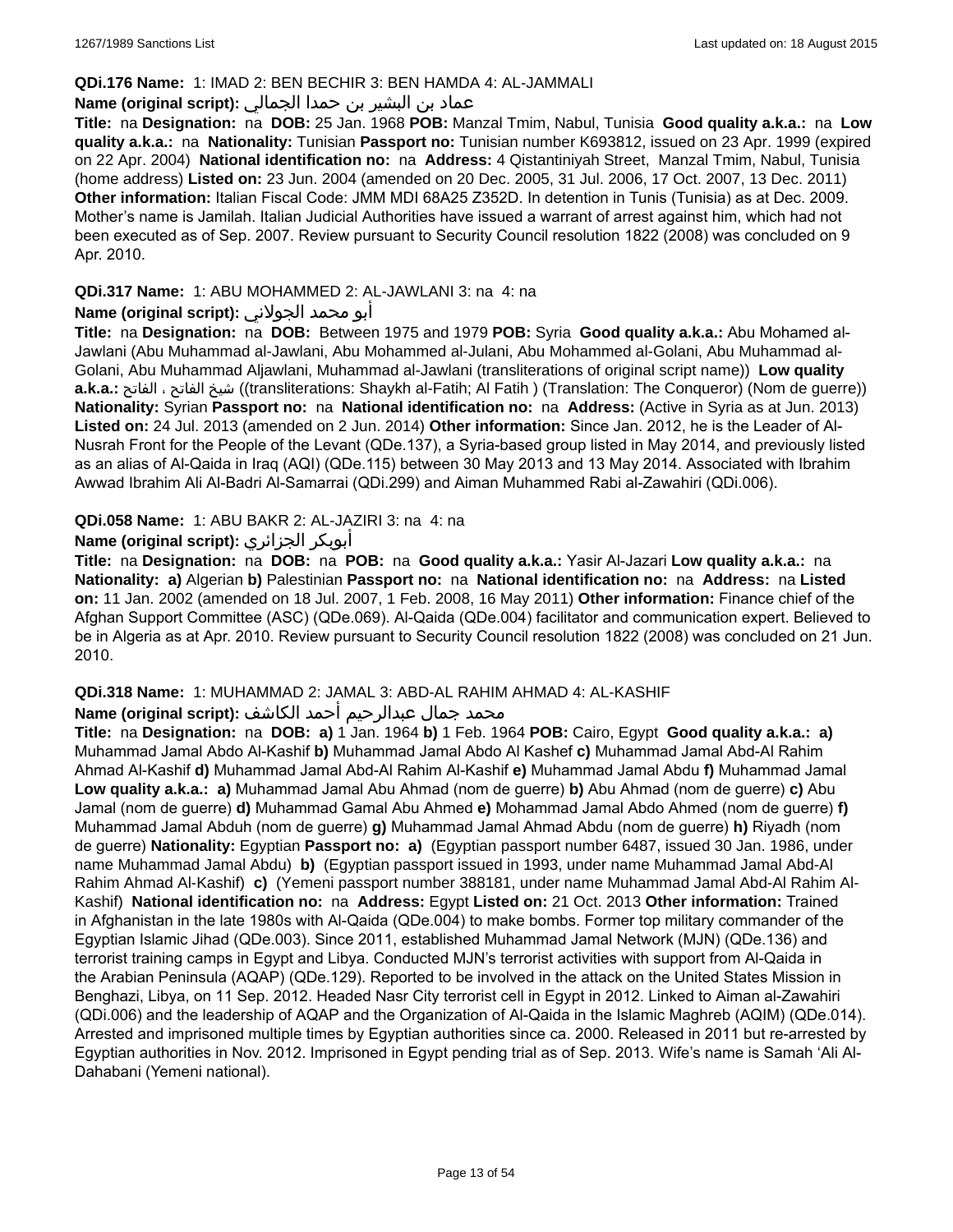#### **QDi.176 Name:** 1: IMAD 2: BEN BECHIR 3: BEN HAMDA 4: AL-JAMMALI

## عماد بن البشير بن حمدا الجمالي **:(script original (Name**

**Title:** na **Designation:** na **DOB:** 25 Jan. 1968 **POB:** Manzal Tmim, Nabul, Tunisia **Good quality a.k.a.:** na **Low quality a.k.a.:** na **Nationality:** Tunisian **Passport no:** Tunisian number K693812, issued on 23 Apr. 1999 (expired on 22 Apr. 2004) **National identification no:** na **Address:** 4 Qistantiniyah Street, Manzal Tmim, Nabul, Tunisia (home address) **Listed on:** 23 Jun. 2004 (amended on 20 Dec. 2005, 31 Jul. 2006, 17 Oct. 2007, 13 Dec. 2011) **Other information:** Italian Fiscal Code: JMM MDI 68A25 Z352D. In detention in Tunis (Tunisia) as at Dec. 2009. Mother's name is Jamilah. Italian Judicial Authorities have issued a warrant of arrest against him, which had not been executed as of Sep. 2007. Review pursuant to Security Council resolution 1822 (2008) was concluded on 9 Apr. 2010.

### **QDi.317 Name:** 1: ABU MOHAMMED 2: AL-JAWLANI 3: na 4: na

### أبو محمد الجولاني **:(script original (Name**

**Title:** na **Designation:** na **DOB:** Between 1975 and 1979 **POB:** Syria **Good quality a.k.a.:** Abu Mohamed al-Jawlani (Abu Muhammad al-Jawlani, Abu Mohammed al-Julani, Abu Mohammed al-Golani, Abu Muhammad al-Golani, Abu Muhammad Aljawlani, Muhammad al-Jawlani (transliterations of original script name)) **Low quality a.k.a.:** الفاتح ، الفاتح شيخ)) transliterations: Shaykh al-Fatih; Al Fatih ) (Translation: The Conqueror) (Nom de guerre)) **Nationality:** Syrian **Passport no:** na **National identification no:** na **Address:** (Active in Syria as at Jun. 2013) **Listed on:** 24 Jul. 2013 (amended on 2 Jun. 2014) **Other information:** Since Jan. 2012, he is the Leader of Al-Nusrah Front for the People of the Levant (QDe.137), a Syria-based group listed in May 2014, and previously listed as an alias of Al-Qaida in Iraq (AQI) (QDe.115) between 30 May 2013 and 13 May 2014. Associated with Ibrahim Awwad Ibrahim Ali Al-Badri Al-Samarrai (QDi.299) and Aiman Muhammed Rabi al-Zawahiri (QDi.006).

#### **QDi.058 Name:** 1: ABU BAKR 2: AL-JAZIRI 3: na 4: na

#### **Name (original script):** الجزائري أبوبكر

**Title:** na **Designation:** na **DOB:** na **POB:** na **Good quality a.k.a.:** Yasir Al-Jazari **Low quality a.k.a.:** na **Nationality: a)** Algerian **b)** Palestinian **Passport no:** na **National identification no:** na **Address:** na **Listed on:** 11 Jan. 2002 (amended on 18 Jul. 2007, 1 Feb. 2008, 16 May 2011) **Other information:** Finance chief of the Afghan Support Committee (ASC) (QDe.069). Al-Qaida (QDe.004) facilitator and communication expert. Believed to be in Algeria as at Apr. 2010. Review pursuant to Security Council resolution 1822 (2008) was concluded on 21 Jun. 2010.

## **QDi.318 Name:** 1: MUHAMMAD 2: JAMAL 3: ABD-AL RAHIM AHMAD 4: AL-KASHIF

#### محمد جمال عبدالرحيم أحمد الكاشف **:(script original (Name**

**Title:** na **Designation:** na **DOB: a)** 1 Jan. 1964 **b)** 1 Feb. 1964 **POB:** Cairo, Egypt **Good quality a.k.a.: a)** Muhammad Jamal Abdo Al-Kashif **b)** Muhammad Jamal Abdo Al Kashef **c)** Muhammad Jamal Abd-Al Rahim Ahmad Al-Kashif **d)** Muhammad Jamal Abd-Al Rahim Al-Kashif **e)** Muhammad Jamal Abdu **f)** Muhammad Jamal **Low quality a.k.a.: a)** Muhammad Jamal Abu Ahmad (nom de guerre) **b)** Abu Ahmad (nom de guerre) **c)** Abu Jamal (nom de guerre) **d)** Muhammad Gamal Abu Ahmed **e)** Mohammad Jamal Abdo Ahmed (nom de guerre) **f)** Muhammad Jamal Abduh (nom de guerre) **g)** Muhammad Jamal Ahmad Abdu (nom de guerre) **h)** Riyadh (nom de guerre) **Nationality:** Egyptian **Passport no: a)** (Egyptian passport number 6487, issued 30 Jan. 1986, under name Muhammad Jamal Abdu) **b)** (Egyptian passport issued in 1993, under name Muhammad Jamal Abd-Al Rahim Ahmad Al-Kashif) **c)** (Yemeni passport number 388181, under name Muhammad Jamal Abd-Al Rahim Al-Kashif) **National identification no:** na **Address:** Egypt **Listed on:** 21 Oct. 2013 **Other information:** Trained in Afghanistan in the late 1980s with Al-Qaida (QDe.004) to make bombs. Former top military commander of the Egyptian Islamic Jihad (QDe.003). Since 2011, established Muhammad Jamal Network (MJN) (QDe.136) and terrorist training camps in Egypt and Libya. Conducted MJN's terrorist activities with support from Al-Qaida in the Arabian Peninsula (AQAP) (QDe.129). Reported to be involved in the attack on the United States Mission in Benghazi, Libya, on 11 Sep. 2012. Headed Nasr City terrorist cell in Egypt in 2012. Linked to Aiman al-Zawahiri (QDi.006) and the leadership of AQAP and the Organization of Al-Qaida in the Islamic Maghreb (AQIM) (QDe.014). Arrested and imprisoned multiple times by Egyptian authorities since ca. 2000. Released in 2011 but re-arrested by Egyptian authorities in Nov. 2012. Imprisoned in Egypt pending trial as of Sep. 2013. Wife's name is Samah 'Ali Al-Dahabani (Yemeni national).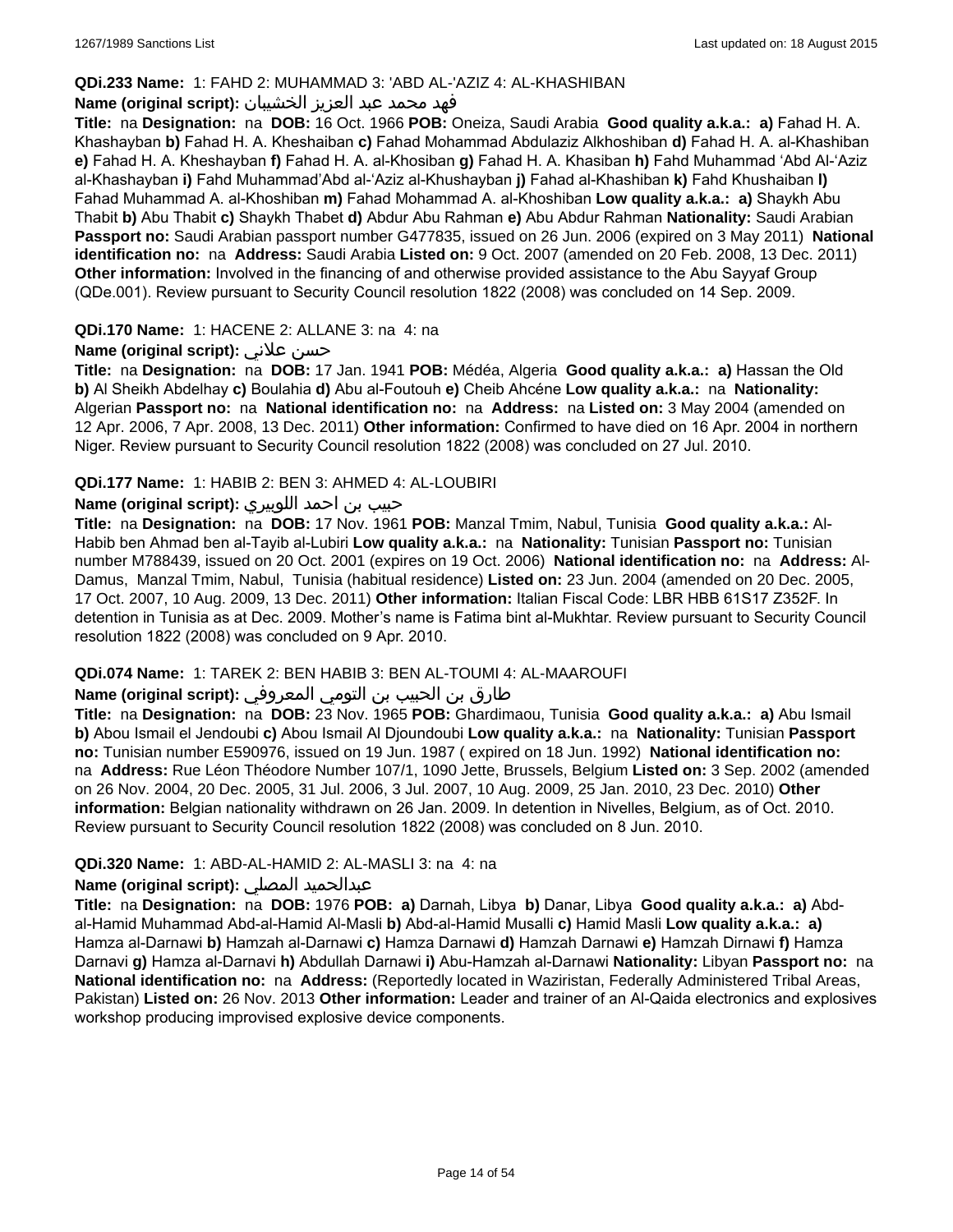### **QDi.233 Name:** 1: FAHD 2: MUHAMMAD 3: 'ABD AL-'AZIZ 4: AL-KHASHIBAN

### فهد محمد عبد العزيز الخشيبان **:(script original (Name**

**Title:** na **Designation:** na **DOB:** 16 Oct. 1966 **POB:** Oneiza, Saudi Arabia **Good quality a.k.a.: a)** Fahad H. A. Khashayban **b)** Fahad H. A. Kheshaiban **c)** Fahad Mohammad Abdulaziz Alkhoshiban **d)** Fahad H. A. al-Khashiban **e)** Fahad H. A. Kheshayban **f)** Fahad H. A. al-Khosiban **g)** Fahad H. A. Khasiban **h)** Fahd Muhammad 'Abd Al-'Aziz al-Khashayban **i)** Fahd Muhammad'Abd al-'Aziz al-Khushayban **j)** Fahad al-Khashiban **k)** Fahd Khushaiban **l)** Fahad Muhammad A. al-Khoshiban **m)** Fahad Mohammad A. al-Khoshiban **Low quality a.k.a.: a)** Shaykh Abu Thabit **b)** Abu Thabit **c)** Shaykh Thabet **d)** Abdur Abu Rahman **e)** Abu Abdur Rahman **Nationality:** Saudi Arabian **Passport no:** Saudi Arabian passport number G477835, issued on 26 Jun. 2006 (expired on 3 May 2011) **National identification no:** na **Address:** Saudi Arabia **Listed on:** 9 Oct. 2007 (amended on 20 Feb. 2008, 13 Dec. 2011) **Other information:** Involved in the financing of and otherwise provided assistance to the Abu Sayyaf Group (QDe.001). Review pursuant to Security Council resolution 1822 (2008) was concluded on 14 Sep. 2009.

#### **QDi.170 Name:** 1: HACENE 2: ALLANE 3: na 4: na

#### **Name (original script):** علاني حسن

**Title:** na **Designation:** na **DOB:** 17 Jan. 1941 **POB:** Médéa, Algeria **Good quality a.k.a.: a)** Hassan the Old **b)** Al Sheikh Abdelhay **c)** Boulahia **d)** Abu al-Foutouh **e)** Cheib Ahcéne **Low quality a.k.a.:** na **Nationality:** Algerian **Passport no:** na **National identification no:** na **Address:** na **Listed on:** 3 May 2004 (amended on 12 Apr. 2006, 7 Apr. 2008, 13 Dec. 2011) **Other information:** Confirmed to have died on 16 Apr. 2004 in northern Niger. Review pursuant to Security Council resolution 1822 (2008) was concluded on 27 Jul. 2010.

#### **QDi.177 Name:** 1: HABIB 2: BEN 3: AHMED 4: AL-LOUBIRI

## حبيب بن احمد اللوبيري **:(script original (Name**

**Title:** na **Designation:** na **DOB:** 17 Nov. 1961 **POB:** Manzal Tmim, Nabul, Tunisia **Good quality a.k.a.:** Al-Habib ben Ahmad ben al-Tayib al-Lubiri **Low quality a.k.a.:** na **Nationality:** Tunisian **Passport no:** Tunisian number M788439, issued on 20 Oct. 2001 (expires on 19 Oct. 2006) **National identification no:** na **Address:** Al-Damus, Manzal Tmim, Nabul, Tunisia (habitual residence) **Listed on:** 23 Jun. 2004 (amended on 20 Dec. 2005, 17 Oct. 2007, 10 Aug. 2009, 13 Dec. 2011) **Other information:** Italian Fiscal Code: LBR HBB 61S17 Z352F. In detention in Tunisia as at Dec. 2009. Mother's name is Fatima bint al-Mukhtar. Review pursuant to Security Council resolution 1822 (2008) was concluded on 9 Apr. 2010.

#### **QDi.074 Name:** 1: TAREK 2: BEN HABIB 3: BEN AL-TOUMI 4: AL-MAAROUFI

#### طارق بن الحبيب بن التومي المعروفي **:Name (original script)**

**Title:** na **Designation:** na **DOB:** 23 Nov. 1965 **POB:** Ghardimaou, Tunisia **Good quality a.k.a.: a)** Abu Ismail **b)** Abou Ismail el Jendoubi **c)** Abou Ismail Al Djoundoubi **Low quality a.k.a.:** na **Nationality:** Tunisian **Passport no:** Tunisian number E590976, issued on 19 Jun. 1987 ( expired on 18 Jun. 1992) **National identification no:**  na **Address:** Rue Léon Théodore Number 107/1, 1090 Jette, Brussels, Belgium **Listed on:** 3 Sep. 2002 (amended on 26 Nov. 2004, 20 Dec. 2005, 31 Jul. 2006, 3 Jul. 2007, 10 Aug. 2009, 25 Jan. 2010, 23 Dec. 2010) **Other information:** Belgian nationality withdrawn on 26 Jan. 2009. In detention in Nivelles, Belgium, as of Oct. 2010. Review pursuant to Security Council resolution 1822 (2008) was concluded on 8 Jun. 2010.

### **QDi.320 Name:** 1: ABD-AL-HAMID 2: AL-MASLI 3: na 4: na

#### **Name (original script):** المصلي عبدالحميد

**Title:** na **Designation:** na **DOB:** 1976 **POB: a)** Darnah, Libya **b)** Danar, Libya **Good quality a.k.a.: a)** Abdal-Hamid Muhammad Abd-al-Hamid Al-Masli **b)** Abd-al-Hamid Musalli **c)** Hamid Masli **Low quality a.k.a.: a)** Hamza al-Darnawi **b)** Hamzah al-Darnawi **c)** Hamza Darnawi **d)** Hamzah Darnawi **e)** Hamzah Dirnawi **f)** Hamza Darnavi **g)** Hamza al-Darnavi **h)** Abdullah Darnawi **i)** Abu-Hamzah al-Darnawi **Nationality:** Libyan **Passport no:** na **National identification no:** na **Address:** (Reportedly located in Waziristan, Federally Administered Tribal Areas, Pakistan) **Listed on:** 26 Nov. 2013 **Other information:** Leader and trainer of an Al-Qaida electronics and explosives workshop producing improvised explosive device components.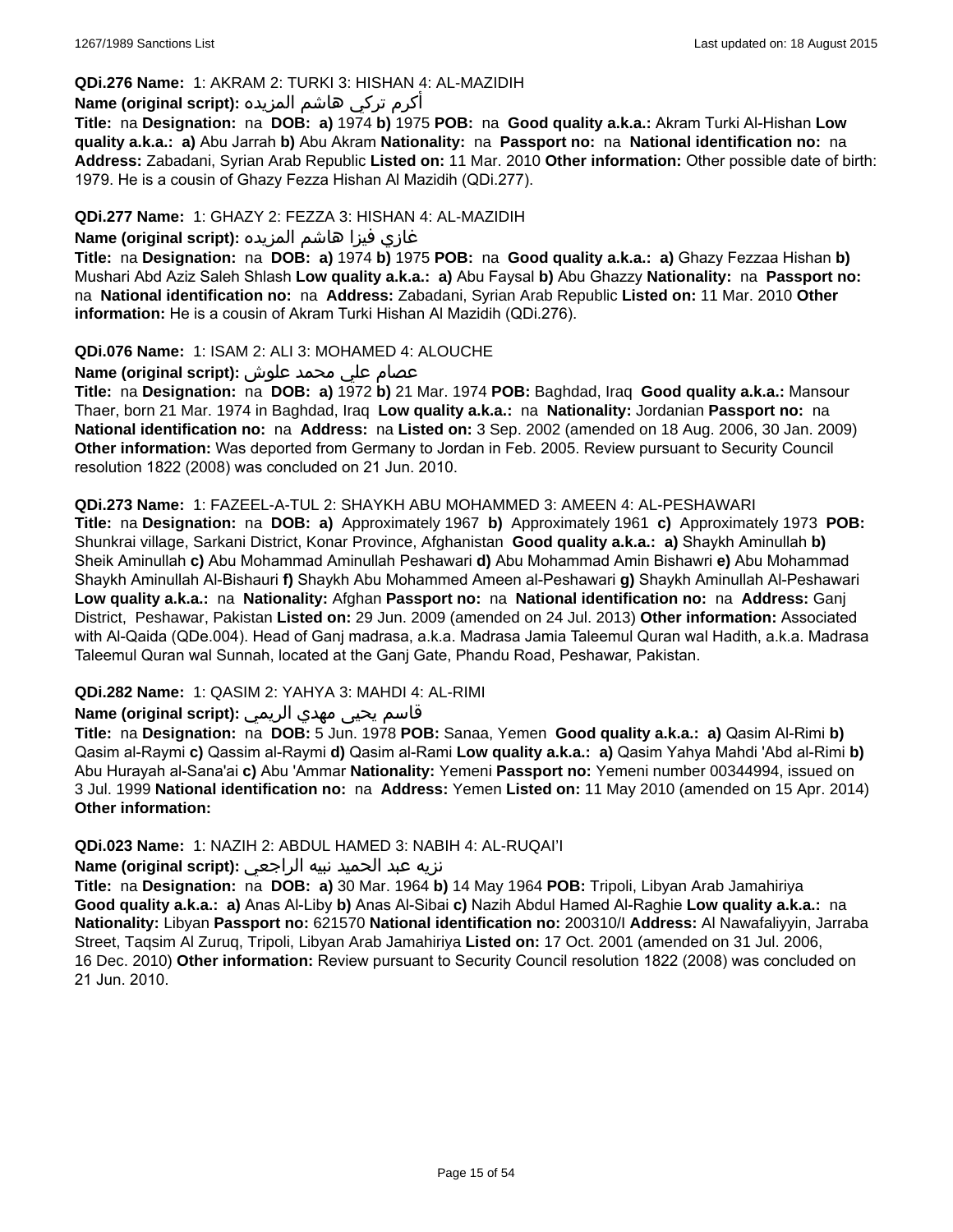## **QDi.276 Name:** 1: AKRAM 2: TURKI 3: HISHAN 4: AL-MAZIDIH

## أكرم تركي هاشم المزيده **:(script original (Name**

**Title:** na **Designation:** na **DOB: a)** 1974 **b)** 1975 **POB:** na **Good quality a.k.a.:** Akram Turki Al-Hishan **Low quality a.k.a.: a)** Abu Jarrah **b)** Abu Akram **Nationality:** na **Passport no:** na **National identification no:** na **Address:** Zabadani, Syrian Arab Republic **Listed on:** 11 Mar. 2010 **Other information:** Other possible date of birth: 1979. He is a cousin of Ghazy Fezza Hishan Al Mazidih (QDi.277).

## **QDi.277 Name:** 1: GHAZY 2: FEZZA 3: HISHAN 4: AL-MAZIDIH

## غازي فيزا هاشم المزيده **:(script original (Name**

**Title:** na **Designation:** na **DOB: a)** 1974 **b)** 1975 **POB:** na **Good quality a.k.a.: a)** Ghazy Fezzaa Hishan **b)** Mushari Abd Aziz Saleh Shlash **Low quality a.k.a.: a)** Abu Faysal **b)** Abu Ghazzy **Nationality:** na **Passport no:**  na **National identification no:** na **Address:** Zabadani, Syrian Arab Republic **Listed on:** 11 Mar. 2010 **Other information:** He is a cousin of Akram Turki Hishan Al Mazidih (QDi.276).

## **QDi.076 Name:** 1: ISAM 2: ALI 3: MOHAMED 4: ALOUCHE

## عصام علي محمد علوش **:(script original (Name**

**Title:** na **Designation:** na **DOB: a)** 1972 **b)** 21 Mar. 1974 **POB:** Baghdad, Iraq **Good quality a.k.a.:** Mansour Thaer, born 21 Mar. 1974 in Baghdad, Iraq **Low quality a.k.a.:** na **Nationality:** Jordanian **Passport no:** na **National identification no:** na **Address:** na **Listed on:** 3 Sep. 2002 (amended on 18 Aug. 2006, 30 Jan. 2009) **Other information:** Was deported from Germany to Jordan in Feb. 2005. Review pursuant to Security Council resolution 1822 (2008) was concluded on 21 Jun. 2010.

#### **QDi.273 Name:** 1: FAZEEL-A-TUL 2: SHAYKH ABU MOHAMMED 3: AMEEN 4: AL-PESHAWARI

**Title:** na **Designation:** na **DOB: a)** Approximately 1967 **b)** Approximately 1961 **c)** Approximately 1973 **POB:** Shunkrai village, Sarkani District, Konar Province, Afghanistan **Good quality a.k.a.: a)** Shaykh Aminullah **b)** Sheik Aminullah **c)** Abu Mohammad Aminullah Peshawari **d)** Abu Mohammad Amin Bishawri **e)** Abu Mohammad Shaykh Aminullah Al-Bishauri **f)** Shaykh Abu Mohammed Ameen al-Peshawari **g)** Shaykh Aminullah Al-Peshawari **Low quality a.k.a.:** na **Nationality:** Afghan **Passport no:** na **National identification no:** na **Address:** Ganj District, Peshawar, Pakistan **Listed on:** 29 Jun. 2009 (amended on 24 Jul. 2013) **Other information:** Associated with Al-Qaida (QDe.004). Head of Ganj madrasa, a.k.a. Madrasa Jamia Taleemul Quran wal Hadith, a.k.a. Madrasa Taleemul Quran wal Sunnah, located at the Ganj Gate, Phandu Road, Peshawar, Pakistan.

## **QDi.282 Name:** 1: QASIM 2: YAHYA 3: MAHDI 4: AL-RIMI

## قاسم يحيى مهدي الريمي **:(script original (Name**

**Title:** na **Designation:** na **DOB:** 5 Jun. 1978 **POB:** Sanaa, Yemen **Good quality a.k.a.: a)** Qasim Al-Rimi **b)** Qasim al-Raymi **c)** Qassim al-Raymi **d)** Qasim al-Rami **Low quality a.k.a.: a)** Qasim Yahya Mahdi 'Abd al-Rimi **b)** Abu Hurayah al-Sana'ai **c)** Abu 'Ammar **Nationality:** Yemeni **Passport no:** Yemeni number 00344994, issued on 3 Jul. 1999 **National identification no:** na **Address:** Yemen **Listed on:** 11 May 2010 (amended on 15 Apr. 2014) **Other information:**

## **QDi.023 Name:** 1: NAZIH 2: ABDUL HAMED 3: NABIH 4: AL-RUQAI'I

## نزيه عبد الحميد نبيه الراجعي **:(script original (Name**

**Title:** na **Designation:** na **DOB: a)** 30 Mar. 1964 **b)** 14 May 1964 **POB:** Tripoli, Libyan Arab Jamahiriya **Good quality a.k.a.: a)** Anas Al-Liby **b)** Anas Al-Sibai **c)** Nazih Abdul Hamed Al-Raghie **Low quality a.k.a.:** na **Nationality:** Libyan **Passport no:** 621570 **National identification no:** 200310/I **Address:** Al Nawafaliyyin, Jarraba Street, Taqsim Al Zuruq, Tripoli, Libyan Arab Jamahiriya **Listed on:** 17 Oct. 2001 (amended on 31 Jul. 2006, 16 Dec. 2010) **Other information:** Review pursuant to Security Council resolution 1822 (2008) was concluded on 21 Jun. 2010.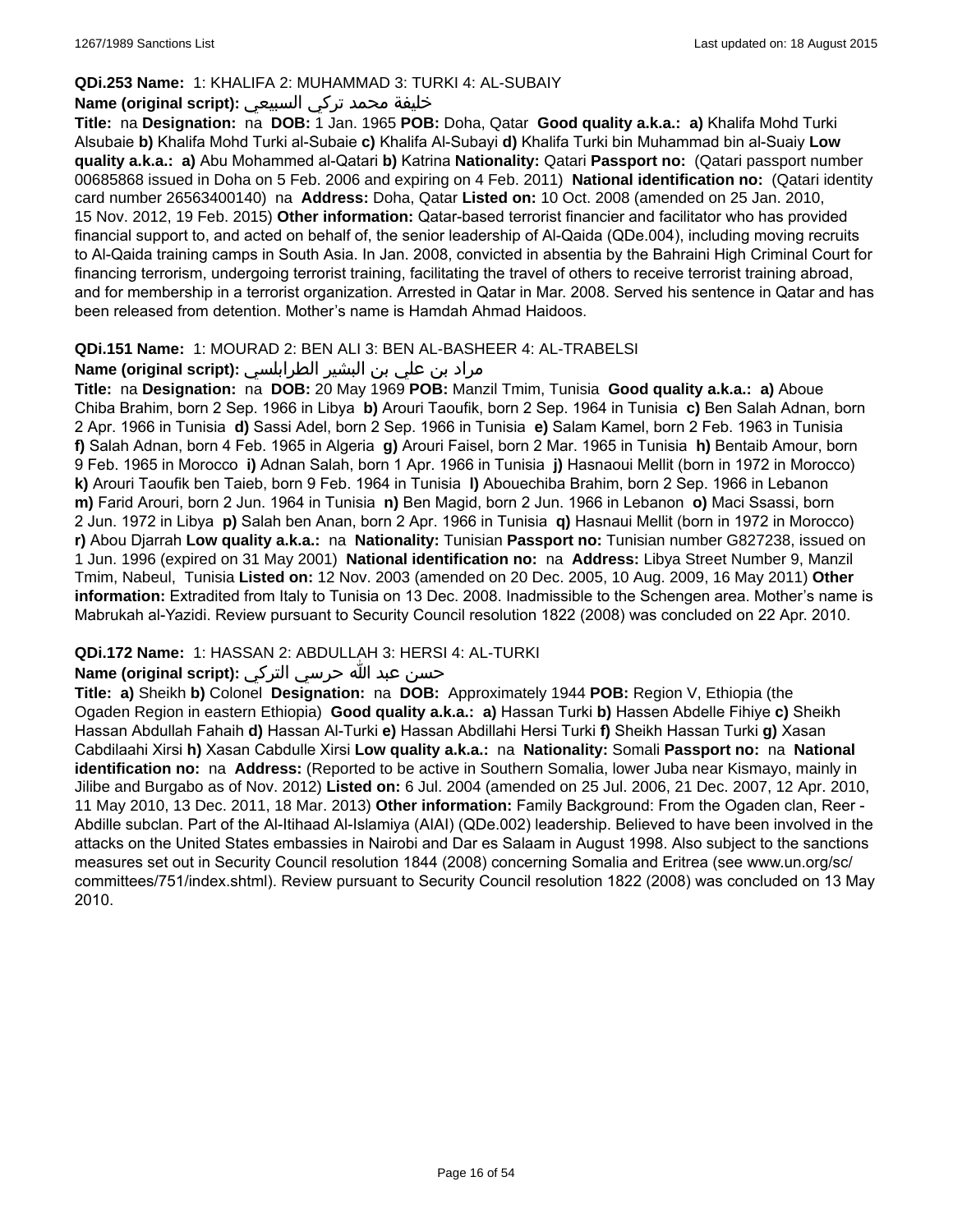### **QDi.253 Name:** 1: KHALIFA 2: MUHAMMAD 3: TURKI 4: AL-SUBAIY

## خليفة محمد تركي السبيعي **:(script original (Name**

**Title:** na **Designation:** na **DOB:** 1 Jan. 1965 **POB:** Doha, Qatar **Good quality a.k.a.: a)** Khalifa Mohd Turki Alsubaie **b)** Khalifa Mohd Turki al-Subaie **c)** Khalifa Al-Subayi **d)** Khalifa Turki bin Muhammad bin al-Suaiy **Low quality a.k.a.: a)** Abu Mohammed al-Qatari **b)** Katrina **Nationality:** Qatari **Passport no:** (Qatari passport number 00685868 issued in Doha on 5 Feb. 2006 and expiring on 4 Feb. 2011) **National identification no:** (Qatari identity card number 26563400140) na **Address:** Doha, Qatar **Listed on:** 10 Oct. 2008 (amended on 25 Jan. 2010, 15 Nov. 2012, 19 Feb. 2015) **Other information:** Qatar-based terrorist financier and facilitator who has provided financial support to, and acted on behalf of, the senior leadership of Al-Qaida (QDe.004), including moving recruits to Al-Qaida training camps in South Asia. In Jan. 2008, convicted in absentia by the Bahraini High Criminal Court for financing terrorism, undergoing terrorist training, facilitating the travel of others to receive terrorist training abroad, and for membership in a terrorist organization. Arrested in Qatar in Mar. 2008. Served his sentence in Qatar and has been released from detention. Mother's name is Hamdah Ahmad Haidoos.

#### **QDi.151 Name:** 1: MOURAD 2: BEN ALI 3: BEN AL-BASHEER 4: AL-TRABELSI

## مراد بن علي بن البشير الطرابلسي **:(script original (Name**

**Title:** na **Designation:** na **DOB:** 20 May 1969 **POB:** Manzil Tmim, Tunisia **Good quality a.k.a.: a)** Aboue Chiba Brahim, born 2 Sep. 1966 in Libya **b)** Arouri Taoufik, born 2 Sep. 1964 in Tunisia **c)** Ben Salah Adnan, born 2 Apr. 1966 in Tunisia **d)** Sassi Adel, born 2 Sep. 1966 in Tunisia **e)** Salam Kamel, born 2 Feb. 1963 in Tunisia **f)** Salah Adnan, born 4 Feb. 1965 in Algeria **g)** Arouri Faisel, born 2 Mar. 1965 in Tunisia **h)** Bentaib Amour, born 9 Feb. 1965 in Morocco **i)** Adnan Salah, born 1 Apr. 1966 in Tunisia **j)** Hasnaoui Mellit (born in 1972 in Morocco) **k)** Arouri Taoufik ben Taieb, born 9 Feb. 1964 in Tunisia **l)** Abouechiba Brahim, born 2 Sep. 1966 in Lebanon **m)** Farid Arouri, born 2 Jun. 1964 in Tunisia **n)** Ben Magid, born 2 Jun. 1966 in Lebanon **o)** Maci Ssassi, born 2 Jun. 1972 in Libya **p)** Salah ben Anan, born 2 Apr. 1966 in Tunisia **q)** Hasnaui Mellit (born in 1972 in Morocco) **r)** Abou Djarrah **Low quality a.k.a.:** na **Nationality:** Tunisian **Passport no:** Tunisian number G827238, issued on 1 Jun. 1996 (expired on 31 May 2001) **National identification no:** na **Address:** Libya Street Number 9, Manzil Tmim, Nabeul, Tunisia **Listed on:** 12 Nov. 2003 (amended on 20 Dec. 2005, 10 Aug. 2009, 16 May 2011) **Other information:** Extradited from Italy to Tunisia on 13 Dec. 2008. Inadmissible to the Schengen area. Mother's name is Mabrukah al-Yazidi. Review pursuant to Security Council resolution 1822 (2008) was concluded on 22 Apr. 2010.

## **QDi.172 Name:** 1: HASSAN 2: ABDULLAH 3: HERSI 4: AL-TURKI

## حسن عبد الله حرسي التركي **:(script original (Name**

**Title: a)** Sheikh **b)** Colonel **Designation:** na **DOB:** Approximately 1944 **POB:** Region V, Ethiopia (the Ogaden Region in eastern Ethiopia) **Good quality a.k.a.: a)** Hassan Turki **b)** Hassen Abdelle Fihiye **c)** Sheikh Hassan Abdullah Fahaih **d)** Hassan Al-Turki **e)** Hassan Abdillahi Hersi Turki **f)** Sheikh Hassan Turki **g)** Xasan Cabdilaahi Xirsi **h)** Xasan Cabdulle Xirsi **Low quality a.k.a.:** na **Nationality:** Somali **Passport no:** na **National identification no:** na **Address:** (Reported to be active in Southern Somalia, lower Juba near Kismayo, mainly in Jilibe and Burgabo as of Nov. 2012) **Listed on:** 6 Jul. 2004 (amended on 25 Jul. 2006, 21 Dec. 2007, 12 Apr. 2010, 11 May 2010, 13 Dec. 2011, 18 Mar. 2013) **Other information:** Family Background: From the Ogaden clan, Reer - Abdille subclan. Part of the Al-Itihaad Al-Islamiya (AIAI) (QDe.002) leadership. Believed to have been involved in the attacks on the United States embassies in Nairobi and Dar es Salaam in August 1998. Also subject to the sanctions measures set out in Security Council resolution 1844 (2008) concerning Somalia and Eritrea (see www.un.org/sc/ committees/751/index.shtml). Review pursuant to Security Council resolution 1822 (2008) was concluded on 13 May 2010.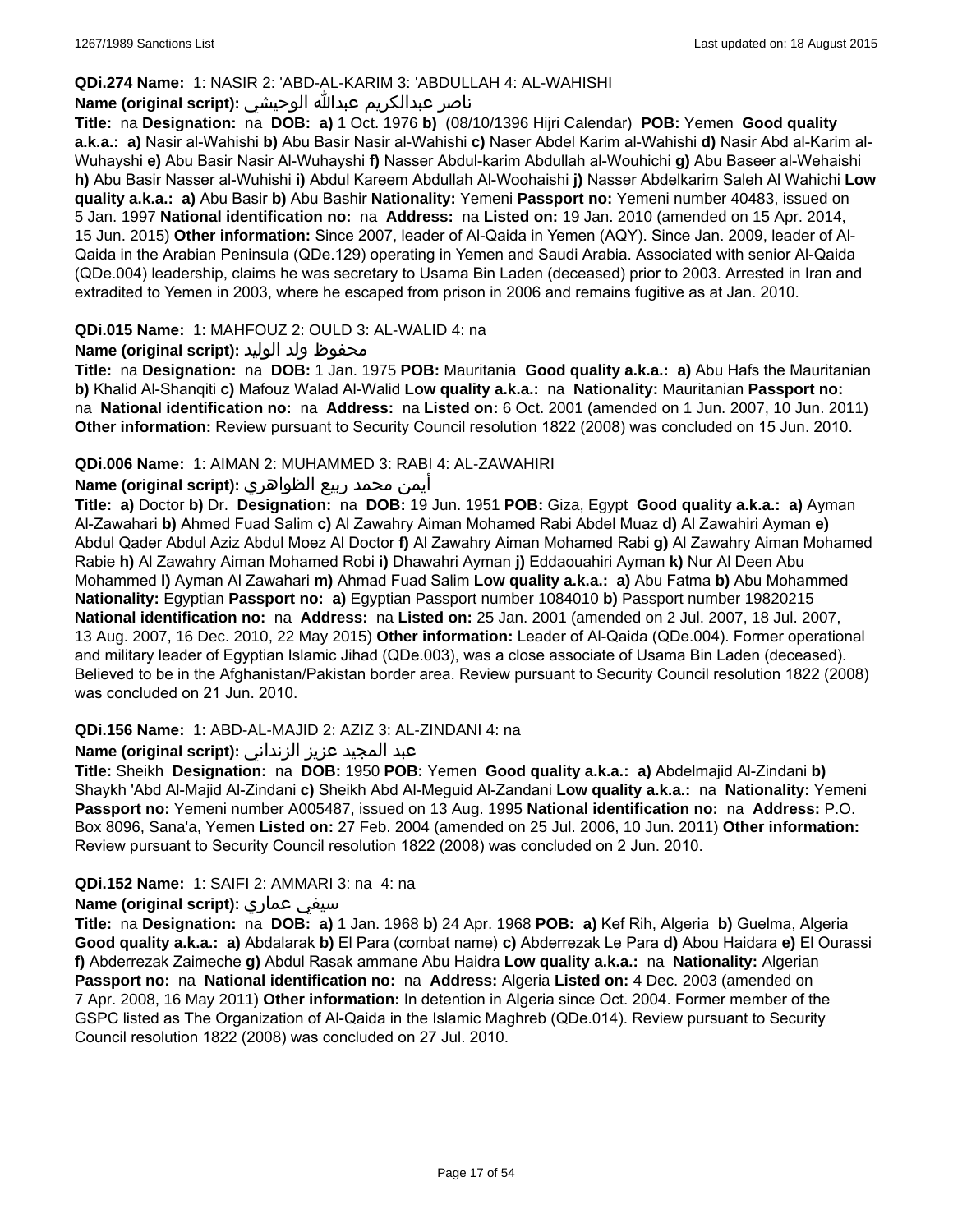## **QDi.274 Name:** 1: NASIR 2: 'ABD-AL-KARIM 3: 'ABDULLAH 4: AL-WAHISHI

## ناصر عبدالكريم عبدالله الوحيشي **:(script original (Name**

**Title:** na **Designation:** na **DOB: a)** 1 Oct. 1976 **b)** (08/10/1396 Hijri Calendar) **POB:** Yemen **Good quality a.k.a.: a)** Nasir al-Wahishi **b)** Abu Basir Nasir al-Wahishi **c)** Naser Abdel Karim al-Wahishi **d)** Nasir Abd al-Karim al-Wuhayshi **e)** Abu Basir Nasir Al-Wuhayshi **f)** Nasser Abdul-karim Abdullah al-Wouhichi **g)** Abu Baseer al-Wehaishi **h)** Abu Basir Nasser al-Wuhishi **i)** Abdul Kareem Abdullah Al-Woohaishi **j)** Nasser Abdelkarim Saleh Al Wahichi **Low quality a.k.a.: a)** Abu Basir **b)** Abu Bashir **Nationality:** Yemeni **Passport no:** Yemeni number 40483, issued on 5 Jan. 1997 **National identification no:** na **Address:** na **Listed on:** 19 Jan. 2010 (amended on 15 Apr. 2014, 15 Jun. 2015) **Other information:** Since 2007, leader of Al-Qaida in Yemen (AQY). Since Jan. 2009, leader of Al-Qaida in the Arabian Peninsula (QDe.129) operating in Yemen and Saudi Arabia. Associated with senior Al-Qaida (QDe.004) leadership, claims he was secretary to Usama Bin Laden (deceased) prior to 2003. Arrested in Iran and extradited to Yemen in 2003, where he escaped from prison in 2006 and remains fugitive as at Jan. 2010.

#### **QDi.015 Name:** 1: MAHFOUZ 2: OULD 3: AL-WALID 4: na

## محفوظ ولد الوليد **:**(Name (original script

**Title:** na **Designation:** na **DOB:** 1 Jan. 1975 **POB:** Mauritania **Good quality a.k.a.: a)** Abu Hafs the Mauritanian **b)** Khalid Al-Shanqiti **c)** Mafouz Walad Al-Walid **Low quality a.k.a.:** na **Nationality:** Mauritanian **Passport no:**  na **National identification no:** na **Address:** na **Listed on:** 6 Oct. 2001 (amended on 1 Jun. 2007, 10 Jun. 2011) **Other information:** Review pursuant to Security Council resolution 1822 (2008) was concluded on 15 Jun. 2010.

#### **QDi.006 Name:** 1: AIMAN 2: MUHAMMED 3: RABI 4: AL-ZAWAHIRI

#### أيمن محمد ربيع الظواهري **:(script original (Name**

**Title: a)** Doctor **b)** Dr. **Designation:** na **DOB:** 19 Jun. 1951 **POB:** Giza, Egypt **Good quality a.k.a.: a)** Ayman Al-Zawahari **b)** Ahmed Fuad Salim **c)** Al Zawahry Aiman Mohamed Rabi Abdel Muaz **d)** Al Zawahiri Ayman **e)** Abdul Qader Abdul Aziz Abdul Moez Al Doctor **f)** Al Zawahry Aiman Mohamed Rabi **g)** Al Zawahry Aiman Mohamed Rabie **h)** Al Zawahry Aiman Mohamed Robi **i)** Dhawahri Ayman **j)** Eddaouahiri Ayman **k)** Nur Al Deen Abu Mohammed **l)** Ayman Al Zawahari **m)** Ahmad Fuad Salim **Low quality a.k.a.: a)** Abu Fatma **b)** Abu Mohammed **Nationality:** Egyptian **Passport no: a)** Egyptian Passport number 1084010 **b)** Passport number 19820215 **National identification no:** na **Address:** na **Listed on:** 25 Jan. 2001 (amended on 2 Jul. 2007, 18 Jul. 2007, 13 Aug. 2007, 16 Dec. 2010, 22 May 2015) **Other information:** Leader of Al-Qaida (QDe.004). Former operational and military leader of Egyptian Islamic Jihad (QDe.003), was a close associate of Usama Bin Laden (deceased). Believed to be in the Afghanistan/Pakistan border area. Review pursuant to Security Council resolution 1822 (2008) was concluded on 21 Jun. 2010.

## **QDi.156 Name:** 1: ABD-AL-MAJID 2: AZIZ 3: AL-ZINDANI 4: na

## عبد المجيد عزيز الزنداني **:(script original (Name**

**Title:** Sheikh **Designation:** na **DOB:** 1950 **POB:** Yemen **Good quality a.k.a.: a)** Abdelmajid Al-Zindani **b)** Shaykh 'Abd Al-Majid Al-Zindani **c)** Sheikh Abd Al-Meguid Al-Zandani **Low quality a.k.a.:** na **Nationality:** Yemeni **Passport no:** Yemeni number A005487, issued on 13 Aug. 1995 **National identification no:** na **Address:** P.O. Box 8096, Sana'a, Yemen **Listed on:** 27 Feb. 2004 (amended on 25 Jul. 2006, 10 Jun. 2011) **Other information:** Review pursuant to Security Council resolution 1822 (2008) was concluded on 2 Jun. 2010.

#### **QDi.152 Name:** 1: SAIFI 2: AMMARI 3: na 4: na

#### **Name (original script):** عماري سيفي

**Title:** na **Designation:** na **DOB: a)** 1 Jan. 1968 **b)** 24 Apr. 1968 **POB: a)** Kef Rih, Algeria **b)** Guelma, Algeria **Good quality a.k.a.: a)** Abdalarak **b)** El Para (combat name) **c)** Abderrezak Le Para **d)** Abou Haidara **e)** El Ourassi **f)** Abderrezak Zaimeche **g)** Abdul Rasak ammane Abu Haidra **Low quality a.k.a.:** na **Nationality:** Algerian **Passport no:** na **National identification no:** na **Address:** Algeria **Listed on:** 4 Dec. 2003 (amended on 7 Apr. 2008, 16 May 2011) **Other information:** In detention in Algeria since Oct. 2004. Former member of the GSPC listed as The Organization of Al-Qaida in the Islamic Maghreb (QDe.014). Review pursuant to Security Council resolution 1822 (2008) was concluded on 27 Jul. 2010.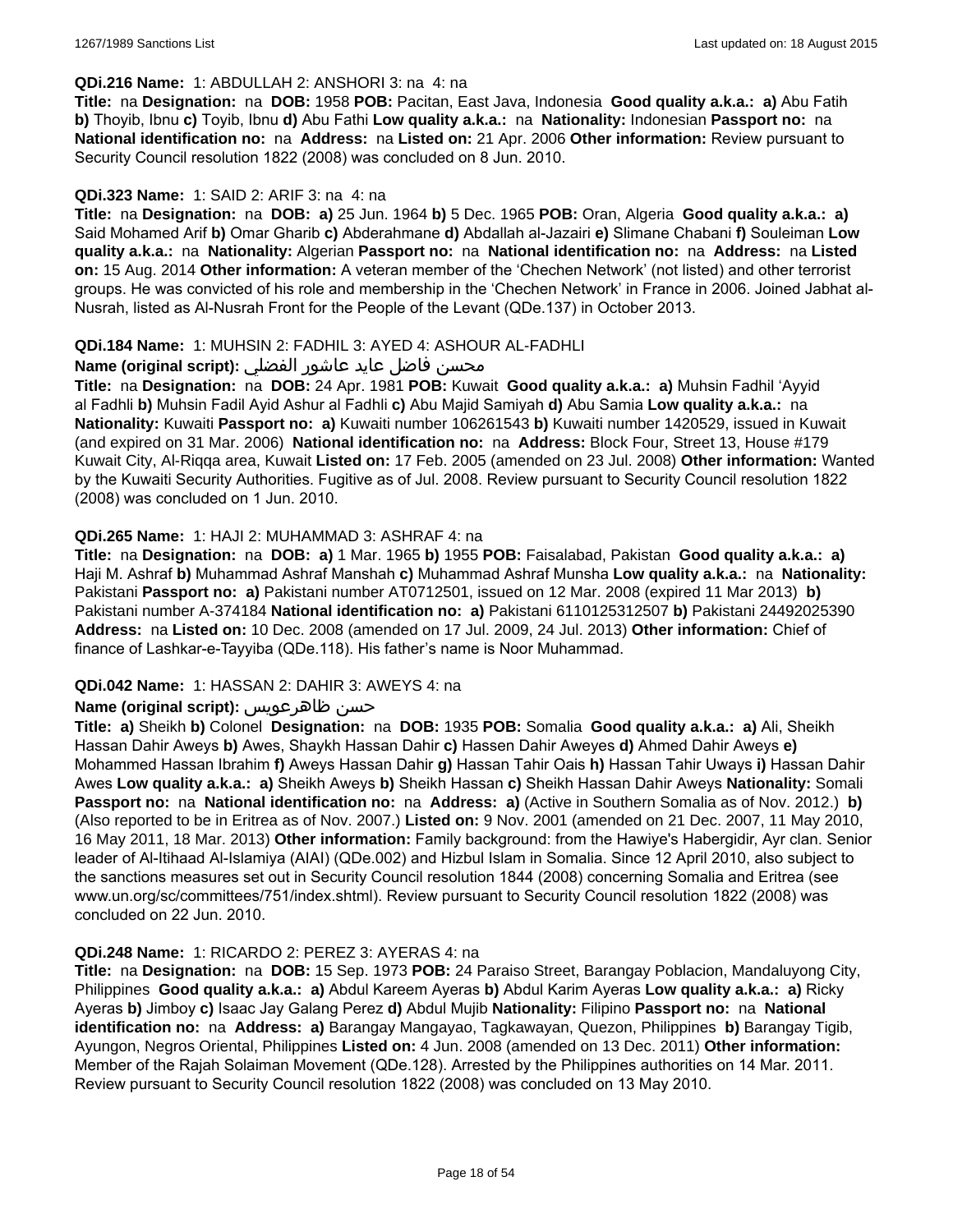#### **QDi.216 Name:** 1: ABDULLAH 2: ANSHORI 3: na 4: na

**Title:** na **Designation:** na **DOB:** 1958 **POB:** Pacitan, East Java, Indonesia **Good quality a.k.a.: a)** Abu Fatih **b)** Thoyib, Ibnu **c)** Toyib, Ibnu **d)** Abu Fathi **Low quality a.k.a.:** na **Nationality:** Indonesian **Passport no:** na **National identification no:** na **Address:** na **Listed on:** 21 Apr. 2006 **Other information:** Review pursuant to Security Council resolution 1822 (2008) was concluded on 8 Jun. 2010.

#### **QDi.323 Name:** 1: SAID 2: ARIF 3: na 4: na

**Title:** na **Designation:** na **DOB: a)** 25 Jun. 1964 **b)** 5 Dec. 1965 **POB:** Oran, Algeria **Good quality a.k.a.: a)** Said Mohamed Arif **b)** Omar Gharib **c)** Abderahmane **d)** Abdallah al-Jazairi **e)** Slimane Chabani **f)** Souleiman **Low quality a.k.a.:** na **Nationality:** Algerian **Passport no:** na **National identification no:** na **Address:** na **Listed on:** 15 Aug. 2014 **Other information:** A veteran member of the 'Chechen Network' (not listed) and other terrorist groups. He was convicted of his role and membership in the 'Chechen Network' in France in 2006. Joined Jabhat al-Nusrah, listed as Al-Nusrah Front for the People of the Levant (QDe.137) in October 2013.

#### **QDi.184 Name:** 1: MUHSIN 2: FADHIL 3: AYED 4: ASHOUR AL-FADHLI

#### محسن فاضل عايد عاشور الفضلي **:(Name (original script**

**Title:** na **Designation:** na **DOB:** 24 Apr. 1981 **POB:** Kuwait **Good quality a.k.a.: a)** Muhsin Fadhil 'Ayyid al Fadhli **b)** Muhsin Fadil Ayid Ashur al Fadhli **c)** Abu Majid Samiyah **d)** Abu Samia **Low quality a.k.a.:** na **Nationality:** Kuwaiti **Passport no: a)** Kuwaiti number 106261543 **b)** Kuwaiti number 1420529, issued in Kuwait (and expired on 31 Mar. 2006) **National identification no:** na **Address:** Block Four, Street 13, House #179 Kuwait City, Al-Riqqa area, Kuwait **Listed on:** 17 Feb. 2005 (amended on 23 Jul. 2008) **Other information:** Wanted by the Kuwaiti Security Authorities. Fugitive as of Jul. 2008. Review pursuant to Security Council resolution 1822 (2008) was concluded on 1 Jun. 2010.

#### **QDi.265 Name:** 1: HAJI 2: MUHAMMAD 3: ASHRAF 4: na

**Title:** na **Designation:** na **DOB: a)** 1 Mar. 1965 **b)** 1955 **POB:** Faisalabad, Pakistan **Good quality a.k.a.: a)** Haji M. Ashraf **b)** Muhammad Ashraf Manshah **c)** Muhammad Ashraf Munsha **Low quality a.k.a.:** na **Nationality:** Pakistani **Passport no: a)** Pakistani number AT0712501, issued on 12 Mar. 2008 (expired 11 Mar 2013) **b)** Pakistani number A-374184 **National identification no: a)** Pakistani 6110125312507 **b)** Pakistani 24492025390 **Address:** na **Listed on:** 10 Dec. 2008 (amended on 17 Jul. 2009, 24 Jul. 2013) **Other information:** Chief of finance of Lashkar-e-Tayyiba (QDe.118). His father's name is Noor Muhammad.

#### **QDi.042 Name:** 1: HASSAN 2: DAHIR 3: AWEYS 4: na

#### **Name (original script):** ظاهرعويس حسن

**Title: a)** Sheikh **b)** Colonel **Designation:** na **DOB:** 1935 **POB:** Somalia **Good quality a.k.a.: a)** Ali, Sheikh Hassan Dahir Aweys **b)** Awes, Shaykh Hassan Dahir **c)** Hassen Dahir Aweyes **d)** Ahmed Dahir Aweys **e)** Mohammed Hassan Ibrahim **f)** Aweys Hassan Dahir **g)** Hassan Tahir Oais **h)** Hassan Tahir Uways **i)** Hassan Dahir Awes **Low quality a.k.a.: a)** Sheikh Aweys **b)** Sheikh Hassan **c)** Sheikh Hassan Dahir Aweys **Nationality:** Somali **Passport no:** na **National identification no:** na **Address: a)** (Active in Southern Somalia as of Nov. 2012.) **b)** (Also reported to be in Eritrea as of Nov. 2007.) **Listed on:** 9 Nov. 2001 (amended on 21 Dec. 2007, 11 May 2010, 16 May 2011, 18 Mar. 2013) **Other information:** Family background: from the Hawiye's Habergidir, Ayr clan. Senior leader of Al-Itihaad Al-Islamiya (AIAI) (QDe.002) and Hizbul Islam in Somalia. Since 12 April 2010, also subject to the sanctions measures set out in Security Council resolution 1844 (2008) concerning Somalia and Eritrea (see www.un.org/sc/committees/751/index.shtml). Review pursuant to Security Council resolution 1822 (2008) was concluded on 22 Jun. 2010.

#### **QDi.248 Name:** 1: RICARDO 2: PEREZ 3: AYERAS 4: na

**Title:** na **Designation:** na **DOB:** 15 Sep. 1973 **POB:** 24 Paraiso Street, Barangay Poblacion, Mandaluyong City, Philippines **Good quality a.k.a.: a)** Abdul Kareem Ayeras **b)** Abdul Karim Ayeras **Low quality a.k.a.: a)** Ricky Ayeras **b)** Jimboy **c)** Isaac Jay Galang Perez **d)** Abdul Mujib **Nationality:** Filipino **Passport no:** na **National identification no:** na **Address: a)** Barangay Mangayao, Tagkawayan, Quezon, Philippines **b)** Barangay Tigib, Ayungon, Negros Oriental, Philippines **Listed on:** 4 Jun. 2008 (amended on 13 Dec. 2011) **Other information:** Member of the Rajah Solaiman Movement (QDe.128). Arrested by the Philippines authorities on 14 Mar. 2011. Review pursuant to Security Council resolution 1822 (2008) was concluded on 13 May 2010.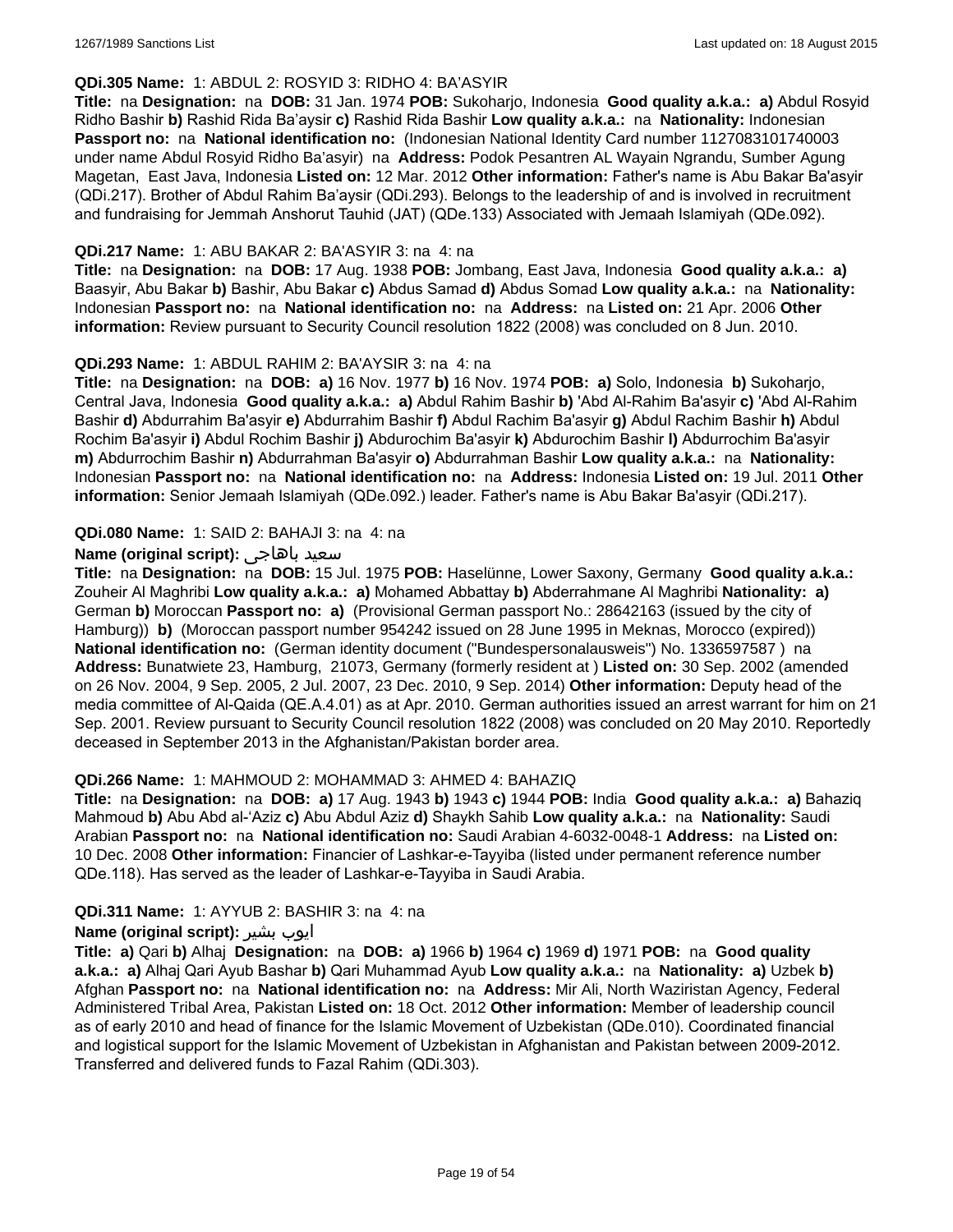### **QDi.305 Name:** 1: ABDUL 2: ROSYID 3: RIDHO 4: BA'ASYIR

**Title:** na **Designation:** na **DOB:** 31 Jan. 1974 **POB:** Sukoharjo, Indonesia **Good quality a.k.a.: a)** Abdul Rosyid Ridho Bashir **b)** Rashid Rida Ba'aysir **c)** Rashid Rida Bashir **Low quality a.k.a.:** na **Nationality:** Indonesian **Passport no:** na **National identification no:** (Indonesian National Identity Card number 1127083101740003 under name Abdul Rosyid Ridho Ba'asyir) na **Address:** Podok Pesantren AL Wayain Ngrandu, Sumber Agung Magetan, East Java, Indonesia **Listed on:** 12 Mar. 2012 **Other information:** Father's name is Abu Bakar Ba'asyir (QDi.217). Brother of Abdul Rahim Ba'aysir (QDi.293). Belongs to the leadership of and is involved in recruitment and fundraising for Jemmah Anshorut Tauhid (JAT) (QDe.133) Associated with Jemaah Islamiyah (QDe.092).

#### **QDi.217 Name:** 1: ABU BAKAR 2: BA'ASYIR 3: na 4: na

**Title:** na **Designation:** na **DOB:** 17 Aug. 1938 **POB:** Jombang, East Java, Indonesia **Good quality a.k.a.: a)** Baasyir, Abu Bakar **b)** Bashir, Abu Bakar **c)** Abdus Samad **d)** Abdus Somad **Low quality a.k.a.:** na **Nationality:** Indonesian **Passport no:** na **National identification no:** na **Address:** na **Listed on:** 21 Apr. 2006 **Other information:** Review pursuant to Security Council resolution 1822 (2008) was concluded on 8 Jun. 2010.

#### **QDi.293 Name:** 1: ABDUL RAHIM 2: BA'AYSIR 3: na 4: na

**Title:** na **Designation:** na **DOB: a)** 16 Nov. 1977 **b)** 16 Nov. 1974 **POB: a)** Solo, Indonesia **b)** Sukoharjo, Central Java, Indonesia **Good quality a.k.a.: a)** Abdul Rahim Bashir **b)** 'Abd Al-Rahim Ba'asyir **c)** 'Abd Al-Rahim Bashir **d)** Abdurrahim Ba'asyir **e)** Abdurrahim Bashir **f)** Abdul Rachim Ba'asyir **g)** Abdul Rachim Bashir **h)** Abdul Rochim Ba'asyir **i)** Abdul Rochim Bashir **j)** Abdurochim Ba'asyir **k)** Abdurochim Bashir **l)** Abdurrochim Ba'asyir **m)** Abdurrochim Bashir **n)** Abdurrahman Ba'asyir **o)** Abdurrahman Bashir **Low quality a.k.a.:** na **Nationality:** Indonesian **Passport no:** na **National identification no:** na **Address:** Indonesia **Listed on:** 19 Jul. 2011 **Other information:** Senior Jemaah Islamiyah (QDe.092.) leader. Father's name is Abu Bakar Ba'asyir (QDi.217).

#### **QDi.080 Name:** 1: SAID 2: BAHAJI 3: na 4: na

#### **Name (original script):** باهاجى سعيد

**Title:** na **Designation:** na **DOB:** 15 Jul. 1975 **POB:** Haselünne, Lower Saxony, Germany **Good quality a.k.a.:** Zouheir Al Maghribi **Low quality a.k.a.: a)** Mohamed Abbattay **b)** Abderrahmane Al Maghribi **Nationality: a)** German **b)** Moroccan **Passport no: a)** (Provisional German passport No.: 28642163 (issued by the city of Hamburg)) **b)** (Moroccan passport number 954242 issued on 28 June 1995 in Meknas, Morocco (expired)) **National identification no:** (German identity document ("Bundespersonalausweis") No. 1336597587 ) na **Address:** Bunatwiete 23, Hamburg, 21073, Germany (formerly resident at ) **Listed on:** 30 Sep. 2002 (amended on 26 Nov. 2004, 9 Sep. 2005, 2 Jul. 2007, 23 Dec. 2010, 9 Sep. 2014) **Other information:** Deputy head of the media committee of Al-Qaida (QE.A.4.01) as at Apr. 2010. German authorities issued an arrest warrant for him on 21 Sep. 2001. Review pursuant to Security Council resolution 1822 (2008) was concluded on 20 May 2010. Reportedly deceased in September 2013 in the Afghanistan/Pakistan border area.

#### **QDi.266 Name:** 1: MAHMOUD 2: MOHAMMAD 3: AHMED 4: BAHAZIQ

**Title:** na **Designation:** na **DOB: a)** 17 Aug. 1943 **b)** 1943 **c)** 1944 **POB:** India **Good quality a.k.a.: a)** Bahaziq Mahmoud **b)** Abu Abd al-'Aziz **c)** Abu Abdul Aziz **d)** Shaykh Sahib **Low quality a.k.a.:** na **Nationality:** Saudi Arabian **Passport no:** na **National identification no:** Saudi Arabian 4-6032-0048-1 **Address:** na **Listed on:** 10 Dec. 2008 **Other information:** Financier of Lashkar-e-Tayyiba (listed under permanent reference number QDe.118). Has served as the leader of Lashkar-e-Tayyiba in Saudi Arabia.

#### **QDi.311 Name:** 1: AYYUB 2: BASHIR 3: na 4: na

## **Name (original script):** بشیر ایوب

**Title: a)** Qari **b)** Alhaj **Designation:** na **DOB: a)** 1966 **b)** 1964 **c)** 1969 **d)** 1971 **POB:** na **Good quality a.k.a.: a)** Alhaj Qari Ayub Bashar **b)** Qari Muhammad Ayub **Low quality a.k.a.:** na **Nationality: a)** Uzbek **b)** Afghan **Passport no:** na **National identification no:** na **Address:** Mir Ali, North Waziristan Agency, Federal Administered Tribal Area, Pakistan **Listed on:** 18 Oct. 2012 **Other information:** Member of leadership council as of early 2010 and head of finance for the Islamic Movement of Uzbekistan (QDe.010). Coordinated financial and logistical support for the Islamic Movement of Uzbekistan in Afghanistan and Pakistan between 2009-2012. Transferred and delivered funds to Fazal Rahim (QDi.303).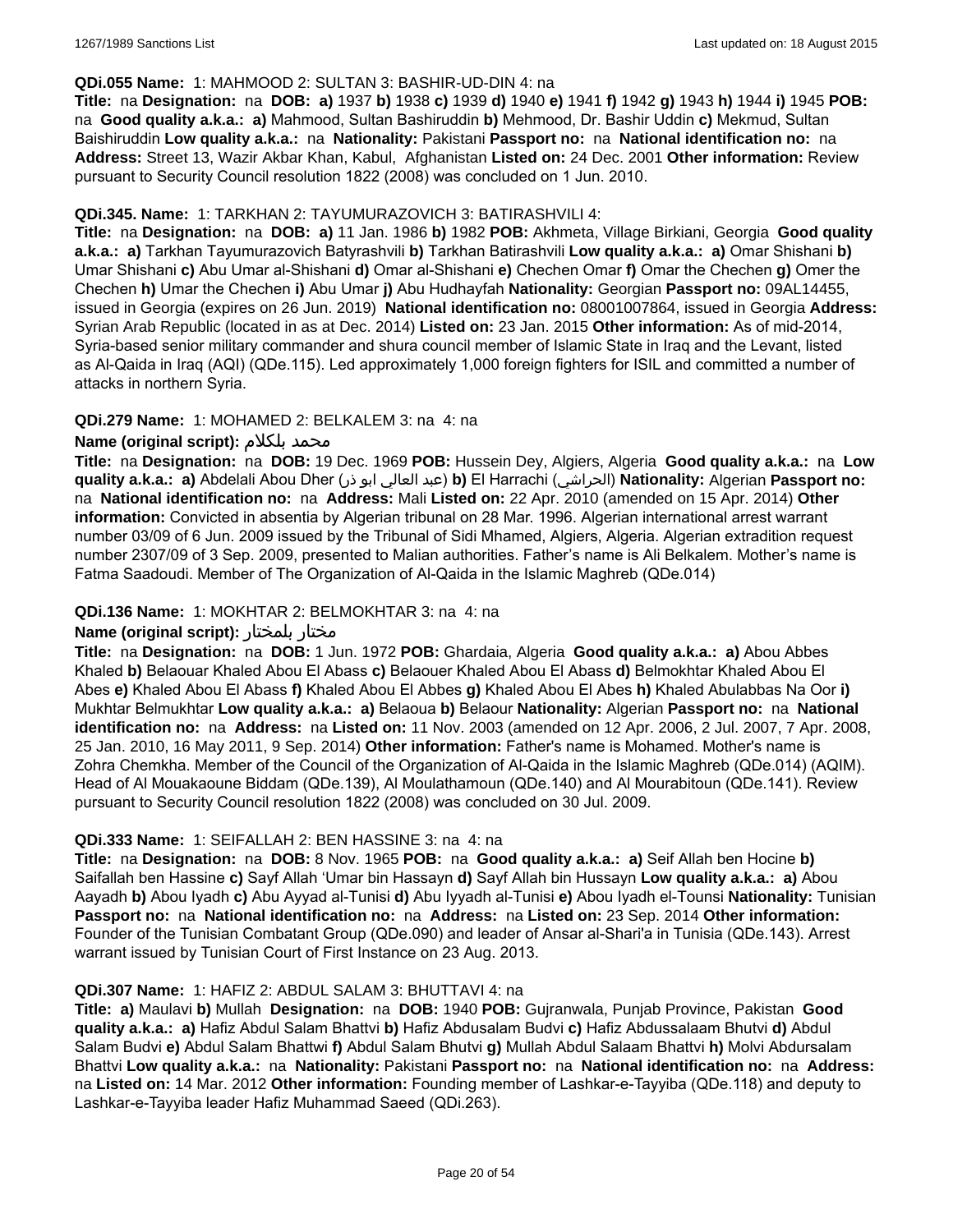#### **QDi.055 Name:** 1: MAHMOOD 2: SULTAN 3: BASHIR-UD-DIN 4: na

**Title:** na **Designation:** na **DOB: a)** 1937 **b)** 1938 **c)** 1939 **d)** 1940 **e)** 1941 **f)** 1942 **g)** 1943 **h)** 1944 **i)** 1945 **POB:**  na **Good quality a.k.a.: a)** Mahmood, Sultan Bashiruddin **b)** Mehmood, Dr. Bashir Uddin **c)** Mekmud, Sultan Baishiruddin **Low quality a.k.a.:** na **Nationality:** Pakistani **Passport no:** na **National identification no:** na **Address:** Street 13, Wazir Akbar Khan, Kabul, Afghanistan **Listed on:** 24 Dec. 2001 **Other information:** Review pursuant to Security Council resolution 1822 (2008) was concluded on 1 Jun. 2010.

#### **QDi.345. Name:** 1: TARKHAN 2: TAYUMURAZOVICH 3: BATIRASHVILI 4:

**Title:** na **Designation:** na **DOB: a)** 11 Jan. 1986 **b)** 1982 **POB:** Akhmeta, Village Birkiani, Georgia **Good quality a.k.a.: a)** Tarkhan Tayumurazovich Batyrashvili **b)** Tarkhan Batirashvili **Low quality a.k.a.: a)** Omar Shishani **b)** Umar Shishani **c)** Abu Umar al-Shishani **d)** Omar al-Shishani **e)** Chechen Omar **f)** Omar the Chechen **g)** Omer the Chechen **h)** Umar the Chechen **i)** Abu Umar **j)** Abu Hudhayfah **Nationality:** Georgian **Passport no:** 09AL14455, issued in Georgia (expires on 26 Jun. 2019) **National identification no:** 08001007864, issued in Georgia **Address:** Syrian Arab Republic (located in as at Dec. 2014) **Listed on:** 23 Jan. 2015 **Other information:** As of mid-2014, Syria-based senior military commander and shura council member of Islamic State in Iraq and the Levant, listed as Al-Qaida in Iraq (AQI) (QDe.115). Led approximately 1,000 foreign fighters for ISIL and committed a number of attacks in northern Syria.

#### **QDi.279 Name:** 1: MOHAMED 2: BELKALEM 3: na 4: na

#### **Name (original script):** بلكلام محمد

**Title:** na **Designation:** na **DOB:** 19 Dec. 1969 **POB:** Hussein Dey, Algiers, Algeria **Good quality a.k.a.:** na **Low quality a.k.a.: a)** Abdelali Abou Dher (ذر ابو العالي عبد(**b)** El Harrachi (الحراشي(**Nationality:** Algerian **Passport no:**  na **National identification no:** na **Address:** Mali **Listed on:** 22 Apr. 2010 (amended on 15 Apr. 2014) **Other information:** Convicted in absentia by Algerian tribunal on 28 Mar. 1996. Algerian international arrest warrant number 03/09 of 6 Jun. 2009 issued by the Tribunal of Sidi Mhamed, Algiers, Algeria. Algerian extradition request number 2307/09 of 3 Sep. 2009, presented to Malian authorities. Father's name is Ali Belkalem. Mother's name is Fatma Saadoudi. Member of The Organization of Al-Qaida in the Islamic Maghreb (QDe.014)

#### **QDi.136 Name:** 1: MOKHTAR 2: BELMOKHTAR 3: na 4: na

#### **Name (original script):** بلمختار مختار

**Title:** na **Designation:** na **DOB:** 1 Jun. 1972 **POB:** Ghardaia, Algeria **Good quality a.k.a.: a)** Abou Abbes Khaled **b)** Belaouar Khaled Abou El Abass **c)** Belaouer Khaled Abou El Abass **d)** Belmokhtar Khaled Abou El Abes **e)** Khaled Abou El Abass **f)** Khaled Abou El Abbes **g)** Khaled Abou El Abes **h)** Khaled Abulabbas Na Oor **i)** Mukhtar Belmukhtar **Low quality a.k.a.: a)** Belaoua **b)** Belaour **Nationality:** Algerian **Passport no:** na **National identification no:** na **Address:** na **Listed on:** 11 Nov. 2003 (amended on 12 Apr. 2006, 2 Jul. 2007, 7 Apr. 2008, 25 Jan. 2010, 16 May 2011, 9 Sep. 2014) **Other information:** Father's name is Mohamed. Mother's name is Zohra Chemkha. Member of the Council of the Organization of Al-Qaida in the Islamic Maghreb (QDe.014) (AQIM). Head of Al Mouakaoune Biddam (QDe.139), Al Moulathamoun (QDe.140) and Al Mourabitoun (QDe.141). Review pursuant to Security Council resolution 1822 (2008) was concluded on 30 Jul. 2009.

#### **QDi.333 Name:** 1: SEIFALLAH 2: BEN HASSINE 3: na 4: na

**Title:** na **Designation:** na **DOB:** 8 Nov. 1965 **POB:** na **Good quality a.k.a.: a)** Seif Allah ben Hocine **b)** Saifallah ben Hassine **c)** Sayf Allah 'Umar bin Hassayn **d)** Sayf Allah bin Hussayn **Low quality a.k.a.: a)** Abou Aayadh **b)** Abou Iyadh **c)** Abu Ayyad al-Tunisi **d)** Abu Iyyadh al-Tunisi **e)** Abou Iyadh el-Tounsi **Nationality:** Tunisian **Passport no:** na **National identification no:** na **Address:** na **Listed on:** 23 Sep. 2014 **Other information:** Founder of the Tunisian Combatant Group (QDe.090) and leader of Ansar al-Shari'a in Tunisia (QDe.143). Arrest warrant issued by Tunisian Court of First Instance on 23 Aug. 2013.

#### **QDi.307 Name:** 1: HAFIZ 2: ABDUL SALAM 3: BHUTTAVI 4: na

**Title: a)** Maulavi **b)** Mullah **Designation:** na **DOB:** 1940 **POB:** Gujranwala, Punjab Province, Pakistan **Good quality a.k.a.: a)** Hafiz Abdul Salam Bhattvi **b)** Hafiz Abdusalam Budvi **c)** Hafiz Abdussalaam Bhutvi **d)** Abdul Salam Budvi **e)** Abdul Salam Bhattwi **f)** Abdul Salam Bhutvi **g)** Mullah Abdul Salaam Bhattvi **h)** Molvi Abdursalam Bhattvi **Low quality a.k.a.:** na **Nationality:** Pakistani **Passport no:** na **National identification no:** na **Address:** na **Listed on:** 14 Mar. 2012 **Other information:** Founding member of Lashkar-e-Tayyiba (QDe.118) and deputy to Lashkar-e-Tayyiba leader Hafiz Muhammad Saeed (QDi.263).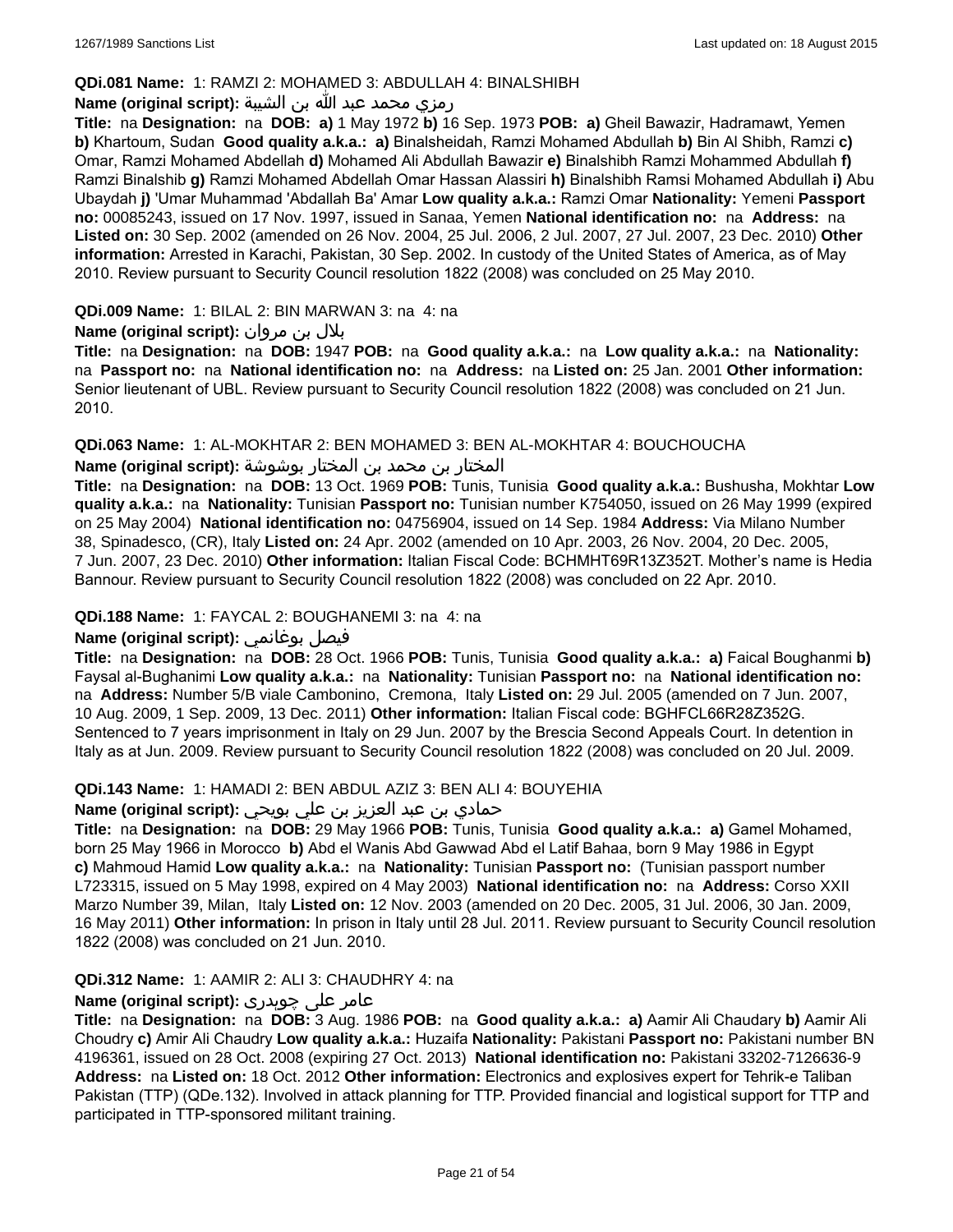### **QDi.081 Name:** 1: RAMZI 2: MOHAMED 3: ABDULLAH 4: BINALSHIBH

### رمزي محمد عبد الله بن الشيبة **:(script original (Name**

**Title:** na **Designation:** na **DOB: a)** 1 May 1972 **b)** 16 Sep. 1973 **POB: a)** Gheil Bawazir, Hadramawt, Yemen **b)** Khartoum, Sudan **Good quality a.k.a.: a)** Binalsheidah, Ramzi Mohamed Abdullah **b)** Bin Al Shibh, Ramzi **c)** Omar, Ramzi Mohamed Abdellah **d)** Mohamed Ali Abdullah Bawazir **e)** Binalshibh Ramzi Mohammed Abdullah **f)** Ramzi Binalshib **g)** Ramzi Mohamed Abdellah Omar Hassan Alassiri **h)** Binalshibh Ramsi Mohamed Abdullah **i)** Abu Ubaydah **j)** 'Umar Muhammad 'Abdallah Ba' Amar **Low quality a.k.a.:** Ramzi Omar **Nationality:** Yemeni **Passport no:** 00085243, issued on 17 Nov. 1997, issued in Sanaa, Yemen **National identification no:** na **Address:** na **Listed on:** 30 Sep. 2002 (amended on 26 Nov. 2004, 25 Jul. 2006, 2 Jul. 2007, 27 Jul. 2007, 23 Dec. 2010) **Other information:** Arrested in Karachi, Pakistan, 30 Sep. 2002. In custody of the United States of America, as of May 2010. Review pursuant to Security Council resolution 1822 (2008) was concluded on 25 May 2010.

## **QDi.009 Name:** 1: BILAL 2: BIN MARWAN 3: na 4: na

بلال بن مروان **:(script original (Name**

**Title:** na **Designation:** na **DOB:** 1947 **POB:** na **Good quality a.k.a.:** na **Low quality a.k.a.:** na **Nationality:**  na **Passport no:** na **National identification no:** na **Address:** na **Listed on:** 25 Jan. 2001 **Other information:** Senior lieutenant of UBL. Review pursuant to Security Council resolution 1822 (2008) was concluded on 21 Jun. 2010.

#### **QDi.063 Name:** 1: AL-MOKHTAR 2: BEN MOHAMED 3: BEN AL-MOKHTAR 4: BOUCHOUCHA

#### المختار بن محمد بن المختار بوشوشة **:(script original (Name**

**Title:** na **Designation:** na **DOB:** 13 Oct. 1969 **POB:** Tunis, Tunisia **Good quality a.k.a.:** Bushusha, Mokhtar **Low quality a.k.a.:** na **Nationality:** Tunisian **Passport no:** Tunisian number K754050, issued on 26 May 1999 (expired on 25 May 2004) **National identification no:** 04756904, issued on 14 Sep. 1984 **Address:** Via Milano Number 38, Spinadesco, (CR), Italy **Listed on:** 24 Apr. 2002 (amended on 10 Apr. 2003, 26 Nov. 2004, 20 Dec. 2005, 7 Jun. 2007, 23 Dec. 2010) **Other information:** Italian Fiscal Code: BCHMHT69R13Z352T. Mother's name is Hedia Bannour. Review pursuant to Security Council resolution 1822 (2008) was concluded on 22 Apr. 2010.

#### **QDi.188 Name:** 1: FAYCAL 2: BOUGHANEMI 3: na 4: na

## **Name (original script):** بوغانمي فيصل

**Title:** na **Designation:** na **DOB:** 28 Oct. 1966 **POB:** Tunis, Tunisia **Good quality a.k.a.: a)** Faical Boughanmi **b)** Faysal al-Bughanimi **Low quality a.k.a.:** na **Nationality:** Tunisian **Passport no:** na **National identification no:**  na **Address:** Number 5/B viale Cambonino, Cremona, Italy **Listed on:** 29 Jul. 2005 (amended on 7 Jun. 2007, 10 Aug. 2009, 1 Sep. 2009, 13 Dec. 2011) **Other information:** Italian Fiscal code: BGHFCL66R28Z352G. Sentenced to 7 years imprisonment in Italy on 29 Jun. 2007 by the Brescia Second Appeals Court. In detention in Italy as at Jun. 2009. Review pursuant to Security Council resolution 1822 (2008) was concluded on 20 Jul. 2009.

#### **QDi.143 Name:** 1: HAMADI 2: BEN ABDUL AZIZ 3: BEN ALI 4: BOUYEHIA

## حمادي بن عبد العزيز بن علي بويحي **:(script original (Name**

**Title:** na **Designation:** na **DOB:** 29 May 1966 **POB:** Tunis, Tunisia **Good quality a.k.a.: a)** Gamel Mohamed, born 25 May 1966 in Morocco **b)** Abd el Wanis Abd Gawwad Abd el Latif Bahaa, born 9 May 1986 in Egypt **c)** Mahmoud Hamid **Low quality a.k.a.:** na **Nationality:** Tunisian **Passport no:** (Tunisian passport number L723315, issued on 5 May 1998, expired on 4 May 2003) **National identification no:** na **Address:** Corso XXII Marzo Number 39, Milan, Italy **Listed on:** 12 Nov. 2003 (amended on 20 Dec. 2005, 31 Jul. 2006, 30 Jan. 2009, 16 May 2011) **Other information:** In prison in Italy until 28 Jul. 2011. Review pursuant to Security Council resolution 1822 (2008) was concluded on 21 Jun. 2010.

#### **QDi.312 Name:** 1: AAMIR 2: ALI 3: CHAUDHRY 4: na

## عامر علی چوہدری **:(script original (Name**

**Title:** na **Designation:** na **DOB:** 3 Aug. 1986 **POB:** na **Good quality a.k.a.: a)** Aamir Ali Chaudary **b)** Aamir Ali Choudry **c)** Amir Ali Chaudry **Low quality a.k.a.:** Huzaifa **Nationality:** Pakistani **Passport no:** Pakistani number BN 4196361, issued on 28 Oct. 2008 (expiring 27 Oct. 2013) **National identification no:** Pakistani 33202-7126636-9 **Address:** na **Listed on:** 18 Oct. 2012 **Other information:** Electronics and explosives expert for Tehrik-e Taliban Pakistan (TTP) (QDe.132). Involved in attack planning for TTP. Provided financial and logistical support for TTP and participated in TTP-sponsored militant training.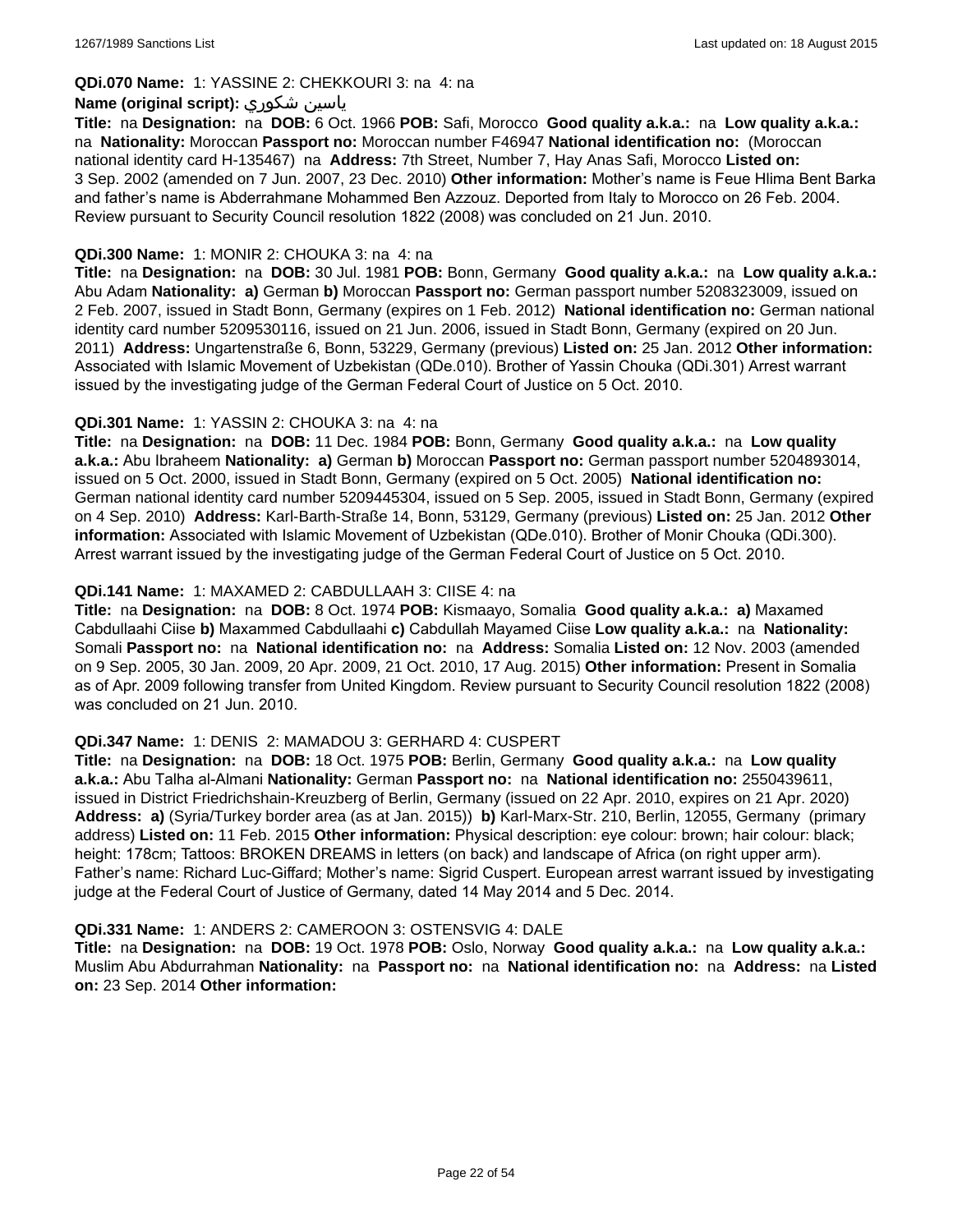## **QDi.070 Name:** 1: YASSINE 2: CHEKKOURI 3: na 4: na

#### **Name (original script):** شكوري ياسين

**Title:** na **Designation:** na **DOB:** 6 Oct. 1966 **POB:** Safi, Morocco **Good quality a.k.a.:** na **Low quality a.k.a.:**  na **Nationality:** Moroccan **Passport no:** Moroccan number F46947 **National identification no:** (Moroccan national identity card H-135467) na **Address:** 7th Street, Number 7, Hay Anas Safi, Morocco **Listed on:** 3 Sep. 2002 (amended on 7 Jun. 2007, 23 Dec. 2010) **Other information:** Mother's name is Feue Hlima Bent Barka and father's name is Abderrahmane Mohammed Ben Azzouz. Deported from Italy to Morocco on 26 Feb. 2004. Review pursuant to Security Council resolution 1822 (2008) was concluded on 21 Jun. 2010.

#### **QDi.300 Name:** 1: MONIR 2: CHOUKA 3: na 4: na

**Title:** na **Designation:** na **DOB:** 30 Jul. 1981 **POB:** Bonn, Germany **Good quality a.k.a.:** na **Low quality a.k.a.:** Abu Adam **Nationality: a)** German **b)** Moroccan **Passport no:** German passport number 5208323009, issued on 2 Feb. 2007, issued in Stadt Bonn, Germany (expires on 1 Feb. 2012) **National identification no:** German national identity card number 5209530116, issued on 21 Jun. 2006, issued in Stadt Bonn, Germany (expired on 20 Jun. 2011) **Address:** Ungartenstraße 6, Bonn, 53229, Germany (previous) **Listed on:** 25 Jan. 2012 **Other information:** Associated with Islamic Movement of Uzbekistan (QDe.010). Brother of Yassin Chouka (QDi.301) Arrest warrant issued by the investigating judge of the German Federal Court of Justice on 5 Oct. 2010.

#### **QDi.301 Name:** 1: YASSIN 2: CHOUKA 3: na 4: na

**Title:** na **Designation:** na **DOB:** 11 Dec. 1984 **POB:** Bonn, Germany **Good quality a.k.a.:** na **Low quality a.k.a.:** Abu Ibraheem **Nationality: a)** German **b)** Moroccan **Passport no:** German passport number 5204893014, issued on 5 Oct. 2000, issued in Stadt Bonn, Germany (expired on 5 Oct. 2005) **National identification no:** German national identity card number 5209445304, issued on 5 Sep. 2005, issued in Stadt Bonn, Germany (expired on 4 Sep. 2010) **Address:** Karl-Barth-Straße 14, Bonn, 53129, Germany (previous) **Listed on:** 25 Jan. 2012 **Other information:** Associated with Islamic Movement of Uzbekistan (QDe.010). Brother of Monir Chouka (QDi.300). Arrest warrant issued by the investigating judge of the German Federal Court of Justice on 5 Oct. 2010.

#### **QDi.141 Name:** 1: MAXAMED 2: CABDULLAAH 3: CIISE 4: na

**Title:** na **Designation:** na **DOB:** 8 Oct. 1974 **POB:** Kismaayo, Somalia **Good quality a.k.a.: a)** Maxamed Cabdullaahi Ciise **b)** Maxammed Cabdullaahi **c)** Cabdullah Mayamed Ciise **Low quality a.k.a.:** na **Nationality:** Somali **Passport no:** na **National identification no:** na **Address:** Somalia **Listed on:** 12 Nov. 2003 (amended on 9 Sep. 2005, 30 Jan. 2009, 20 Apr. 2009, 21 Oct. 2010, 17 Aug. 2015) **Other information:** Present in Somalia as of Apr. 2009 following transfer from United Kingdom. Review pursuant to Security Council resolution 1822 (2008) was concluded on 21 Jun. 2010.

## **QDi.347 Name:** 1: DENIS 2: MAMADOU 3: GERHARD 4: CUSPERT

**Title:** na **Designation:** na **DOB:** 18 Oct. 1975 **POB:** Berlin, Germany **Good quality a.k.a.:** na **Low quality a.k.a.:** Abu Talha al-Almani **Nationality:** German **Passport no:** na **National identification no:** 2550439611, issued in District Friedrichshain-Kreuzberg of Berlin, Germany (issued on 22 Apr. 2010, expires on 21 Apr. 2020) **Address: a)** (Syria/Turkey border area (as at Jan. 2015)) **b)** Karl-Marx-Str. 210, Berlin, 12055, Germany (primary address) **Listed on:** 11 Feb. 2015 **Other information:** Physical description: eye colour: brown; hair colour: black; height: 178cm; Tattoos: BROKEN DREAMS in letters (on back) and landscape of Africa (on right upper arm). Father's name: Richard Luc-Giffard; Mother's name: Sigrid Cuspert. European arrest warrant issued by investigating judge at the Federal Court of Justice of Germany, dated 14 May 2014 and 5 Dec. 2014.

#### **QDi.331 Name:** 1: ANDERS 2: CAMEROON 3: OSTENSVIG 4: DALE

**Title:** na **Designation:** na **DOB:** 19 Oct. 1978 **POB:** Oslo, Norway **Good quality a.k.a.:** na **Low quality a.k.a.:** Muslim Abu Abdurrahman **Nationality:** na **Passport no:** na **National identification no:** na **Address:** na **Listed on:** 23 Sep. 2014 **Other information:**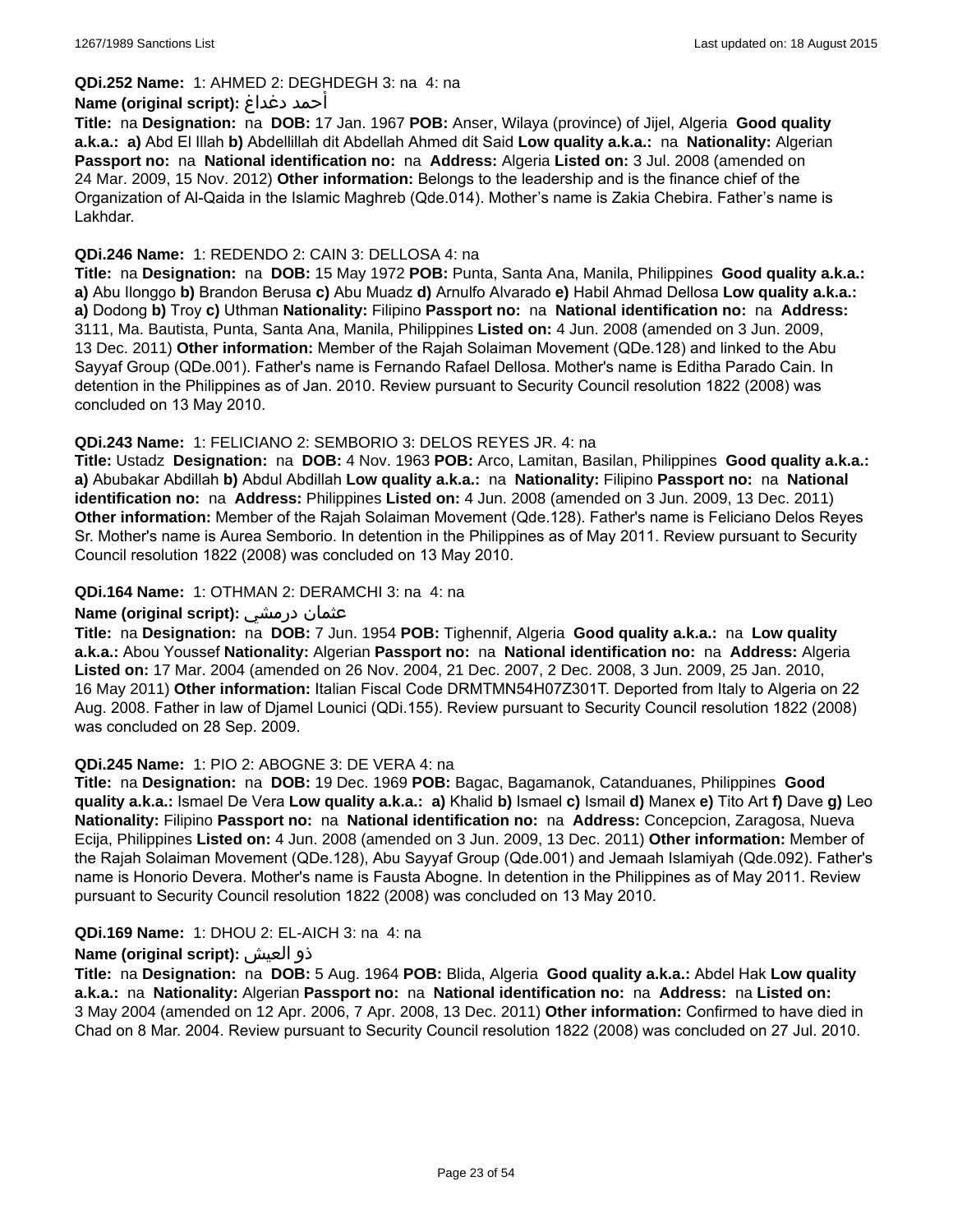## **QDi.252 Name:** 1: AHMED 2: DEGHDEGH 3: na 4: na

#### **Name (original script):** دغداغ أحمد

**Title:** na **Designation:** na **DOB:** 17 Jan. 1967 **POB:** Anser, Wilaya (province) of Jijel, Algeria **Good quality a.k.a.: a)** Abd El Illah **b)** Abdellillah dit Abdellah Ahmed dit Said **Low quality a.k.a.:** na **Nationality:** Algerian **Passport no:** na **National identification no:** na **Address:** Algeria **Listed on:** 3 Jul. 2008 (amended on 24 Mar. 2009, 15 Nov. 2012) **Other information:** Belongs to the leadership and is the finance chief of the Organization of Al-Qaida in the Islamic Maghreb (Qde.014). Mother's name is Zakia Chebira. Father's name is Lakhdar.

### **QDi.246 Name:** 1: REDENDO 2: CAIN 3: DELLOSA 4: na

**Title:** na **Designation:** na **DOB:** 15 May 1972 **POB:** Punta, Santa Ana, Manila, Philippines **Good quality a.k.a.: a)** Abu Ilonggo **b)** Brandon Berusa **c)** Abu Muadz **d)** Arnulfo Alvarado **e)** Habil Ahmad Dellosa **Low quality a.k.a.: a)** Dodong **b)** Troy **c)** Uthman **Nationality:** Filipino **Passport no:** na **National identification no:** na **Address:** 3111, Ma. Bautista, Punta, Santa Ana, Manila, Philippines **Listed on:** 4 Jun. 2008 (amended on 3 Jun. 2009, 13 Dec. 2011) **Other information:** Member of the Rajah Solaiman Movement (QDe.128) and linked to the Abu Sayyaf Group (QDe.001). Father's name is Fernando Rafael Dellosa. Mother's name is Editha Parado Cain. In detention in the Philippines as of Jan. 2010. Review pursuant to Security Council resolution 1822 (2008) was concluded on 13 May 2010.

#### **QDi.243 Name:** 1: FELICIANO 2: SEMBORIO 3: DELOS REYES JR. 4: na

**Title:** Ustadz **Designation:** na **DOB:** 4 Nov. 1963 **POB:** Arco, Lamitan, Basilan, Philippines **Good quality a.k.a.: a)** Abubakar Abdillah **b)** Abdul Abdillah **Low quality a.k.a.:** na **Nationality:** Filipino **Passport no:** na **National identification no:** na **Address:** Philippines **Listed on:** 4 Jun. 2008 (amended on 3 Jun. 2009, 13 Dec. 2011) **Other information:** Member of the Rajah Solaiman Movement (Qde.128). Father's name is Feliciano Delos Reyes Sr. Mother's name is Aurea Semborio. In detention in the Philippines as of May 2011. Review pursuant to Security Council resolution 1822 (2008) was concluded on 13 May 2010.

#### **QDi.164 Name:** 1: OTHMAN 2: DERAMCHI 3: na 4: na

#### **Name (original script):** درمشي عثمان

**Title:** na **Designation:** na **DOB:** 7 Jun. 1954 **POB:** Tighennif, Algeria **Good quality a.k.a.:** na **Low quality a.k.a.:** Abou Youssef **Nationality:** Algerian **Passport no:** na **National identification no:** na **Address:** Algeria **Listed on:** 17 Mar. 2004 (amended on 26 Nov. 2004, 21 Dec. 2007, 2 Dec. 2008, 3 Jun. 2009, 25 Jan. 2010, 16 May 2011) **Other information:** Italian Fiscal Code DRMTMN54H07Z301T. Deported from Italy to Algeria on 22 Aug. 2008. Father in law of Djamel Lounici (QDi.155). Review pursuant to Security Council resolution 1822 (2008) was concluded on 28 Sep. 2009.

#### **QDi.245 Name:** 1: PIO 2: ABOGNE 3: DE VERA 4: na

**Title:** na **Designation:** na **DOB:** 19 Dec. 1969 **POB:** Bagac, Bagamanok, Catanduanes, Philippines **Good quality a.k.a.:** Ismael De Vera **Low quality a.k.a.: a)** Khalid **b)** Ismael **c)** Ismail **d)** Manex **e)** Tito Art **f)** Dave **g)** Leo **Nationality:** Filipino **Passport no:** na **National identification no:** na **Address:** Concepcion, Zaragosa, Nueva Ecija, Philippines **Listed on:** 4 Jun. 2008 (amended on 3 Jun. 2009, 13 Dec. 2011) **Other information:** Member of the Rajah Solaiman Movement (QDe.128), Abu Sayyaf Group (Qde.001) and Jemaah Islamiyah (Qde.092). Father's name is Honorio Devera. Mother's name is Fausta Abogne. In detention in the Philippines as of May 2011. Review pursuant to Security Council resolution 1822 (2008) was concluded on 13 May 2010.

## **QDi.169 Name:** 1: DHOU 2: EL-AICH 3: na 4: na

## **Name (original script):** العيش ذو

**Title:** na **Designation:** na **DOB:** 5 Aug. 1964 **POB:** Blida, Algeria **Good quality a.k.a.:** Abdel Hak **Low quality a.k.a.:** na **Nationality:** Algerian **Passport no:** na **National identification no:** na **Address:** na **Listed on:** 3 May 2004 (amended on 12 Apr. 2006, 7 Apr. 2008, 13 Dec. 2011) **Other information:** Confirmed to have died in Chad on 8 Mar. 2004. Review pursuant to Security Council resolution 1822 (2008) was concluded on 27 Jul. 2010.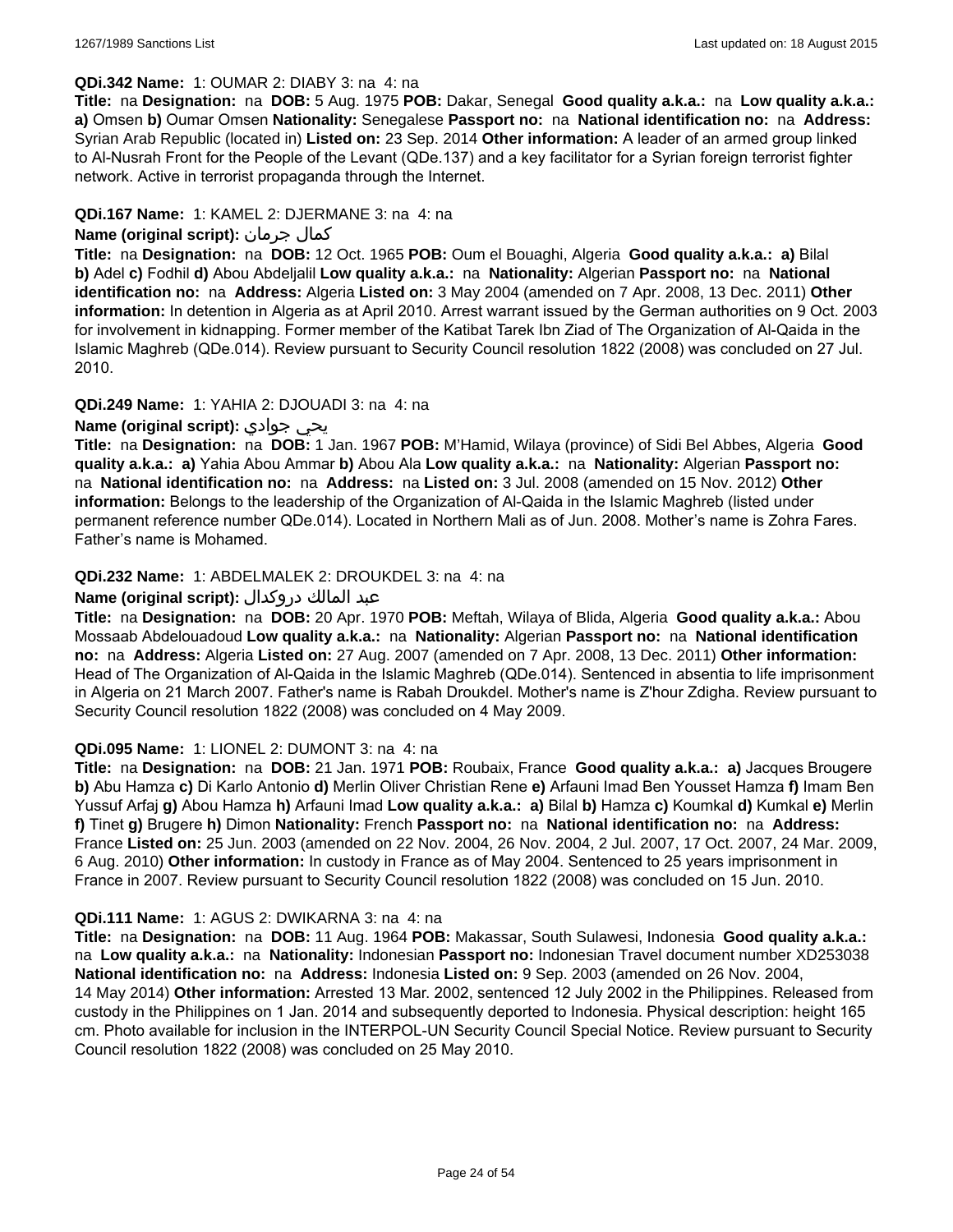#### **QDi.342 Name:** 1: OUMAR 2: DIABY 3: na 4: na

**Title:** na **Designation:** na **DOB:** 5 Aug. 1975 **POB:** Dakar, Senegal **Good quality a.k.a.:** na **Low quality a.k.a.: a)** Omsen **b)** Oumar Omsen **Nationality:** Senegalese **Passport no:** na **National identification no:** na **Address:** Syrian Arab Republic (located in) **Listed on:** 23 Sep. 2014 **Other information:** A leader of an armed group linked to Al-Nusrah Front for the People of the Levant (QDe.137) and a key facilitator for a Syrian foreign terrorist fighter network. Active in terrorist propaganda through the Internet.

### **QDi.167 Name:** 1: KAMEL 2: DJERMANE 3: na 4: na

### **Name (original script):** جرمان كمال

**Title:** na **Designation:** na **DOB:** 12 Oct. 1965 **POB:** Oum el Bouaghi, Algeria **Good quality a.k.a.: a)** Bilal **b)** Adel **c)** Fodhil **d)** Abou Abdeljalil **Low quality a.k.a.:** na **Nationality:** Algerian **Passport no:** na **National identification no:** na **Address:** Algeria **Listed on:** 3 May 2004 (amended on 7 Apr. 2008, 13 Dec. 2011) **Other information:** In detention in Algeria as at April 2010. Arrest warrant issued by the German authorities on 9 Oct. 2003 for involvement in kidnapping. Former member of the Katibat Tarek Ibn Ziad of The Organization of Al-Qaida in the Islamic Maghreb (QDe.014). Review pursuant to Security Council resolution 1822 (2008) was concluded on 27 Jul. 2010.

#### **QDi.249 Name:** 1: YAHIA 2: DJOUADI 3: na 4: na

### **Name (original script):** جوادي يحي

**Title:** na **Designation:** na **DOB:** 1 Jan. 1967 **POB:** M'Hamid, Wilaya (province) of Sidi Bel Abbes, Algeria **Good quality a.k.a.: a)** Yahia Abou Ammar **b)** Abou Ala **Low quality a.k.a.:** na **Nationality:** Algerian **Passport no:**  na **National identification no:** na **Address:** na **Listed on:** 3 Jul. 2008 (amended on 15 Nov. 2012) **Other information:** Belongs to the leadership of the Organization of Al-Qaida in the Islamic Maghreb (listed under permanent reference number QDe.014). Located in Northern Mali as of Jun. 2008. Mother's name is Zohra Fares. Father's name is Mohamed.

#### **QDi.232 Name:** 1: ABDELMALEK 2: DROUKDEL 3: na 4: na

#### عبد المالك دروكدال **:(script original (Name**

**Title:** na **Designation:** na **DOB:** 20 Apr. 1970 **POB:** Meftah, Wilaya of Blida, Algeria **Good quality a.k.a.:** Abou Mossaab Abdelouadoud **Low quality a.k.a.:** na **Nationality:** Algerian **Passport no:** na **National identification no:** na **Address:** Algeria **Listed on:** 27 Aug. 2007 (amended on 7 Apr. 2008, 13 Dec. 2011) **Other information:** Head of The Organization of Al-Qaida in the Islamic Maghreb (QDe.014). Sentenced in absentia to life imprisonment in Algeria on 21 March 2007. Father's name is Rabah Droukdel. Mother's name is Z'hour Zdigha. Review pursuant to Security Council resolution 1822 (2008) was concluded on 4 May 2009.

#### **QDi.095 Name:** 1: LIONEL 2: DUMONT 3: na 4: na

**Title:** na **Designation:** na **DOB:** 21 Jan. 1971 **POB:** Roubaix, France **Good quality a.k.a.: a)** Jacques Brougere **b)** Abu Hamza **c)** Di Karlo Antonio **d)** Merlin Oliver Christian Rene **e)** Arfauni Imad Ben Yousset Hamza **f)** Imam Ben Yussuf Arfaj **g)** Abou Hamza **h)** Arfauni Imad **Low quality a.k.a.: a)** Bilal **b)** Hamza **c)** Koumkal **d)** Kumkal **e)** Merlin **f)** Tinet **g)** Brugere **h)** Dimon **Nationality:** French **Passport no:** na **National identification no:** na **Address:** France **Listed on:** 25 Jun. 2003 (amended on 22 Nov. 2004, 26 Nov. 2004, 2 Jul. 2007, 17 Oct. 2007, 24 Mar. 2009, 6 Aug. 2010) **Other information:** In custody in France as of May 2004. Sentenced to 25 years imprisonment in France in 2007. Review pursuant to Security Council resolution 1822 (2008) was concluded on 15 Jun. 2010.

#### **QDi.111 Name:** 1: AGUS 2: DWIKARNA 3: na 4: na

**Title:** na **Designation:** na **DOB:** 11 Aug. 1964 **POB:** Makassar, South Sulawesi, Indonesia **Good quality a.k.a.:**  na **Low quality a.k.a.:** na **Nationality:** Indonesian **Passport no:** Indonesian Travel document number XD253038 **National identification no:** na **Address:** Indonesia **Listed on:** 9 Sep. 2003 (amended on 26 Nov. 2004, 14 May 2014) **Other information:** Arrested 13 Mar. 2002, sentenced 12 July 2002 in the Philippines. Released from custody in the Philippines on 1 Jan. 2014 and subsequently deported to Indonesia. Physical description: height 165 cm. Photo available for inclusion in the INTERPOL-UN Security Council Special Notice. Review pursuant to Security Council resolution 1822 (2008) was concluded on 25 May 2010.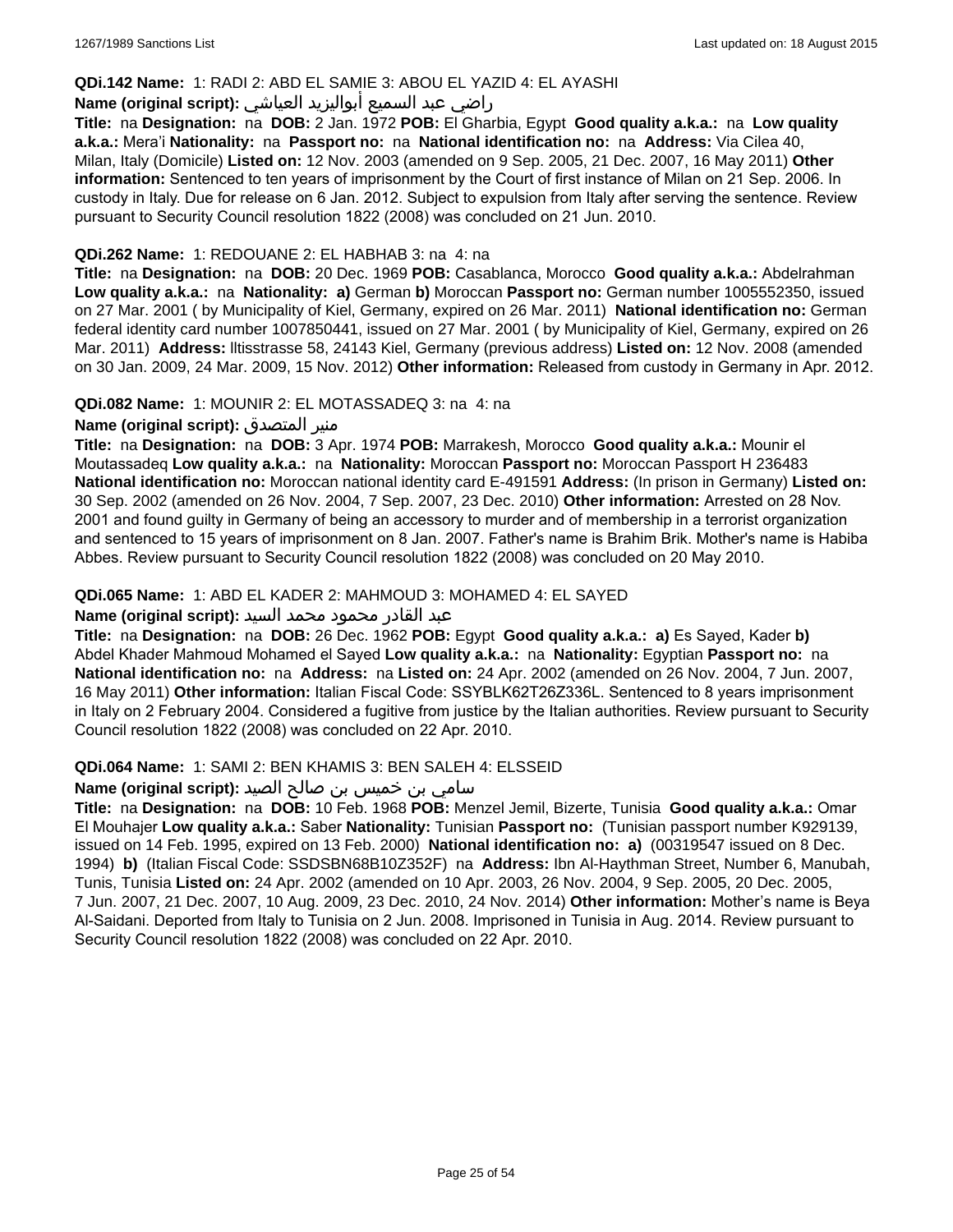#### **QDi.142 Name:** 1: RADI 2: ABD EL SAMIE 3: ABOU EL YAZID 4: EL AYASHI

## راضي عبد السميع أبواليزيد العياشي **:(script original (Name**

**Title:** na **Designation:** na **DOB:** 2 Jan. 1972 **POB:** El Gharbia, Egypt **Good quality a.k.a.:** na **Low quality a.k.a.:** Mera'i **Nationality:** na **Passport no:** na **National identification no:** na **Address:** Via Cilea 40, Milan, Italy (Domicile) **Listed on:** 12 Nov. 2003 (amended on 9 Sep. 2005, 21 Dec. 2007, 16 May 2011) **Other information:** Sentenced to ten years of imprisonment by the Court of first instance of Milan on 21 Sep. 2006. In custody in Italy. Due for release on 6 Jan. 2012. Subject to expulsion from Italy after serving the sentence. Review pursuant to Security Council resolution 1822 (2008) was concluded on 21 Jun. 2010.

#### **QDi.262 Name:** 1: REDOUANE 2: EL HABHAB 3: na 4: na

**Title:** na **Designation:** na **DOB:** 20 Dec. 1969 **POB:** Casablanca, Morocco **Good quality a.k.a.:** Abdelrahman **Low quality a.k.a.:** na **Nationality: a)** German **b)** Moroccan **Passport no:** German number 1005552350, issued on 27 Mar. 2001 ( by Municipality of Kiel, Germany, expired on 26 Mar. 2011) **National identification no:** German federal identity card number 1007850441, issued on 27 Mar. 2001 ( by Municipality of Kiel, Germany, expired on 26 Mar. 2011) **Address:** lltisstrasse 58, 24143 Kiel, Germany (previous address) **Listed on:** 12 Nov. 2008 (amended on 30 Jan. 2009, 24 Mar. 2009, 15 Nov. 2012) **Other information:** Released from custody in Germany in Apr. 2012.

**QDi.082 Name:** 1: MOUNIR 2: EL MOTASSADEQ 3: na 4: na

#### **Name (original script):** المتصدق منير

**Title:** na **Designation:** na **DOB:** 3 Apr. 1974 **POB:** Marrakesh, Morocco **Good quality a.k.a.:** Mounir el Moutassadeq **Low quality a.k.a.:** na **Nationality:** Moroccan **Passport no:** Moroccan Passport H 236483 **National identification no:** Moroccan national identity card E-491591 **Address:** (In prison in Germany) **Listed on:** 30 Sep. 2002 (amended on 26 Nov. 2004, 7 Sep. 2007, 23 Dec. 2010) **Other information:** Arrested on 28 Nov. 2001 and found guilty in Germany of being an accessory to murder and of membership in a terrorist organization and sentenced to 15 years of imprisonment on 8 Jan. 2007. Father's name is Brahim Brik. Mother's name is Habiba Abbes. Review pursuant to Security Council resolution 1822 (2008) was concluded on 20 May 2010.

#### **QDi.065 Name:** 1: ABD EL KADER 2: MAHMOUD 3: MOHAMED 4: EL SAYED

#### عبد القادر محمود محمد السيد **:(script original (Name**

**Title:** na **Designation:** na **DOB:** 26 Dec. 1962 **POB:** Egypt **Good quality a.k.a.: a)** Es Sayed, Kader **b)** Abdel Khader Mahmoud Mohamed el Sayed **Low quality a.k.a.:** na **Nationality:** Egyptian **Passport no:** na **National identification no:** na **Address:** na **Listed on:** 24 Apr. 2002 (amended on 26 Nov. 2004, 7 Jun. 2007, 16 May 2011) **Other information:** Italian Fiscal Code: SSYBLK62T26Z336L. Sentenced to 8 years imprisonment in Italy on 2 February 2004. Considered a fugitive from justice by the Italian authorities. Review pursuant to Security Council resolution 1822 (2008) was concluded on 22 Apr. 2010.

#### **QDi.064 Name:** 1: SAMI 2: BEN KHAMIS 3: BEN SALEH 4: ELSSEID

#### سامي بن خميس بن صالح الصيد **:(script original (Name**

**Title:** na **Designation:** na **DOB:** 10 Feb. 1968 **POB:** Menzel Jemil, Bizerte, Tunisia **Good quality a.k.a.:** Omar El Mouhajer **Low quality a.k.a.:** Saber **Nationality:** Tunisian **Passport no:** (Tunisian passport number K929139, issued on 14 Feb. 1995, expired on 13 Feb. 2000) **National identification no: a)** (00319547 issued on 8 Dec. 1994) **b)** (Italian Fiscal Code: SSDSBN68B10Z352F) na **Address:** Ibn Al-Haythman Street, Number 6, Manubah, Tunis, Tunisia **Listed on:** 24 Apr. 2002 (amended on 10 Apr. 2003, 26 Nov. 2004, 9 Sep. 2005, 20 Dec. 2005, 7 Jun. 2007, 21 Dec. 2007, 10 Aug. 2009, 23 Dec. 2010, 24 Nov. 2014) **Other information:** Mother's name is Beya Al-Saidani. Deported from Italy to Tunisia on 2 Jun. 2008. Imprisoned in Tunisia in Aug. 2014. Review pursuant to Security Council resolution 1822 (2008) was concluded on 22 Apr. 2010.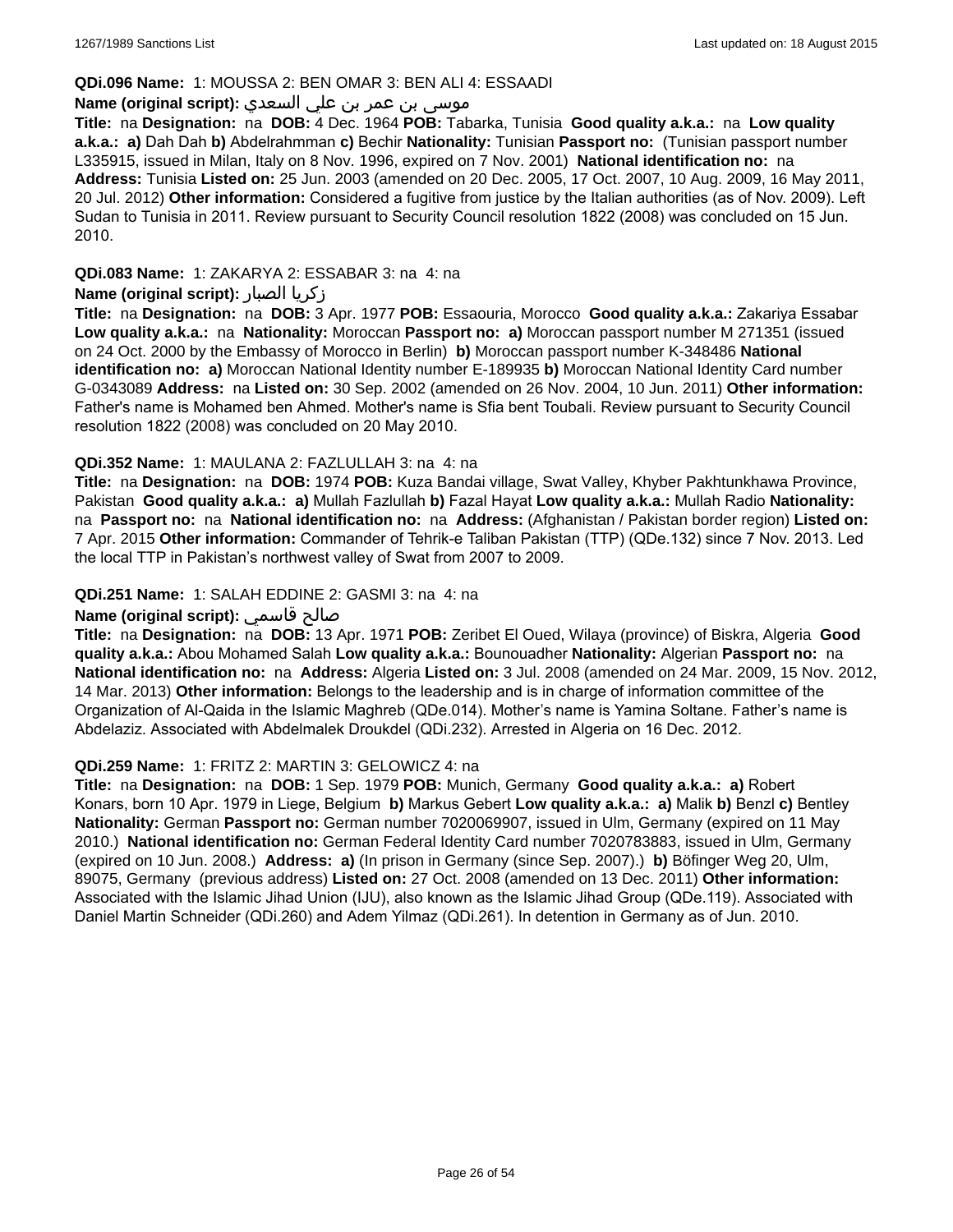#### **QDi.096 Name:** 1: MOUSSA 2: BEN OMAR 3: BEN ALI 4: ESSAADI

## موسى بن عمر بن علي السعدي **:**Name (original script)

**Title:** na **Designation:** na **DOB:** 4 Dec. 1964 **POB:** Tabarka, Tunisia **Good quality a.k.a.:** na **Low quality a.k.a.: a)** Dah Dah **b)** Abdelrahmman **c)** Bechir **Nationality:** Tunisian **Passport no:** (Tunisian passport number L335915, issued in Milan, Italy on 8 Nov. 1996, expired on 7 Nov. 2001) **National identification no:** na **Address:** Tunisia **Listed on:** 25 Jun. 2003 (amended on 20 Dec. 2005, 17 Oct. 2007, 10 Aug. 2009, 16 May 2011, 20 Jul. 2012) **Other information:** Considered a fugitive from justice by the Italian authorities (as of Nov. 2009). Left Sudan to Tunisia in 2011. Review pursuant to Security Council resolution 1822 (2008) was concluded on 15 Jun. 2010.

**QDi.083 Name:** 1: ZAKARYA 2: ESSABAR 3: na 4: na

#### **Name (original script):** الصبار زكريا

**Title:** na **Designation:** na **DOB:** 3 Apr. 1977 **POB:** Essaouria, Morocco **Good quality a.k.a.:** Zakariya Essabar **Low quality a.k.a.:** na **Nationality:** Moroccan **Passport no: a)** Moroccan passport number M 271351 (issued on 24 Oct. 2000 by the Embassy of Morocco in Berlin) **b)** Moroccan passport number K-348486 **National identification no: a)** Moroccan National Identity number E-189935 **b)** Moroccan National Identity Card number G-0343089 **Address:** na **Listed on:** 30 Sep. 2002 (amended on 26 Nov. 2004, 10 Jun. 2011) **Other information:** Father's name is Mohamed ben Ahmed. Mother's name is Sfia bent Toubali. Review pursuant to Security Council resolution 1822 (2008) was concluded on 20 May 2010.

#### **QDi.352 Name:** 1: MAULANA 2: FAZLULLAH 3: na 4: na

**Title:** na **Designation:** na **DOB:** 1974 **POB:** Kuza Bandai village, Swat Valley, Khyber Pakhtunkhawa Province, Pakistan **Good quality a.k.a.: a)** Mullah Fazlullah **b)** Fazal Hayat **Low quality a.k.a.:** Mullah Radio **Nationality:**  na **Passport no:** na **National identification no:** na **Address:** (Afghanistan / Pakistan border region) **Listed on:** 7 Apr. 2015 **Other information:** Commander of Tehrik-e Taliban Pakistan (TTP) (QDe.132) since 7 Nov. 2013. Led the local TTP in Pakistan's northwest valley of Swat from 2007 to 2009.

#### **QDi.251 Name:** 1: SALAH EDDINE 2: GASMI 3: na 4: na

### **Name (original script):** قاسمي صالح

**Title:** na **Designation:** na **DOB:** 13 Apr. 1971 **POB:** Zeribet El Oued, Wilaya (province) of Biskra, Algeria **Good quality a.k.a.:** Abou Mohamed Salah **Low quality a.k.a.:** Bounouadher **Nationality:** Algerian **Passport no:** na **National identification no:** na **Address:** Algeria **Listed on:** 3 Jul. 2008 (amended on 24 Mar. 2009, 15 Nov. 2012, 14 Mar. 2013) **Other information:** Belongs to the leadership and is in charge of information committee of the Organization of Al-Qaida in the Islamic Maghreb (QDe.014). Mother's name is Yamina Soltane. Father's name is Abdelaziz. Associated with Abdelmalek Droukdel (QDi.232). Arrested in Algeria on 16 Dec. 2012.

#### **QDi.259 Name:** 1: FRITZ 2: MARTIN 3: GELOWICZ 4: na

**Title:** na **Designation:** na **DOB:** 1 Sep. 1979 **POB:** Munich, Germany **Good quality a.k.a.: a)** Robert Konars, born 10 Apr. 1979 in Liege, Belgium **b)** Markus Gebert **Low quality a.k.a.: a)** Malik **b)** Benzl **c)** Bentley **Nationality:** German **Passport no:** German number 7020069907, issued in Ulm, Germany (expired on 11 May 2010.) **National identification no:** German Federal Identity Card number 7020783883, issued in Ulm, Germany (expired on 10 Jun. 2008.) **Address: a)** (In prison in Germany (since Sep. 2007).) **b)** Böfinger Weg 20, Ulm, 89075, Germany (previous address) **Listed on:** 27 Oct. 2008 (amended on 13 Dec. 2011) **Other information:** Associated with the Islamic Jihad Union (IJU), also known as the Islamic Jihad Group (QDe.119). Associated with Daniel Martin Schneider (QDi.260) and Adem Yilmaz (QDi.261). In detention in Germany as of Jun. 2010.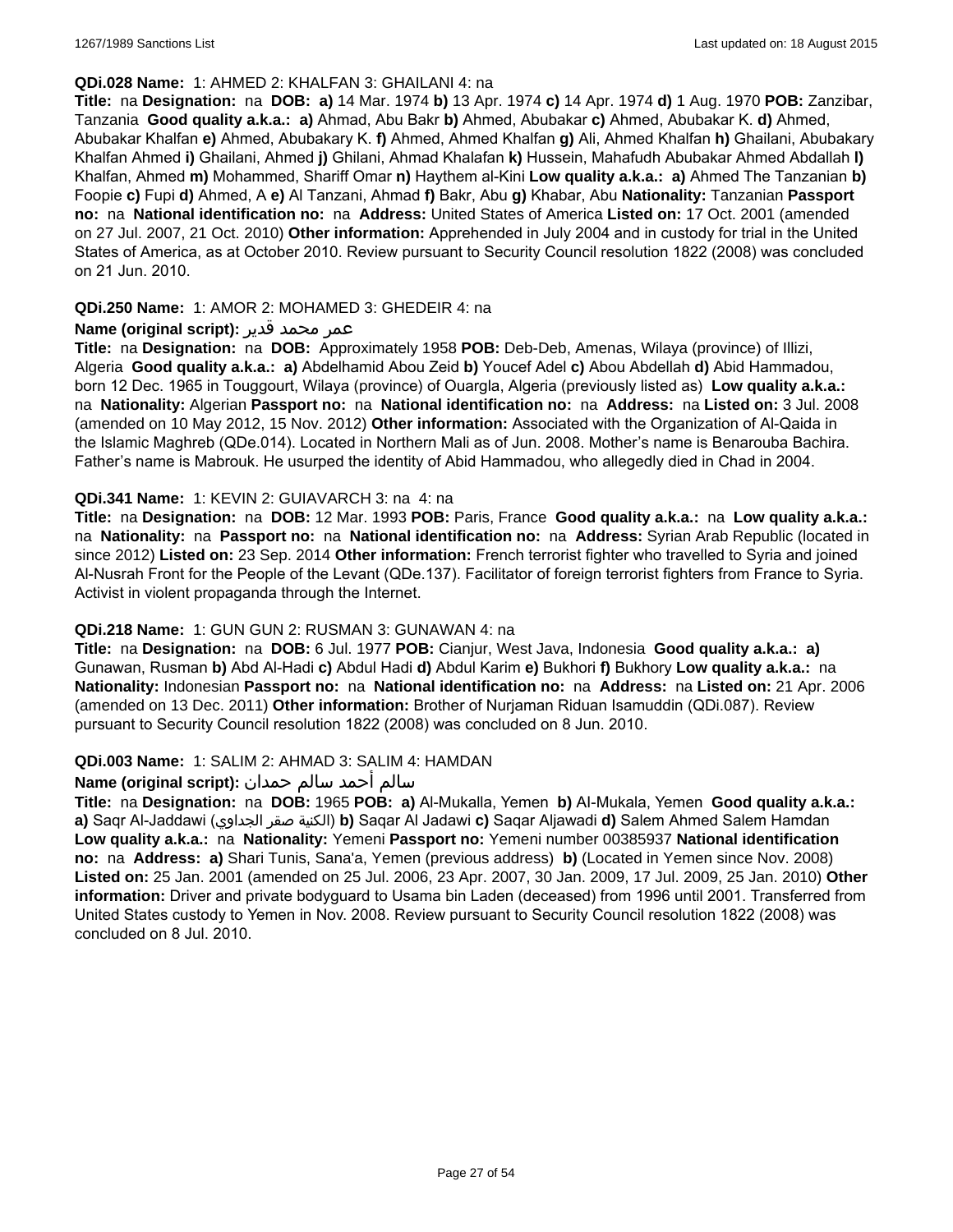#### **QDi.028 Name:** 1: AHMED 2: KHALFAN 3: GHAILANI 4: na

**Title:** na **Designation:** na **DOB: a)** 14 Mar. 1974 **b)** 13 Apr. 1974 **c)** 14 Apr. 1974 **d)** 1 Aug. 1970 **POB:** Zanzibar, Tanzania **Good quality a.k.a.: a)** Ahmad, Abu Bakr **b)** Ahmed, Abubakar **c)** Ahmed, Abubakar K. **d)** Ahmed, Abubakar Khalfan **e)** Ahmed, Abubakary K. **f)** Ahmed, Ahmed Khalfan **g)** Ali, Ahmed Khalfan **h)** Ghailani, Abubakary Khalfan Ahmed **i)** Ghailani, Ahmed **j)** Ghilani, Ahmad Khalafan **k)** Hussein, Mahafudh Abubakar Ahmed Abdallah **l)** Khalfan, Ahmed **m)** Mohammed, Shariff Omar **n)** Haythem al-Kini **Low quality a.k.a.: a)** Ahmed The Tanzanian **b)** Foopie **c)** Fupi **d)** Ahmed, A **e)** Al Tanzani, Ahmad **f)** Bakr, Abu **g)** Khabar, Abu **Nationality:** Tanzanian **Passport no:** na **National identification no:** na **Address:** United States of America **Listed on:** 17 Oct. 2001 (amended on 27 Jul. 2007, 21 Oct. 2010) **Other information:** Apprehended in July 2004 and in custody for trial in the United States of America, as at October 2010. Review pursuant to Security Council resolution 1822 (2008) was concluded on 21 Jun. 2010.

## **QDi.250 Name:** 1: AMOR 2: MOHAMED 3: GHEDEIR 4: na

#### عمر محمد قدير **:(script original (Name**

**Title:** na **Designation:** na **DOB:** Approximately 1958 **POB:** Deb-Deb, Amenas, Wilaya (province) of Illizi, Algeria **Good quality a.k.a.: a)** Abdelhamid Abou Zeid **b)** Youcef Adel **c)** Abou Abdellah **d)** Abid Hammadou, born 12 Dec. 1965 in Touggourt, Wilaya (province) of Ouargla, Algeria (previously listed as) **Low quality a.k.a.:**  na **Nationality:** Algerian **Passport no:** na **National identification no:** na **Address:** na **Listed on:** 3 Jul. 2008 (amended on 10 May 2012, 15 Nov. 2012) **Other information:** Associated with the Organization of Al-Qaida in the Islamic Maghreb (QDe.014). Located in Northern Mali as of Jun. 2008. Mother's name is Benarouba Bachira. Father's name is Mabrouk. He usurped the identity of Abid Hammadou, who allegedly died in Chad in 2004.

#### **QDi.341 Name:** 1: KEVIN 2: GUIAVARCH 3: na 4: na

**Title:** na **Designation:** na **DOB:** 12 Mar. 1993 **POB:** Paris, France **Good quality a.k.a.:** na **Low quality a.k.a.:**  na **Nationality:** na **Passport no:** na **National identification no:** na **Address:** Syrian Arab Republic (located in since 2012) **Listed on:** 23 Sep. 2014 **Other information:** French terrorist fighter who travelled to Syria and joined Al-Nusrah Front for the People of the Levant (QDe.137). Facilitator of foreign terrorist fighters from France to Syria. Activist in violent propaganda through the Internet.

## **QDi.218 Name:** 1: GUN GUN 2: RUSMAN 3: GUNAWAN 4: na

**Title:** na **Designation:** na **DOB:** 6 Jul. 1977 **POB:** Cianjur, West Java, Indonesia **Good quality a.k.a.: a)** Gunawan, Rusman **b)** Abd Al-Hadi **c)** Abdul Hadi **d)** Abdul Karim **e)** Bukhori **f)** Bukhory **Low quality a.k.a.:** na **Nationality:** Indonesian **Passport no:** na **National identification no:** na **Address:** na **Listed on:** 21 Apr. 2006 (amended on 13 Dec. 2011) **Other information:** Brother of Nurjaman Riduan Isamuddin (QDi.087). Review pursuant to Security Council resolution 1822 (2008) was concluded on 8 Jun. 2010.

#### **QDi.003 Name:** 1: SALIM 2: AHMAD 3: SALIM 4: HAMDAN

## سالم أحمد سالم حمدان **:(script original (Name**

**Title:** na **Designation:** na **DOB:** 1965 **POB: a)** Al-Mukalla, Yemen **b)** AI-Mukala, Yemen **Good quality a.k.a.: a)** Saqr Al-Jaddawi (الجداوي صقر الكنية(**b)** Saqar Al Jadawi **c)** Saqar Aljawadi **d)** Salem Ahmed Salem Hamdan **Low quality a.k.a.:** na **Nationality:** Yemeni **Passport no:** Yemeni number 00385937 **National identification no:** na **Address: a)** Shari Tunis, Sana'a, Yemen (previous address) **b)** (Located in Yemen since Nov. 2008) **Listed on:** 25 Jan. 2001 (amended on 25 Jul. 2006, 23 Apr. 2007, 30 Jan. 2009, 17 Jul. 2009, 25 Jan. 2010) **Other information:** Driver and private bodyguard to Usama bin Laden (deceased) from 1996 until 2001. Transferred from United States custody to Yemen in Nov. 2008. Review pursuant to Security Council resolution 1822 (2008) was concluded on 8 Jul. 2010.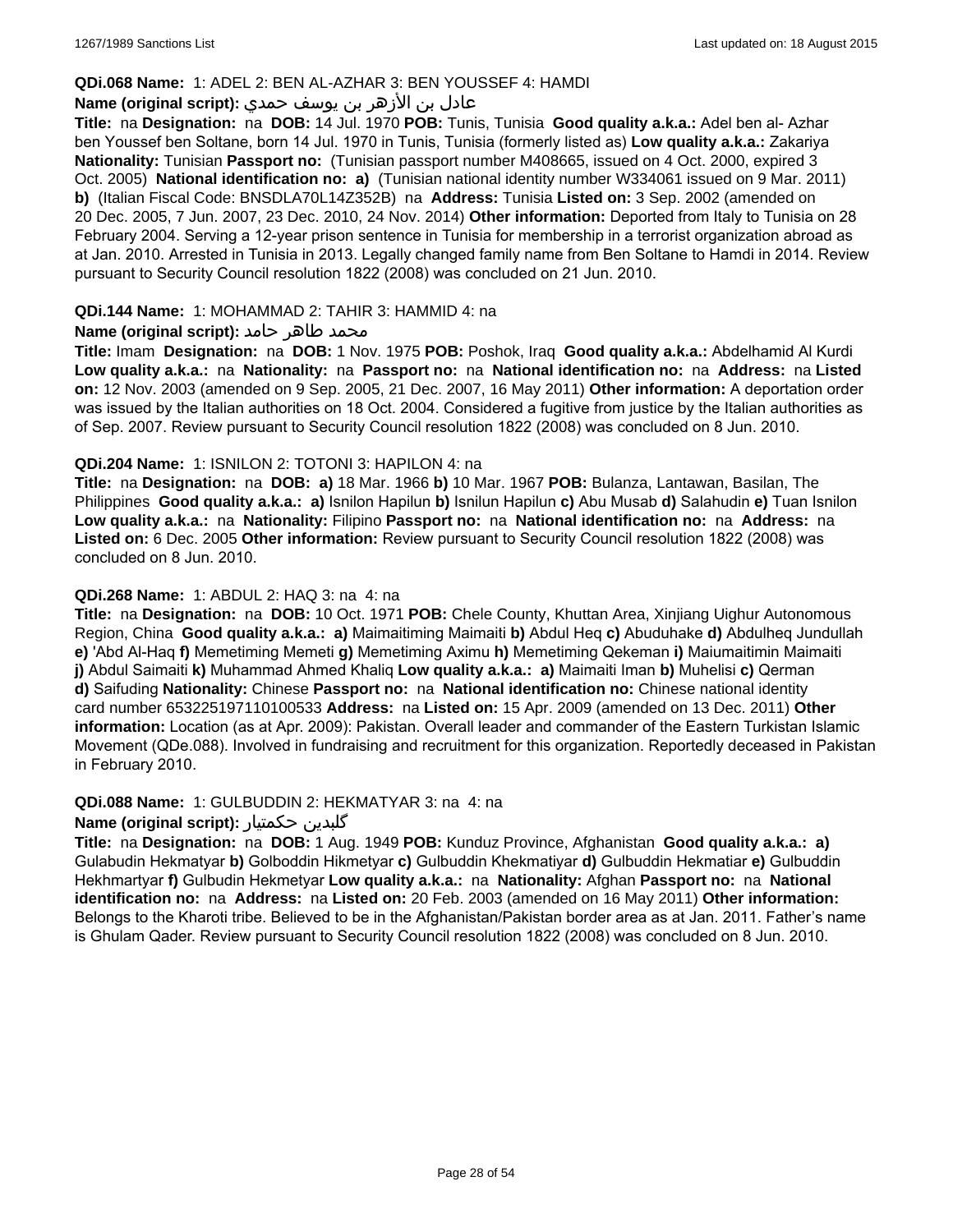#### **QDi.068 Name:** 1: ADEL 2: BEN AL-AZHAR 3: BEN YOUSSEF 4: HAMDI

## عادل بن الأزهر بن يوسف حمدي **:(script original (Name**

**Title:** na **Designation:** na **DOB:** 14 Jul. 1970 **POB:** Tunis, Tunisia **Good quality a.k.a.:** Adel ben al- Azhar ben Youssef ben Soltane, born 14 Jul. 1970 in Tunis, Tunisia (formerly listed as) **Low quality a.k.a.:** Zakariya **Nationality:** Tunisian **Passport no:** (Tunisian passport number M408665, issued on 4 Oct. 2000, expired 3 Oct. 2005) **National identification no: a)** (Tunisian national identity number W334061 issued on 9 Mar. 2011) **b)** (Italian Fiscal Code: BNSDLA70L14Z352B) na **Address:** Tunisia **Listed on:** 3 Sep. 2002 (amended on 20 Dec. 2005, 7 Jun. 2007, 23 Dec. 2010, 24 Nov. 2014) **Other information:** Deported from Italy to Tunisia on 28 February 2004. Serving a 12-year prison sentence in Tunisia for membership in a terrorist organization abroad as at Jan. 2010. Arrested in Tunisia in 2013. Legally changed family name from Ben Soltane to Hamdi in 2014. Review pursuant to Security Council resolution 1822 (2008) was concluded on 21 Jun. 2010.

#### **QDi.144 Name:** 1: MOHAMMAD 2: TAHIR 3: HAMMID 4: na

#### **محمد طاهر حامد :(Name (original script**

**Title:** Imam **Designation:** na **DOB:** 1 Nov. 1975 **POB:** Poshok, Iraq **Good quality a.k.a.:** Abdelhamid Al Kurdi **Low quality a.k.a.:** na **Nationality:** na **Passport no:** na **National identification no:** na **Address:** na **Listed on:** 12 Nov. 2003 (amended on 9 Sep. 2005, 21 Dec. 2007, 16 May 2011) **Other information:** A deportation order was issued by the Italian authorities on 18 Oct. 2004. Considered a fugitive from justice by the Italian authorities as of Sep. 2007. Review pursuant to Security Council resolution 1822 (2008) was concluded on 8 Jun. 2010.

#### **QDi.204 Name:** 1: ISNILON 2: TOTONI 3: HAPILON 4: na

**Title:** na **Designation:** na **DOB: a)** 18 Mar. 1966 **b)** 10 Mar. 1967 **POB:** Bulanza, Lantawan, Basilan, The Philippines **Good quality a.k.a.: a)** Isnilon Hapilun **b)** Isnilun Hapilun **c)** Abu Musab **d)** Salahudin **e)** Tuan Isnilon **Low quality a.k.a.:** na **Nationality:** Filipino **Passport no:** na **National identification no:** na **Address:** na **Listed on:** 6 Dec. 2005 **Other information:** Review pursuant to Security Council resolution 1822 (2008) was concluded on 8 Jun. 2010.

#### **QDi.268 Name:** 1: ABDUL 2: HAQ 3: na 4: na

**Title:** na **Designation:** na **DOB:** 10 Oct. 1971 **POB:** Chele County, Khuttan Area, Xinjiang Uighur Autonomous Region, China **Good quality a.k.a.: a)** Maimaitiming Maimaiti **b)** Abdul Heq **c)** Abuduhake **d)** Abdulheq Jundullah **e)** 'Abd Al-Haq **f)** Memetiming Memeti **g)** Memetiming Aximu **h)** Memetiming Qekeman **i)** Maiumaitimin Maimaiti **j)** Abdul Saimaiti **k)** Muhammad Ahmed Khaliq **Low quality a.k.a.: a)** Maimaiti Iman **b)** Muhelisi **c)** Qerman **d)** Saifuding **Nationality:** Chinese **Passport no:** na **National identification no:** Chinese national identity card number 653225197110100533 **Address:** na **Listed on:** 15 Apr. 2009 (amended on 13 Dec. 2011) **Other information:** Location (as at Apr. 2009): Pakistan. Overall leader and commander of the Eastern Turkistan Islamic Movement (QDe.088). Involved in fundraising and recruitment for this organization. Reportedly deceased in Pakistan in February 2010.

#### **QDi.088 Name:** 1: GULBUDDIN 2: HEKMATYAR 3: na 4: na

#### **Name (original script):** حکمتیار گلبدین

**Title:** na **Designation:** na **DOB:** 1 Aug. 1949 **POB:** Kunduz Province, Afghanistan **Good quality a.k.a.: a)** Gulabudin Hekmatyar **b)** Golboddin Hikmetyar **c)** Gulbuddin Khekmatiyar **d)** Gulbuddin Hekmatiar **e)** Gulbuddin Hekhmartyar **f)** Gulbudin Hekmetyar **Low quality a.k.a.:** na **Nationality:** Afghan **Passport no:** na **National identification no:** na **Address:** na **Listed on:** 20 Feb. 2003 (amended on 16 May 2011) **Other information:** Belongs to the Kharoti tribe. Believed to be in the Afghanistan/Pakistan border area as at Jan. 2011. Father's name is Ghulam Qader. Review pursuant to Security Council resolution 1822 (2008) was concluded on 8 Jun. 2010.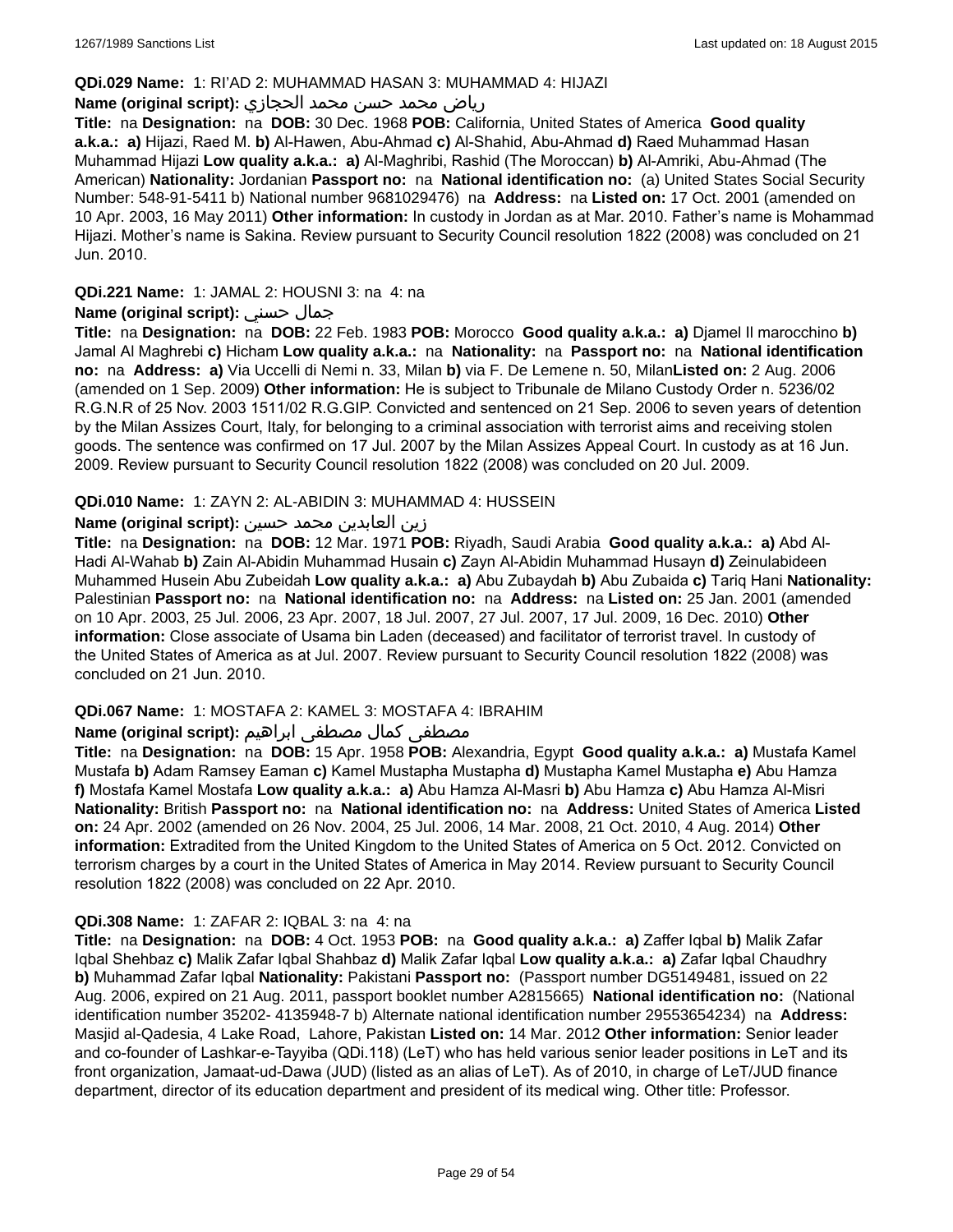#### **QDi.029 Name:** 1: RI'AD 2: MUHAMMAD HASAN 3: MUHAMMAD 4: HIJAZI

## رياض محمد حسن محمد الحجازي **:(script original (Name**

**Title:** na **Designation:** na **DOB:** 30 Dec. 1968 **POB:** California, United States of America **Good quality a.k.a.: a)** Hijazi, Raed M. **b)** Al-Hawen, Abu-Ahmad **c)** Al-Shahid, Abu-Ahmad **d)** Raed Muhammad Hasan Muhammad Hijazi **Low quality a.k.a.: a)** Al-Maghribi, Rashid (The Moroccan) **b)** Al-Amriki, Abu-Ahmad (The American) **Nationality:** Jordanian **Passport no:** na **National identification no:** (a) United States Social Security Number: 548-91-5411 b) National number 9681029476) na **Address:** na **Listed on:** 17 Oct. 2001 (amended on 10 Apr. 2003, 16 May 2011) **Other information:** In custody in Jordan as at Mar. 2010. Father's name is Mohammad Hijazi. Mother's name is Sakina. Review pursuant to Security Council resolution 1822 (2008) was concluded on 21 Jun. 2010.

### **QDi.221 Name:** 1: JAMAL 2: HOUSNI 3: na 4: na

### **Name (original script):** حسني جمال

**Title:** na **Designation:** na **DOB:** 22 Feb. 1983 **POB:** Morocco **Good quality a.k.a.: a)** Djamel Il marocchino **b)** Jamal Al Maghrebi **c)** Hicham **Low quality a.k.a.:** na **Nationality:** na **Passport no:** na **National identification no:** na **Address: a)** Via Uccelli di Nemi n. 33, Milan **b)** via F. De Lemene n. 50, Milan**Listed on:** 2 Aug. 2006 (amended on 1 Sep. 2009) **Other information:** He is subject to Tribunale de Milano Custody Order n. 5236/02 R.G.N.R of 25 Nov. 2003 1511/02 R.G.GIP. Convicted and sentenced on 21 Sep. 2006 to seven years of detention by the Milan Assizes Court, Italy, for belonging to a criminal association with terrorist aims and receiving stolen goods. The sentence was confirmed on 17 Jul. 2007 by the Milan Assizes Appeal Court. In custody as at 16 Jun. 2009. Review pursuant to Security Council resolution 1822 (2008) was concluded on 20 Jul. 2009.

## **QDi.010 Name:** 1: ZAYN 2: AL-ABIDIN 3: MUHAMMAD 4: HUSSEIN

### زين العابدين محمد حسين **:(script original (Name**

**Title:** na **Designation:** na **DOB:** 12 Mar. 1971 **POB:** Riyadh, Saudi Arabia **Good quality a.k.a.: a)** Abd Al-Hadi Al-Wahab **b)** Zain Al-Abidin Muhammad Husain **c)** Zayn Al-Abidin Muhammad Husayn **d)** Zeinulabideen Muhammed Husein Abu Zubeidah **Low quality a.k.a.: a)** Abu Zubaydah **b)** Abu Zubaida **c)** Tariq Hani **Nationality:** Palestinian **Passport no:** na **National identification no:** na **Address:** na **Listed on:** 25 Jan. 2001 (amended on 10 Apr. 2003, 25 Jul. 2006, 23 Apr. 2007, 18 Jul. 2007, 27 Jul. 2007, 17 Jul. 2009, 16 Dec. 2010) **Other information:** Close associate of Usama bin Laden (deceased) and facilitator of terrorist travel. In custody of the United States of America as at Jul. 2007. Review pursuant to Security Council resolution 1822 (2008) was concluded on 21 Jun. 2010.

#### **QDi.067 Name:** 1: MOSTAFA 2: KAMEL 3: MOSTAFA 4: IBRAHIM

## مصطفى كمال مصطفى ابراهيم :Name (original script)

**Title:** na **Designation:** na **DOB:** 15 Apr. 1958 **POB:** Alexandria, Egypt **Good quality a.k.a.: a)** Mustafa Kamel Mustafa **b)** Adam Ramsey Eaman **c)** Kamel Mustapha Mustapha **d)** Mustapha Kamel Mustapha **e)** Abu Hamza **f)** Mostafa Kamel Mostafa **Low quality a.k.a.: a)** Abu Hamza Al-Masri **b)** Abu Hamza **c)** Abu Hamza Al-Misri **Nationality:** British **Passport no:** na **National identification no:** na **Address:** United States of America **Listed on:** 24 Apr. 2002 (amended on 26 Nov. 2004, 25 Jul. 2006, 14 Mar. 2008, 21 Oct. 2010, 4 Aug. 2014) **Other information:** Extradited from the United Kingdom to the United States of America on 5 Oct. 2012. Convicted on terrorism charges by a court in the United States of America in May 2014. Review pursuant to Security Council resolution 1822 (2008) was concluded on 22 Apr. 2010.

## **QDi.308 Name:** 1: ZAFAR 2: IQBAL 3: na 4: na

**Title:** na **Designation:** na **DOB:** 4 Oct. 1953 **POB:** na **Good quality a.k.a.: a)** Zaffer Iqbal **b)** Malik Zafar Iqbal Shehbaz **c)** Malik Zafar Iqbal Shahbaz **d)** Malik Zafar Iqbal **Low quality a.k.a.: a)** Zafar Iqbal Chaudhry **b)** Muhammad Zafar Iqbal **Nationality:** Pakistani **Passport no:** (Passport number DG5149481, issued on 22 Aug. 2006, expired on 21 Aug. 2011, passport booklet number A2815665) **National identification no:** (National identification number 35202- 4135948-7 b) Alternate national identification number 29553654234) na **Address:** Masjid al-Qadesia, 4 Lake Road, Lahore, Pakistan **Listed on:** 14 Mar. 2012 **Other information:** Senior leader and co-founder of Lashkar-e-Tayyiba (QDi.118) (LeT) who has held various senior leader positions in LeT and its front organization, Jamaat-ud-Dawa (JUD) (listed as an alias of LeT). As of 2010, in charge of LeT/JUD finance department, director of its education department and president of its medical wing. Other title: Professor.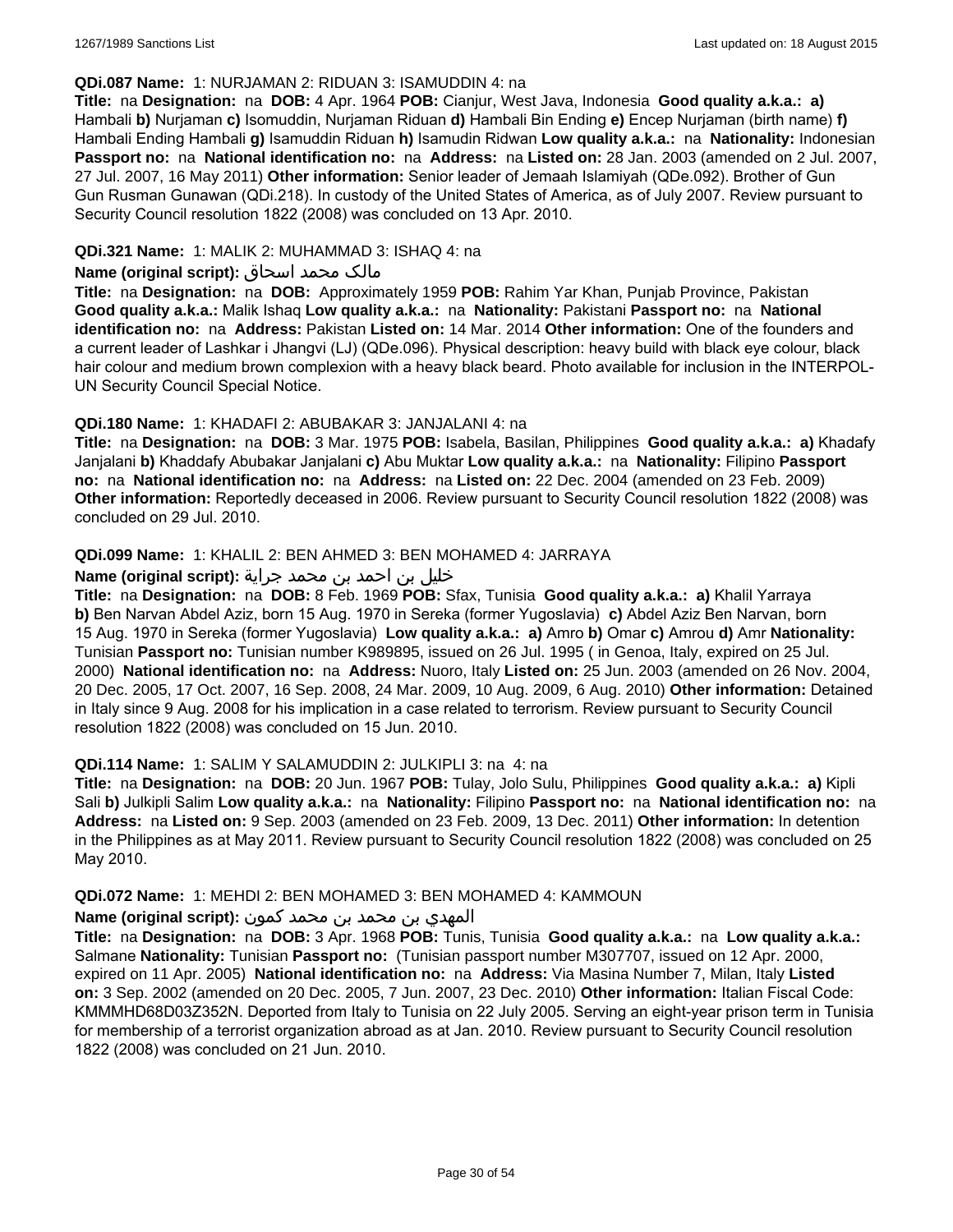#### **QDi.087 Name:** 1: NURJAMAN 2: RIDUAN 3: ISAMUDDIN 4: na

**Title:** na **Designation:** na **DOB:** 4 Apr. 1964 **POB:** Cianjur, West Java, Indonesia **Good quality a.k.a.: a)** Hambali **b)** Nurjaman **c)** Isomuddin, Nurjaman Riduan **d)** Hambali Bin Ending **e)** Encep Nurjaman (birth name) **f)** Hambali Ending Hambali **g)** Isamuddin Riduan **h)** Isamudin Ridwan **Low quality a.k.a.:** na **Nationality:** Indonesian **Passport no:** na **National identification no:** na **Address:** na **Listed on:** 28 Jan. 2003 (amended on 2 Jul. 2007, 27 Jul. 2007, 16 May 2011) **Other information:** Senior leader of Jemaah Islamiyah (QDe.092). Brother of Gun Gun Rusman Gunawan (QDi.218). In custody of the United States of America, as of July 2007. Review pursuant to Security Council resolution 1822 (2008) was concluded on 13 Apr. 2010.

### **QDi.321 Name:** 1: MALIK 2: MUHAMMAD 3: ISHAQ 4: na

#### مالک محمد اسحاق **:(script original (Name**

**Title:** na **Designation:** na **DOB:** Approximately 1959 **POB:** Rahim Yar Khan, Punjab Province, Pakistan **Good quality a.k.a.:** Malik Ishaq **Low quality a.k.a.:** na **Nationality:** Pakistani **Passport no:** na **National identification no:** na **Address:** Pakistan **Listed on:** 14 Mar. 2014 **Other information:** One of the founders and a current leader of Lashkar i Jhangvi (LJ) (QDe.096). Physical description: heavy build with black eye colour, black hair colour and medium brown complexion with a heavy black beard. Photo available for inclusion in the INTERPOL-UN Security Council Special Notice.

#### **QDi.180 Name:** 1: KHADAFI 2: ABUBAKAR 3: JANJALANI 4: na

**Title:** na **Designation:** na **DOB:** 3 Mar. 1975 **POB:** Isabela, Basilan, Philippines **Good quality a.k.a.: a)** Khadafy Janjalani **b)** Khaddafy Abubakar Janjalani **c)** Abu Muktar **Low quality a.k.a.:** na **Nationality:** Filipino **Passport no:** na **National identification no:** na **Address:** na **Listed on:** 22 Dec. 2004 (amended on 23 Feb. 2009) **Other information:** Reportedly deceased in 2006. Review pursuant to Security Council resolution 1822 (2008) was concluded on 29 Jul. 2010.

#### **QDi.099 Name:** 1: KHALIL 2: BEN AHMED 3: BEN MOHAMED 4: JARRAYA

#### خليل بن احمد بن محمد جراية **:(script original (Name**

**Title:** na **Designation:** na **DOB:** 8 Feb. 1969 **POB:** Sfax, Tunisia **Good quality a.k.a.: a)** Khalil Yarraya **b)** Ben Narvan Abdel Aziz, born 15 Aug. 1970 in Sereka (former Yugoslavia) **c)** Abdel Aziz Ben Narvan, born 15 Aug. 1970 in Sereka (former Yugoslavia) **Low quality a.k.a.: a)** Amro **b)** Omar **c)** Amrou **d)** Amr **Nationality:** Tunisian **Passport no:** Tunisian number K989895, issued on 26 Jul. 1995 ( in Genoa, Italy, expired on 25 Jul. 2000) **National identification no:** na **Address:** Nuoro, Italy **Listed on:** 25 Jun. 2003 (amended on 26 Nov. 2004, 20 Dec. 2005, 17 Oct. 2007, 16 Sep. 2008, 24 Mar. 2009, 10 Aug. 2009, 6 Aug. 2010) **Other information:** Detained in Italy since 9 Aug. 2008 for his implication in a case related to terrorism. Review pursuant to Security Council resolution 1822 (2008) was concluded on 15 Jun. 2010.

#### **QDi.114 Name:** 1: SALIM Y SALAMUDDIN 2: JULKIPLI 3: na 4: na

**Title:** na **Designation:** na **DOB:** 20 Jun. 1967 **POB:** Tulay, Jolo Sulu, Philippines **Good quality a.k.a.: a)** Kipli Sali **b)** Julkipli Salim **Low quality a.k.a.:** na **Nationality:** Filipino **Passport no:** na **National identification no:** na **Address:** na **Listed on:** 9 Sep. 2003 (amended on 23 Feb. 2009, 13 Dec. 2011) **Other information:** In detention in the Philippines as at May 2011. Review pursuant to Security Council resolution 1822 (2008) was concluded on 25 May 2010.

#### **QDi.072 Name:** 1: MEHDI 2: BEN MOHAMED 3: BEN MOHAMED 4: KAMMOUN

### المهدي بن محمد بن محمد كمون **:(script original (Name**

**Title:** na **Designation:** na **DOB:** 3 Apr. 1968 **POB:** Tunis, Tunisia **Good quality a.k.a.:** na **Low quality a.k.a.:** Salmane **Nationality:** Tunisian **Passport no:** (Tunisian passport number M307707, issued on 12 Apr. 2000, expired on 11 Apr. 2005) **National identification no:** na **Address:** Via Masina Number 7, Milan, Italy **Listed on:** 3 Sep. 2002 (amended on 20 Dec. 2005, 7 Jun. 2007, 23 Dec. 2010) **Other information:** Italian Fiscal Code: KMMMHD68D03Z352N. Deported from Italy to Tunisia on 22 July 2005. Serving an eight-year prison term in Tunisia for membership of a terrorist organization abroad as at Jan. 2010. Review pursuant to Security Council resolution 1822 (2008) was concluded on 21 Jun. 2010.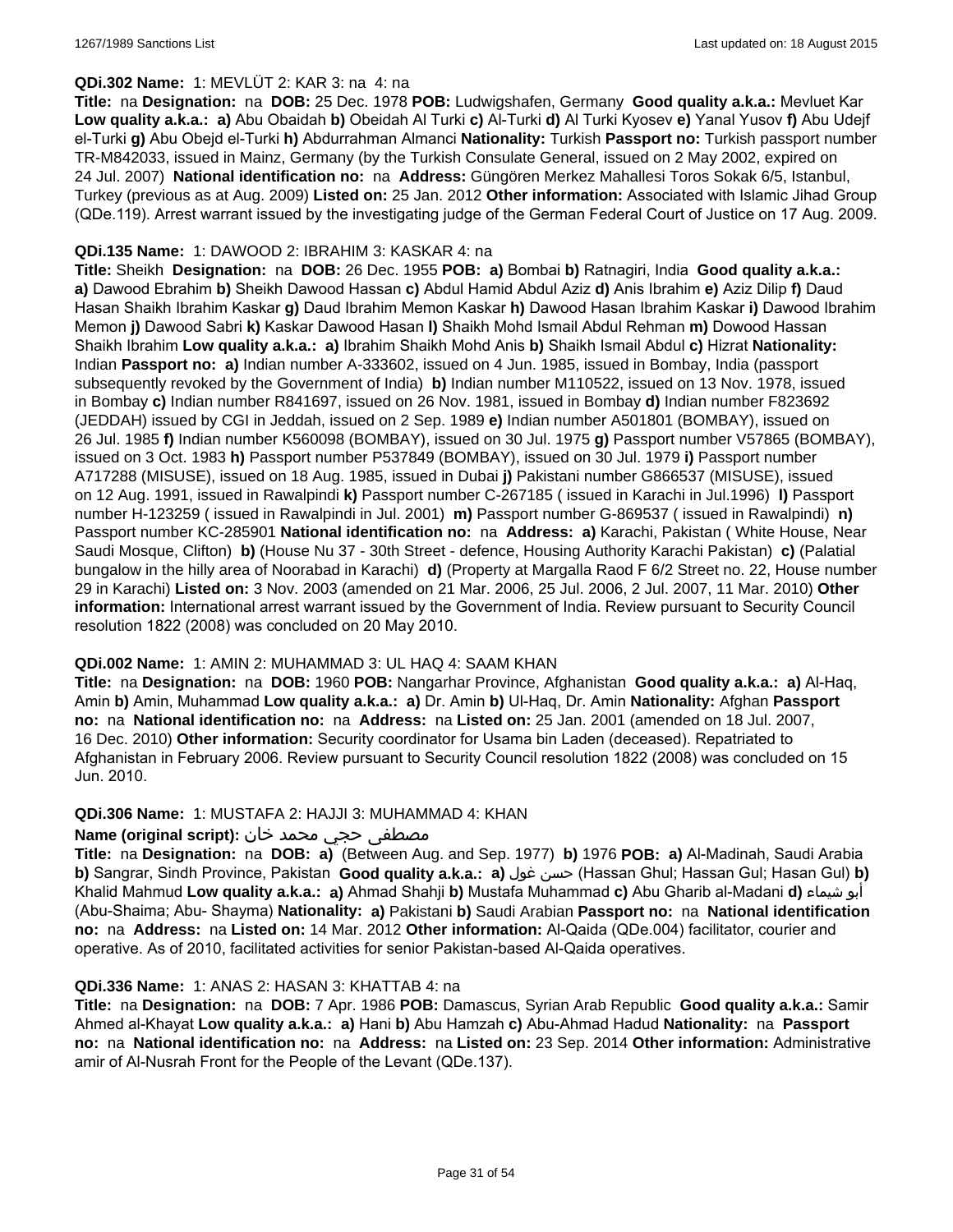### **QDi.302 Name:** 1: MEVLÜT 2: KAR 3: na 4: na

**Title:** na **Designation:** na **DOB:** 25 Dec. 1978 **POB:** Ludwigshafen, Germany **Good quality a.k.a.:** Mevluet Kar **Low quality a.k.a.: a)** Abu Obaidah **b)** Obeidah Al Turki **c)** Al-Turki **d)** Al Turki Kyosev **e)** Yanal Yusov **f)** Abu Udejf el-Turki **g)** Abu Obejd el-Turki **h)** Abdurrahman Almanci **Nationality:** Turkish **Passport no:** Turkish passport number TR-M842033, issued in Mainz, Germany (by the Turkish Consulate General, issued on 2 May 2002, expired on 24 Jul. 2007) **National identification no:** na **Address:** Güngören Merkez Mahallesi Toros Sokak 6/5, Istanbul, Turkey (previous as at Aug. 2009) **Listed on:** 25 Jan. 2012 **Other information:** Associated with Islamic Jihad Group (QDe.119). Arrest warrant issued by the investigating judge of the German Federal Court of Justice on 17 Aug. 2009.

### **QDi.135 Name:** 1: DAWOOD 2: IBRAHIM 3: KASKAR 4: na

**Title:** Sheikh **Designation:** na **DOB:** 26 Dec. 1955 **POB: a)** Bombai **b)** Ratnagiri, India **Good quality a.k.a.: a)** Dawood Ebrahim **b)** Sheikh Dawood Hassan **c)** Abdul Hamid Abdul Aziz **d)** Anis Ibrahim **e)** Aziz Dilip **f)** Daud Hasan Shaikh Ibrahim Kaskar **g)** Daud Ibrahim Memon Kaskar **h)** Dawood Hasan Ibrahim Kaskar **i)** Dawood Ibrahim Memon **j)** Dawood Sabri **k)** Kaskar Dawood Hasan **l)** Shaikh Mohd Ismail Abdul Rehman **m)** Dowood Hassan Shaikh Ibrahim **Low quality a.k.a.: a)** Ibrahim Shaikh Mohd Anis **b)** Shaikh Ismail Abdul **c)** Hizrat **Nationality:** Indian **Passport no: a)** Indian number A-333602, issued on 4 Jun. 1985, issued in Bombay, India (passport subsequently revoked by the Government of India) **b)** Indian number M110522, issued on 13 Nov. 1978, issued in Bombay **c)** Indian number R841697, issued on 26 Nov. 1981, issued in Bombay **d)** Indian number F823692 (JEDDAH) issued by CGI in Jeddah, issued on 2 Sep. 1989 **e)** Indian number A501801 (BOMBAY), issued on 26 Jul. 1985 **f)** Indian number K560098 (BOMBAY), issued on 30 Jul. 1975 **g)** Passport number V57865 (BOMBAY), issued on 3 Oct. 1983 **h)** Passport number P537849 (BOMBAY), issued on 30 Jul. 1979 **i)** Passport number A717288 (MISUSE), issued on 18 Aug. 1985, issued in Dubai **j)** Pakistani number G866537 (MISUSE), issued on 12 Aug. 1991, issued in Rawalpindi **k)** Passport number C-267185 ( issued in Karachi in Jul.1996) **l)** Passport number H-123259 ( issued in Rawalpindi in Jul. 2001) **m)** Passport number G-869537 ( issued in Rawalpindi) **n)** Passport number KC-285901 **National identification no:** na **Address: a)** Karachi, Pakistan ( White House, Near Saudi Mosque, Clifton) **b)** (House Nu 37 - 30th Street - defence, Housing Authority Karachi Pakistan) **c)** (Palatial bungalow in the hilly area of Noorabad in Karachi) **d)** (Property at Margalla Raod F 6/2 Street no. 22, House number 29 in Karachi) **Listed on:** 3 Nov. 2003 (amended on 21 Mar. 2006, 25 Jul. 2006, 2 Jul. 2007, 11 Mar. 2010) **Other information:** International arrest warrant issued by the Government of India. Review pursuant to Security Council resolution 1822 (2008) was concluded on 20 May 2010.

## **QDi.002 Name:** 1: AMIN 2: MUHAMMAD 3: UL HAQ 4: SAAM KHAN

**Title:** na **Designation:** na **DOB:** 1960 **POB:** Nangarhar Province, Afghanistan **Good quality a.k.a.: a)** Al-Haq, Amin **b)** Amin, Muhammad **Low quality a.k.a.: a)** Dr. Amin **b)** Ul-Haq, Dr. Amin **Nationality:** Afghan **Passport no:** na **National identification no:** na **Address:** na **Listed on:** 25 Jan. 2001 (amended on 18 Jul. 2007, 16 Dec. 2010) **Other information:** Security coordinator for Usama bin Laden (deceased). Repatriated to Afghanistan in February 2006. Review pursuant to Security Council resolution 1822 (2008) was concluded on 15 Jun. 2010.

#### **QDi.306 Name:** 1: MUSTAFA 2: HAJJI 3: MUHAMMAD 4: KHAN

## مصطفى حجي محمد خان :**Name (original script**)

**Title:** na **Designation:** na **DOB: a)** (Between Aug. and Sep. 1977) **b)** 1976 **POB: a)** Al-Madinah, Saudi Arabia **b)** Sangrar, Sindh Province, Pakistan **Good quality a.k.a.: a)** غول حسن) Hassan Ghul; Hassan Gul; Hasan Gul) **b)** Khalid Mahmud **Low quality a.k.a.: a)** Ahmad Shahji **b)** Mustafa Muhammad **c)** Abu Gharib al-Madani **d)** شيماء أبو (Abu-Shaima; Abu- Shayma) **Nationality: a)** Pakistani **b)** Saudi Arabian **Passport no:** na **National identification no:** na **Address:** na **Listed on:** 14 Mar. 2012 **Other information:** Al-Qaida (QDe.004) facilitator, courier and operative. As of 2010, facilitated activities for senior Pakistan-based Al-Qaida operatives.

#### **QDi.336 Name:** 1: ANAS 2: HASAN 3: KHATTAB 4: na

**Title:** na **Designation:** na **DOB:** 7 Apr. 1986 **POB:** Damascus, Syrian Arab Republic **Good quality a.k.a.:** Samir Ahmed al-Khayat **Low quality a.k.a.: a)** Hani **b)** Abu Hamzah **c)** Abu-Ahmad Hadud **Nationality:** na **Passport no:** na **National identification no:** na **Address:** na **Listed on:** 23 Sep. 2014 **Other information:** Administrative amir of Al-Nusrah Front for the People of the Levant (QDe.137).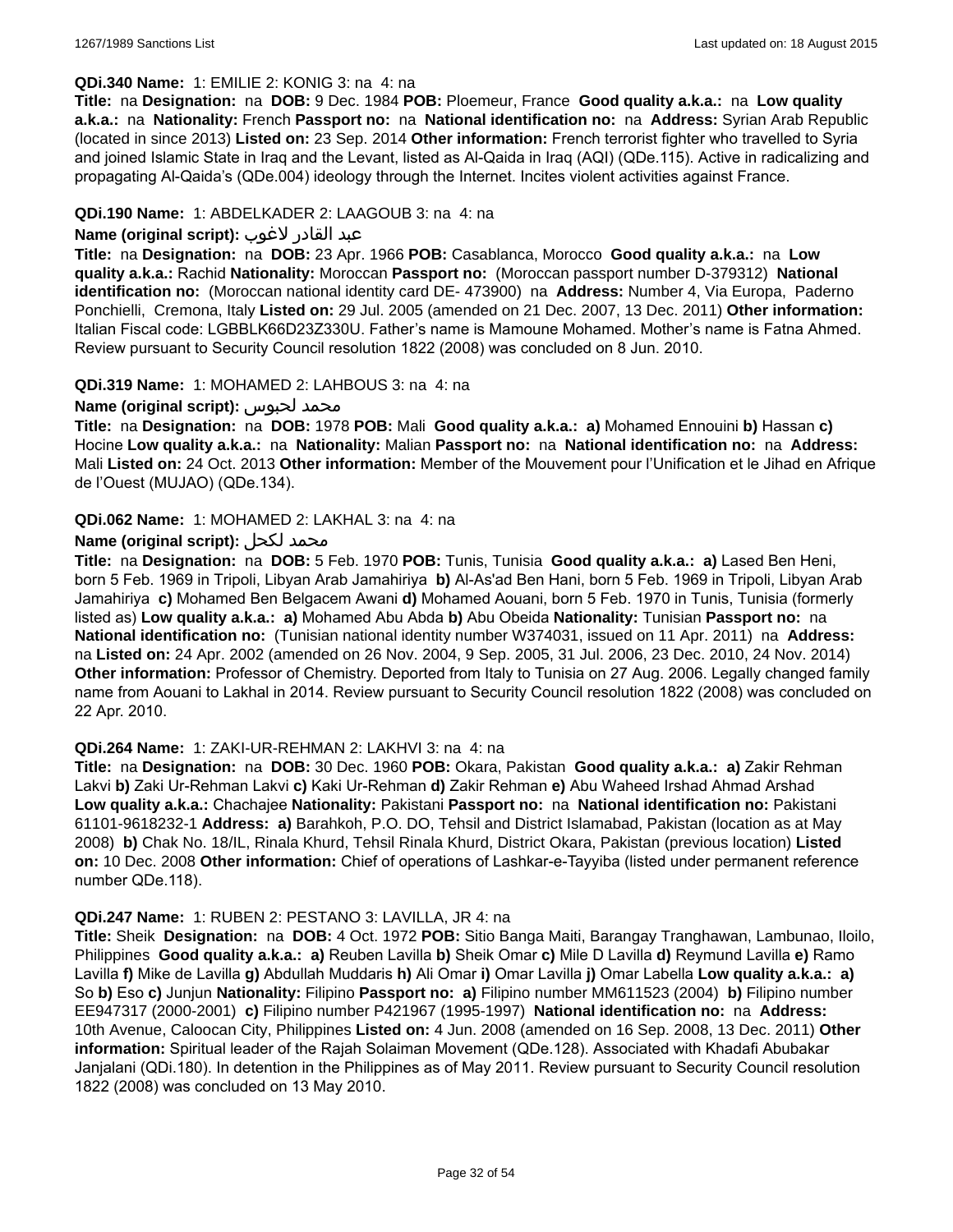#### **QDi.340 Name:** 1: EMILIE 2: KONIG 3: na 4: na

**Title:** na **Designation:** na **DOB:** 9 Dec. 1984 **POB:** Ploemeur, France **Good quality a.k.a.:** na **Low quality a.k.a.:** na **Nationality:** French **Passport no:** na **National identification no:** na **Address:** Syrian Arab Republic (located in since 2013) **Listed on:** 23 Sep. 2014 **Other information:** French terrorist fighter who travelled to Syria and joined Islamic State in Iraq and the Levant, listed as Al-Qaida in Iraq (AQI) (QDe.115). Active in radicalizing and propagating Al-Qaida's (QDe.004) ideology through the Internet. Incites violent activities against France.

#### **QDi.190 Name:** 1: ABDELKADER 2: LAAGOUB 3: na 4: na

### عبد القادر لاغوب **:(script original (Name**

**Title:** na **Designation:** na **DOB:** 23 Apr. 1966 **POB:** Casablanca, Morocco **Good quality a.k.a.:** na **Low quality a.k.a.:** Rachid **Nationality:** Moroccan **Passport no:** (Moroccan passport number D-379312) **National identification no:** (Moroccan national identity card DE- 473900) na **Address:** Number 4, Via Europa, Paderno Ponchielli, Cremona, Italy **Listed on:** 29 Jul. 2005 (amended on 21 Dec. 2007, 13 Dec. 2011) **Other information:** Italian Fiscal code: LGBBLK66D23Z330U. Father's name is Mamoune Mohamed. Mother's name is Fatna Ahmed. Review pursuant to Security Council resolution 1822 (2008) was concluded on 8 Jun. 2010.

#### **QDi.319 Name:** 1: MOHAMED 2: LAHBOUS 3: na 4: na

#### **Name (original script):** لحبوس محمد

**Title:** na **Designation:** na **DOB:** 1978 **POB:** Mali **Good quality a.k.a.: a)** Mohamed Ennouini **b)** Hassan **c)** Hocine **Low quality a.k.a.:** na **Nationality:** Malian **Passport no:** na **National identification no:** na **Address:** Mali **Listed on:** 24 Oct. 2013 **Other information:** Member of the Mouvement pour l'Unification et le Jihad en Afrique de l'Ouest (MUJAO) (QDe.134).

#### **QDi.062 Name:** 1: MOHAMED 2: LAKHAL 3: na 4: na

#### **Name (original script):** لكحل محمد

**Title:** na **Designation:** na **DOB:** 5 Feb. 1970 **POB:** Tunis, Tunisia **Good quality a.k.a.: a)** Lased Ben Heni, born 5 Feb. 1969 in Tripoli, Libyan Arab Jamahiriya **b)** Al-As'ad Ben Hani, born 5 Feb. 1969 in Tripoli, Libyan Arab Jamahiriya **c)** Mohamed Ben Belgacem Awani **d)** Mohamed Aouani, born 5 Feb. 1970 in Tunis, Tunisia (formerly listed as) **Low quality a.k.a.: a)** Mohamed Abu Abda **b)** Abu Obeida **Nationality:** Tunisian **Passport no:** na **National identification no:** (Tunisian national identity number W374031, issued on 11 Apr. 2011) na **Address:**  na **Listed on:** 24 Apr. 2002 (amended on 26 Nov. 2004, 9 Sep. 2005, 31 Jul. 2006, 23 Dec. 2010, 24 Nov. 2014) **Other information:** Professor of Chemistry. Deported from Italy to Tunisia on 27 Aug. 2006. Legally changed family name from Aouani to Lakhal in 2014. Review pursuant to Security Council resolution 1822 (2008) was concluded on 22 Apr. 2010.

#### **QDi.264 Name:** 1: ZAKI-UR-REHMAN 2: LAKHVI 3: na 4: na

**Title:** na **Designation:** na **DOB:** 30 Dec. 1960 **POB:** Okara, Pakistan **Good quality a.k.a.: a)** Zakir Rehman Lakvi **b)** Zaki Ur-Rehman Lakvi **c)** Kaki Ur-Rehman **d)** Zakir Rehman **e)** Abu Waheed Irshad Ahmad Arshad **Low quality a.k.a.:** Chachajee **Nationality:** Pakistani **Passport no:** na **National identification no:** Pakistani 61101-9618232-1 **Address: a)** Barahkoh, P.O. DO, Tehsil and District Islamabad, Pakistan (location as at May 2008) **b)** Chak No. 18/IL, Rinala Khurd, Tehsil Rinala Khurd, District Okara, Pakistan (previous location) **Listed on:** 10 Dec. 2008 **Other information:** Chief of operations of Lashkar-e-Tayyiba (listed under permanent reference number QDe.118).

#### **QDi.247 Name:** 1: RUBEN 2: PESTANO 3: LAVILLA, JR 4: na

**Title:** Sheik **Designation:** na **DOB:** 4 Oct. 1972 **POB:** Sitio Banga Maiti, Barangay Tranghawan, Lambunao, Iloilo, Philippines **Good quality a.k.a.: a)** Reuben Lavilla **b)** Sheik Omar **c)** Mile D Lavilla **d)** Reymund Lavilla **e)** Ramo Lavilla **f)** Mike de Lavilla **g)** Abdullah Muddaris **h)** Ali Omar **i)** Omar Lavilla **j)** Omar Labella **Low quality a.k.a.: a)** So **b)** Eso **c)** Junjun **Nationality:** Filipino **Passport no: a)** Filipino number MM611523 (2004) **b)** Filipino number EE947317 (2000-2001) **c)** Filipino number P421967 (1995-1997) **National identification no:** na **Address:** 10th Avenue, Caloocan City, Philippines **Listed on:** 4 Jun. 2008 (amended on 16 Sep. 2008, 13 Dec. 2011) **Other information:** Spiritual leader of the Rajah Solaiman Movement (QDe.128). Associated with Khadafi Abubakar Janjalani (QDi.180). In detention in the Philippines as of May 2011. Review pursuant to Security Council resolution 1822 (2008) was concluded on 13 May 2010.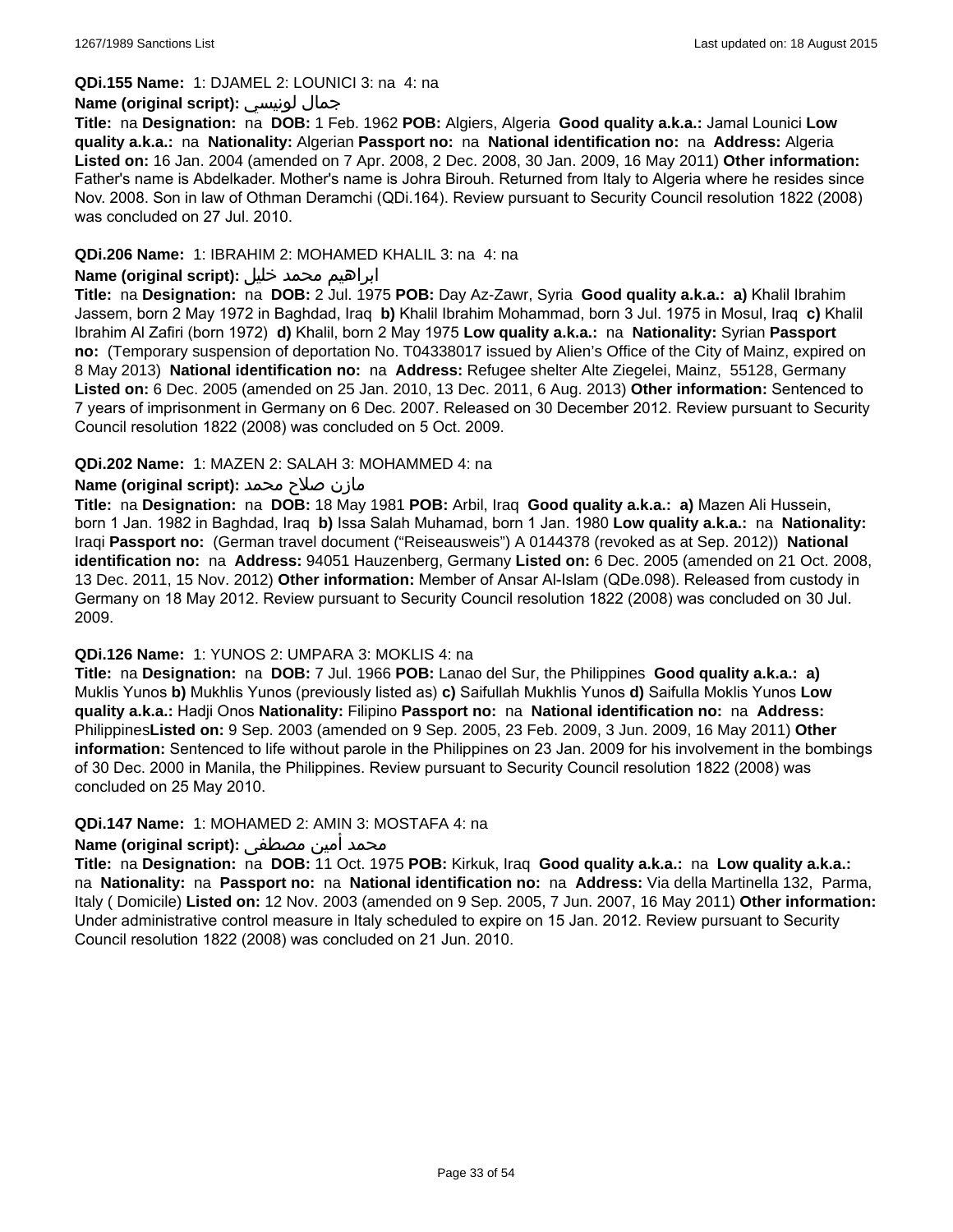#### **QDi.155 Name:** 1: DJAMEL 2: LOUNICI 3: na 4: na

### **Name (original script):** لونيسي جمال

**Title:** na **Designation:** na **DOB:** 1 Feb. 1962 **POB:** Algiers, Algeria **Good quality a.k.a.:** Jamal Lounici **Low quality a.k.a.:** na **Nationality:** Algerian **Passport no:** na **National identification no:** na **Address:** Algeria **Listed on:** 16 Jan. 2004 (amended on 7 Apr. 2008, 2 Dec. 2008, 30 Jan. 2009, 16 May 2011) **Other information:** Father's name is Abdelkader. Mother's name is Johra Birouh. Returned from Italy to Algeria where he resides since Nov. 2008. Son in law of Othman Deramchi (QDi.164). Review pursuant to Security Council resolution 1822 (2008) was concluded on 27 Jul. 2010.

#### **QDi.206 Name:** 1: IBRAHIM 2: MOHAMED KHALIL 3: na 4: na

## ابراهيم محمد خليل **:(script original (Name**

**Title:** na **Designation:** na **DOB:** 2 Jul. 1975 **POB:** Day Az-Zawr, Syria **Good quality a.k.a.: a)** Khalil Ibrahim Jassem, born 2 May 1972 in Baghdad, Iraq **b)** Khalil Ibrahim Mohammad, born 3 Jul. 1975 in Mosul, Iraq **c)** Khalil Ibrahim Al Zafiri (born 1972) **d)** Khalil, born 2 May 1975 **Low quality a.k.a.:** na **Nationality:** Syrian **Passport no:** (Temporary suspension of deportation No. T04338017 issued by Alien's Office of the City of Mainz, expired on 8 May 2013) **National identification no:** na **Address:** Refugee shelter Alte Ziegelei, Mainz, 55128, Germany **Listed on:** 6 Dec. 2005 (amended on 25 Jan. 2010, 13 Dec. 2011, 6 Aug. 2013) **Other information:** Sentenced to 7 years of imprisonment in Germany on 6 Dec. 2007. Released on 30 December 2012. Review pursuant to Security Council resolution 1822 (2008) was concluded on 5 Oct. 2009.

#### **QDi.202 Name:** 1: MAZEN 2: SALAH 3: MOHAMMED 4: na

## مازن صلاح محمد **:(Name (original script**

**Title:** na **Designation:** na **DOB:** 18 May 1981 **POB:** Arbil, Iraq **Good quality a.k.a.: a)** Mazen Ali Hussein, born 1 Jan. 1982 in Baghdad, Iraq **b)** Issa Salah Muhamad, born 1 Jan. 1980 **Low quality a.k.a.:** na **Nationality:** Iraqi **Passport no:** (German travel document ("Reiseausweis") A 0144378 (revoked as at Sep. 2012)) **National identification no:** na **Address:** 94051 Hauzenberg, Germany **Listed on:** 6 Dec. 2005 (amended on 21 Oct. 2008, 13 Dec. 2011, 15 Nov. 2012) **Other information:** Member of Ansar Al-Islam (QDe.098). Released from custody in Germany on 18 May 2012. Review pursuant to Security Council resolution 1822 (2008) was concluded on 30 Jul. 2009.

#### **QDi.126 Name:** 1: YUNOS 2: UMPARA 3: MOKLIS 4: na

**Title:** na **Designation:** na **DOB:** 7 Jul. 1966 **POB:** Lanao del Sur, the Philippines **Good quality a.k.a.: a)** Muklis Yunos **b)** Mukhlis Yunos (previously listed as) **c)** Saifullah Mukhlis Yunos **d)** Saifulla Moklis Yunos **Low quality a.k.a.:** Hadji Onos **Nationality:** Filipino **Passport no:** na **National identification no:** na **Address:** Philippines**Listed on:** 9 Sep. 2003 (amended on 9 Sep. 2005, 23 Feb. 2009, 3 Jun. 2009, 16 May 2011) **Other information:** Sentenced to life without parole in the Philippines on 23 Jan. 2009 for his involvement in the bombings of 30 Dec. 2000 in Manila, the Philippines. Review pursuant to Security Council resolution 1822 (2008) was concluded on 25 May 2010.

### **QDi.147 Name:** 1: MOHAMED 2: AMIN 3: MOSTAFA 4: na

## محمد أمين مصطفى **:Name (original script)**

**Title:** na **Designation:** na **DOB:** 11 Oct. 1975 **POB:** Kirkuk, Iraq **Good quality a.k.a.:** na **Low quality a.k.a.:**  na **Nationality:** na **Passport no:** na **National identification no:** na **Address:** Via della Martinella 132, Parma, Italy ( Domicile) **Listed on:** 12 Nov. 2003 (amended on 9 Sep. 2005, 7 Jun. 2007, 16 May 2011) **Other information:** Under administrative control measure in Italy scheduled to expire on 15 Jan. 2012. Review pursuant to Security Council resolution 1822 (2008) was concluded on 21 Jun. 2010.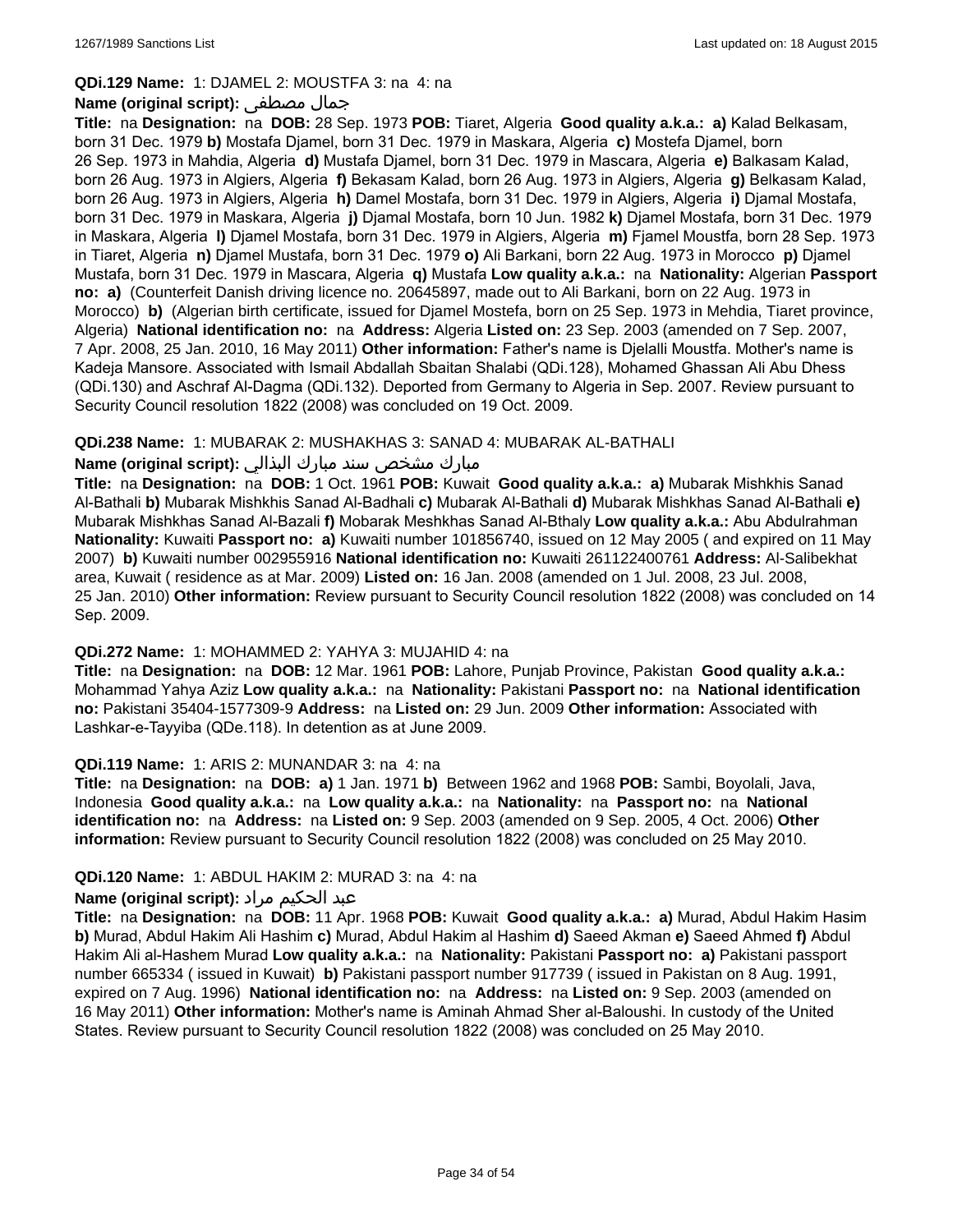#### **QDi.129 Name:** 1: DJAMEL 2: MOUSTFA 3: na 4: na

#### **Name (original script):** مصطفى جمال

**Title:** na **Designation:** na **DOB:** 28 Sep. 1973 **POB:** Tiaret, Algeria **Good quality a.k.a.: a)** Kalad Belkasam, born 31 Dec. 1979 **b)** Mostafa Djamel, born 31 Dec. 1979 in Maskara, Algeria **c)** Mostefa Djamel, born 26 Sep. 1973 in Mahdia, Algeria **d)** Mustafa Djamel, born 31 Dec. 1979 in Mascara, Algeria **e)** Balkasam Kalad, born 26 Aug. 1973 in Algiers, Algeria **f)** Bekasam Kalad, born 26 Aug. 1973 in Algiers, Algeria **g)** Belkasam Kalad, born 26 Aug. 1973 in Algiers, Algeria **h)** Damel Mostafa, born 31 Dec. 1979 in Algiers, Algeria **i)** Djamal Mostafa, born 31 Dec. 1979 in Maskara, Algeria **j)** Djamal Mostafa, born 10 Jun. 1982 **k)** Djamel Mostafa, born 31 Dec. 1979 in Maskara, Algeria **l)** Djamel Mostafa, born 31 Dec. 1979 in Algiers, Algeria **m)** Fjamel Moustfa, born 28 Sep. 1973 in Tiaret, Algeria **n)** Djamel Mustafa, born 31 Dec. 1979 **o)** Ali Barkani, born 22 Aug. 1973 in Morocco **p)** Djamel Mustafa, born 31 Dec. 1979 in Mascara, Algeria **q)** Mustafa **Low quality a.k.a.:** na **Nationality:** Algerian **Passport no: a)** (Counterfeit Danish driving licence no. 20645897, made out to Ali Barkani, born on 22 Aug. 1973 in Morocco) **b)** (Algerian birth certificate, issued for Djamel Mostefa, born on 25 Sep. 1973 in Mehdia, Tiaret province, Algeria) **National identification no:** na **Address:** Algeria **Listed on:** 23 Sep. 2003 (amended on 7 Sep. 2007, 7 Apr. 2008, 25 Jan. 2010, 16 May 2011) **Other information:** Father's name is Djelalli Moustfa. Mother's name is Kadeja Mansore. Associated with Ismail Abdallah Sbaitan Shalabi (QDi.128), Mohamed Ghassan Ali Abu Dhess (QDi.130) and Aschraf Al-Dagma (QDi.132). Deported from Germany to Algeria in Sep. 2007. Review pursuant to Security Council resolution 1822 (2008) was concluded on 19 Oct. 2009.

#### **QDi.238 Name:** 1: MUBARAK 2: MUSHAKHAS 3: SANAD 4: MUBARAK AL-BATHALI

## مبارك مشخص سند مبارك البذالي **:Name (original script)**

**Title:** na **Designation:** na **DOB:** 1 Oct. 1961 **POB:** Kuwait **Good quality a.k.a.: a)** Mubarak Mishkhis Sanad Al-Bathali **b)** Mubarak Mishkhis Sanad Al-Badhali **c)** Mubarak Al-Bathali **d)** Mubarak Mishkhas Sanad Al-Bathali **e)** Mubarak Mishkhas Sanad Al-Bazali **f)** Mobarak Meshkhas Sanad Al-Bthaly **Low quality a.k.a.:** Abu Abdulrahman **Nationality:** Kuwaiti **Passport no: a)** Kuwaiti number 101856740, issued on 12 May 2005 ( and expired on 11 May 2007) **b)** Kuwaiti number 002955916 **National identification no:** Kuwaiti 261122400761 **Address:** Al-Salibekhat area, Kuwait ( residence as at Mar. 2009) **Listed on:** 16 Jan. 2008 (amended on 1 Jul. 2008, 23 Jul. 2008, 25 Jan. 2010) **Other information:** Review pursuant to Security Council resolution 1822 (2008) was concluded on 14 Sep. 2009.

#### **QDi.272 Name:** 1: MOHAMMED 2: YAHYA 3: MUJAHID 4: na

**Title:** na **Designation:** na **DOB:** 12 Mar. 1961 **POB:** Lahore, Punjab Province, Pakistan **Good quality a.k.a.:** Mohammad Yahya Aziz **Low quality a.k.a.:** na **Nationality:** Pakistani **Passport no:** na **National identification no:** Pakistani 35404-1577309-9 **Address:** na **Listed on:** 29 Jun. 2009 **Other information:** Associated with Lashkar-e-Tayyiba (QDe.118). In detention as at June 2009.

#### **QDi.119 Name:** 1: ARIS 2: MUNANDAR 3: na 4: na

**Title:** na **Designation:** na **DOB: a)** 1 Jan. 1971 **b)** Between 1962 and 1968 **POB:** Sambi, Boyolali, Java, Indonesia **Good quality a.k.a.:** na **Low quality a.k.a.:** na **Nationality:** na **Passport no:** na **National identification no:** na **Address:** na **Listed on:** 9 Sep. 2003 (amended on 9 Sep. 2005, 4 Oct. 2006) **Other information:** Review pursuant to Security Council resolution 1822 (2008) was concluded on 25 May 2010.

#### **QDi.120 Name:** 1: ABDUL HAKIM 2: MURAD 3: na 4: na

## عبد الحكيم مراد **:(script original (Name**

**Title:** na **Designation:** na **DOB:** 11 Apr. 1968 **POB:** Kuwait **Good quality a.k.a.: a)** Murad, Abdul Hakim Hasim **b)** Murad, Abdul Hakim Ali Hashim **c)** Murad, Abdul Hakim al Hashim **d)** Saeed Akman **e)** Saeed Ahmed **f)** Abdul Hakim Ali al-Hashem Murad **Low quality a.k.a.:** na **Nationality:** Pakistani **Passport no: a)** Pakistani passport number 665334 ( issued in Kuwait) **b)** Pakistani passport number 917739 ( issued in Pakistan on 8 Aug. 1991, expired on 7 Aug. 1996) **National identification no:** na **Address:** na **Listed on:** 9 Sep. 2003 (amended on 16 May 2011) **Other information:** Mother's name is Aminah Ahmad Sher al-Baloushi. In custody of the United States. Review pursuant to Security Council resolution 1822 (2008) was concluded on 25 May 2010.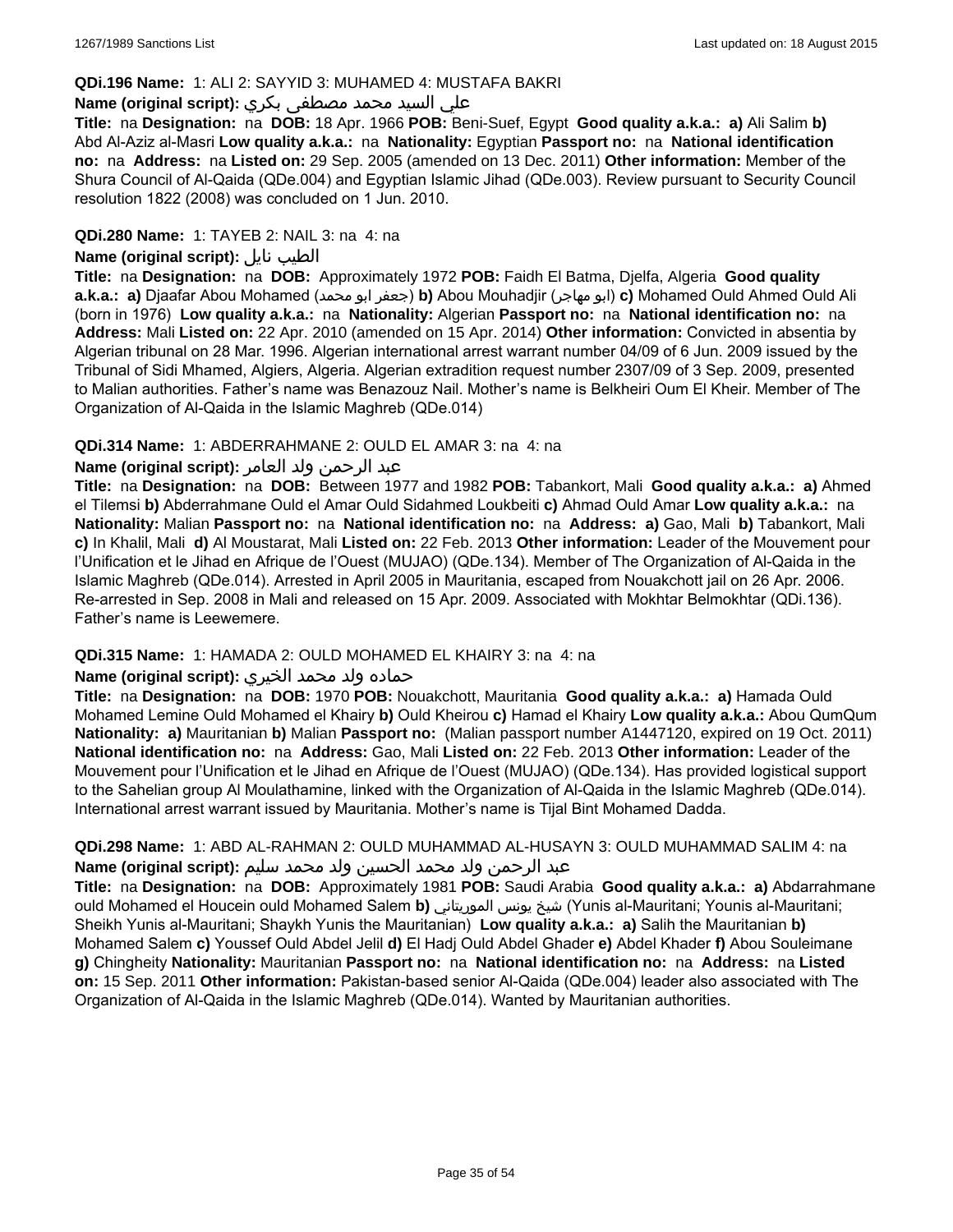### **QDi.196 Name:** 1: ALI 2: SAYYID 3: MUHAMED 4: MUSTAFA BAKRI

## علي السيد محمد مصطفى بكري **:(script original (Name**

**Title:** na **Designation:** na **DOB:** 18 Apr. 1966 **POB:** Beni-Suef, Egypt **Good quality a.k.a.: a)** Ali Salim **b)** Abd Al-Aziz al-Masri **Low quality a.k.a.:** na **Nationality:** Egyptian **Passport no:** na **National identification no:** na **Address:** na **Listed on:** 29 Sep. 2005 (amended on 13 Dec. 2011) **Other information:** Member of the Shura Council of Al-Qaida (QDe.004) and Egyptian Islamic Jihad (QDe.003). Review pursuant to Security Council resolution 1822 (2008) was concluded on 1 Jun. 2010.

### **QDi.280 Name:** 1: TAYEB 2: NAIL 3: na 4: na

## **Name (original script):** نايل الطيب

**Title:** na **Designation:** na **DOB:** Approximately 1972 **POB:** Faidh El Batma, Djelfa, Algeria **Good quality a.k.a.: a)** Djaafar Abou Mohamed (محمد ابو جعفر(**b)** Abou Mouhadjir (مهاجر ابو(**c)** Mohamed Ould Ahmed Ould Ali (born in 1976) **Low quality a.k.a.:** na **Nationality:** Algerian **Passport no:** na **National identification no:** na **Address:** Mali **Listed on:** 22 Apr. 2010 (amended on 15 Apr. 2014) **Other information:** Convicted in absentia by Algerian tribunal on 28 Mar. 1996. Algerian international arrest warrant number 04/09 of 6 Jun. 2009 issued by the Tribunal of Sidi Mhamed, Algiers, Algeria. Algerian extradition request number 2307/09 of 3 Sep. 2009, presented to Malian authorities. Father's name was Benazouz Nail. Mother's name is Belkheiri Oum El Kheir. Member of The Organization of Al-Qaida in the Islamic Maghreb (QDe.014)

#### **QDi.314 Name:** 1: ABDERRAHMANE 2: OULD EL AMAR 3: na 4: na

#### عبد الرحمن ولد العامر **:(script original (Name**

**Title:** na **Designation:** na **DOB:** Between 1977 and 1982 **POB:** Tabankort, Mali **Good quality a.k.a.: a)** Ahmed el Tilemsi **b)** Abderrahmane Ould el Amar Ould Sidahmed Loukbeiti **c)** Ahmad Ould Amar **Low quality a.k.a.:** na **Nationality:** Malian **Passport no:** na **National identification no:** na **Address: a)** Gao, Mali **b)** Tabankort, Mali **c)** In Khalil, Mali **d)** Al Moustarat, Mali **Listed on:** 22 Feb. 2013 **Other information:** Leader of the Mouvement pour l'Unification et le Jihad en Afrique de l'Ouest (MUJAO) (QDe.134). Member of The Organization of Al-Qaida in the Islamic Maghreb (QDe.014). Arrested in April 2005 in Mauritania, escaped from Nouakchott jail on 26 Apr. 2006. Re-arrested in Sep. 2008 in Mali and released on 15 Apr. 2009. Associated with Mokhtar Belmokhtar (QDi.136). Father's name is Leewemere.

## **QDi.315 Name:** 1: HAMADA 2: OULD MOHAMED EL KHAIRY 3: na 4: na

## حماده ولد محمد الخيري **:(script original (Name**

**Title:** na **Designation:** na **DOB:** 1970 **POB:** Nouakchott, Mauritania **Good quality a.k.a.: a)** Hamada Ould Mohamed Lemine Ould Mohamed el Khairy **b)** Ould Kheirou **c)** Hamad el Khairy **Low quality a.k.a.:** Abou QumQum **Nationality: a)** Mauritanian **b)** Malian **Passport no:** (Malian passport number A1447120, expired on 19 Oct. 2011) **National identification no:** na **Address:** Gao, Mali **Listed on:** 22 Feb. 2013 **Other information:** Leader of the Mouvement pour l'Unification et le Jihad en Afrique de l'Ouest (MUJAO) (QDe.134). Has provided logistical support to the Sahelian group Al Moulathamine, linked with the Organization of Al-Qaida in the Islamic Maghreb (QDe.014). International arrest warrant issued by Mauritania. Mother's name is Tijal Bint Mohamed Dadda.

## **QDi.298 Name:** 1: ABD AL-RAHMAN 2: OULD MUHAMMAD AL-HUSAYN 3: OULD MUHAMMAD SALIM 4: na عبد الرحمن ولد محمد الحسين ولد محمد سليم **:(script original (Name**

**Title:** na **Designation:** na **DOB:** Approximately 1981 **POB:** Saudi Arabia **Good quality a.k.a.: a)** Abdarrahmane ould Mohamed el Houcein ould Mohamed Salem **b)** الموريتاني يونس شيخ) Yunis al-Mauritani; Younis al-Mauritani; Sheikh Yunis al-Mauritani; Shaykh Yunis the Mauritanian) **Low quality a.k.a.: a)** Salih the Mauritanian **b)** Mohamed Salem **c)** Youssef Ould Abdel Jelil **d)** El Hadj Ould Abdel Ghader **e)** Abdel Khader **f)** Abou Souleimane **g)** Chingheity **Nationality:** Mauritanian **Passport no:** na **National identification no:** na **Address:** na **Listed on:** 15 Sep. 2011 **Other information:** Pakistan-based senior Al-Qaida (QDe.004) leader also associated with The Organization of Al-Qaida in the Islamic Maghreb (QDe.014). Wanted by Mauritanian authorities.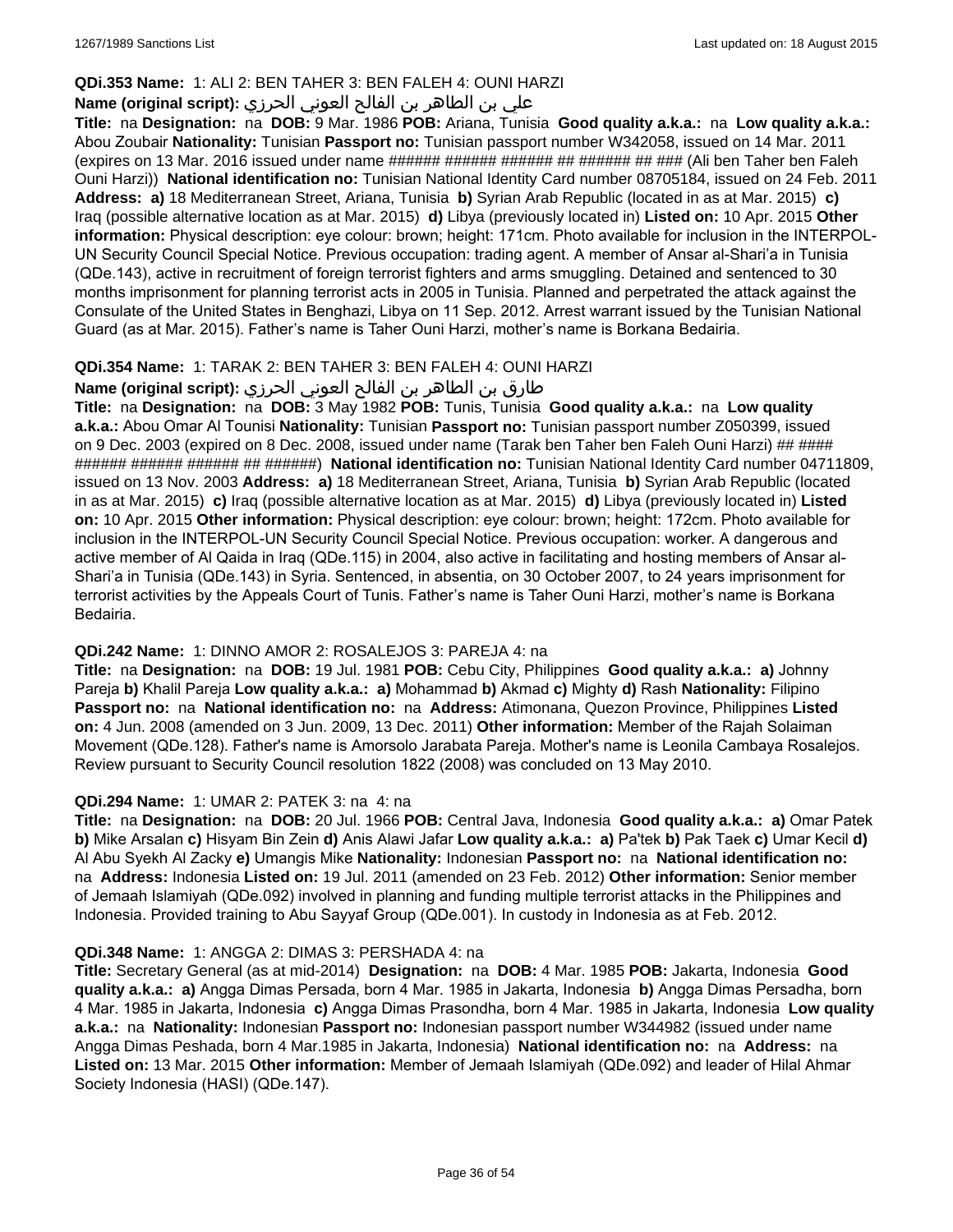## **QDi.353 Name:** 1: ALI 2: BEN TAHER 3: BEN FALEH 4: OUNI HARZI

## علي بن الطاھر بن الفالح العوني الحرزي **:(script original (Name**

**Title:** na **Designation:** na **DOB:** 9 Mar. 1986 **POB:** Ariana, Tunisia **Good quality a.k.a.:** na **Low quality a.k.a.:** Abou Zoubair **Nationality:** Tunisian **Passport no:** Tunisian passport number W342058, issued on 14 Mar. 2011 (expires on 13 Mar. 2016 issued under name ###### ###### ####### ######### (Ali ben Taher ben Faleh Ouni Harzi)) **National identification no:** Tunisian National Identity Card number 08705184, issued on 24 Feb. 2011 **Address: a)** 18 Mediterranean Street, Ariana, Tunisia **b)** Syrian Arab Republic (located in as at Mar. 2015) **c)** Iraq (possible alternative location as at Mar. 2015) **d)** Libya (previously located in) **Listed on:** 10 Apr. 2015 **Other information:** Physical description: eye colour: brown; height: 171cm. Photo available for inclusion in the INTERPOL-UN Security Council Special Notice. Previous occupation: trading agent. A member of Ansar al-Shari'a in Tunisia (QDe.143), active in recruitment of foreign terrorist fighters and arms smuggling. Detained and sentenced to 30 months imprisonment for planning terrorist acts in 2005 in Tunisia. Planned and perpetrated the attack against the Consulate of the United States in Benghazi, Libya on 11 Sep. 2012. Arrest warrant issued by the Tunisian National Guard (as at Mar. 2015). Father's name is Taher Ouni Harzi, mother's name is Borkana Bedairia.

## **QDi.354 Name:** 1: TARAK 2: BEN TAHER 3: BEN FALEH 4: OUNI HARZI

## طارق بن الطاھر بن الفالح العوني الحرزي **:(Name (original script**

**Title:** na **Designation:** na **DOB:** 3 May 1982 **POB:** Tunis, Tunisia **Good quality a.k.a.:** na **Low quality a.k.a.:** Abou Omar Al Tounisi **Nationality:** Tunisian **Passport no:** Tunisian passport number Z050399, issued on 9 Dec. 2003 (expired on 8 Dec. 2008, issued under name (Tarak ben Taher ben Faleh Ouni Harzi) ## #### ###### ###### ###### ## ######) **National identification no:** Tunisian National Identity Card number 04711809, issued on 13 Nov. 2003 **Address: a)** 18 Mediterranean Street, Ariana, Tunisia **b)** Syrian Arab Republic (located in as at Mar. 2015) **c)** Iraq (possible alternative location as at Mar. 2015) **d)** Libya (previously located in) **Listed on:** 10 Apr. 2015 **Other information:** Physical description: eye colour: brown; height: 172cm. Photo available for inclusion in the INTERPOL-UN Security Council Special Notice. Previous occupation: worker. A dangerous and active member of Al Qaida in Iraq (QDe.115) in 2004, also active in facilitating and hosting members of Ansar al-Shari'a in Tunisia (QDe.143) in Syria. Sentenced, in absentia, on 30 October 2007, to 24 years imprisonment for terrorist activities by the Appeals Court of Tunis. Father's name is Taher Ouni Harzi, mother's name is Borkana Bedairia.

## **QDi.242 Name:** 1: DINNO AMOR 2: ROSALEJOS 3: PAREJA 4: na

**Title:** na **Designation:** na **DOB:** 19 Jul. 1981 **POB:** Cebu City, Philippines **Good quality a.k.a.: a)** Johnny Pareja **b)** Khalil Pareja **Low quality a.k.a.: a)** Mohammad **b)** Akmad **c)** Mighty **d)** Rash **Nationality:** Filipino **Passport no:** na **National identification no:** na **Address:** Atimonana, Quezon Province, Philippines **Listed on:** 4 Jun. 2008 (amended on 3 Jun. 2009, 13 Dec. 2011) **Other information:** Member of the Rajah Solaiman Movement (QDe.128). Father's name is Amorsolo Jarabata Pareja. Mother's name is Leonila Cambaya Rosalejos. Review pursuant to Security Council resolution 1822 (2008) was concluded on 13 May 2010.

## **QDi.294 Name:** 1: UMAR 2: PATEK 3: na 4: na

**Title:** na **Designation:** na **DOB:** 20 Jul. 1966 **POB:** Central Java, Indonesia **Good quality a.k.a.: a)** Omar Patek **b)** Mike Arsalan **c)** Hisyam Bin Zein **d)** Anis Alawi Jafar **Low quality a.k.a.: a)** Pa'tek **b)** Pak Taek **c)** Umar Kecil **d)** Al Abu Syekh Al Zacky **e)** Umangis Mike **Nationality:** Indonesian **Passport no:** na **National identification no:**  na **Address:** Indonesia **Listed on:** 19 Jul. 2011 (amended on 23 Feb. 2012) **Other information:** Senior member of Jemaah Islamiyah (QDe.092) involved in planning and funding multiple terrorist attacks in the Philippines and Indonesia. Provided training to Abu Sayyaf Group (QDe.001). In custody in Indonesia as at Feb. 2012.

## **QDi.348 Name:** 1: ANGGA 2: DIMAS 3: PERSHADA 4: na

**Title:** Secretary General (as at mid-2014) **Designation:** na **DOB:** 4 Mar. 1985 **POB:** Jakarta, Indonesia **Good quality a.k.a.: a)** Angga Dimas Persada, born 4 Mar. 1985 in Jakarta, Indonesia **b)** Angga Dimas Persadha, born 4 Mar. 1985 in Jakarta, Indonesia **c)** Angga Dimas Prasondha, born 4 Mar. 1985 in Jakarta, Indonesia **Low quality a.k.a.:** na **Nationality:** Indonesian **Passport no:** Indonesian passport number W344982 (issued under name Angga Dimas Peshada, born 4 Mar.1985 in Jakarta, Indonesia) **National identification no:** na **Address:** na **Listed on:** 13 Mar. 2015 **Other information:** Member of Jemaah Islamiyah (QDe.092) and leader of Hilal Ahmar Society Indonesia (HASI) (QDe.147).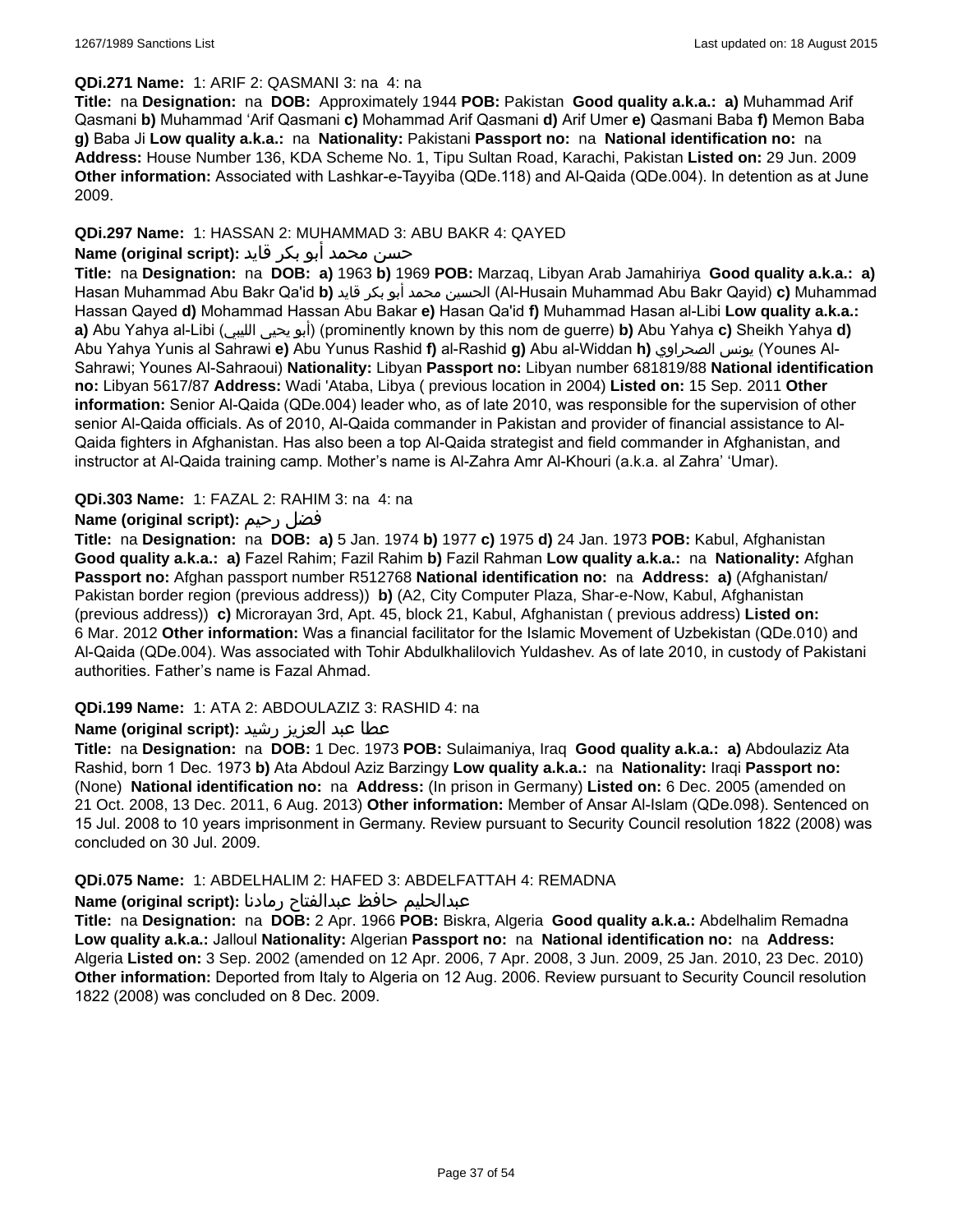### **QDi.271 Name:** 1: ARIF 2: QASMANI 3: na 4: na

**Title:** na **Designation:** na **DOB:** Approximately 1944 **POB:** Pakistan **Good quality a.k.a.: a)** Muhammad Arif Qasmani **b)** Muhammad 'Arif Qasmani **c)** Mohammad Arif Qasmani **d)** Arif Umer **e)** Qasmani Baba **f)** Memon Baba **g)** Baba Ji **Low quality a.k.a.:** na **Nationality:** Pakistani **Passport no:** na **National identification no:** na **Address:** House Number 136, KDA Scheme No. 1, Tipu Sultan Road, Karachi, Pakistan **Listed on:** 29 Jun. 2009 **Other information:** Associated with Lashkar-e-Tayyiba (QDe.118) and Al-Qaida (QDe.004). In detention as at June 2009.

### **QDi.297 Name:** 1: HASSAN 2: MUHAMMAD 3: ABU BAKR 4: QAYED

## حسن محمد أبو بكر قايد **:(script original (Name**

**Title:** na **Designation:** na **DOB: a)** 1963 **b)** 1969 **POB:** Marzaq, Libyan Arab Jamahiriya **Good quality a.k.a.: a)** Hasan Muhammad Abu Bakr Qa'id **b)** قايد بكر أبو محمد الحسين) Al-Husain Muhammad Abu Bakr Qayid) **c)** Muhammad Hassan Qayed **d)** Mohammad Hassan Abu Bakar **e)** Hasan Qa'id **f)** Muhammad Hasan al-Libi **Low quality a.k.a.: a)** Abu Yahya al-Libi (الليبي يحيى أبو) (prominently known by this nom de guerre) **b)** Abu Yahya **c)** Sheikh Yahya **d)** Abu Yahya Yunis al Sahrawi **e)** Abu Yunus Rashid **f)** al-Rashid **g)** Abu al-Widdan **h)** الصحراوي يونس) Younes Al-Sahrawi; Younes Al-Sahraoui) **Nationality:** Libyan **Passport no:** Libyan number 681819/88 **National identification no:** Libyan 5617/87 **Address:** Wadi 'Ataba, Libya ( previous location in 2004) **Listed on:** 15 Sep. 2011 **Other information:** Senior Al-Qaida (QDe.004) leader who, as of late 2010, was responsible for the supervision of other senior Al-Qaida officials. As of 2010, Al-Qaida commander in Pakistan and provider of financial assistance to Al-Qaida fighters in Afghanistan. Has also been a top Al-Qaida strategist and field commander in Afghanistan, and instructor at Al-Qaida training camp. Mother's name is Al-Zahra Amr Al-Khouri (a.k.a. al Zahra' 'Umar).

#### **QDi.303 Name:** 1: FAZAL 2: RAHIM 3: na 4: na

## **Name (original script):** رحيم فضل

**Title:** na **Designation:** na **DOB: a)** 5 Jan. 1974 **b)** 1977 **c)** 1975 **d)** 24 Jan. 1973 **POB:** Kabul, Afghanistan **Good quality a.k.a.: a)** Fazel Rahim; Fazil Rahim **b)** Fazil Rahman **Low quality a.k.a.:** na **Nationality:** Afghan **Passport no:** Afghan passport number R512768 **National identification no:** na **Address: a)** (Afghanistan/ Pakistan border region (previous address)) **b)** (A2, City Computer Plaza, Shar-e-Now, Kabul, Afghanistan (previous address)) **c)** Microrayan 3rd, Apt. 45, block 21, Kabul, Afghanistan ( previous address) **Listed on:** 6 Mar. 2012 **Other information:** Was a financial facilitator for the Islamic Movement of Uzbekistan (QDe.010) and Al-Qaida (QDe.004). Was associated with Tohir Abdulkhalilovich Yuldashev. As of late 2010, in custody of Pakistani authorities. Father's name is Fazal Ahmad.

#### **QDi.199 Name:** 1: ATA 2: ABDOULAZIZ 3: RASHID 4: na

## عطا عبد العزيز رشيد **:(script original (Name**

**Title:** na **Designation:** na **DOB:** 1 Dec. 1973 **POB:** Sulaimaniya, Iraq **Good quality a.k.a.: a)** Abdoulaziz Ata Rashid, born 1 Dec. 1973 **b)** Ata Abdoul Aziz Barzingy **Low quality a.k.a.:** na **Nationality:** Iraqi **Passport no:**  (None) **National identification no:** na **Address:** (In prison in Germany) **Listed on:** 6 Dec. 2005 (amended on 21 Oct. 2008, 13 Dec. 2011, 6 Aug. 2013) **Other information:** Member of Ansar Al-Islam (QDe.098). Sentenced on 15 Jul. 2008 to 10 years imprisonment in Germany. Review pursuant to Security Council resolution 1822 (2008) was concluded on 30 Jul. 2009.

#### **QDi.075 Name:** 1: ABDELHALIM 2: HAFED 3: ABDELFATTAH 4: REMADNA

#### عبدالحليم حافظ عبدالفتاح رمادنا **:(script original (Name**

**Title:** na **Designation:** na **DOB:** 2 Apr. 1966 **POB:** Biskra, Algeria **Good quality a.k.a.:** Abdelhalim Remadna **Low quality a.k.a.:** Jalloul **Nationality:** Algerian **Passport no:** na **National identification no:** na **Address:** Algeria **Listed on:** 3 Sep. 2002 (amended on 12 Apr. 2006, 7 Apr. 2008, 3 Jun. 2009, 25 Jan. 2010, 23 Dec. 2010) **Other information:** Deported from Italy to Algeria on 12 Aug. 2006. Review pursuant to Security Council resolution 1822 (2008) was concluded on 8 Dec. 2009.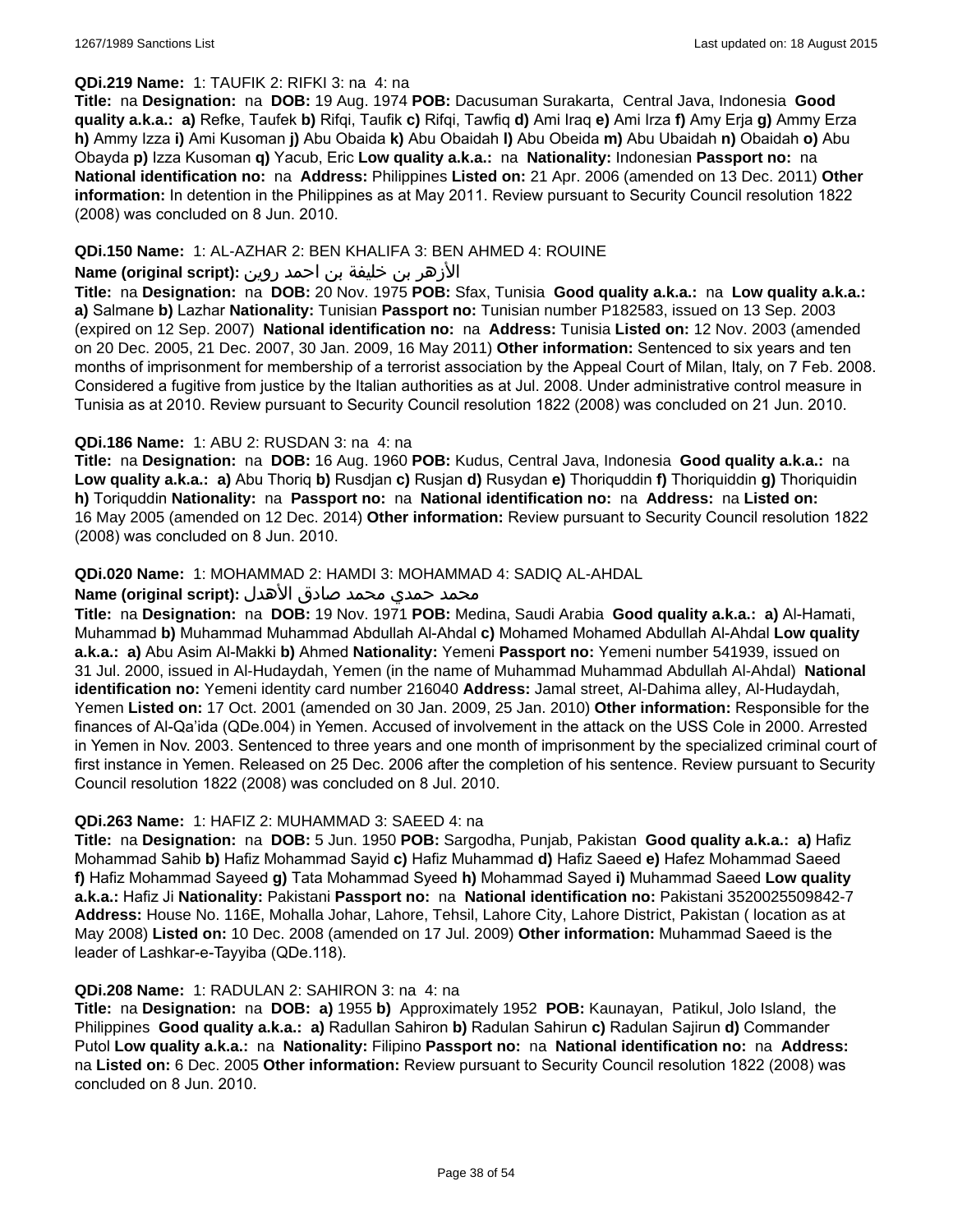### **QDi.219 Name:** 1: TAUFIK 2: RIFKI 3: na 4: na

**Title:** na **Designation:** na **DOB:** 19 Aug. 1974 **POB:** Dacusuman Surakarta, Central Java, Indonesia **Good quality a.k.a.: a)** Refke, Taufek **b)** Rifqi, Taufik **c)** Rifqi, Tawfiq **d)** Ami Iraq **e)** Ami Irza **f)** Amy Erja **g)** Ammy Erza **h)** Ammy Izza **i)** Ami Kusoman **j)** Abu Obaida **k)** Abu Obaidah **l)** Abu Obeida **m)** Abu Ubaidah **n)** Obaidah **o)** Abu Obayda **p)** Izza Kusoman **q)** Yacub, Eric **Low quality a.k.a.:** na **Nationality:** Indonesian **Passport no:** na **National identification no:** na **Address:** Philippines **Listed on:** 21 Apr. 2006 (amended on 13 Dec. 2011) **Other information:** In detention in the Philippines as at May 2011. Review pursuant to Security Council resolution 1822 (2008) was concluded on 8 Jun. 2010.

#### **QDi.150 Name:** 1: AL-AZHAR 2: BEN KHALIFA 3: BEN AHMED 4: ROUINE

#### الأزهر بن خليفة بن احمد روين **:(script original (Name**

**Title:** na **Designation:** na **DOB:** 20 Nov. 1975 **POB:** Sfax, Tunisia **Good quality a.k.a.:** na **Low quality a.k.a.: a)** Salmane **b)** Lazhar **Nationality:** Tunisian **Passport no:** Tunisian number P182583, issued on 13 Sep. 2003 (expired on 12 Sep. 2007) **National identification no:** na **Address:** Tunisia **Listed on:** 12 Nov. 2003 (amended on 20 Dec. 2005, 21 Dec. 2007, 30 Jan. 2009, 16 May 2011) **Other information:** Sentenced to six years and ten months of imprisonment for membership of a terrorist association by the Appeal Court of Milan, Italy, on 7 Feb. 2008. Considered a fugitive from justice by the Italian authorities as at Jul. 2008. Under administrative control measure in Tunisia as at 2010. Review pursuant to Security Council resolution 1822 (2008) was concluded on 21 Jun. 2010.

#### **QDi.186 Name:** 1: ABU 2: RUSDAN 3: na 4: na

**Title:** na **Designation:** na **DOB:** 16 Aug. 1960 **POB:** Kudus, Central Java, Indonesia **Good quality a.k.a.:** na **Low quality a.k.a.: a)** Abu Thoriq **b)** Rusdjan **c)** Rusjan **d)** Rusydan **e)** Thoriquddin **f)** Thoriquiddin **g)** Thoriquidin **h)** Toriquddin **Nationality:** na **Passport no:** na **National identification no:** na **Address:** na **Listed on:** 16 May 2005 (amended on 12 Dec. 2014) **Other information:** Review pursuant to Security Council resolution 1822 (2008) was concluded on 8 Jun. 2010.

## **QDi.020 Name:** 1: MOHAMMAD 2: HAMDI 3: MOHAMMAD 4: SADIQ AL-AHDAL

## محمد حمدي محمد صادق الأهدل **:Name (original script)**

**Title:** na **Designation:** na **DOB:** 19 Nov. 1971 **POB:** Medina, Saudi Arabia **Good quality a.k.a.: a)** Al-Hamati, Muhammad **b)** Muhammad Muhammad Abdullah Al-Ahdal **c)** Mohamed Mohamed Abdullah Al-Ahdal **Low quality a.k.a.: a)** Abu Asim Al-Makki **b)** Ahmed **Nationality:** Yemeni **Passport no:** Yemeni number 541939, issued on 31 Jul. 2000, issued in Al-Hudaydah, Yemen (in the name of Muhammad Muhammad Abdullah Al-Ahdal) **National identification no:** Yemeni identity card number 216040 **Address:** Jamal street, Al-Dahima alley, Al-Hudaydah, Yemen **Listed on:** 17 Oct. 2001 (amended on 30 Jan. 2009, 25 Jan. 2010) **Other information:** Responsible for the finances of Al-Qa'ida (QDe.004) in Yemen. Accused of involvement in the attack on the USS Cole in 2000. Arrested in Yemen in Nov. 2003. Sentenced to three years and one month of imprisonment by the specialized criminal court of first instance in Yemen. Released on 25 Dec. 2006 after the completion of his sentence. Review pursuant to Security Council resolution 1822 (2008) was concluded on 8 Jul. 2010.

#### **QDi.263 Name:** 1: HAFIZ 2: MUHAMMAD 3: SAEED 4: na

**Title:** na **Designation:** na **DOB:** 5 Jun. 1950 **POB:** Sargodha, Punjab, Pakistan **Good quality a.k.a.: a)** Hafiz Mohammad Sahib **b)** Hafiz Mohammad Sayid **c)** Hafiz Muhammad **d)** Hafiz Saeed **e)** Hafez Mohammad Saeed **f)** Hafiz Mohammad Sayeed **g)** Tata Mohammad Syeed **h)** Mohammad Sayed **i)** Muhammad Saeed **Low quality a.k.a.:** Hafiz Ji **Nationality:** Pakistani **Passport no:** na **National identification no:** Pakistani 3520025509842-7 **Address:** House No. 116E, Mohalla Johar, Lahore, Tehsil, Lahore City, Lahore District, Pakistan ( location as at May 2008) **Listed on:** 10 Dec. 2008 (amended on 17 Jul. 2009) **Other information:** Muhammad Saeed is the leader of Lashkar-e-Tayyiba (QDe.118).

#### **QDi.208 Name:** 1: RADULAN 2: SAHIRON 3: na 4: na

**Title:** na **Designation:** na **DOB: a)** 1955 **b)** Approximately 1952 **POB:** Kaunayan, Patikul, Jolo Island, the Philippines **Good quality a.k.a.: a)** Radullan Sahiron **b)** Radulan Sahirun **c)** Radulan Sajirun **d)** Commander Putol **Low quality a.k.a.:** na **Nationality:** Filipino **Passport no:** na **National identification no:** na **Address:**  na **Listed on:** 6 Dec. 2005 **Other information:** Review pursuant to Security Council resolution 1822 (2008) was concluded on 8 Jun. 2010.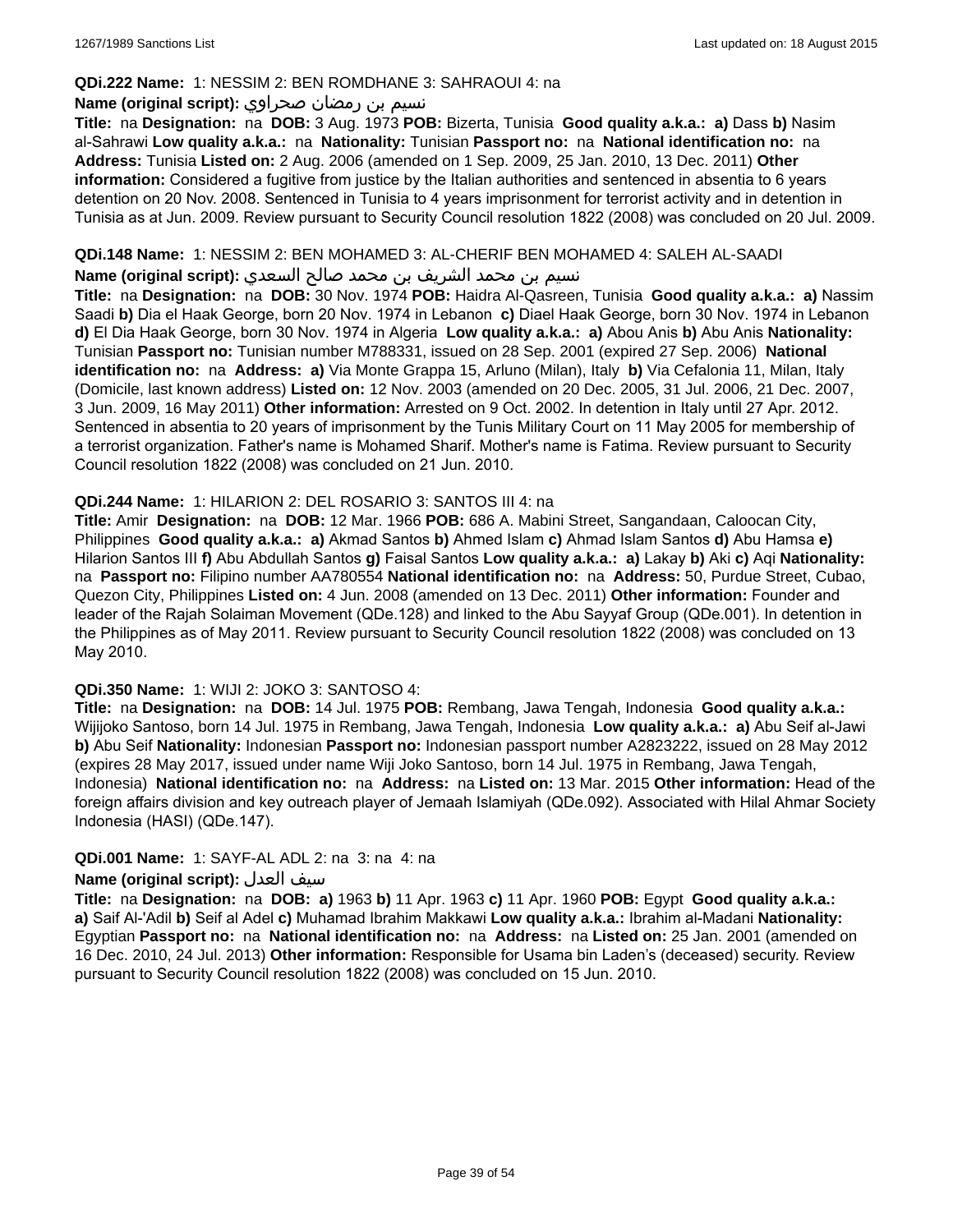#### **QDi.222 Name:** 1: NESSIM 2: BEN ROMDHANE 3: SAHRAOUI 4: na

### نسيم بن رمضان صحراوي **:(script original (Name**

**Title:** na **Designation:** na **DOB:** 3 Aug. 1973 **POB:** Bizerta, Tunisia **Good quality a.k.a.: a)** Dass **b)** Nasim al-Sahrawi **Low quality a.k.a.:** na **Nationality:** Tunisian **Passport no:** na **National identification no:** na **Address:** Tunisia **Listed on:** 2 Aug. 2006 (amended on 1 Sep. 2009, 25 Jan. 2010, 13 Dec. 2011) **Other information:** Considered a fugitive from justice by the Italian authorities and sentenced in absentia to 6 years detention on 20 Nov. 2008. Sentenced in Tunisia to 4 years imprisonment for terrorist activity and in detention in Tunisia as at Jun. 2009. Review pursuant to Security Council resolution 1822 (2008) was concluded on 20 Jul. 2009.

### **QDi.148 Name:** 1: NESSIM 2: BEN MOHAMED 3: AL-CHERIF BEN MOHAMED 4: SALEH AL-SAADI

نسيم بن محمد الشريف بن محمد صالح السعدي **:(script original (Name**

**Title:** na **Designation:** na **DOB:** 30 Nov. 1974 **POB:** Haidra Al-Qasreen, Tunisia **Good quality a.k.a.: a)** Nassim Saadi **b)** Dia el Haak George, born 20 Nov. 1974 in Lebanon **c)** Diael Haak George, born 30 Nov. 1974 in Lebanon **d)** El Dia Haak George, born 30 Nov. 1974 in Algeria **Low quality a.k.a.: a)** Abou Anis **b)** Abu Anis **Nationality:** Tunisian **Passport no:** Tunisian number M788331, issued on 28 Sep. 2001 (expired 27 Sep. 2006) **National identification no:** na **Address: a)** Via Monte Grappa 15, Arluno (Milan), Italy **b)** Via Cefalonia 11, Milan, Italy (Domicile, last known address) **Listed on:** 12 Nov. 2003 (amended on 20 Dec. 2005, 31 Jul. 2006, 21 Dec. 2007, 3 Jun. 2009, 16 May 2011) **Other information:** Arrested on 9 Oct. 2002. In detention in Italy until 27 Apr. 2012. Sentenced in absentia to 20 years of imprisonment by the Tunis Military Court on 11 May 2005 for membership of a terrorist organization. Father's name is Mohamed Sharif. Mother's name is Fatima. Review pursuant to Security Council resolution 1822 (2008) was concluded on 21 Jun. 2010.

#### **QDi.244 Name:** 1: HILARION 2: DEL ROSARIO 3: SANTOS III 4: na

**Title:** Amir **Designation:** na **DOB:** 12 Mar. 1966 **POB:** 686 A. Mabini Street, Sangandaan, Caloocan City, Philippines **Good quality a.k.a.: a)** Akmad Santos **b)** Ahmed Islam **c)** Ahmad Islam Santos **d)** Abu Hamsa **e)** Hilarion Santos III **f)** Abu Abdullah Santos **g)** Faisal Santos **Low quality a.k.a.: a)** Lakay **b)** Aki **c)** Aqi **Nationality:**  na **Passport no:** Filipino number AA780554 **National identification no:** na **Address:** 50, Purdue Street, Cubao, Quezon City, Philippines **Listed on:** 4 Jun. 2008 (amended on 13 Dec. 2011) **Other information:** Founder and leader of the Rajah Solaiman Movement (QDe.128) and linked to the Abu Sayyaf Group (QDe.001). In detention in the Philippines as of May 2011. Review pursuant to Security Council resolution 1822 (2008) was concluded on 13 May 2010.

## **QDi.350 Name:** 1: WIJI 2: JOKO 3: SANTOSO 4:

**Title:** na **Designation:** na **DOB:** 14 Jul. 1975 **POB:** Rembang, Jawa Tengah, Indonesia **Good quality a.k.a.:** Wijijoko Santoso, born 14 Jul. 1975 in Rembang, Jawa Tengah, Indonesia **Low quality a.k.a.: a)** Abu Seif al-Jawi **b)** Abu Seif **Nationality:** Indonesian **Passport no:** Indonesian passport number A2823222, issued on 28 May 2012 (expires 28 May 2017, issued under name Wiji Joko Santoso, born 14 Jul. 1975 in Rembang, Jawa Tengah, Indonesia) **National identification no:** na **Address:** na **Listed on:** 13 Mar. 2015 **Other information:** Head of the foreign affairs division and key outreach player of Jemaah Islamiyah (QDe.092). Associated with Hilal Ahmar Society Indonesia (HASI) (QDe.147).

## **QDi.001 Name:** 1: SAYF-AL ADL 2: na 3: na 4: na

## **Name (original script):** العدل سيف

**Title:** na **Designation:** na **DOB: a)** 1963 **b)** 11 Apr. 1963 **c)** 11 Apr. 1960 **POB:** Egypt **Good quality a.k.a.: a)** Saif Al-'Adil **b)** Seif al Adel **c)** Muhamad Ibrahim Makkawi **Low quality a.k.a.:** Ibrahim al-Madani **Nationality:** Egyptian **Passport no:** na **National identification no:** na **Address:** na **Listed on:** 25 Jan. 2001 (amended on 16 Dec. 2010, 24 Jul. 2013) **Other information:** Responsible for Usama bin Laden's (deceased) security. Review pursuant to Security Council resolution 1822 (2008) was concluded on 15 Jun. 2010.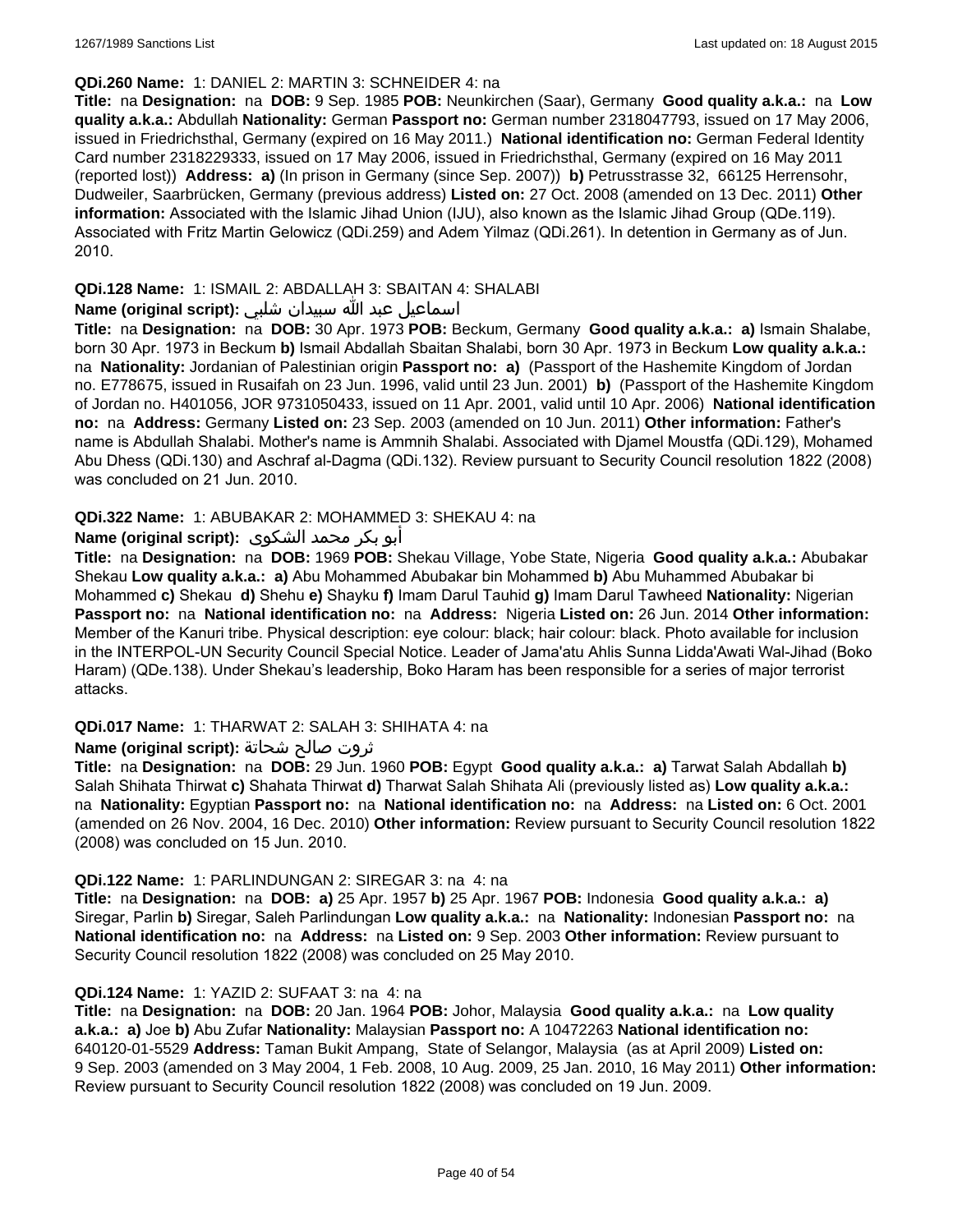#### **QDi.260 Name:** 1: DANIEL 2: MARTIN 3: SCHNEIDER 4: na

**Title:** na **Designation:** na **DOB:** 9 Sep. 1985 **POB:** Neunkirchen (Saar), Germany **Good quality a.k.a.:** na **Low quality a.k.a.:** Abdullah **Nationality:** German **Passport no:** German number 2318047793, issued on 17 May 2006, issued in Friedrichsthal, Germany (expired on 16 May 2011.) **National identification no:** German Federal Identity Card number 2318229333, issued on 17 May 2006, issued in Friedrichsthal, Germany (expired on 16 May 2011 (reported lost)) **Address: a)** (In prison in Germany (since Sep. 2007)) **b)** Petrusstrasse 32, 66125 Herrensohr, Dudweiler, Saarbrücken, Germany (previous address) **Listed on:** 27 Oct. 2008 (amended on 13 Dec. 2011) **Other information:** Associated with the Islamic Jihad Union (IJU), also known as the Islamic Jihad Group (QDe.119). Associated with Fritz Martin Gelowicz (QDi.259) and Adem Yilmaz (QDi.261). In detention in Germany as of Jun. 2010.

## **QDi.128 Name:** 1: ISMAIL 2: ABDALLAH 3: SBAITAN 4: SHALABI

### اسماعيل عبد الله سبيدان شلبي **:(script original (Name**

**Title:** na **Designation:** na **DOB:** 30 Apr. 1973 **POB:** Beckum, Germany **Good quality a.k.a.: a)** Ismain Shalabe, born 30 Apr. 1973 in Beckum **b)** Ismail Abdallah Sbaitan Shalabi, born 30 Apr. 1973 in Beckum **Low quality a.k.a.:**  na **Nationality:** Jordanian of Palestinian origin **Passport no: a)** (Passport of the Hashemite Kingdom of Jordan no. E778675, issued in Rusaifah on 23 Jun. 1996, valid until 23 Jun. 2001) **b)** (Passport of the Hashemite Kingdom of Jordan no. H401056, JOR 9731050433, issued on 11 Apr. 2001, valid until 10 Apr. 2006) **National identification no:** na **Address:** Germany **Listed on:** 23 Sep. 2003 (amended on 10 Jun. 2011) **Other information:** Father's name is Abdullah Shalabi. Mother's name is Ammnih Shalabi. Associated with Djamel Moustfa (QDi.129), Mohamed Abu Dhess (QDi.130) and Aschraf al-Dagma (QDi.132). Review pursuant to Security Council resolution 1822 (2008) was concluded on 21 Jun. 2010.

#### **QDi.322 Name:** 1: ABUBAKAR 2: MOHAMMED 3: SHEKAU 4: na

## أبو بكر محمد الشكوى **:(script original (Name**

**Title:** na **Designation:** na **DOB:** 1969 **POB:** Shekau Village, Yobe State, Nigeria **Good quality a.k.a.:** Abubakar Shekau **Low quality a.k.a.: a)** Abu Mohammed Abubakar bin Mohammed **b)** Abu Muhammed Abubakar bi Mohammed **c)** Shekau **d)** Shehu **e)** Shayku **f)** Imam Darul Tauhid **g)** Imam Darul Tawheed **Nationality:** Nigerian **Passport no:** na **National identification no:** na **Address:** Nigeria **Listed on:** 26 Jun. 2014 **Other information:** Member of the Kanuri tribe. Physical description: eye colour: black; hair colour: black. Photo available for inclusion in the INTERPOL-UN Security Council Special Notice. Leader of Jama'atu Ahlis Sunna Lidda'Awati Wal-Jihad (Boko Haram) (QDe.138). Under Shekau's leadership, Boko Haram has been responsible for a series of major terrorist attacks.

#### **QDi.017 Name:** 1: THARWAT 2: SALAH 3: SHIHATA 4: na

## ثروت صالح شحاتة **:(script original (Name**

**Title:** na **Designation:** na **DOB:** 29 Jun. 1960 **POB:** Egypt **Good quality a.k.a.: a)** Tarwat Salah Abdallah **b)** Salah Shihata Thirwat **c)** Shahata Thirwat **d)** Tharwat Salah Shihata Ali (previously listed as) **Low quality a.k.a.:**  na **Nationality:** Egyptian **Passport no:** na **National identification no:** na **Address:** na **Listed on:** 6 Oct. 2001 (amended on 26 Nov. 2004, 16 Dec. 2010) **Other information:** Review pursuant to Security Council resolution 1822 (2008) was concluded on 15 Jun. 2010.

#### **QDi.122 Name:** 1: PARLINDUNGAN 2: SIREGAR 3: na 4: na

**Title:** na **Designation:** na **DOB: a)** 25 Apr. 1957 **b)** 25 Apr. 1967 **POB:** Indonesia **Good quality a.k.a.: a)** Siregar, Parlin **b)** Siregar, Saleh Parlindungan **Low quality a.k.a.:** na **Nationality:** Indonesian **Passport no:** na **National identification no:** na **Address:** na **Listed on:** 9 Sep. 2003 **Other information:** Review pursuant to Security Council resolution 1822 (2008) was concluded on 25 May 2010.

## **QDi.124 Name:** 1: YAZID 2: SUFAAT 3: na 4: na

**Title:** na **Designation:** na **DOB:** 20 Jan. 1964 **POB:** Johor, Malaysia **Good quality a.k.a.:** na **Low quality a.k.a.: a)** Joe **b)** Abu Zufar **Nationality:** Malaysian **Passport no:** A 10472263 **National identification no:** 640120-01-5529 **Address:** Taman Bukit Ampang, State of Selangor, Malaysia (as at April 2009) **Listed on:** 9 Sep. 2003 (amended on 3 May 2004, 1 Feb. 2008, 10 Aug. 2009, 25 Jan. 2010, 16 May 2011) **Other information:** Review pursuant to Security Council resolution 1822 (2008) was concluded on 19 Jun. 2009.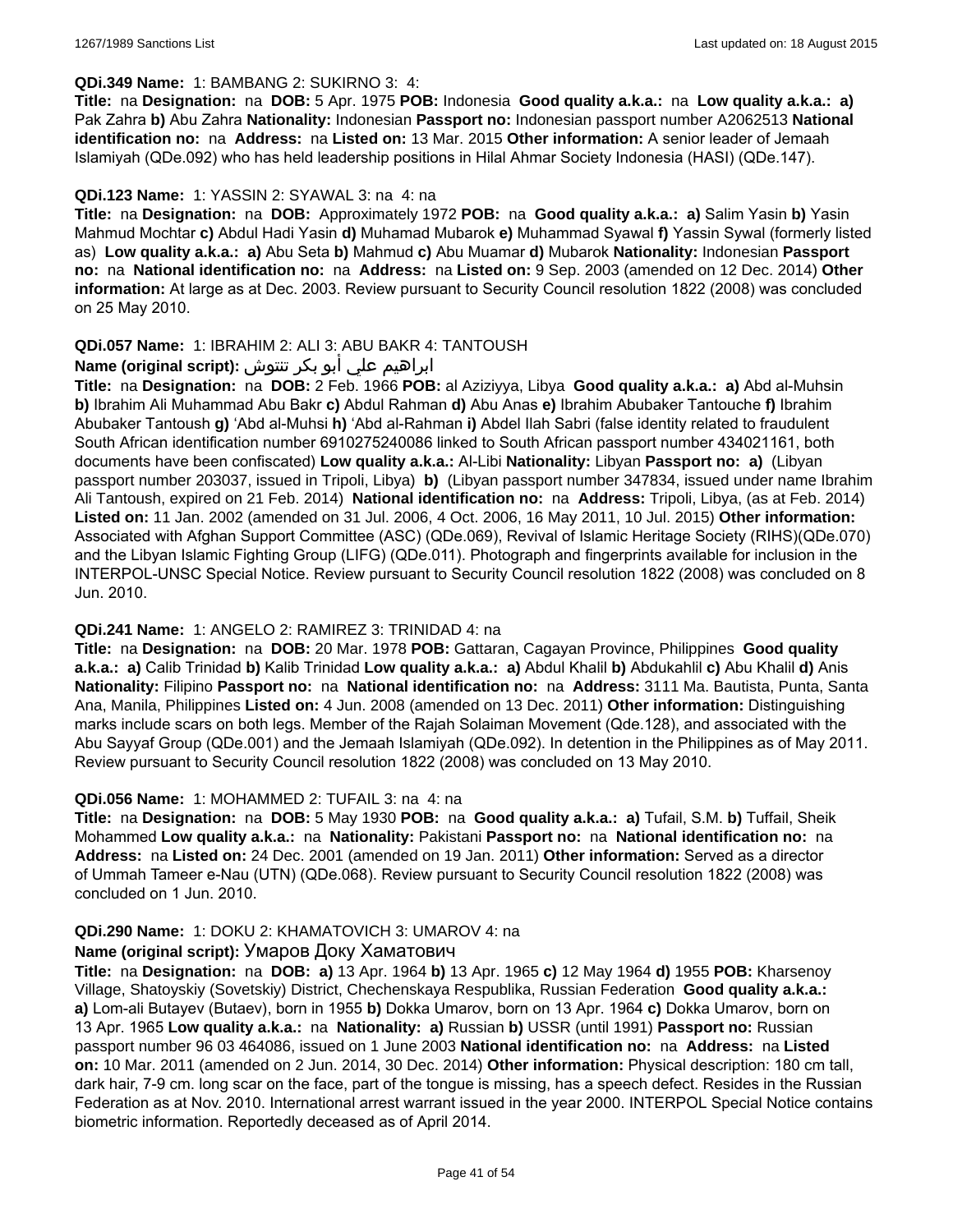#### **QDi.349 Name:** 1: BAMBANG 2: SUKIRNO 3: 4:

**Title:** na **Designation:** na **DOB:** 5 Apr. 1975 **POB:** Indonesia **Good quality a.k.a.:** na **Low quality a.k.a.: a)** Pak Zahra **b)** Abu Zahra **Nationality:** Indonesian **Passport no:** Indonesian passport number A2062513 **National identification no:** na **Address:** na **Listed on:** 13 Mar. 2015 **Other information:** A senior leader of Jemaah Islamiyah (QDe.092) who has held leadership positions in Hilal Ahmar Society Indonesia (HASI) (QDe.147).

#### **QDi.123 Name:** 1: YASSIN 2: SYAWAL 3: na 4: na

**Title:** na **Designation:** na **DOB:** Approximately 1972 **POB:** na **Good quality a.k.a.: a)** Salim Yasin **b)** Yasin Mahmud Mochtar **c)** Abdul Hadi Yasin **d)** Muhamad Mubarok **e)** Muhammad Syawal **f)** Yassin Sywal (formerly listed as) **Low quality a.k.a.: a)** Abu Seta **b)** Mahmud **c)** Abu Muamar **d)** Mubarok **Nationality:** Indonesian **Passport no:** na **National identification no:** na **Address:** na **Listed on:** 9 Sep. 2003 (amended on 12 Dec. 2014) **Other information:** At large as at Dec. 2003. Review pursuant to Security Council resolution 1822 (2008) was concluded on 25 May 2010.

#### **QDi.057 Name:** 1: IBRAHIM 2: ALI 3: ABU BAKR 4: TANTOUSH

## ابراهيم علي أبو بكر تنتوش **:(script original (Name**

**Title:** na **Designation:** na **DOB:** 2 Feb. 1966 **POB:** al Aziziyya, Libya **Good quality a.k.a.: a)** Abd al-Muhsin **b)** Ibrahim Ali Muhammad Abu Bakr **c)** Abdul Rahman **d)** Abu Anas **e)** Ibrahim Abubaker Tantouche **f)** Ibrahim Abubaker Tantoush **g)** 'Abd al-Muhsi **h)** 'Abd al-Rahman **i)** Abdel Ilah Sabri (false identity related to fraudulent South African identification number 6910275240086 linked to South African passport number 434021161, both documents have been confiscated) **Low quality a.k.a.:** Al-Libi **Nationality:** Libyan **Passport no: a)** (Libyan passport number 203037, issued in Tripoli, Libya) **b)** (Libyan passport number 347834, issued under name Ibrahim Ali Tantoush, expired on 21 Feb. 2014) **National identification no:** na **Address:** Tripoli, Libya, (as at Feb. 2014) **Listed on:** 11 Jan. 2002 (amended on 31 Jul. 2006, 4 Oct. 2006, 16 May 2011, 10 Jul. 2015) **Other information:** Associated with Afghan Support Committee (ASC) (QDe.069), Revival of Islamic Heritage Society (RIHS)(QDe.070) and the Libyan Islamic Fighting Group (LIFG) (QDe.011). Photograph and fingerprints available for inclusion in the INTERPOL-UNSC Special Notice. Review pursuant to Security Council resolution 1822 (2008) was concluded on 8 Jun. 2010.

#### **QDi.241 Name:** 1: ANGELO 2: RAMIREZ 3: TRINIDAD 4: na

**Title:** na **Designation:** na **DOB:** 20 Mar. 1978 **POB:** Gattaran, Cagayan Province, Philippines **Good quality a.k.a.: a)** Calib Trinidad **b)** Kalib Trinidad **Low quality a.k.a.: a)** Abdul Khalil **b)** Abdukahlil **c)** Abu Khalil **d)** Anis **Nationality:** Filipino **Passport no:** na **National identification no:** na **Address:** 3111 Ma. Bautista, Punta, Santa Ana, Manila, Philippines **Listed on:** 4 Jun. 2008 (amended on 13 Dec. 2011) **Other information:** Distinguishing marks include scars on both legs. Member of the Rajah Solaiman Movement (Qde.128), and associated with the Abu Sayyaf Group (QDe.001) and the Jemaah Islamiyah (QDe.092). In detention in the Philippines as of May 2011. Review pursuant to Security Council resolution 1822 (2008) was concluded on 13 May 2010.

#### **QDi.056 Name:** 1: MOHAMMED 2: TUFAIL 3: na 4: na

**Title:** na **Designation:** na **DOB:** 5 May 1930 **POB:** na **Good quality a.k.a.: a)** Tufail, S.M. **b)** Tuffail, Sheik Mohammed **Low quality a.k.a.:** na **Nationality:** Pakistani **Passport no:** na **National identification no:** na **Address:** na **Listed on:** 24 Dec. 2001 (amended on 19 Jan. 2011) **Other information:** Served as a director of Ummah Tameer e-Nau (UTN) (QDe.068). Review pursuant to Security Council resolution 1822 (2008) was concluded on 1 Jun. 2010.

## **QDi.290 Name:** 1: DOKU 2: KHAMATOVICH 3: UMAROV 4: na

#### **Name (original script):** Умаров Доку Хаматович

**Title:** na **Designation:** na **DOB: a)** 13 Apr. 1964 **b)** 13 Apr. 1965 **c)** 12 May 1964 **d)** 1955 **POB:** Kharsenoy Village, Shatoyskiy (Sovetskiy) District, Chechenskaya Respublika, Russian Federation **Good quality a.k.a.: a)** Lom-ali Butayev (Butaev), born in 1955 **b)** Dokka Umarov, born on 13 Apr. 1964 **c)** Dokka Umarov, born on 13 Apr. 1965 **Low quality a.k.a.:** na **Nationality: a)** Russian **b)** USSR (until 1991) **Passport no:** Russian passport number 96 03 464086, issued on 1 June 2003 **National identification no:** na **Address:** na **Listed on:** 10 Mar. 2011 (amended on 2 Jun. 2014, 30 Dec. 2014) **Other information:** Physical description: 180 cm tall, dark hair, 7-9 cm. long scar on the face, part of the tongue is missing, has a speech defect. Resides in the Russian Federation as at Nov. 2010. International arrest warrant issued in the year 2000. INTERPOL Special Notice contains biometric information. Reportedly deceased as of April 2014.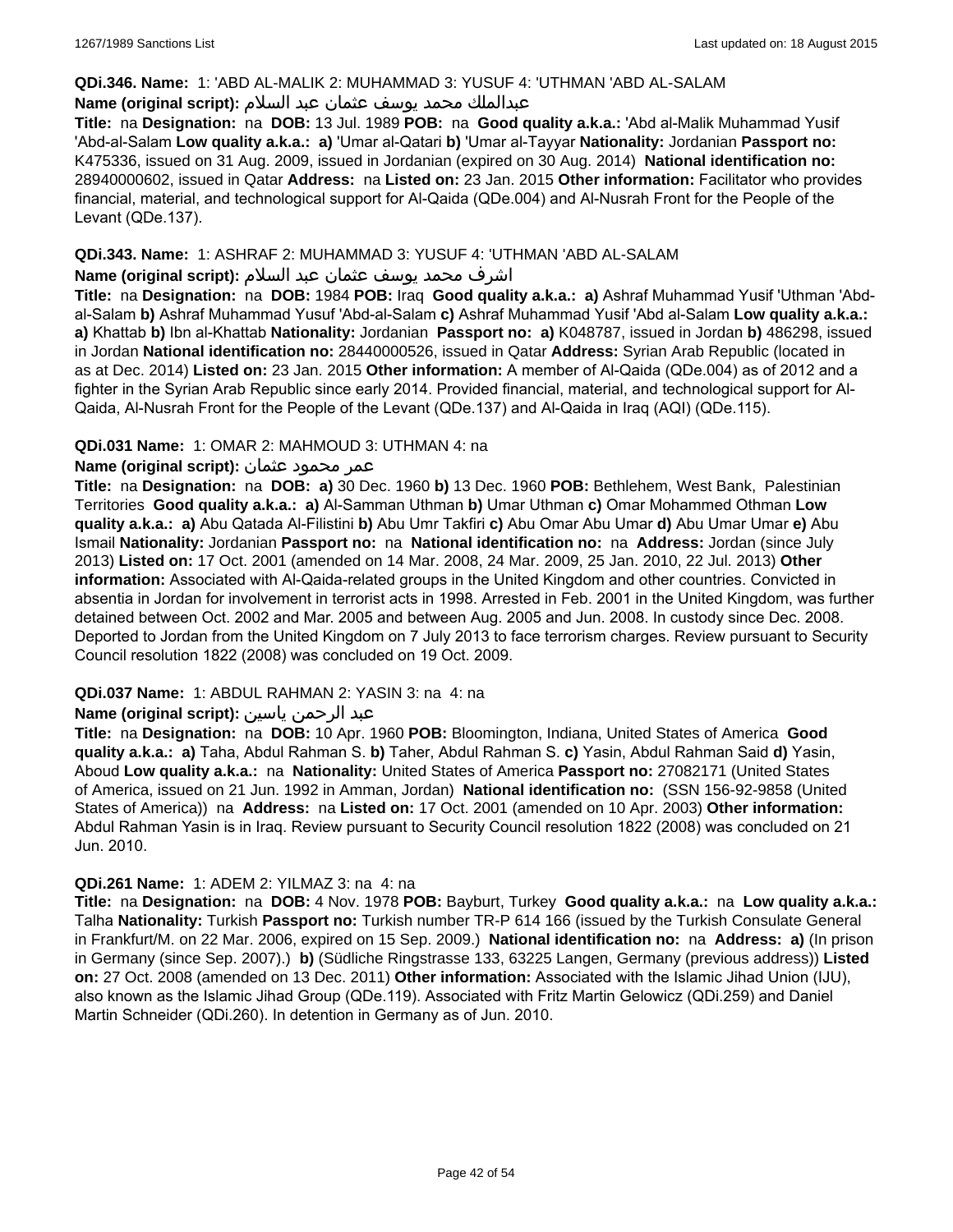#### **QDi.346. Name:** 1: 'ABD AL-MALIK 2: MUHAMMAD 3: YUSUF 4: 'UTHMAN 'ABD AL-SALAM

### عبدالملك محمد يوسف عثمان عبد السلام **:(script original (Name**

**Title:** na **Designation:** na **DOB:** 13 Jul. 1989 **POB:** na **Good quality a.k.a.:** 'Abd al-Malik Muhammad Yusif 'Abd-al-Salam **Low quality a.k.a.: a)** 'Umar al-Qatari **b)** 'Umar al-Tayyar **Nationality:** Jordanian **Passport no:** K475336, issued on 31 Aug. 2009, issued in Jordanian (expired on 30 Aug. 2014) **National identification no:** 28940000602, issued in Qatar **Address:** na **Listed on:** 23 Jan. 2015 **Other information:** Facilitator who provides financial, material, and technological support for Al-Qaida (QDe.004) and Al-Nusrah Front for the People of the Levant (QDe.137).

#### **QDi.343. Name:** 1: ASHRAF 2: MUHAMMAD 3: YUSUF 4: 'UTHMAN 'ABD AL-SALAM

#### اشرف محمد يوسف عثمان عبد السلام **:(script original (Name**

**Title:** na **Designation:** na **DOB:** 1984 **POB:** Iraq **Good quality a.k.a.: a)** Ashraf Muhammad Yusif 'Uthman 'Abdal-Salam **b)** Ashraf Muhammad Yusuf 'Abd-al-Salam **c)** Ashraf Muhammad Yusif 'Abd al-Salam **Low quality a.k.a.: a)** Khattab **b)** Ibn al-Khattab **Nationality:** Jordanian **Passport no: a)** K048787, issued in Jordan **b)** 486298, issued in Jordan **National identification no:** 28440000526, issued in Qatar **Address:** Syrian Arab Republic (located in as at Dec. 2014) **Listed on:** 23 Jan. 2015 **Other information:** A member of Al-Qaida (QDe.004) as of 2012 and a fighter in the Syrian Arab Republic since early 2014. Provided financial, material, and technological support for Al-Qaida, Al-Nusrah Front for the People of the Levant (QDe.137) and Al-Qaida in Iraq (AQI) (QDe.115).

#### **QDi.031 Name:** 1: OMAR 2: MAHMOUD 3: UTHMAN 4: na

#### عمر محمود عثمان **:(script original (Name**

**Title:** na **Designation:** na **DOB: a)** 30 Dec. 1960 **b)** 13 Dec. 1960 **POB:** Bethlehem, West Bank, Palestinian Territories **Good quality a.k.a.: a)** Al-Samman Uthman **b)** Umar Uthman **c)** Omar Mohammed Othman **Low quality a.k.a.: a)** Abu Qatada Al-Filistini **b)** Abu Umr Takfiri **c)** Abu Omar Abu Umar **d)** Abu Umar Umar **e)** Abu Ismail **Nationality:** Jordanian **Passport no:** na **National identification no:** na **Address:** Jordan (since July 2013) **Listed on:** 17 Oct. 2001 (amended on 14 Mar. 2008, 24 Mar. 2009, 25 Jan. 2010, 22 Jul. 2013) **Other information:** Associated with Al-Qaida-related groups in the United Kingdom and other countries. Convicted in absentia in Jordan for involvement in terrorist acts in 1998. Arrested in Feb. 2001 in the United Kingdom, was further detained between Oct. 2002 and Mar. 2005 and between Aug. 2005 and Jun. 2008. In custody since Dec. 2008. Deported to Jordan from the United Kingdom on 7 July 2013 to face terrorism charges. Review pursuant to Security Council resolution 1822 (2008) was concluded on 19 Oct. 2009.

## **QDi.037 Name:** 1: ABDUL RAHMAN 2: YASIN 3: na 4: na

### عبد الرحمن ياسين **:(script original (Name**

**Title:** na **Designation:** na **DOB:** 10 Apr. 1960 **POB:** Bloomington, Indiana, United States of America **Good quality a.k.a.: a)** Taha, Abdul Rahman S. **b)** Taher, Abdul Rahman S. **c)** Yasin, Abdul Rahman Said **d)** Yasin, Aboud **Low quality a.k.a.:** na **Nationality:** United States of America **Passport no:** 27082171 (United States of America, issued on 21 Jun. 1992 in Amman, Jordan) **National identification no:** (SSN 156-92-9858 (United States of America)) na **Address:** na **Listed on:** 17 Oct. 2001 (amended on 10 Apr. 2003) **Other information:** Abdul Rahman Yasin is in Iraq. Review pursuant to Security Council resolution 1822 (2008) was concluded on 21 Jun. 2010.

#### **QDi.261 Name:** 1: ADEM 2: YILMAZ 3: na 4: na

**Title:** na **Designation:** na **DOB:** 4 Nov. 1978 **POB:** Bayburt, Turkey **Good quality a.k.a.:** na **Low quality a.k.a.:** Talha **Nationality:** Turkish **Passport no:** Turkish number TR-P 614 166 (issued by the Turkish Consulate General in Frankfurt/M. on 22 Mar. 2006, expired on 15 Sep. 2009.) **National identification no:** na **Address: a)** (In prison in Germany (since Sep. 2007).) **b)** (Südliche Ringstrasse 133, 63225 Langen, Germany (previous address)) **Listed on:** 27 Oct. 2008 (amended on 13 Dec. 2011) **Other information:** Associated with the Islamic Jihad Union (IJU), also known as the Islamic Jihad Group (QDe.119). Associated with Fritz Martin Gelowicz (QDi.259) and Daniel Martin Schneider (QDi.260). In detention in Germany as of Jun. 2010.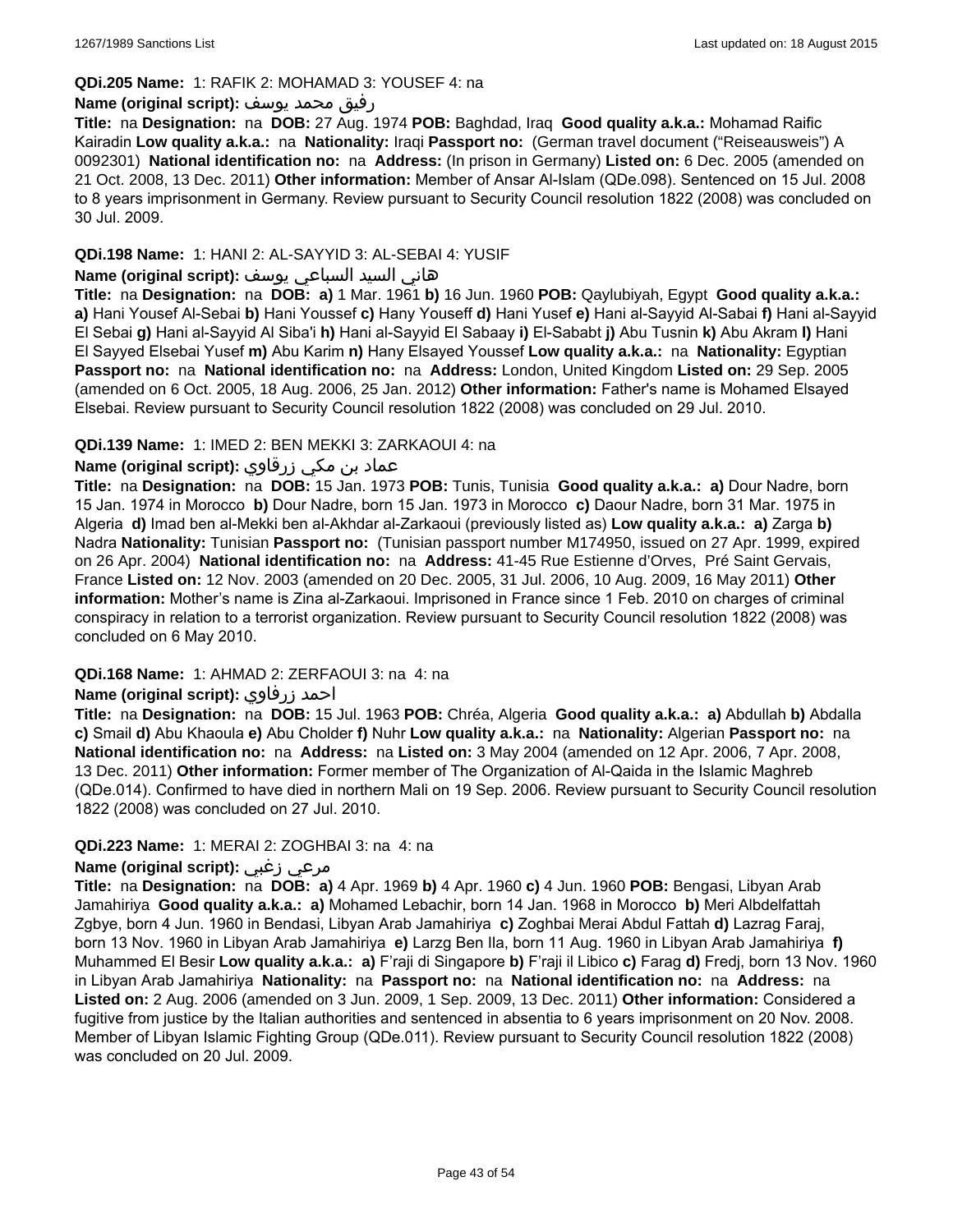### **QDi.205 Name:** 1: RAFIK 2: MOHAMAD 3: YOUSEF 4: na

#### رفيق محمد يوسف **:(script original (Name**

**Title:** na **Designation:** na **DOB:** 27 Aug. 1974 **POB:** Baghdad, Iraq **Good quality a.k.a.:** Mohamad Raific Kairadin **Low quality a.k.a.:** na **Nationality:** Iraqi **Passport no:** (German travel document ("Reiseausweis") A 0092301) **National identification no:** na **Address:** (In prison in Germany) **Listed on:** 6 Dec. 2005 (amended on 21 Oct. 2008, 13 Dec. 2011) **Other information:** Member of Ansar Al-Islam (QDe.098). Sentenced on 15 Jul. 2008 to 8 years imprisonment in Germany. Review pursuant to Security Council resolution 1822 (2008) was concluded on 30 Jul. 2009.

#### **QDi.198 Name:** 1: HANI 2: AL-SAYYID 3: AL-SEBAI 4: YUSIF

## هاني السيد السباعي يوسف **:(script original (Name**

**Title:** na **Designation:** na **DOB: a)** 1 Mar. 1961 **b)** 16 Jun. 1960 **POB:** Qaylubiyah, Egypt **Good quality a.k.a.: a)** Hani Yousef Al-Sebai **b)** Hani Youssef **c)** Hany Youseff **d)** Hani Yusef **e)** Hani al-Sayyid Al-Sabai **f)** Hani al-Sayyid El Sebai **g)** Hani al-Sayyid Al Siba'i **h)** Hani al-Sayyid El Sabaay **i)** El-Sababt **j)** Abu Tusnin **k)** Abu Akram **l)** Hani El Sayyed Elsebai Yusef **m)** Abu Karim **n)** Hany Elsayed Youssef **Low quality a.k.a.:** na **Nationality:** Egyptian **Passport no:** na **National identification no:** na **Address:** London, United Kingdom **Listed on:** 29 Sep. 2005 (amended on 6 Oct. 2005, 18 Aug. 2006, 25 Jan. 2012) **Other information:** Father's name is Mohamed Elsayed Elsebai. Review pursuant to Security Council resolution 1822 (2008) was concluded on 29 Jul. 2010.

#### **QDi.139 Name:** 1: IMED 2: BEN MEKKI 3: ZARKAOUI 4: na

## عماد بن مكي زرقاوي **:(script original (Name**

**Title:** na **Designation:** na **DOB:** 15 Jan. 1973 **POB:** Tunis, Tunisia **Good quality a.k.a.: a)** Dour Nadre, born 15 Jan. 1974 in Morocco **b)** Dour Nadre, born 15 Jan. 1973 in Morocco **c)** Daour Nadre, born 31 Mar. 1975 in Algeria **d)** Imad ben al-Mekki ben al-Akhdar al-Zarkaoui (previously listed as) **Low quality a.k.a.: a)** Zarga **b)** Nadra **Nationality:** Tunisian **Passport no:** (Tunisian passport number M174950, issued on 27 Apr. 1999, expired on 26 Apr. 2004) **National identification no:** na **Address:** 41-45 Rue Estienne d'Orves, Pré Saint Gervais, France **Listed on:** 12 Nov. 2003 (amended on 20 Dec. 2005, 31 Jul. 2006, 10 Aug. 2009, 16 May 2011) **Other information:** Mother's name is Zina al-Zarkaoui. Imprisoned in France since 1 Feb. 2010 on charges of criminal conspiracy in relation to a terrorist organization. Review pursuant to Security Council resolution 1822 (2008) was concluded on 6 May 2010.

#### **QDi.168 Name:** 1: AHMAD 2: ZERFAOUI 3: na 4: na

## **Name (original script):** زرفاوي احمد

**Title:** na **Designation:** na **DOB:** 15 Jul. 1963 **POB:** Chréa, Algeria **Good quality a.k.a.: a)** Abdullah **b)** Abdalla **c)** Smail **d)** Abu Khaoula **e)** Abu Cholder **f)** Nuhr **Low quality a.k.a.:** na **Nationality:** Algerian **Passport no:** na **National identification no:** na **Address:** na **Listed on:** 3 May 2004 (amended on 12 Apr. 2006, 7 Apr. 2008, 13 Dec. 2011) **Other information:** Former member of The Organization of Al-Qaida in the Islamic Maghreb (QDe.014). Confirmed to have died in northern Mali on 19 Sep. 2006. Review pursuant to Security Council resolution 1822 (2008) was concluded on 27 Jul. 2010.

#### **QDi.223 Name:** 1: MERAI 2: ZOGHBAI 3: na 4: na

### **Name (original script):** زغبي مرعي

**Title:** na **Designation:** na **DOB: a)** 4 Apr. 1969 **b)** 4 Apr. 1960 **c)** 4 Jun. 1960 **POB:** Bengasi, Libyan Arab Jamahiriya **Good quality a.k.a.: a)** Mohamed Lebachir, born 14 Jan. 1968 in Morocco **b)** Meri Albdelfattah Zgbye, born 4 Jun. 1960 in Bendasi, Libyan Arab Jamahiriya **c)** Zoghbai Merai Abdul Fattah **d)** Lazrag Faraj, born 13 Nov. 1960 in Libyan Arab Jamahiriya **e)** Larzg Ben Ila, born 11 Aug. 1960 in Libyan Arab Jamahiriya **f)** Muhammed El Besir **Low quality a.k.a.: a)** F'raji di Singapore **b)** F'raji il Libico **c)** Farag **d)** Fredj, born 13 Nov. 1960 in Libyan Arab Jamahiriya **Nationality:** na **Passport no:** na **National identification no:** na **Address:** na **Listed on:** 2 Aug. 2006 (amended on 3 Jun. 2009, 1 Sep. 2009, 13 Dec. 2011) **Other information:** Considered a fugitive from justice by the Italian authorities and sentenced in absentia to 6 years imprisonment on 20 Nov. 2008. Member of Libyan Islamic Fighting Group (QDe.011). Review pursuant to Security Council resolution 1822 (2008) was concluded on 20 Jul. 2009.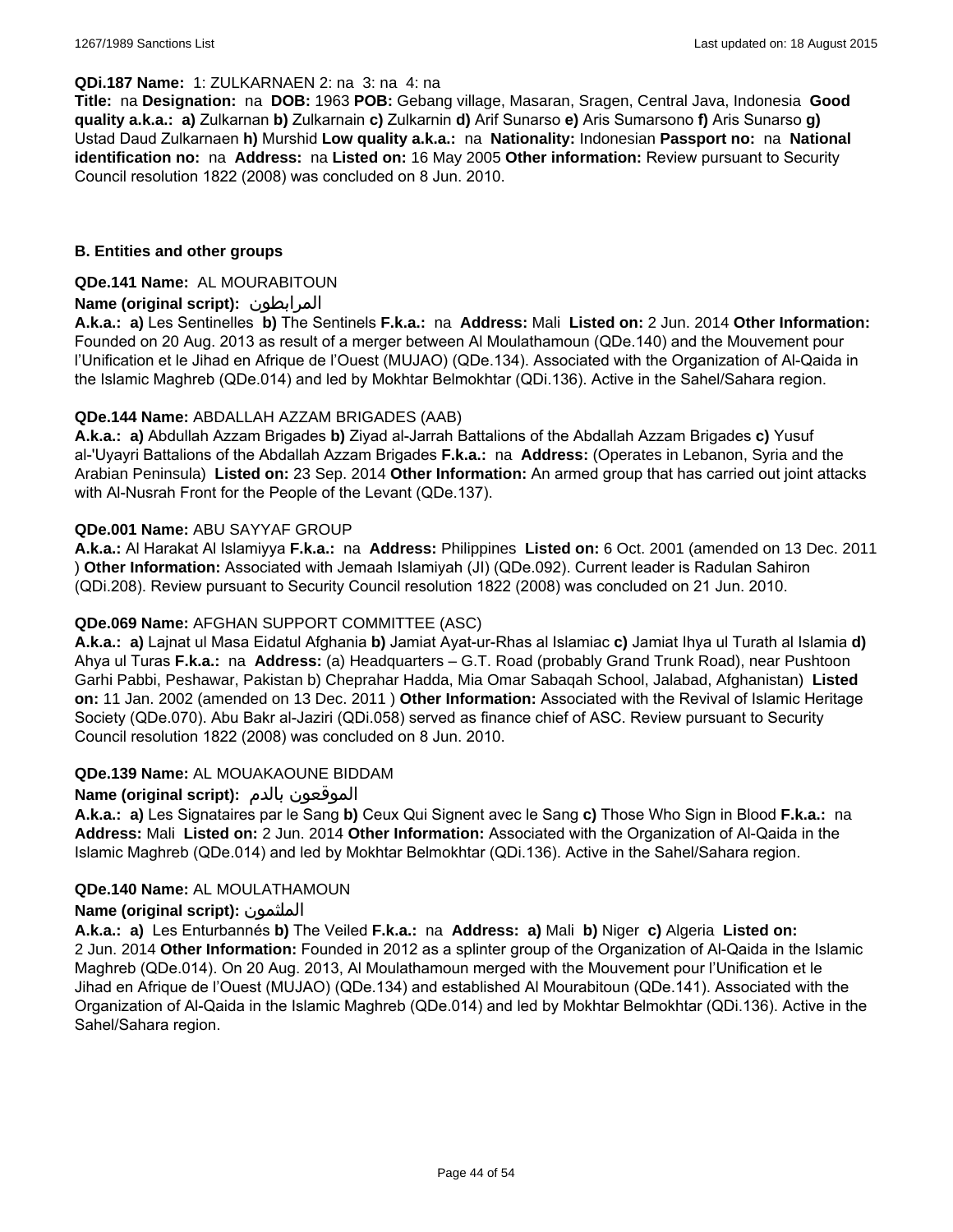#### **QDi.187 Name:** 1: ZULKARNAEN 2: na 3: na 4: na

**Title:** na **Designation:** na **DOB:** 1963 **POB:** Gebang village, Masaran, Sragen, Central Java, Indonesia **Good quality a.k.a.: a)** Zulkarnan **b)** Zulkarnain **c)** Zulkarnin **d)** Arif Sunarso **e)** Aris Sumarsono **f)** Aris Sunarso **g)** Ustad Daud Zulkarnaen **h)** Murshid **Low quality a.k.a.:** na **Nationality:** Indonesian **Passport no:** na **National identification no:** na **Address:** na **Listed on:** 16 May 2005 **Other information:** Review pursuant to Security Council resolution 1822 (2008) was concluded on 8 Jun. 2010.

#### **B. Entities and other groups**

#### **QDe.141 Name:** AL MOURABITOUN

### **Name (original script):** المرابطون

**A.k.a.: a)** Les Sentinelles **b)** The Sentinels **F.k.a.:** na **Address:** Mali **Listed on:** 2 Jun. 2014 **Other Information:**  Founded on 20 Aug. 2013 as result of a merger between Al Moulathamoun (QDe.140) and the Mouvement pour l'Unification et le Jihad en Afrique de l'Ouest (MUJAO) (QDe.134). Associated with the Organization of Al-Qaida in the Islamic Maghreb (QDe.014) and led by Mokhtar Belmokhtar (QDi.136). Active in the Sahel/Sahara region.

#### **QDe.144 Name:** ABDALLAH AZZAM BRIGADES (AAB)

**A.k.a.: a)** Abdullah Azzam Brigades **b)** Ziyad al-Jarrah Battalions of the Abdallah Azzam Brigades **c)** Yusuf al-'Uyayri Battalions of the Abdallah Azzam Brigades **F.k.a.:** na **Address:** (Operates in Lebanon, Syria and the Arabian Peninsula) **Listed on:** 23 Sep. 2014 **Other Information:** An armed group that has carried out joint attacks with Al-Nusrah Front for the People of the Levant (QDe.137).

#### **QDe.001 Name:** ABU SAYYAF GROUP

**A.k.a.:** Al Harakat Al Islamiyya **F.k.a.:** na **Address:** Philippines **Listed on:** 6 Oct. 2001 (amended on 13 Dec. 2011 ) **Other Information:** Associated with Jemaah Islamiyah (JI) (QDe.092). Current leader is Radulan Sahiron (QDi.208). Review pursuant to Security Council resolution 1822 (2008) was concluded on 21 Jun. 2010.

### **QDe.069 Name:** AFGHAN SUPPORT COMMITTEE (ASC)

**A.k.a.: a)** Lajnat ul Masa Eidatul Afghania **b)** Jamiat Ayat-ur-Rhas al Islamiac **c)** Jamiat Ihya ul Turath al Islamia **d)** Ahya ul Turas **F.k.a.:** na **Address:** (a) Headquarters – G.T. Road (probably Grand Trunk Road), near Pushtoon Garhi Pabbi, Peshawar, Pakistan b) Cheprahar Hadda, Mia Omar Sabaqah School, Jalabad, Afghanistan) **Listed on:** 11 Jan. 2002 (amended on 13 Dec. 2011 ) **Other Information:** Associated with the Revival of Islamic Heritage Society (QDe.070). Abu Bakr al-Jaziri (QDi.058) served as finance chief of ASC. Review pursuant to Security Council resolution 1822 (2008) was concluded on 8 Jun. 2010.

#### **QDe.139 Name:** AL MOUAKAOUNE BIDDAM

## **Name (original script):** بالدم الموقعون

**A.k.a.: a)** Les Signataires par le Sang **b)** Ceux Qui Signent avec le Sang **c)** Those Who Sign in Blood **F.k.a.:** na **Address:** Mali **Listed on:** 2 Jun. 2014 **Other Information:** Associated with the Organization of Al-Qaida in the Islamic Maghreb (QDe.014) and led by Mokhtar Belmokhtar (QDi.136). Active in the Sahel/Sahara region.

#### **QDe.140 Name:** AL MOULATHAMOUN

#### **Name (original script):** الملثمون

**A.k.a.: a)** Les Enturbannés **b)** The Veiled **F.k.a.:** na **Address: a)** Mali **b)** Niger **c)** Algeria **Listed on:** 2 Jun. 2014 **Other Information:** Founded in 2012 as a splinter group of the Organization of Al-Qaida in the Islamic Maghreb (QDe.014). On 20 Aug. 2013, Al Moulathamoun merged with the Mouvement pour l'Unification et le Jihad en Afrique de l'Ouest (MUJAO) (QDe.134) and established Al Mourabitoun (QDe.141). Associated with the Organization of Al-Qaida in the Islamic Maghreb (QDe.014) and led by Mokhtar Belmokhtar (QDi.136). Active in the Sahel/Sahara region.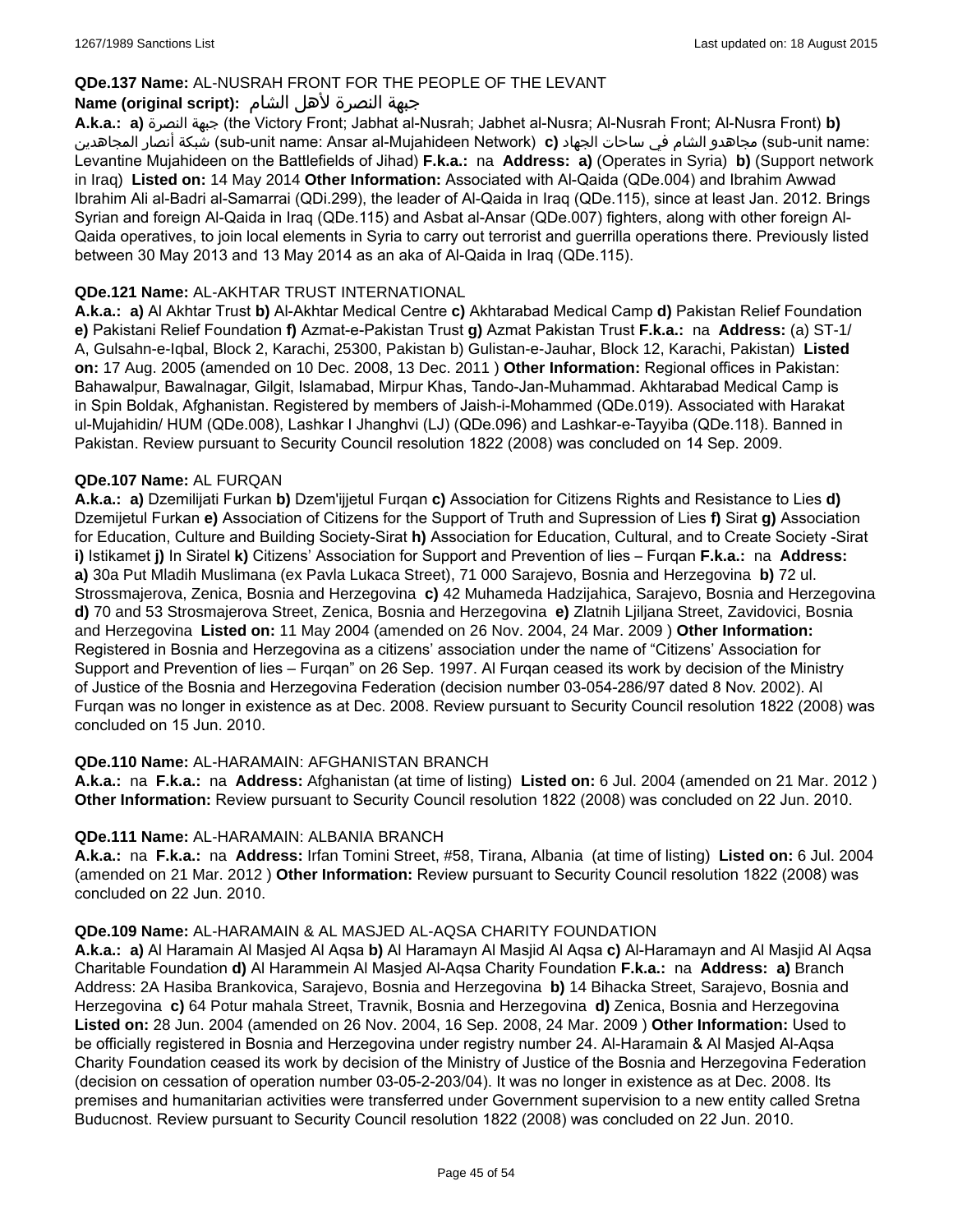### **QDe.137 Name:** AL-NUSRAH FRONT FOR THE PEOPLE OF THE LEVANT

## جبهة النصرة لأهل الشام **:(script original (Name**

**A.k.a.: a)** النصرة جبهة) the Victory Front; Jabhat al-Nusrah; Jabhet al-Nusra; Al-Nusrah Front; Al-Nusra Front) **b)**  المجاهدين أنصار شبكة) sub-unit name: Ansar al-Mujahideen Network) **c)** الجهاد ساحات في الشام مجاهدو) sub-unit name: Levantine Mujahideen on the Battlefields of Jihad) **F.k.a.:** na **Address: a)** (Operates in Syria) **b)** (Support network in Iraq) **Listed on:** 14 May 2014 **Other Information:** Associated with Al-Qaida (QDe.004) and Ibrahim Awwad Ibrahim Ali al-Badri al-Samarrai (QDi.299), the leader of Al-Qaida in Iraq (QDe.115), since at least Jan. 2012. Brings Syrian and foreign Al-Qaida in Iraq (QDe.115) and Asbat al-Ansar (QDe.007) fighters, along with other foreign Al-Qaida operatives, to join local elements in Syria to carry out terrorist and guerrilla operations there. Previously listed between 30 May 2013 and 13 May 2014 as an aka of Al-Qaida in Iraq (QDe.115).

#### **QDe.121 Name:** AL-AKHTAR TRUST INTERNATIONAL

**A.k.a.: a)** Al Akhtar Trust **b)** Al-Akhtar Medical Centre **c)** Akhtarabad Medical Camp **d)** Pakistan Relief Foundation **e)** Pakistani Relief Foundation **f)** Azmat-e-Pakistan Trust **g)** Azmat Pakistan Trust **F.k.a.:** na **Address:** (a) ST-1/ A, Gulsahn-e-Iqbal, Block 2, Karachi, 25300, Pakistan b) Gulistan-e-Jauhar, Block 12, Karachi, Pakistan) **Listed on:** 17 Aug. 2005 (amended on 10 Dec. 2008, 13 Dec. 2011 ) **Other Information:** Regional offices in Pakistan: Bahawalpur, Bawalnagar, Gilgit, Islamabad, Mirpur Khas, Tando-Jan-Muhammad. Akhtarabad Medical Camp is in Spin Boldak, Afghanistan. Registered by members of Jaish-i-Mohammed (QDe.019). Associated with Harakat ul-Mujahidin/ HUM (QDe.008), Lashkar I Jhanghvi (LJ) (QDe.096) and Lashkar-e-Tayyiba (QDe.118). Banned in Pakistan. Review pursuant to Security Council resolution 1822 (2008) was concluded on 14 Sep. 2009.

#### **QDe.107 Name:** AL FURQAN

**A.k.a.: a)** Dzemilijati Furkan **b)** Dzem'ijjetul Furqan **c)** Association for Citizens Rights and Resistance to Lies **d)** Dzemijetul Furkan **e)** Association of Citizens for the Support of Truth and Supression of Lies **f)** Sirat **g)** Association for Education, Culture and Building Society-Sirat **h)** Association for Education, Cultural, and to Create Society -Sirat **i)** Istikamet **j)** In Siratel **k)** Citizens' Association for Support and Prevention of lies – Furqan **F.k.a.:** na **Address: a)** 30a Put Mladih Muslimana (ex Pavla Lukaca Street), 71 000 Sarajevo, Bosnia and Herzegovina **b)** 72 ul. Strossmajerova, Zenica, Bosnia and Herzegovina **c)** 42 Muhameda Hadzijahica, Sarajevo, Bosnia and Herzegovina **d)** 70 and 53 Strosmajerova Street, Zenica, Bosnia and Herzegovina **e)** Zlatnih Ljiljana Street, Zavidovici, Bosnia and Herzegovina **Listed on:** 11 May 2004 (amended on 26 Nov. 2004, 24 Mar. 2009 ) **Other Information:** Registered in Bosnia and Herzegovina as a citizens' association under the name of "Citizens' Association for Support and Prevention of lies – Furqan" on 26 Sep. 1997. Al Furqan ceased its work by decision of the Ministry of Justice of the Bosnia and Herzegovina Federation (decision number 03-054-286/97 dated 8 Nov. 2002). Al Furqan was no longer in existence as at Dec. 2008. Review pursuant to Security Council resolution 1822 (2008) was concluded on 15 Jun. 2010.

#### **QDe.110 Name:** AL-HARAMAIN: AFGHANISTAN BRANCH

**A.k.a.:** na **F.k.a.:** na **Address:** Afghanistan (at time of listing) **Listed on:** 6 Jul. 2004 (amended on 21 Mar. 2012 ) **Other Information:** Review pursuant to Security Council resolution 1822 (2008) was concluded on 22 Jun. 2010.

#### **QDe.111 Name:** AL-HARAMAIN: ALBANIA BRANCH

**A.k.a.:** na **F.k.a.:** na **Address:** Irfan Tomini Street, #58, Tirana, Albania (at time of listing) **Listed on:** 6 Jul. 2004 (amended on 21 Mar. 2012 ) **Other Information:** Review pursuant to Security Council resolution 1822 (2008) was concluded on 22 Jun. 2010.

#### **QDe.109 Name:** AL-HARAMAIN & AL MASJED AL-AQSA CHARITY FOUNDATION

**A.k.a.: a)** Al Haramain Al Masjed Al Aqsa **b)** Al Haramayn Al Masjid Al Aqsa **c)** Al-Haramayn and Al Masjid Al Aqsa Charitable Foundation **d)** Al Harammein Al Masjed Al-Aqsa Charity Foundation **F.k.a.:** na **Address: a)** Branch Address: 2A Hasiba Brankovica, Sarajevo, Bosnia and Herzegovina **b)** 14 Bihacka Street, Sarajevo, Bosnia and Herzegovina **c)** 64 Potur mahala Street, Travnik, Bosnia and Herzegovina **d)** Zenica, Bosnia and Herzegovina **Listed on:** 28 Jun. 2004 (amended on 26 Nov. 2004, 16 Sep. 2008, 24 Mar. 2009 ) **Other Information:** Used to be officially registered in Bosnia and Herzegovina under registry number 24. Al-Haramain & Al Masjed Al-Aqsa Charity Foundation ceased its work by decision of the Ministry of Justice of the Bosnia and Herzegovina Federation (decision on cessation of operation number 03-05-2-203/04). It was no longer in existence as at Dec. 2008. Its premises and humanitarian activities were transferred under Government supervision to a new entity called Sretna Buducnost. Review pursuant to Security Council resolution 1822 (2008) was concluded on 22 Jun. 2010.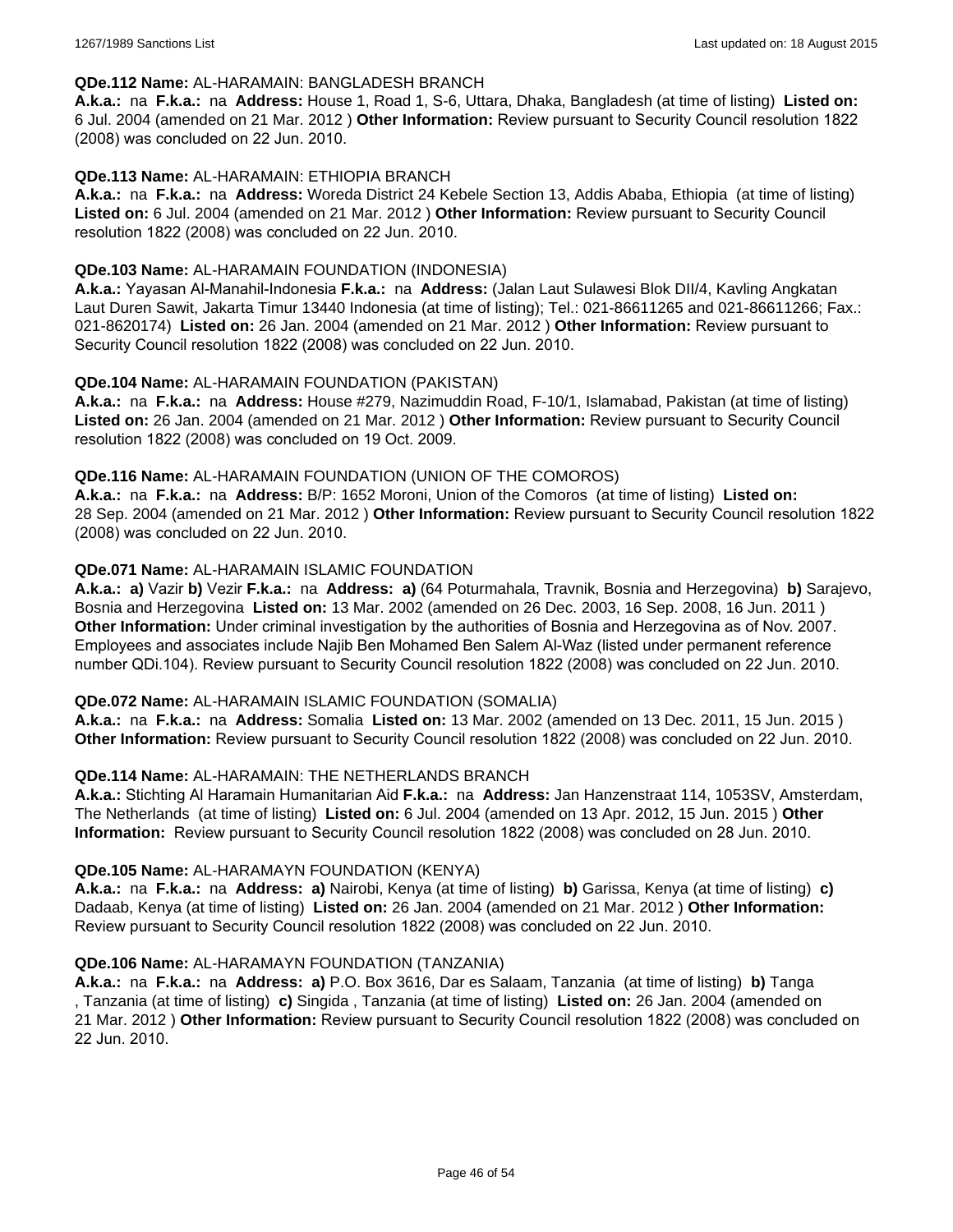#### **QDe.112 Name:** AL-HARAMAIN: BANGLADESH BRANCH

**A.k.a.:** na **F.k.a.:** na **Address:** House 1, Road 1, S-6, Uttara, Dhaka, Bangladesh (at time of listing) **Listed on:** 6 Jul. 2004 (amended on 21 Mar. 2012 ) **Other Information:** Review pursuant to Security Council resolution 1822 (2008) was concluded on 22 Jun. 2010.

#### **QDe.113 Name:** AL-HARAMAIN: ETHIOPIA BRANCH

**A.k.a.:** na **F.k.a.:** na **Address:** Woreda District 24 Kebele Section 13, Addis Ababa, Ethiopia (at time of listing) **Listed on:** 6 Jul. 2004 (amended on 21 Mar. 2012 ) **Other Information:** Review pursuant to Security Council resolution 1822 (2008) was concluded on 22 Jun. 2010.

#### **QDe.103 Name:** AL-HARAMAIN FOUNDATION (INDONESIA)

**A.k.a.:** Yayasan Al-Manahil-Indonesia **F.k.a.:** na **Address:** (Jalan Laut Sulawesi Blok DII/4, Kavling Angkatan Laut Duren Sawit, Jakarta Timur 13440 Indonesia (at time of listing); Tel.: 021-86611265 and 021-86611266; Fax.: 021-8620174) **Listed on:** 26 Jan. 2004 (amended on 21 Mar. 2012 ) **Other Information:** Review pursuant to Security Council resolution 1822 (2008) was concluded on 22 Jun. 2010.

#### **QDe.104 Name:** AL-HARAMAIN FOUNDATION (PAKISTAN)

**A.k.a.:** na **F.k.a.:** na **Address:** House #279, Nazimuddin Road, F-10/1, Islamabad, Pakistan (at time of listing) **Listed on:** 26 Jan. 2004 (amended on 21 Mar. 2012 ) **Other Information:** Review pursuant to Security Council resolution 1822 (2008) was concluded on 19 Oct. 2009.

#### **QDe.116 Name:** AL-HARAMAIN FOUNDATION (UNION OF THE COMOROS)

**A.k.a.:** na **F.k.a.:** na **Address:** B/P: 1652 Moroni, Union of the Comoros (at time of listing) **Listed on:** 28 Sep. 2004 (amended on 21 Mar. 2012 ) **Other Information:** Review pursuant to Security Council resolution 1822 (2008) was concluded on 22 Jun. 2010.

#### **QDe.071 Name:** AL-HARAMAIN ISLAMIC FOUNDATION

**A.k.a.: a)** Vazir **b)** Vezir **F.k.a.:** na **Address: a)** (64 Poturmahala, Travnik, Bosnia and Herzegovina) **b)** Sarajevo, Bosnia and Herzegovina **Listed on:** 13 Mar. 2002 (amended on 26 Dec. 2003, 16 Sep. 2008, 16 Jun. 2011 ) **Other Information:** Under criminal investigation by the authorities of Bosnia and Herzegovina as of Nov. 2007. Employees and associates include Najib Ben Mohamed Ben Salem Al-Waz (listed under permanent reference number QDi.104). Review pursuant to Security Council resolution 1822 (2008) was concluded on 22 Jun. 2010.

#### **QDe.072 Name:** AL-HARAMAIN ISLAMIC FOUNDATION (SOMALIA)

**A.k.a.:** na **F.k.a.:** na **Address:** Somalia **Listed on:** 13 Mar. 2002 (amended on 13 Dec. 2011, 15 Jun. 2015 ) **Other Information:** Review pursuant to Security Council resolution 1822 (2008) was concluded on 22 Jun. 2010.

#### **QDe.114 Name:** AL-HARAMAIN: THE NETHERLANDS BRANCH

**A.k.a.:** Stichting Al Haramain Humanitarian Aid **F.k.a.:** na **Address:** Jan Hanzenstraat 114, 1053SV, Amsterdam, The Netherlands (at time of listing) **Listed on:** 6 Jul. 2004 (amended on 13 Apr. 2012, 15 Jun. 2015 ) **Other Information:** Review pursuant to Security Council resolution 1822 (2008) was concluded on 28 Jun. 2010.

#### **QDe.105 Name:** AL-HARAMAYN FOUNDATION (KENYA)

**A.k.a.:** na **F.k.a.:** na **Address: a)** Nairobi, Kenya (at time of listing) **b)** Garissa, Kenya (at time of listing) **c)** Dadaab, Kenya (at time of listing) **Listed on:** 26 Jan. 2004 (amended on 21 Mar. 2012 ) **Other Information:** Review pursuant to Security Council resolution 1822 (2008) was concluded on 22 Jun. 2010.

#### **QDe.106 Name:** AL-HARAMAYN FOUNDATION (TANZANIA)

**A.k.a.:** na **F.k.a.:** na **Address: a)** P.O. Box 3616, Dar es Salaam, Tanzania (at time of listing) **b)** Tanga , Tanzania (at time of listing) **c)** Singida , Tanzania (at time of listing) **Listed on:** 26 Jan. 2004 (amended on 21 Mar. 2012 ) **Other Information:** Review pursuant to Security Council resolution 1822 (2008) was concluded on 22 Jun. 2010.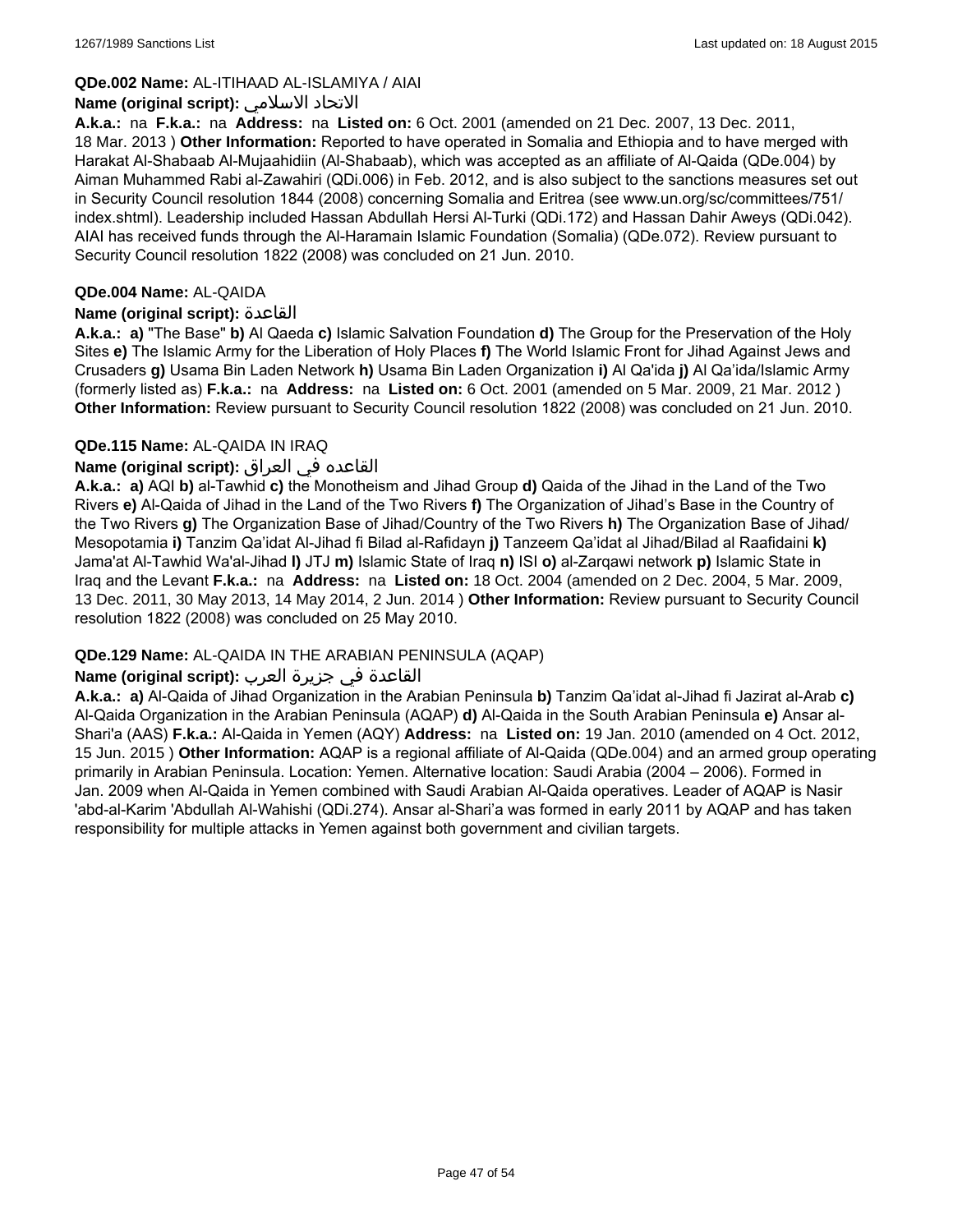### **QDe.002 Name:** AL-ITIHAAD AL-ISLAMIYA / AIAI

### **Name (original script):** الاسلامي الاتحاد

**A.k.a.:** na **F.k.a.:** na **Address:** na **Listed on:** 6 Oct. 2001 (amended on 21 Dec. 2007, 13 Dec. 2011, 18 Mar. 2013 ) **Other Information:** Reported to have operated in Somalia and Ethiopia and to have merged with Harakat Al-Shabaab Al-Mujaahidiin (Al-Shabaab), which was accepted as an affiliate of Al-Qaida (QDe.004) by Aiman Muhammed Rabi al-Zawahiri (QDi.006) in Feb. 2012, and is also subject to the sanctions measures set out in Security Council resolution 1844 (2008) concerning Somalia and Eritrea (see www.un.org/sc/committees/751/ index.shtml). Leadership included Hassan Abdullah Hersi Al-Turki (QDi.172) and Hassan Dahir Aweys (QDi.042). AIAI has received funds through the Al-Haramain Islamic Foundation (Somalia) (QDe.072). Review pursuant to Security Council resolution 1822 (2008) was concluded on 21 Jun. 2010.

#### **QDe.004 Name:** AL-QAIDA

#### **Name (original script):** القاعدة

**A.k.a.: a)** "The Base" **b)** Al Qaeda **c)** Islamic Salvation Foundation **d)** The Group for the Preservation of the Holy Sites **e)** The Islamic Army for the Liberation of Holy Places **f)** The World Islamic Front for Jihad Against Jews and Crusaders **g)** Usama Bin Laden Network **h)** Usama Bin Laden Organization **i)** Al Qa'ida **j)** Al Qa'ida/Islamic Army (formerly listed as) **F.k.a.:** na **Address:** na **Listed on:** 6 Oct. 2001 (amended on 5 Mar. 2009, 21 Mar. 2012 ) **Other Information:** Review pursuant to Security Council resolution 1822 (2008) was concluded on 21 Jun. 2010.

#### **QDe.115 Name:** AL-QAIDA IN IRAQ

## القاعده في العراق **:(script original (Name**

**A.k.a.: a)** AQI **b)** al-Tawhid **c)** the Monotheism and Jihad Group **d)** Qaida of the Jihad in the Land of the Two Rivers **e)** Al-Qaida of Jihad in the Land of the Two Rivers **f)** The Organization of Jihad's Base in the Country of the Two Rivers **g)** The Organization Base of Jihad/Country of the Two Rivers **h)** The Organization Base of Jihad/ Mesopotamia **i)** Tanzim Qa'idat Al-Jihad fi Bilad al-Rafidayn **j)** Tanzeem Qa'idat al Jihad/Bilad al Raafidaini **k)** Jama'at Al-Tawhid Wa'al-Jihad **l)** JTJ **m)** Islamic State of Iraq **n)** ISI **o)** al-Zarqawi network **p)** Islamic State in Iraq and the Levant **F.k.a.:** na **Address:** na **Listed on:** 18 Oct. 2004 (amended on 2 Dec. 2004, 5 Mar. 2009, 13 Dec. 2011, 30 May 2013, 14 May 2014, 2 Jun. 2014 ) **Other Information:** Review pursuant to Security Council resolution 1822 (2008) was concluded on 25 May 2010.

## **QDe.129 Name:** AL-QAIDA IN THE ARABIAN PENINSULA (AQAP)

## القاعدة في جزيرة العرب **:(script original (Name**

**A.k.a.: a)** Al-Qaida of Jihad Organization in the Arabian Peninsula **b)** Tanzim Qa'idat al-Jihad fi Jazirat al-Arab **c)** Al-Qaida Organization in the Arabian Peninsula (AQAP) **d)** Al-Qaida in the South Arabian Peninsula **e)** Ansar al-Shari'a (AAS) **F.k.a.:** Al-Qaida in Yemen (AQY) **Address:** na **Listed on:** 19 Jan. 2010 (amended on 4 Oct. 2012, 15 Jun. 2015 ) **Other Information:** AQAP is a regional affiliate of Al-Qaida (QDe.004) and an armed group operating primarily in Arabian Peninsula. Location: Yemen. Alternative location: Saudi Arabia (2004 – 2006). Formed in Jan. 2009 when Al-Qaida in Yemen combined with Saudi Arabian Al-Qaida operatives. Leader of AQAP is Nasir 'abd-al-Karim 'Abdullah Al-Wahishi (QDi.274). Ansar al-Shari'a was formed in early 2011 by AQAP and has taken responsibility for multiple attacks in Yemen against both government and civilian targets.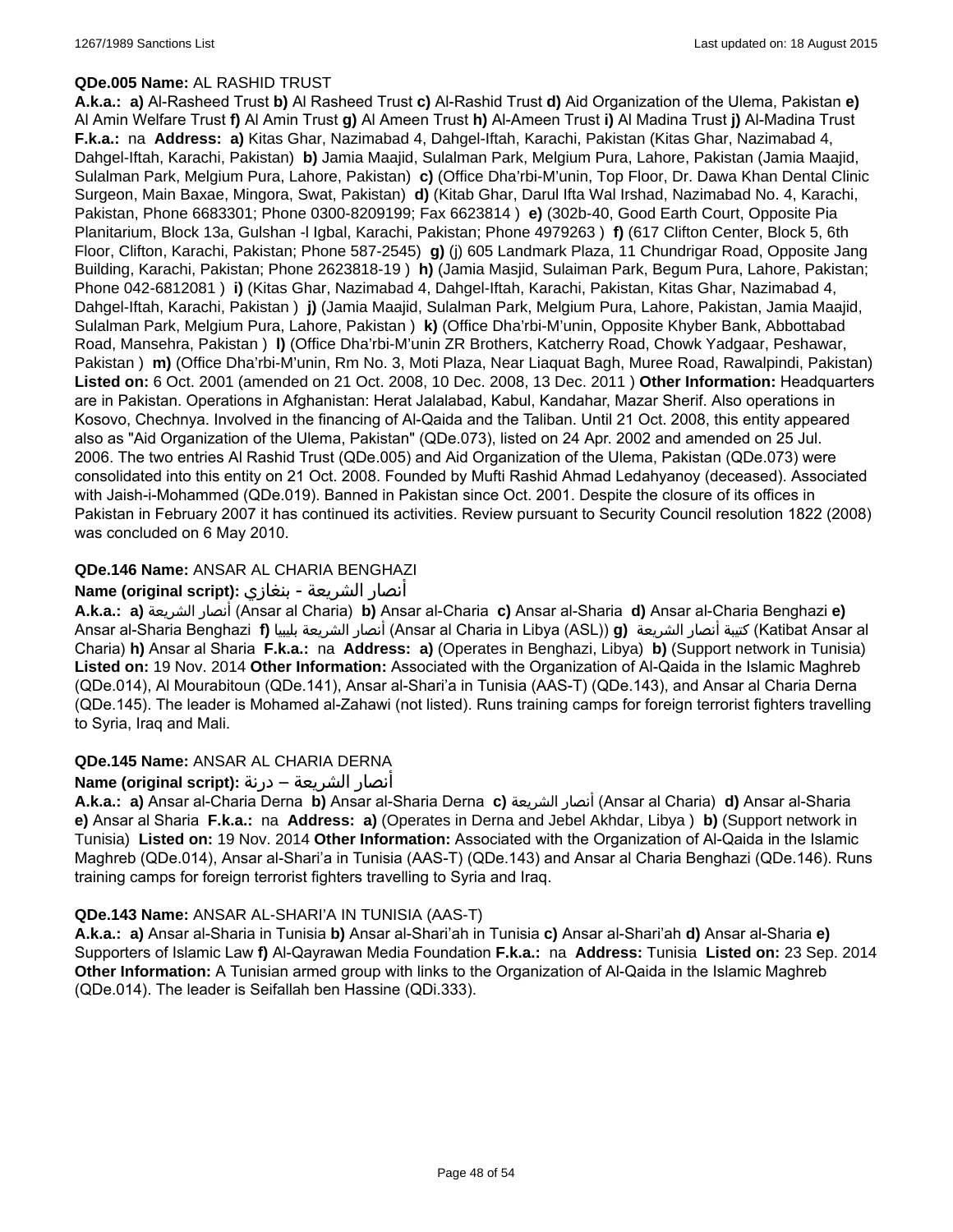## **QDe.005 Name:** AL RASHID TRUST

**A.k.a.: a)** Al-Rasheed Trust **b)** Al Rasheed Trust **c)** Al-Rashid Trust **d)** Aid Organization of the Ulema, Pakistan **e)** Al Amin Welfare Trust **f)** Al Amin Trust **g)** Al Ameen Trust **h)** Al-Ameen Trust **i)** Al Madina Trust **j)** Al-Madina Trust **F.k.a.:** na **Address: a)** Kitas Ghar, Nazimabad 4, Dahgel-Iftah, Karachi, Pakistan (Kitas Ghar, Nazimabad 4, Dahgel-Iftah, Karachi, Pakistan) **b)** Jamia Maajid, Sulalman Park, Melgium Pura, Lahore, Pakistan (Jamia Maajid, Sulalman Park, Melgium Pura, Lahore, Pakistan) **c)** (Office Dha'rbi-M'unin, Top Floor, Dr. Dawa Khan Dental Clinic Surgeon, Main Baxae, Mingora, Swat, Pakistan) **d)** (Kitab Ghar, Darul Ifta Wal Irshad, Nazimabad No. 4, Karachi, Pakistan, Phone 6683301; Phone 0300-8209199; Fax 6623814 ) **e)** (302b-40, Good Earth Court, Opposite Pia Planitarium, Block 13a, Gulshan -l Igbal, Karachi, Pakistan; Phone 4979263 ) **f)** (617 Clifton Center, Block 5, 6th Floor, Clifton, Karachi, Pakistan; Phone 587-2545) **g)** (j) 605 Landmark Plaza, 11 Chundrigar Road, Opposite Jang Building, Karachi, Pakistan; Phone 2623818-19 ) **h)** (Jamia Masjid, Sulaiman Park, Begum Pura, Lahore, Pakistan; Phone 042-6812081 ) **i)** (Kitas Ghar, Nazimabad 4, Dahgel-Iftah, Karachi, Pakistan, Kitas Ghar, Nazimabad 4, Dahgel-Iftah, Karachi, Pakistan ) **j)** (Jamia Maajid, Sulalman Park, Melgium Pura, Lahore, Pakistan, Jamia Maajid, Sulalman Park, Melgium Pura, Lahore, Pakistan ) **k)** (Office Dha'rbi-M'unin, Opposite Khyber Bank, Abbottabad Road, Mansehra, Pakistan ) **l)** (Office Dha'rbi-M'unin ZR Brothers, Katcherry Road, Chowk Yadgaar, Peshawar, Pakistan ) **m)** (Office Dha'rbi-M'unin, Rm No. 3, Moti Plaza, Near Liaquat Bagh, Muree Road, Rawalpindi, Pakistan) **Listed on:** 6 Oct. 2001 (amended on 21 Oct. 2008, 10 Dec. 2008, 13 Dec. 2011 ) **Other Information:** Headquarters are in Pakistan. Operations in Afghanistan: Herat Jalalabad, Kabul, Kandahar, Mazar Sherif. Also operations in Kosovo, Chechnya. Involved in the financing of Al-Qaida and the Taliban. Until 21 Oct. 2008, this entity appeared also as "Aid Organization of the Ulema, Pakistan" (QDe.073), listed on 24 Apr. 2002 and amended on 25 Jul. 2006. The two entries Al Rashid Trust (QDe.005) and Aid Organization of the Ulema, Pakistan (QDe.073) were consolidated into this entity on 21 Oct. 2008. Founded by Mufti Rashid Ahmad Ledahyanoy (deceased). Associated with Jaish-i-Mohammed (QDe.019). Banned in Pakistan since Oct. 2001. Despite the closure of its offices in Pakistan in February 2007 it has continued its activities. Review pursuant to Security Council resolution 1822 (2008) was concluded on 6 May 2010.

## **QDe.146 Name:** ANSAR AL CHARIA BENGHAZI

## أنصار الشريعة - بنغازي **:(script original (Name**

**A.k.a.: a)** الشريعة أنصار) Ansar al Charia) **b)** Ansar al-Charia **c)** Ansar al-Sharia **d)** Ansar al-Charia Benghazi **e)** Ansar al-Sharia Benghazi **f)** بليبيا الشريعة أنصار) Ansar al Charia in Libya (ASL)) **g)** الشريعة أنصار كتيبة) Katibat Ansar al Charia) **h)** Ansar al Sharia **F.k.a.:** na **Address: a)** (Operates in Benghazi, Libya) **b)** (Support network in Tunisia) **Listed on:** 19 Nov. 2014 **Other Information:** Associated with the Organization of Al-Qaida in the Islamic Maghreb (QDe.014), Al Mourabitoun (QDe.141), Ansar al-Shari'a in Tunisia (AAS-T) (QDe.143), and Ansar al Charia Derna (QDe.145). The leader is Mohamed al-Zahawi (not listed). Runs training camps for foreign terrorist fighters travelling to Syria, Iraq and Mali.

## **QDe.145 Name:** ANSAR AL CHARIA DERNA

## أنصار الشريعة – درنة **:(script original (Name**

**A.k.a.: a)** Ansar al-Charia Derna **b)** Ansar al-Sharia Derna **c)** الشريعة أنصار) Ansar al Charia) **d)** Ansar al-Sharia **e)** Ansar al Sharia **F.k.a.:** na **Address: a)** (Operates in Derna and Jebel Akhdar, Libya ) **b)** (Support network in Tunisia) **Listed on:** 19 Nov. 2014 **Other Information:** Associated with the Organization of Al-Qaida in the Islamic Maghreb (QDe.014), Ansar al-Shari'a in Tunisia (AAS-T) (QDe.143) and Ansar al Charia Benghazi (QDe.146). Runs training camps for foreign terrorist fighters travelling to Syria and Iraq.

## **QDe.143 Name:** ANSAR AL-SHARI'A IN TUNISIA (AAS-T)

**A.k.a.: a)** Ansar al-Sharia in Tunisia **b)** Ansar al-Shari'ah in Tunisia **c)** Ansar al-Shari'ah **d)** Ansar al-Sharia **e)** Supporters of Islamic Law **f)** Al-Qayrawan Media Foundation **F.k.a.:** na **Address:** Tunisia **Listed on:** 23 Sep. 2014 **Other Information:** A Tunisian armed group with links to the Organization of Al-Qaida in the Islamic Maghreb (QDe.014). The leader is Seifallah ben Hassine (QDi.333).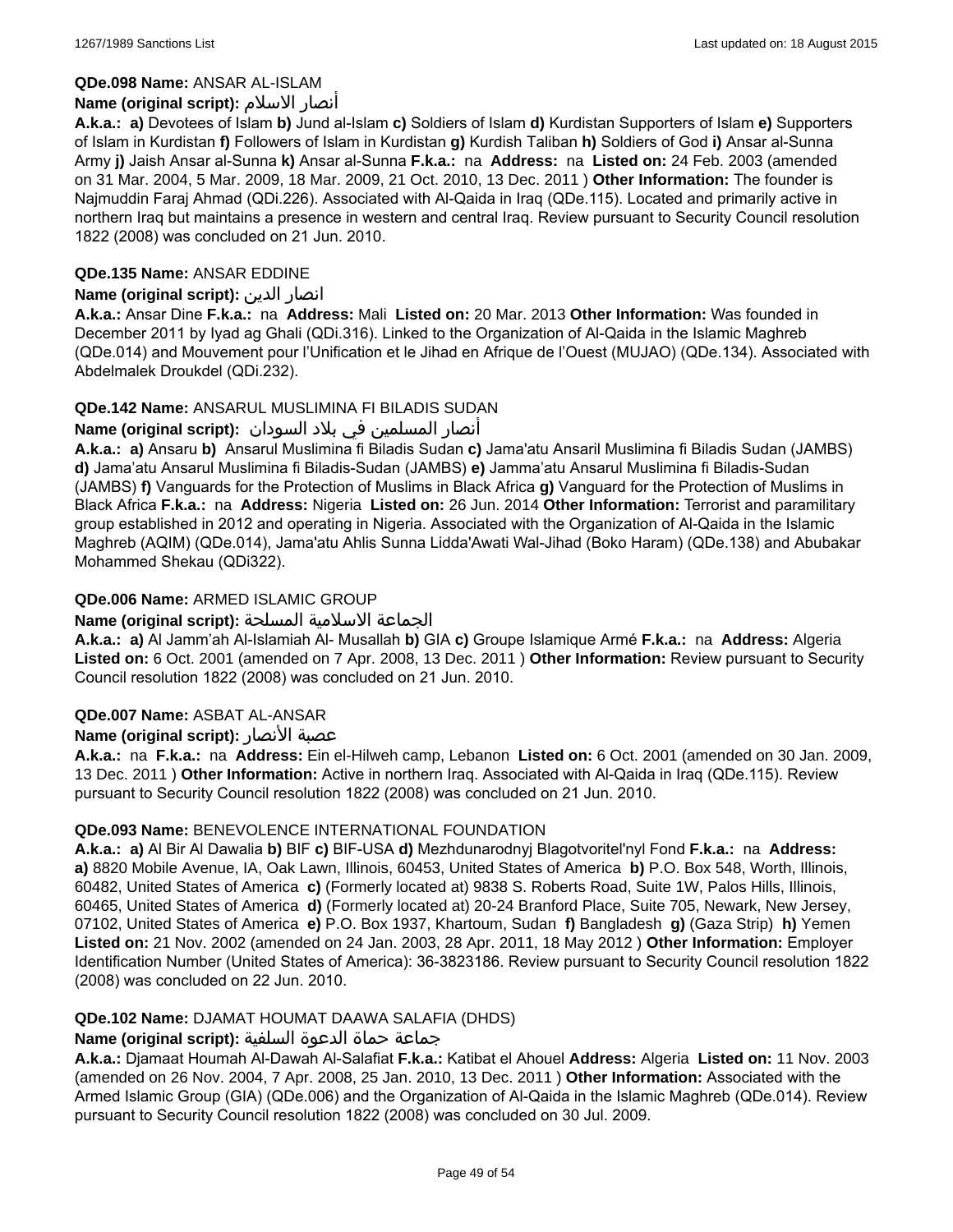## **QDe.098 Name:** ANSAR AL-ISLAM

## **Name (original script):** الاسلام أنصار

**A.k.a.: a)** Devotees of Islam **b)** Jund al-Islam **c)** Soldiers of Islam **d)** Kurdistan Supporters of Islam **e)** Supporters of Islam in Kurdistan **f)** Followers of Islam in Kurdistan **g)** Kurdish Taliban **h)** Soldiers of God **i)** Ansar al-Sunna Army **j)** Jaish Ansar al-Sunna **k)** Ansar al-Sunna **F.k.a.:** na **Address:** na **Listed on:** 24 Feb. 2003 (amended on 31 Mar. 2004, 5 Mar. 2009, 18 Mar. 2009, 21 Oct. 2010, 13 Dec. 2011 ) **Other Information:** The founder is Najmuddin Faraj Ahmad (QDi.226). Associated with Al-Qaida in Iraq (QDe.115). Located and primarily active in northern Iraq but maintains a presence in western and central Iraq. Review pursuant to Security Council resolution 1822 (2008) was concluded on 21 Jun. 2010.

## **QDe.135 Name:** ANSAR EDDINE

## **Name (original script):** الدين انصار

**A.k.a.:** Ansar Dine **F.k.a.:** na **Address:** Mali **Listed on:** 20 Mar. 2013 **Other Information:** Was founded in December 2011 by Iyad ag Ghali (QDi.316). Linked to the Organization of Al-Qaida in the Islamic Maghreb (QDe.014) and Mouvement pour l'Unification et le Jihad en Afrique de l'Ouest (MUJAO) (QDe.134). Associated with Abdelmalek Droukdel (QDi.232).

## **QDe.142 Name:** ANSARUL MUSLIMINA FI BILADIS SUDAN

## انصار المسلمین في بلاد السودان :**(Name (original script**

**A.k.a.: a)** Ansaru **b)** Ansarul Muslimina fi Biladis Sudan **c)** Jama'atu Ansaril Muslimina fi Biladis Sudan (JAMBS) **d)** Jama'atu Ansarul Muslimina fi Biladis-Sudan (JAMBS) **e)** Jamma'atu Ansarul Muslimina fi Biladis-Sudan (JAMBS) **f)** Vanguards for the Protection of Muslims in Black Africa **g)** Vanguard for the Protection of Muslims in Black Africa **F.k.a.:** na **Address:** Nigeria **Listed on:** 26 Jun. 2014 **Other Information:** Terrorist and paramilitary group established in 2012 and operating in Nigeria. Associated with the Organization of Al-Qaida in the Islamic Maghreb (AQIM) (QDe.014), Jama'atu Ahlis Sunna Lidda'Awati Wal-Jihad (Boko Haram) (QDe.138) and Abubakar Mohammed Shekau (QDi322).

## **QDe.006 Name:** ARMED ISLAMIC GROUP

## الجماعة الاسلامية المسلحة **:(script original (Name**

**A.k.a.: a)** Al Jamm'ah Al-Islamiah Al- Musallah **b)** GIA **c)** Groupe Islamique Armé **F.k.a.:** na **Address:** Algeria **Listed on:** 6 Oct. 2001 (amended on 7 Apr. 2008, 13 Dec. 2011 ) **Other Information:** Review pursuant to Security Council resolution 1822 (2008) was concluded on 21 Jun. 2010.

## **QDe.007 Name:** ASBAT AL-ANSAR

## **Name (original script):** الأنصار عصبة

**A.k.a.:** na **F.k.a.:** na **Address:** Ein el-Hilweh camp, Lebanon **Listed on:** 6 Oct. 2001 (amended on 30 Jan. 2009, 13 Dec. 2011 ) **Other Information:** Active in northern Iraq. Associated with Al-Qaida in Iraq (QDe.115). Review pursuant to Security Council resolution 1822 (2008) was concluded on 21 Jun. 2010.

## **QDe.093 Name:** BENEVOLENCE INTERNATIONAL FOUNDATION

**A.k.a.: a)** Al Bir Al Dawalia **b)** BIF **c)** BIF-USA **d)** Mezhdunarodnyj Blagotvoritel'nyl Fond **F.k.a.:** na **Address: a)** 8820 Mobile Avenue, IA, Oak Lawn, Illinois, 60453, United States of America **b)** P.O. Box 548, Worth, Illinois, 60482, United States of America **c)** (Formerly located at) 9838 S. Roberts Road, Suite 1W, Palos Hills, Illinois, 60465, United States of America **d)** (Formerly located at) 20-24 Branford Place, Suite 705, Newark, New Jersey, 07102, United States of America **e)** P.O. Box 1937, Khartoum, Sudan **f)** Bangladesh **g)** (Gaza Strip) **h)** Yemen **Listed on:** 21 Nov. 2002 (amended on 24 Jan. 2003, 28 Apr. 2011, 18 May 2012 ) **Other Information:** Employer Identification Number (United States of America): 36-3823186. Review pursuant to Security Council resolution 1822 (2008) was concluded on 22 Jun. 2010.

## **QDe.102 Name:** DJAMAT HOUMAT DAAWA SALAFIA (DHDS)

## جماعة حماة الدعوة السلفية **:(script original (Name**

**A.k.a.:** Djamaat Houmah Al-Dawah Al-Salafiat **F.k.a.:** Katibat el Ahouel **Address:** Algeria **Listed on:** 11 Nov. 2003 (amended on 26 Nov. 2004, 7 Apr. 2008, 25 Jan. 2010, 13 Dec. 2011 ) **Other Information:** Associated with the Armed Islamic Group (GIA) (QDe.006) and the Organization of Al-Qaida in the Islamic Maghreb (QDe.014). Review pursuant to Security Council resolution 1822 (2008) was concluded on 30 Jul. 2009.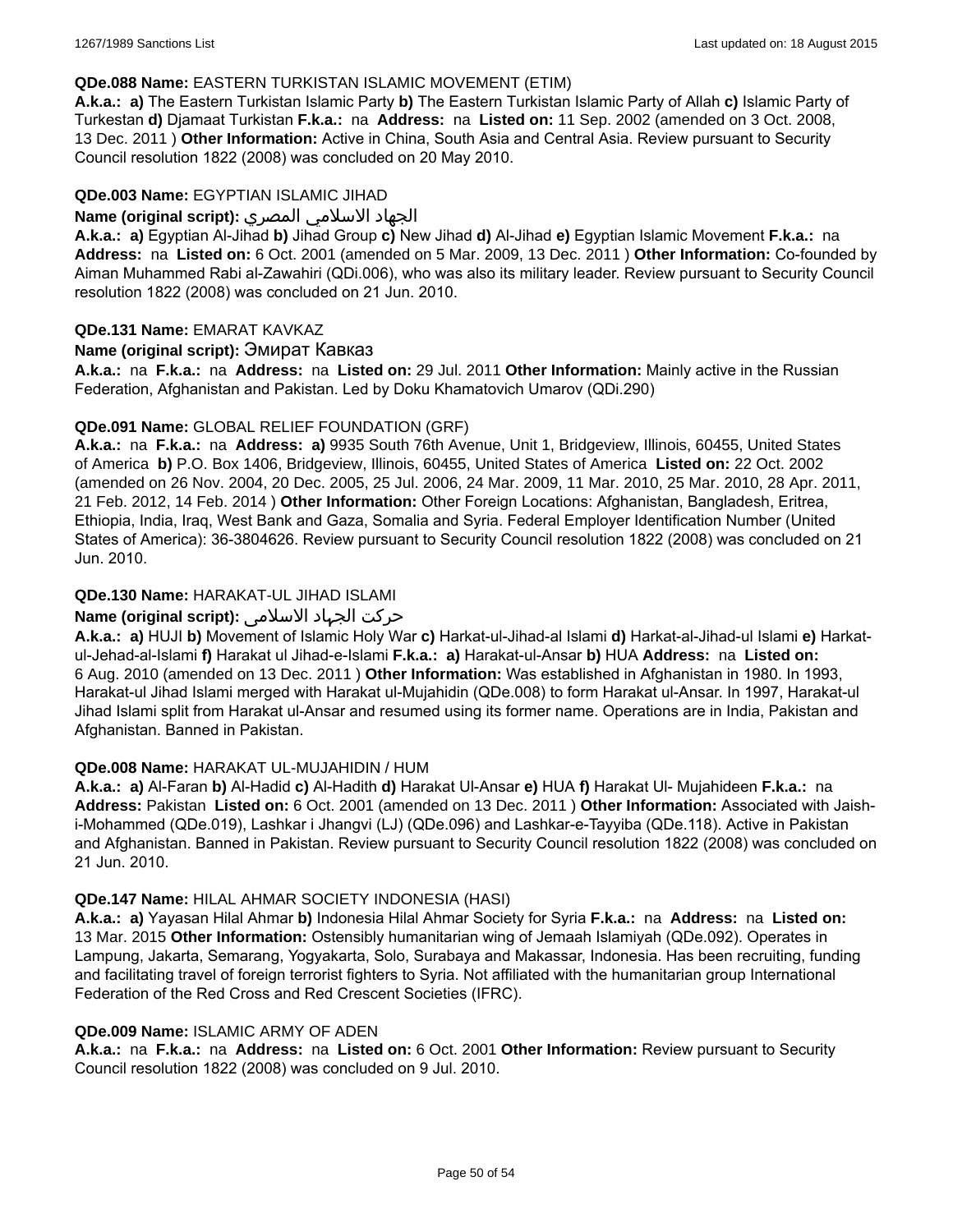#### **QDe.088 Name:** EASTERN TURKISTAN ISLAMIC MOVEMENT (ETIM)

**A.k.a.: a)** The Eastern Turkistan Islamic Party **b)** The Eastern Turkistan Islamic Party of Allah **c)** Islamic Party of Turkestan **d)** Djamaat Turkistan **F.k.a.:** na **Address:** na **Listed on:** 11 Sep. 2002 (amended on 3 Oct. 2008, 13 Dec. 2011 ) **Other Information:** Active in China, South Asia and Central Asia. Review pursuant to Security Council resolution 1822 (2008) was concluded on 20 May 2010.

#### **QDe.003 Name:** EGYPTIAN ISLAMIC JIHAD

#### الجهاد الاسلامي المصري **:(script original (Name**

**A.k.a.: a)** Egyptian Al-Jihad **b)** Jihad Group **c)** New Jihad **d)** Al-Jihad **e)** Egyptian Islamic Movement **F.k.a.:** na **Address:** na **Listed on:** 6 Oct. 2001 (amended on 5 Mar. 2009, 13 Dec. 2011 ) **Other Information:** Co-founded by Aiman Muhammed Rabi al-Zawahiri (QDi.006), who was also its military leader. Review pursuant to Security Council resolution 1822 (2008) was concluded on 21 Jun. 2010.

#### **QDe.131 Name:** EMARAT KAVKAZ

#### **Name (original script):** Эмират Кавказ

**A.k.a.:** na **F.k.a.:** na **Address:** na **Listed on:** 29 Jul. 2011 **Other Information:** Mainly active in the Russian Federation, Afghanistan and Pakistan. Led by Doku Khamatovich Umarov (QDi.290)

#### **QDe.091 Name:** GLOBAL RELIEF FOUNDATION (GRF)

**A.k.a.:** na **F.k.a.:** na **Address: a)** 9935 South 76th Avenue, Unit 1, Bridgeview, Illinois, 60455, United States of America **b)** P.O. Box 1406, Bridgeview, Illinois, 60455, United States of America **Listed on:** 22 Oct. 2002 (amended on 26 Nov. 2004, 20 Dec. 2005, 25 Jul. 2006, 24 Mar. 2009, 11 Mar. 2010, 25 Mar. 2010, 28 Apr. 2011, 21 Feb. 2012, 14 Feb. 2014 ) **Other Information:** Other Foreign Locations: Afghanistan, Bangladesh, Eritrea, Ethiopia, India, Iraq, West Bank and Gaza, Somalia and Syria. Federal Employer Identification Number (United States of America): 36-3804626. Review pursuant to Security Council resolution 1822 (2008) was concluded on 21 Jun. 2010.

## **QDe.130 Name:** HARAKAT-UL JIHAD ISLAMI

## حرکت الجہاد الاسلامی **:(script original (Name**

**A.k.a.: a)** HUJI **b)** Movement of Islamic Holy War **c)** Harkat-ul-Jihad-al Islami **d)** Harkat-al-Jihad-ul Islami **e)** Harkatul-Jehad-al-Islami **f)** Harakat ul Jihad-e-Islami **F.k.a.: a)** Harakat-ul-Ansar **b)** HUA **Address:** na **Listed on:** 6 Aug. 2010 (amended on 13 Dec. 2011 ) **Other Information:** Was established in Afghanistan in 1980. In 1993, Harakat-ul Jihad Islami merged with Harakat ul-Mujahidin (QDe.008) to form Harakat ul-Ansar. In 1997, Harakat-ul Jihad Islami split from Harakat ul-Ansar and resumed using its former name. Operations are in India, Pakistan and Afghanistan. Banned in Pakistan.

#### **QDe.008 Name:** HARAKAT UL-MUJAHIDIN / HUM

**A.k.a.: a)** Al-Faran **b)** Al-Hadid **c)** Al-Hadith **d)** Harakat Ul-Ansar **e)** HUA **f)** Harakat Ul- Mujahideen **F.k.a.:** na **Address:** Pakistan **Listed on:** 6 Oct. 2001 (amended on 13 Dec. 2011 ) **Other Information:** Associated with Jaishi-Mohammed (QDe.019), Lashkar i Jhangvi (LJ) (QDe.096) and Lashkar-e-Tayyiba (QDe.118). Active in Pakistan and Afghanistan. Banned in Pakistan. Review pursuant to Security Council resolution 1822 (2008) was concluded on 21 Jun. 2010.

#### **QDe.147 Name:** HILAL AHMAR SOCIETY INDONESIA (HASI)

**A.k.a.: a)** Yayasan Hilal Ahmar **b)** Indonesia Hilal Ahmar Society for Syria **F.k.a.:** na **Address:** na **Listed on:** 13 Mar. 2015 **Other Information:** Ostensibly humanitarian wing of Jemaah Islamiyah (QDe.092). Operates in Lampung, Jakarta, Semarang, Yogyakarta, Solo, Surabaya and Makassar, Indonesia. Has been recruiting, funding and facilitating travel of foreign terrorist fighters to Syria. Not affiliated with the humanitarian group International Federation of the Red Cross and Red Crescent Societies (IFRC).

#### **QDe.009 Name:** ISLAMIC ARMY OF ADEN

**A.k.a.:** na **F.k.a.:** na **Address:** na **Listed on:** 6 Oct. 2001 **Other Information:** Review pursuant to Security Council resolution 1822 (2008) was concluded on 9 Jul. 2010.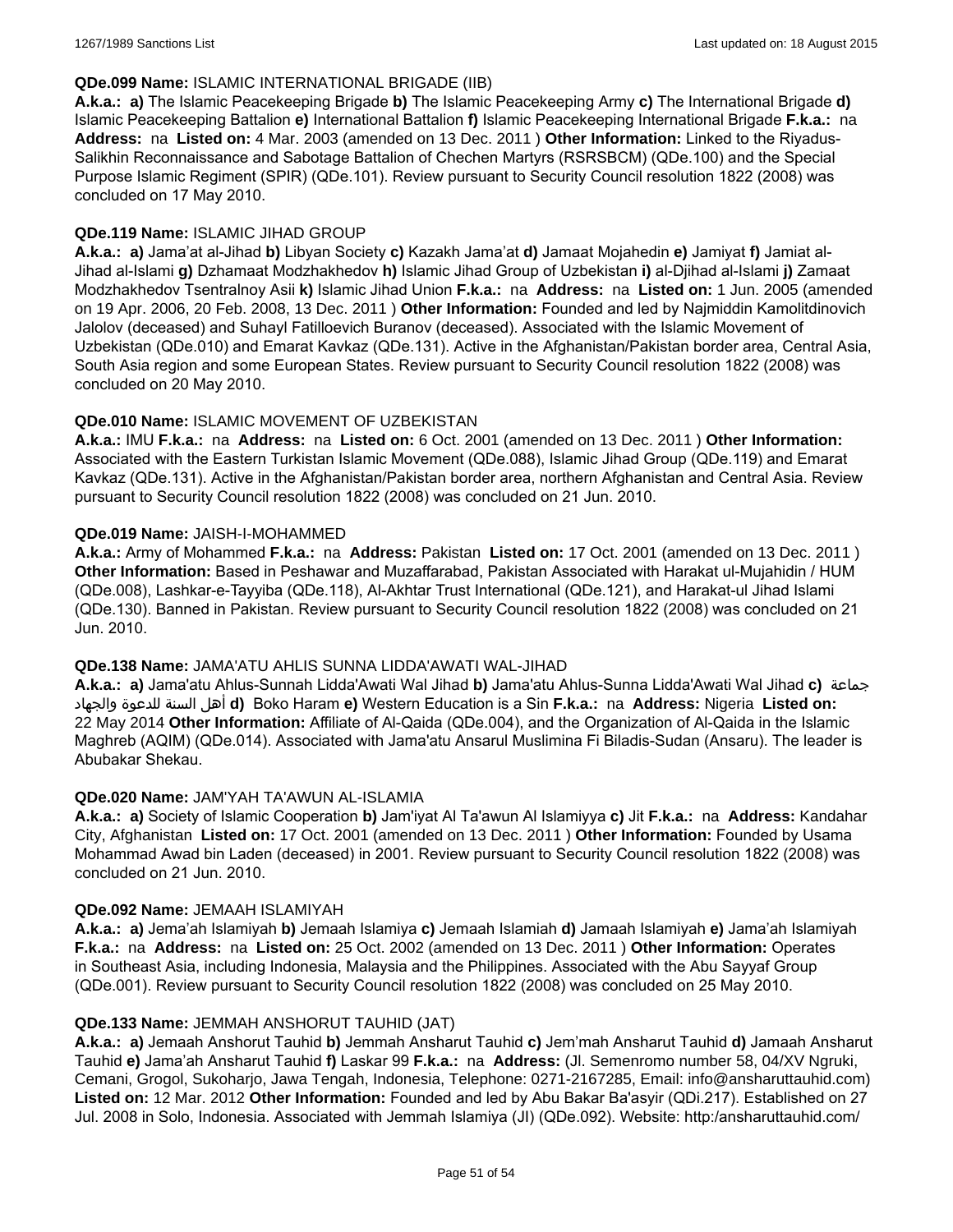### **QDe.099 Name:** ISLAMIC INTERNATIONAL BRIGADE (IIB)

**A.k.a.: a)** The Islamic Peacekeeping Brigade **b)** The Islamic Peacekeeping Army **c)** The International Brigade **d)** Islamic Peacekeeping Battalion **e)** International Battalion **f)** Islamic Peacekeeping International Brigade **F.k.a.:** na **Address:** na **Listed on:** 4 Mar. 2003 (amended on 13 Dec. 2011 ) **Other Information:** Linked to the Riyadus-Salikhin Reconnaissance and Sabotage Battalion of Chechen Martyrs (RSRSBCM) (QDe.100) and the Special Purpose Islamic Regiment (SPIR) (QDe.101). Review pursuant to Security Council resolution 1822 (2008) was concluded on 17 May 2010.

## **QDe.119 Name:** ISLAMIC JIHAD GROUP

**A.k.a.: a)** Jama'at al-Jihad **b)** Libyan Society **c)** Kazakh Jama'at **d)** Jamaat Mojahedin **e)** Jamiyat **f)** Jamiat al-Jihad al-Islami **g)** Dzhamaat Modzhakhedov **h)** Islamic Jihad Group of Uzbekistan **i)** al-Djihad al-Islami **j)** Zamaat Modzhakhedov Tsentralnoy Asii **k)** Islamic Jihad Union **F.k.a.:** na **Address:** na **Listed on:** 1 Jun. 2005 (amended on 19 Apr. 2006, 20 Feb. 2008, 13 Dec. 2011 ) **Other Information:** Founded and led by Najmiddin Kamolitdinovich Jalolov (deceased) and Suhayl Fatilloevich Buranov (deceased). Associated with the Islamic Movement of Uzbekistan (QDe.010) and Emarat Kavkaz (QDe.131). Active in the Afghanistan/Pakistan border area, Central Asia, South Asia region and some European States. Review pursuant to Security Council resolution 1822 (2008) was concluded on 20 May 2010.

#### **QDe.010 Name:** ISLAMIC MOVEMENT OF UZBEKISTAN

**A.k.a.:** IMU **F.k.a.:** na **Address:** na **Listed on:** 6 Oct. 2001 (amended on 13 Dec. 2011 ) **Other Information:** Associated with the Eastern Turkistan Islamic Movement (QDe.088), Islamic Jihad Group (QDe.119) and Emarat Kavkaz (QDe.131). Active in the Afghanistan/Pakistan border area, northern Afghanistan and Central Asia. Review pursuant to Security Council resolution 1822 (2008) was concluded on 21 Jun. 2010.

#### **QDe.019 Name:** JAISH-I-MOHAMMED

**A.k.a.:** Army of Mohammed **F.k.a.:** na **Address:** Pakistan **Listed on:** 17 Oct. 2001 (amended on 13 Dec. 2011 ) **Other Information:** Based in Peshawar and Muzaffarabad, Pakistan Associated with Harakat ul-Mujahidin / HUM (QDe.008), Lashkar-e-Tayyiba (QDe.118), Al-Akhtar Trust International (QDe.121), and Harakat-ul Jihad Islami (QDe.130). Banned in Pakistan. Review pursuant to Security Council resolution 1822 (2008) was concluded on 21 Jun. 2010.

#### **QDe.138 Name:** JAMA'ATU AHLIS SUNNA LIDDA'AWATI WAL-JIHAD

**A.k.a.: a)** Jama'atu Ahlus-Sunnah Lidda'Awati Wal Jihad **b)** Jama'atu Ahlus-Sunna Lidda'Awati Wal Jihad **c)** جماعة والجهاد للدعوة السنة أهل **d)** Boko Haram **e)** Western Education is a Sin **F.k.a.:** na **Address:** Nigeria **Listed on:** 22 May 2014 **Other Information:** Affiliate of Al-Qaida (QDe.004), and the Organization of Al-Qaida in the Islamic Maghreb (AQIM) (QDe.014). Associated with Jama'atu Ansarul Muslimina Fi Biladis-Sudan (Ansaru). The leader is Abubakar Shekau.

## **QDe.020 Name:** JAM'YAH TA'AWUN AL-ISLAMIA

**A.k.a.: a)** Society of Islamic Cooperation **b)** Jam'iyat Al Ta'awun Al Islamiyya **c)** Jit **F.k.a.:** na **Address:** Kandahar City, Afghanistan **Listed on:** 17 Oct. 2001 (amended on 13 Dec. 2011 ) **Other Information:** Founded by Usama Mohammad Awad bin Laden (deceased) in 2001. Review pursuant to Security Council resolution 1822 (2008) was concluded on 21 Jun. 2010.

#### **QDe.092 Name:** JEMAAH ISLAMIYAH

**A.k.a.: a)** Jema'ah Islamiyah **b)** Jemaah Islamiya **c)** Jemaah Islamiah **d)** Jamaah Islamiyah **e)** Jama'ah Islamiyah **F.k.a.:** na **Address:** na **Listed on:** 25 Oct. 2002 (amended on 13 Dec. 2011 ) **Other Information:** Operates in Southeast Asia, including Indonesia, Malaysia and the Philippines. Associated with the Abu Sayyaf Group (QDe.001). Review pursuant to Security Council resolution 1822 (2008) was concluded on 25 May 2010.

#### **QDe.133 Name:** JEMMAH ANSHORUT TAUHID (JAT)

**A.k.a.: a)** Jemaah Anshorut Tauhid **b)** Jemmah Ansharut Tauhid **c)** Jem'mah Ansharut Tauhid **d)** Jamaah Ansharut Tauhid **e)** Jama'ah Ansharut Tauhid **f)** Laskar 99 **F.k.a.:** na **Address:** (Jl. Semenromo number 58, 04/XV Ngruki, Cemani, Grogol, Sukoharjo, Jawa Tengah, Indonesia, Telephone: 0271-2167285, Email: info@ansharuttauhid.com) **Listed on:** 12 Mar. 2012 **Other Information:** Founded and led by Abu Bakar Ba'asyir (QDi.217). Established on 27 Jul. 2008 in Solo, Indonesia. Associated with Jemmah Islamiya (JI) (QDe.092). Website: http:/ansharuttauhid.com/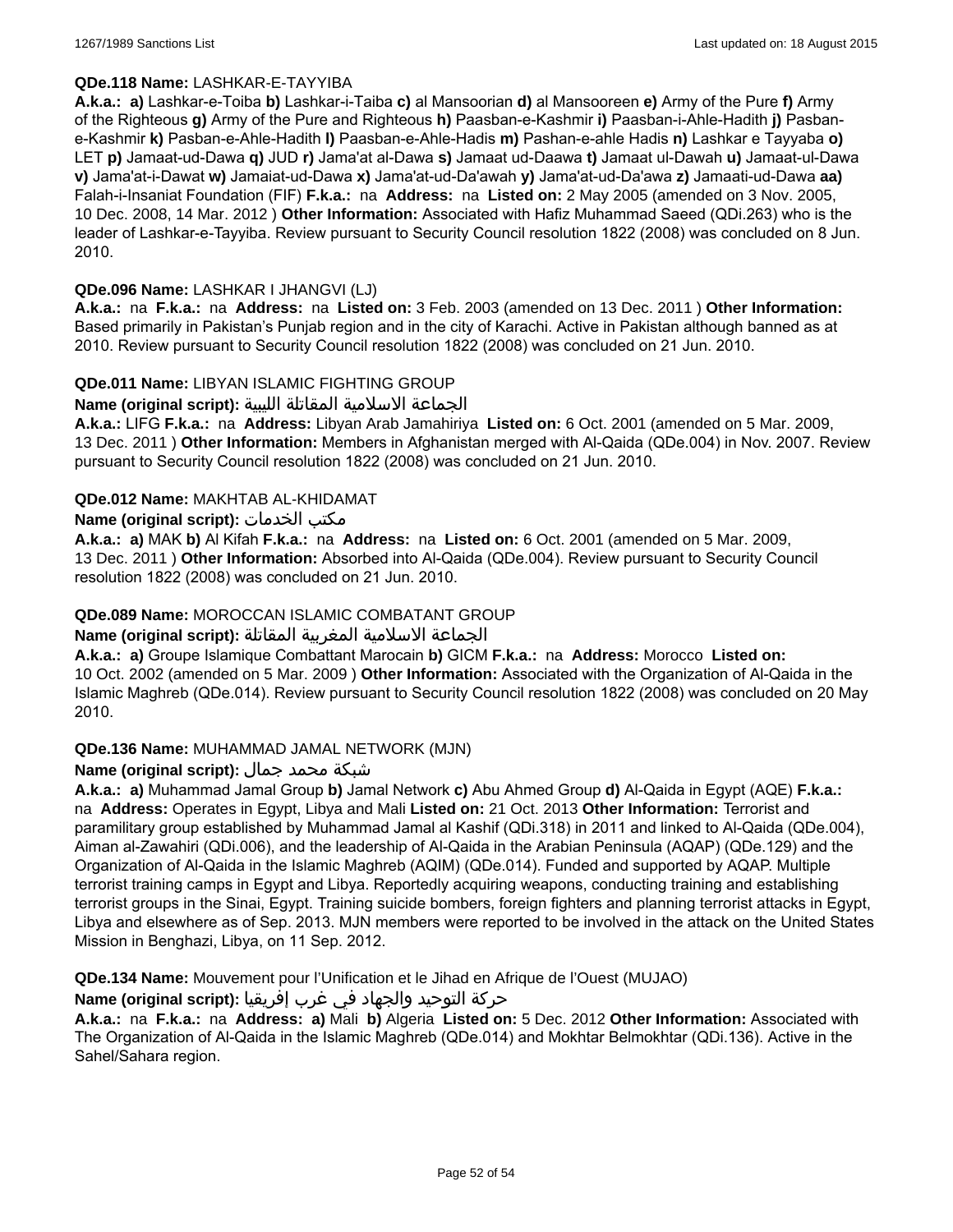### **QDe.118 Name:** LASHKAR-E-TAYYIBA

**A.k.a.: a)** Lashkar-e-Toiba **b)** Lashkar-i-Taiba **c)** al Mansoorian **d)** al Mansooreen **e)** Army of the Pure **f)** Army of the Righteous **g)** Army of the Pure and Righteous **h)** Paasban-e-Kashmir **i)** Paasban-i-Ahle-Hadith **j)** Pasbane-Kashmir **k)** Pasban-e-Ahle-Hadith **l)** Paasban-e-Ahle-Hadis **m)** Pashan-e-ahle Hadis **n)** Lashkar e Tayyaba **o)** LET **p)** Jamaat-ud-Dawa **q)** JUD **r)** Jama'at al-Dawa **s)** Jamaat ud-Daawa **t)** Jamaat ul-Dawah **u)** Jamaat-ul-Dawa **v)** Jama'at-i-Dawat **w)** Jamaiat-ud-Dawa **x)** Jama'at-ud-Da'awah **y)** Jama'at-ud-Da'awa **z)** Jamaati-ud-Dawa **aa)** Falah-i-Insaniat Foundation (FIF) **F.k.a.:** na **Address:** na **Listed on:** 2 May 2005 (amended on 3 Nov. 2005, 10 Dec. 2008, 14 Mar. 2012 ) **Other Information:** Associated with Hafiz Muhammad Saeed (QDi.263) who is the leader of Lashkar-e-Tayyiba. Review pursuant to Security Council resolution 1822 (2008) was concluded on 8 Jun. 2010.

#### **QDe.096 Name:** LASHKAR I JHANGVI (LJ)

**A.k.a.:** na **F.k.a.:** na **Address:** na **Listed on:** 3 Feb. 2003 (amended on 13 Dec. 2011 ) **Other Information:** Based primarily in Pakistan's Punjab region and in the city of Karachi. Active in Pakistan although banned as at 2010. Review pursuant to Security Council resolution 1822 (2008) was concluded on 21 Jun. 2010.

#### **QDe.011 Name:** LIBYAN ISLAMIC FIGHTING GROUP

الجماعة الاسلامية المقاتلة الليبية **:(script original (Name**

**A.k.a.:** LIFG **F.k.a.:** na **Address:** Libyan Arab Jamahiriya **Listed on:** 6 Oct. 2001 (amended on 5 Mar. 2009, 13 Dec. 2011 ) **Other Information:** Members in Afghanistan merged with Al-Qaida (QDe.004) in Nov. 2007. Review pursuant to Security Council resolution 1822 (2008) was concluded on 21 Jun. 2010.

#### **QDe.012 Name:** MAKHTAB AL-KHIDAMAT

#### **Name (original script):** الخدمات مكتب

**A.k.a.: a)** MAK **b)** Al Kifah **F.k.a.:** na **Address:** na **Listed on:** 6 Oct. 2001 (amended on 5 Mar. 2009, 13 Dec. 2011 ) **Other Information:** Absorbed into Al-Qaida (QDe.004). Review pursuant to Security Council resolution 1822 (2008) was concluded on 21 Jun. 2010.

#### **QDe.089 Name:** MOROCCAN ISLAMIC COMBATANT GROUP

## الجماعة الاسلامية المغربية المقاتلة **:(script original (Name**

**A.k.a.: a)** Groupe Islamique Combattant Marocain **b)** GICM **F.k.a.:** na **Address:** Morocco **Listed on:** 10 Oct. 2002 (amended on 5 Mar. 2009 ) **Other Information:** Associated with the Organization of Al-Qaida in the Islamic Maghreb (QDe.014). Review pursuant to Security Council resolution 1822 (2008) was concluded on 20 May 2010.

#### **QDe.136 Name:** MUHAMMAD JAMAL NETWORK (MJN)

## شبكة محمد جمال **:(script original (Name**

**A.k.a.: a)** Muhammad Jamal Group **b)** Jamal Network **c)** Abu Ahmed Group **d)** Al-Qaida in Egypt (AQE) **F.k.a.:**  na **Address:** Operates in Egypt, Libya and Mali **Listed on:** 21 Oct. 2013 **Other Information:** Terrorist and paramilitary group established by Muhammad Jamal al Kashif (QDi.318) in 2011 and linked to Al-Qaida (QDe.004), Aiman al-Zawahiri (QDi.006), and the leadership of Al-Qaida in the Arabian Peninsula (AQAP) (QDe.129) and the Organization of Al-Qaida in the Islamic Maghreb (AQIM) (QDe.014). Funded and supported by AQAP. Multiple terrorist training camps in Egypt and Libya. Reportedly acquiring weapons, conducting training and establishing terrorist groups in the Sinai, Egypt. Training suicide bombers, foreign fighters and planning terrorist attacks in Egypt, Libya and elsewhere as of Sep. 2013. MJN members were reported to be involved in the attack on the United States Mission in Benghazi, Libya, on 11 Sep. 2012.

**QDe.134 Name:** Mouvement pour l'Unification et le Jihad en Afrique de l'Ouest (MUJAO)

#### حركة التوحيد والجهاد في غرب إفريقيا **:Name (original script)**

**A.k.a.:** na **F.k.a.:** na **Address: a)** Mali **b)** Algeria **Listed on:** 5 Dec. 2012 **Other Information:** Associated with The Organization of Al-Qaida in the Islamic Maghreb (QDe.014) and Mokhtar Belmokhtar (QDi.136). Active in the Sahel/Sahara region.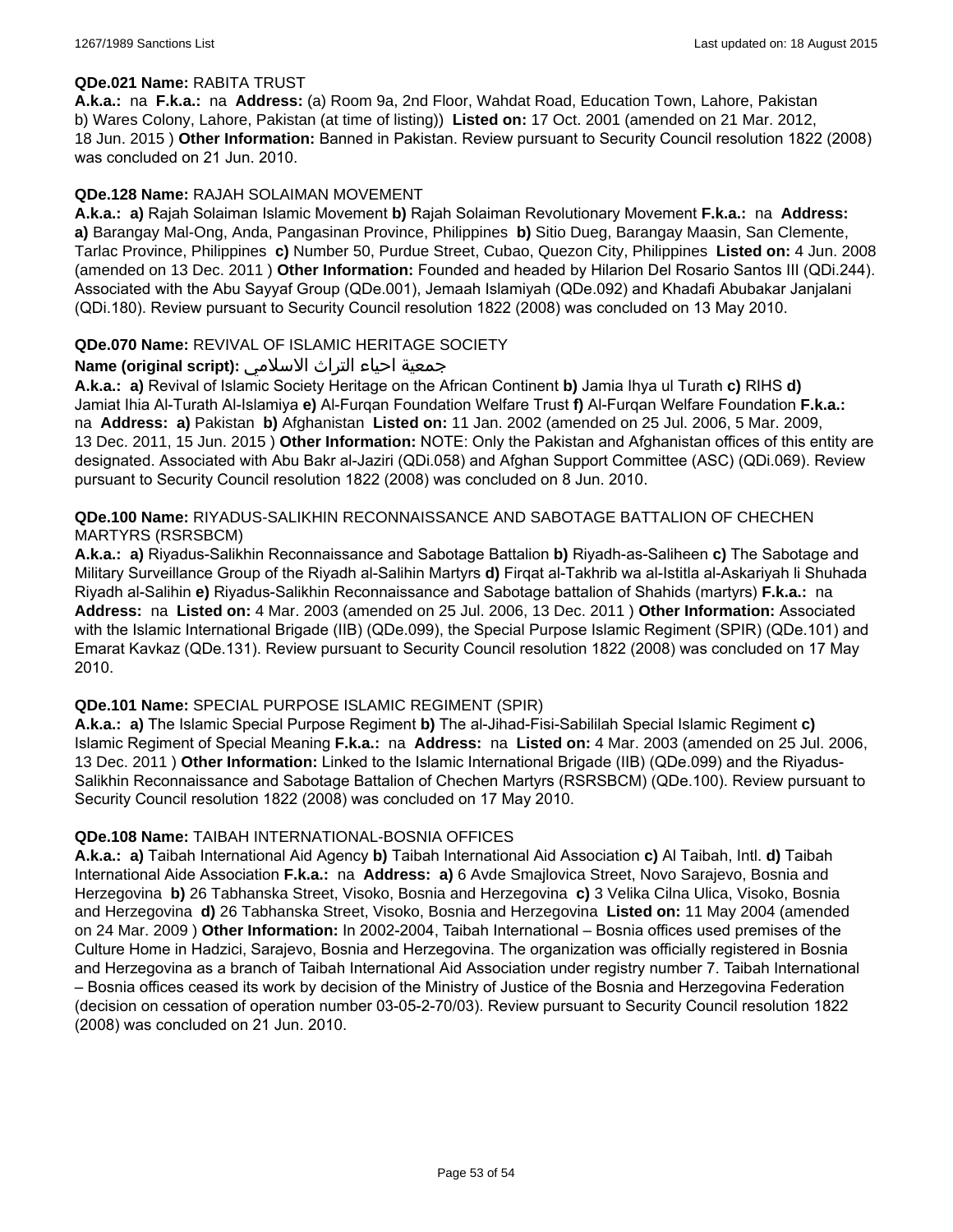#### **QDe.021 Name:** RABITA TRUST

**A.k.a.:** na **F.k.a.:** na **Address:** (a) Room 9a, 2nd Floor, Wahdat Road, Education Town, Lahore, Pakistan b) Wares Colony, Lahore, Pakistan (at time of listing)) **Listed on:** 17 Oct. 2001 (amended on 21 Mar. 2012, 18 Jun. 2015 ) **Other Information:** Banned in Pakistan. Review pursuant to Security Council resolution 1822 (2008) was concluded on 21 Jun. 2010.

#### **QDe.128 Name:** RAJAH SOLAIMAN MOVEMENT

**A.k.a.: a)** Rajah Solaiman Islamic Movement **b)** Rajah Solaiman Revolutionary Movement **F.k.a.:** na **Address: a)** Barangay Mal-Ong, Anda, Pangasinan Province, Philippines **b)** Sitio Dueg, Barangay Maasin, San Clemente, Tarlac Province, Philippines **c)** Number 50, Purdue Street, Cubao, Quezon City, Philippines **Listed on:** 4 Jun. 2008 (amended on 13 Dec. 2011 ) **Other Information:** Founded and headed by Hilarion Del Rosario Santos III (QDi.244). Associated with the Abu Sayyaf Group (QDe.001), Jemaah Islamiyah (QDe.092) and Khadafi Abubakar Janjalani (QDi.180). Review pursuant to Security Council resolution 1822 (2008) was concluded on 13 May 2010.

#### **QDe.070 Name:** REVIVAL OF ISLAMIC HERITAGE SOCIETY

## جمعية احياء التراث الاسلامي **:(script original (Name**

**A.k.a.: a)** Revival of Islamic Society Heritage on the African Continent **b)** Jamia Ihya ul Turath **c)** RIHS **d)** Jamiat Ihia Al-Turath Al-Islamiya **e)** Al-Furqan Foundation Welfare Trust **f)** Al-Furqan Welfare Foundation **F.k.a.:**  na **Address: a)** Pakistan **b)** Afghanistan **Listed on:** 11 Jan. 2002 (amended on 25 Jul. 2006, 5 Mar. 2009, 13 Dec. 2011, 15 Jun. 2015 ) **Other Information:** NOTE: Only the Pakistan and Afghanistan offices of this entity are designated. Associated with Abu Bakr al-Jaziri (QDi.058) and Afghan Support Committee (ASC) (QDi.069). Review pursuant to Security Council resolution 1822 (2008) was concluded on 8 Jun. 2010.

### **QDe.100 Name:** RIYADUS-SALIKHIN RECONNAISSANCE AND SABOTAGE BATTALION OF CHECHEN MARTYRS (RSRSBCM)

**A.k.a.: a)** Riyadus-Salikhin Reconnaissance and Sabotage Battalion **b)** Riyadh-as-Saliheen **c)** The Sabotage and Military Surveillance Group of the Riyadh al-Salihin Martyrs **d)** Firqat al-Takhrib wa al-Istitla al-Askariyah li Shuhada Riyadh al-Salihin **e)** Riyadus-Salikhin Reconnaissance and Sabotage battalion of Shahids (martyrs) **F.k.a.:** na **Address:** na **Listed on:** 4 Mar. 2003 (amended on 25 Jul. 2006, 13 Dec. 2011 ) **Other Information:** Associated with the Islamic International Brigade (IIB) (QDe.099), the Special Purpose Islamic Regiment (SPIR) (QDe.101) and Emarat Kavkaz (QDe.131). Review pursuant to Security Council resolution 1822 (2008) was concluded on 17 May 2010.

#### **QDe.101 Name:** SPECIAL PURPOSE ISLAMIC REGIMENT (SPIR)

**A.k.a.: a)** The Islamic Special Purpose Regiment **b)** The al-Jihad-Fisi-Sabililah Special Islamic Regiment **c)** Islamic Regiment of Special Meaning **F.k.a.:** na **Address:** na **Listed on:** 4 Mar. 2003 (amended on 25 Jul. 2006, 13 Dec. 2011 ) **Other Information:** Linked to the Islamic International Brigade (IIB) (QDe.099) and the Riyadus-Salikhin Reconnaissance and Sabotage Battalion of Chechen Martyrs (RSRSBCM) (QDe.100). Review pursuant to Security Council resolution 1822 (2008) was concluded on 17 May 2010.

#### **QDe.108 Name:** TAIBAH INTERNATIONAL-BOSNIA OFFICES

**A.k.a.: a)** Taibah International Aid Agency **b)** Taibah International Aid Association **c)** Al Taibah, Intl. **d)** Taibah International Aide Association **F.k.a.:** na **Address: a)** 6 Avde Smajlovica Street, Novo Sarajevo, Bosnia and Herzegovina **b)** 26 Tabhanska Street, Visoko, Bosnia and Herzegovina **c)** 3 Velika Cilna Ulica, Visoko, Bosnia and Herzegovina **d)** 26 Tabhanska Street, Visoko, Bosnia and Herzegovina **Listed on:** 11 May 2004 (amended on 24 Mar. 2009 ) **Other Information:** In 2002-2004, Taibah International – Bosnia offices used premises of the Culture Home in Hadzici, Sarajevo, Bosnia and Herzegovina. The organization was officially registered in Bosnia and Herzegovina as a branch of Taibah International Aid Association under registry number 7. Taibah International – Bosnia offices ceased its work by decision of the Ministry of Justice of the Bosnia and Herzegovina Federation (decision on cessation of operation number 03-05-2-70/03). Review pursuant to Security Council resolution 1822 (2008) was concluded on 21 Jun. 2010.